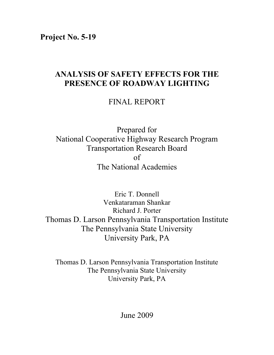**Project No. 5-19**

# **ANALYSIS OF SAFETY EFFECTS FOR THE PRESENCE OF ROADWAY LIGHTING**

FINAL REPORT

Prepared for National Cooperative Highway Research Program Transportation Research Board of The National Academies

Eric T. Donnell Venkataraman Shankar Richard J. Porter Thomas D. Larson Pennsylvania Transportation Institute The Pennsylvania State University University Park, PA

Thomas D. Larson Pennsylvania Transportation Institute The Pennsylvania State University University Park, PA

June 2009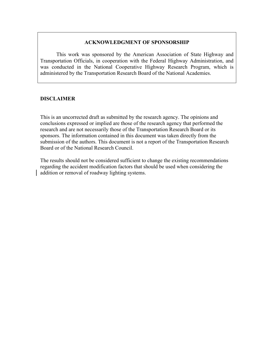#### **ACKNOWLEDGMENT OF SPONSORSHIP**

This work was sponsored by the American Association of State Highway and Transportation Officials, in cooperation with the Federal Highway Administration, and was conducted in the National Cooperative Highway Research Program, which is administered by the Transportation Research Board of the National Academies.

#### **DISCLAIMER**

This is an uncorrected draft as submitted by the research agency. The opinions and conclusions expressed or implied are those of the research agency that performed the research and are not necessarily those of the Transportation Research Board or its sponsors. The information contained in this document was taken directly from the submission of the authors. This document is not a report of the Transportation Research Board or of the National Research Council.

The results should not be considered sufficient to change the existing recommendations regarding the accident modification factors that should be used when considering the addition or removal of roadway lighting systems.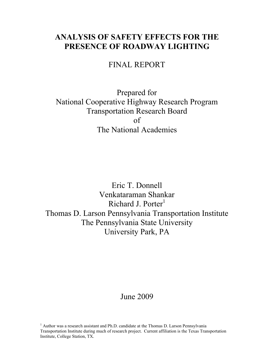# **ANALYSIS OF SAFETY EFFECTS FOR THE PRESENCE OF ROADWAY LIGHTING**

FINAL REPORT

Prepared for National Cooperative Highway Research Program Transportation Research Board of The National Academies

Eric T. Donnell Venkataraman Shankar Richard J. Porter<sup>1</sup> Thomas D. Larson Pennsylvania Transportation Institute The Pennsylvania State University University Park, PA

## June 2009

<sup>1</sup> Author was a research assistant and Ph.D. candidate at the Thomas D. Larson Pennsylvania Transportation Institute during much of research project. Current affiliation is the Texas Transportation Institute, College Station, TX.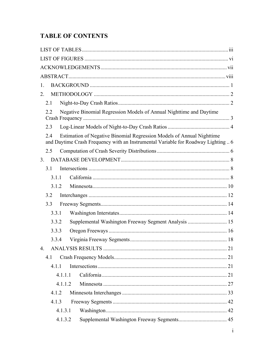# **TABLE OF CONTENTS**

| 1.                                                                                                                                                                |  |
|-------------------------------------------------------------------------------------------------------------------------------------------------------------------|--|
| 2.                                                                                                                                                                |  |
| 2.1                                                                                                                                                               |  |
| Negative Binomial Regression Models of Annual Nighttime and Daytime<br>2.2                                                                                        |  |
| 2.3                                                                                                                                                               |  |
| Estimation of Negative Binomial Regression Models of Annual Nighttime<br>2.4<br>and Daytime Crash Frequency with an Instrumental Variable for Roadway Lighting  6 |  |
| 2.5                                                                                                                                                               |  |
| 3 <sub>1</sub>                                                                                                                                                    |  |
| 3.1                                                                                                                                                               |  |
| 3.1.1                                                                                                                                                             |  |
| 3.1.2                                                                                                                                                             |  |
| 3.2                                                                                                                                                               |  |
| 3.3                                                                                                                                                               |  |
| 3.3.1                                                                                                                                                             |  |
| 3.3.2                                                                                                                                                             |  |
| 3.3.3                                                                                                                                                             |  |
| 3.3.4                                                                                                                                                             |  |
| $\overline{4}$ .                                                                                                                                                  |  |
| 4.1                                                                                                                                                               |  |
| 4.1.1                                                                                                                                                             |  |
| 4.1.1.1                                                                                                                                                           |  |
| 4.1.1.2                                                                                                                                                           |  |
| 4.1.2                                                                                                                                                             |  |
| 4.1.3                                                                                                                                                             |  |
| 4.1.3.1                                                                                                                                                           |  |
| 4.1.3.2                                                                                                                                                           |  |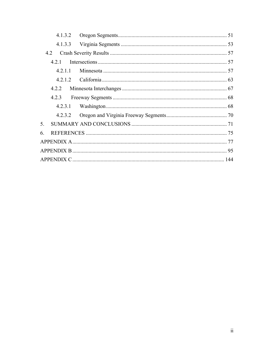| 42             |  |
|----------------|--|
| 421            |  |
| 4211           |  |
|                |  |
|                |  |
| 4.2.3          |  |
| 4.2.3.1        |  |
|                |  |
| 5 <sub>1</sub> |  |
| 6              |  |
|                |  |
|                |  |
|                |  |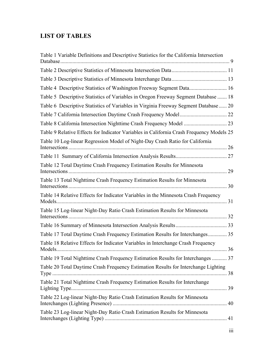## **LIST OF TABLES**

| Table 1 Variable Definitions and Descriptive Statistics for the California Intersection  |    |
|------------------------------------------------------------------------------------------|----|
|                                                                                          |    |
|                                                                                          |    |
|                                                                                          |    |
| Table 5 Descriptive Statistics of Variables in Oregon Freeway Segment Database  18       |    |
| Table 6 Descriptive Statistics of Variables in Virginia Freeway Segment Database  20     |    |
|                                                                                          |    |
|                                                                                          |    |
| Table 9 Relative Effects for Indicator Variables in California Crash Frequency Models 25 |    |
| Table 10 Log-linear Regression Model of Night-Day Crash Ratio for California             | 26 |
|                                                                                          |    |
| Table 12 Total Daytime Crash Frequency Estimation Results for Minnesota                  | 29 |
| Table 13 Total Nighttime Crash Frequency Estimation Results for Minnesota                |    |
| Table 14 Relative Effects for Indicator Variables in the Minnesota Crash Frequency       |    |
| Table 15 Log-linear Night-Day Ratio Crash Estimation Results for Minnesota               |    |
|                                                                                          |    |
| Table 17 Total Daytime Crash Frequency Estimation Results for Interchanges 35            |    |
| Table 18 Relative Effects for Indicator Variables in Interchange Crash Frequency         |    |
| Table 19 Total Nighttime Crash Frequency Estimation Results for Interchanges  37         |    |
| Table 20 Total Daytime Crash Frequency Estimation Results for Interchange Lighting       |    |
| Table 21 Total Nighttime Crash Frequency Estimation Results for Interchange              |    |
| Table 22 Log-linear Night-Day Ratio Crash Estimation Results for Minnesota               |    |
| Table 23 Log-linear Night-Day Ratio Crash Estimation Results for Minnesota               |    |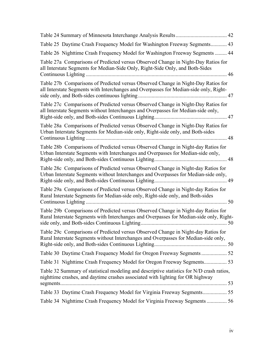| Table 25 Daytime Crash Frequency Model for Washington Freeway Segments 43                                                                                                    |  |
|------------------------------------------------------------------------------------------------------------------------------------------------------------------------------|--|
| Table 26 Nighttime Crash Frequency Model for Washington Freeway Segments  44                                                                                                 |  |
| Table 27a Comparisons of Predicted versus Observed Change in Night-Day Ratios for<br>all Interstate Segments for Median-Side Only, Right-Side Only, and Both-Sides<br>46     |  |
| Table 27b Comparisons of Predicted versus Observed Change in Night-Day Ratios for<br>all Interstate Segments with Interchanges and Overpasses for Median-side only, Right-   |  |
| Table 27c Comparisons of Predicted versus Observed Change in Night-Day Ratios for<br>all Interstate Segments without Interchanges and Overpasses for Median-side only,       |  |
| Table 28a Comparisons of Predicted versus Observed Change in Night-Day Ratios for<br>Urban Interstate Segments for Median-side only, Right-side only, and Both-sides<br>48   |  |
| Table 28b Comparisons of Predicted versus Observed Change in Night-day Ratios for<br>Urban Interstate Segments with Interchanges and Overpasses for Median-side only,        |  |
| Table 28c Comparisons of Predicted versus Observed Change in Night-day Ratios for<br>Urban Interstate Segments without Interchanges and Overpasses for Median-side only,     |  |
| Table 29a Comparisons of Predicted versus Observed Change in Night-day Ratios for<br>Rural Interstate Segments for Median-side only, Right-side only, and Both-sides         |  |
| Table 29b Comparisons of Predicted versus Observed Change in Night-day Ratios for<br>Rural Interstate Segments with Interchanges and Overpasses for Median-side only, Right- |  |
| Table 29c Comparisons of Predicted versus Observed Change in Night-day Ratios for<br>Rural Interstate Segments without Interchanges and Overpasses for Median-side only,     |  |
| Table 30 Daytime Crash Frequency Model for Oregon Freeway Segments 52                                                                                                        |  |
|                                                                                                                                                                              |  |
| Table 32 Summary of statistical modeling and descriptive statistics for N/D crash ratios,<br>nighttime crashes, and daytime crashes associated with lighting for OR highway  |  |
| Table 33 Daytime Crash Frequency Model for Virginia Freeway Segments 55                                                                                                      |  |
| Table 34 Nighttime Crash Frequency Model for Virginia Freeway Segments  56                                                                                                   |  |
|                                                                                                                                                                              |  |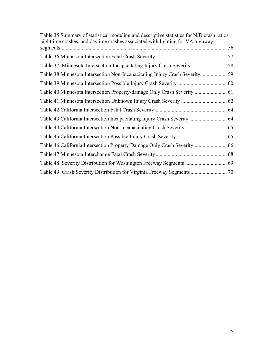| Table 35 Summary of statistical modeling and descriptive statistics for N/D crash ratios,<br>nighttime crashes, and daytime crashes associated with lighting for VA highway |    |
|-----------------------------------------------------------------------------------------------------------------------------------------------------------------------------|----|
|                                                                                                                                                                             | 56 |
|                                                                                                                                                                             |    |
| Table 37 Minnesota Intersection Incapacitating Injury Crash Severity 58                                                                                                     |    |
|                                                                                                                                                                             |    |
|                                                                                                                                                                             |    |
|                                                                                                                                                                             |    |
|                                                                                                                                                                             |    |
|                                                                                                                                                                             |    |
|                                                                                                                                                                             |    |
|                                                                                                                                                                             |    |
|                                                                                                                                                                             |    |
|                                                                                                                                                                             |    |
|                                                                                                                                                                             |    |
|                                                                                                                                                                             |    |
|                                                                                                                                                                             |    |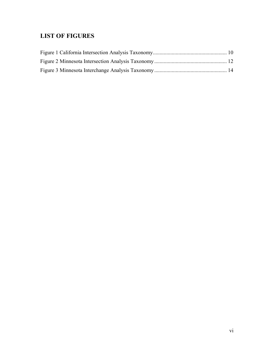## **LIST OF FIGURES**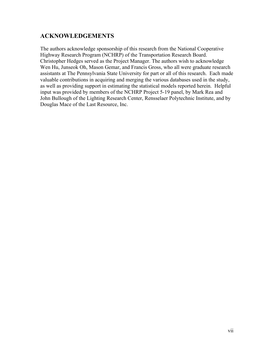## **ACKNOWLEDGEMENTS**

The authors acknowledge sponsorship of this research from the National Cooperative Highway Research Program (NCHRP) of the Transportation Research Board. Christopher Hedges served as the Project Manager. The authors wish to acknowledge Wen Hu, Junseok Oh, Mason Gemar, and Francis Gross, who all were graduate research assistants at The Pennsylvania State University for part or all of this research. Each made valuable contributions in acquiring and merging the various databases used in the study, as well as providing support in estimating the statistical models reported herein. Helpful input was provided by members of the NCHRP Project 5-19 panel, by Mark Rea and John Bullough of the Lighting Research Center, Rensselaer Polytechnic Institute, and by Douglas Mace of the Last Resource, Inc.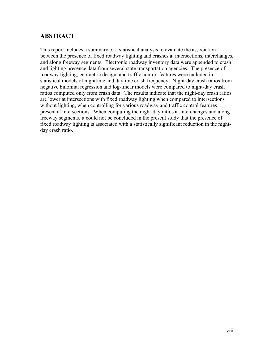## **ABSTRACT**

This report includes a summary of a statistical analysis to evaluate the association between the presence of fixed roadway lighting and crashes at intersections, interchanges, and along freeway segments. Electronic roadway inventory data were appended to crash and lighting presence data from several state transportation agencies. The presence of roadway lighting, geometric design, and traffic control features were included in statistical models of nighttime and daytime crash frequency. Night-day crash ratios from negative binomial regression and log-linear models were compared to night-day crash ratios computed only from crash data. The results indicate that the night-day crash ratios are lower at intersections with fixed roadway lighting when compared to intersections without lighting, when controlling for various roadway and traffic control features present at intersections. When computing the night-day ratios at interchanges and along freeway segments, it could not be concluded in the present study that the presence of fixed roadway lighting is associated with a statistically significant reduction in the nightday crash ratio.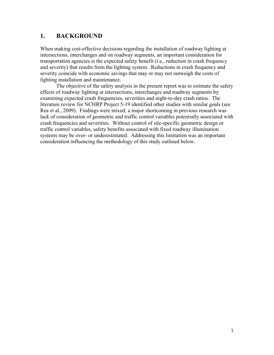## **1. BACKGROUND**

When making cost-effective decisions regarding the installation of roadway lighting at intersections, interchanges and on roadway segments, an important consideration for transportation agencies is the expected safety benefit (i.e., reduction in crash frequency and severity) that results from the lighting system. Reductions in crash frequency and severity coincide with economic savings that may or may not outweigh the costs of lighting installation and maintenance.

The objective of the safety analysis in the present report was to estimate the safety effects of roadway lighting at intersections, interchanges and roadway segments by examining expected crash frequencies, severities and night-to-day crash ratios. The literature review for NCHRP Project 5-19 identified other studies with similar goals (see Rea et al., 2009). Findings were mixed; a major shortcoming in previous research was lack of consideration of geometric and traffic control variables potentially associated with crash frequencies and severities. Without control of site-specific geometric design or traffic control variables, safety benefits associated with fixed roadway illumination systems may be over- or underestimated. Addressing this limitation was an important consideration influencing the methodology of this study outlined below.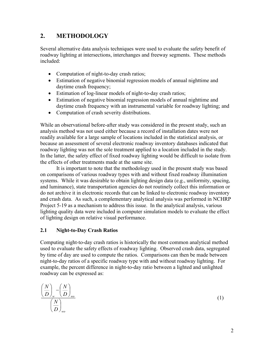## **2. METHODOLOGY**

Several alternative data analysis techniques were used to evaluate the safety benefit of roadway lighting at intersections, interchanges and freeway segments. These methods included:

- Computation of night-to-day crash ratios;
- Estimation of negative binomial regression models of annual nighttime and daytime crash frequency;
- Estimation of log-linear models of night-to-day crash ratios;
- Estimation of negative binomial regression models of annual nighttime and daytime crash frequency with an instrumental variable for roadway lighting; and
- Computation of crash severity distributions.

While an observational before-after study was considered in the present study, such an analysis method was not used either because a record of installation dates were not readily available for a large sample of locations included in the statistical analysis, or because an assessment of several electronic roadway inventory databases indicated that roadway lighting was not the sole treatment applied to a location included in the study. In the latter, the safety effect of fixed roadway lighting would be difficult to isolate from the effects of other treatments made at the same site.

It is important to note that the methodology used in the present study was based on comparisons of various roadway types with and without fixed roadway illumination systems. While it was desirable to obtain lighting design data (e.g., uniformity, spacing, and luminance), state transportation agencies do not routinely collect this information or do not archive it in electronic records that can be linked to electronic roadway inventory and crash data. As such, a complementary analytical analysis was performed in NCHRP Project 5-19 as a mechanism to address this issue. In the analytical analysis, various lighting quality data were included in computer simulation models to evaluate the effect of lighting design on relative visual performance.

## **2.1 Night-to-Day Crash Ratios**

Computing night-to-day crash ratios is historically the most common analytical method used to evaluate the safety effects of roadway lighting. Observed crash data, segregated by time of day are used to compute the ratios. Comparisons can then be made between night-to-day ratios of a specific roadway type with and without roadway lighting. For example, the percent difference in night-to-day ratio between a lighted and unlighted roadway can be expressed as:

$$
\frac{\left(\frac{N}{D}\right)_{w} - \left(\frac{N}{D}\right)_{wo}}{\left(\frac{N}{D}\right)_{wo}}
$$
\n(1)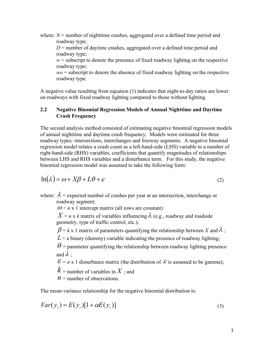where:  $N$  = number of nighttime crashes, aggregated over a defined time period and roadway type;

 $D$  = number of daytime crashes, aggregated over a defined time period and roadway type;

 $w =$  subscript to denote the presence of fixed roadway lighting on the respective roadway type;

*wo* = subscript to denote the absence of fixed roadway lighting on the respective roadway type.

A negative value resulting from equation (1) indicates that night-to-day ratios are lower on roadways with fixed roadway lighting compared to those without lighting.

### **2.2 Negative Binomial Regression Models of Annual Nighttime and Daytime Crash Frequency**

The second analysis method consisted of estimating negative binomial regression models of annual nighttime and daytime crash frequency. Models were estimated for three roadway types: intersections, interchanges and freeway segments. A negative binomial regression model relates a crash count as a left-hand-side (LHS) variable to a number of right-hand-side (RHS) variables, coefficients that quantify magnitudes of relationships between LHS and RHS variables and a disturbance term. For this study, the negative binomial regression model was assumed to take the following form:

$$
\ln(\lambda) = \omega + X\beta + L\theta + \varepsilon \tag{2}
$$

where:  $\lambda$  = expected number of crashes per year at an intersection, interchange or roadway segment;

 $\omega = n \times 1$  intercept matrix (all rows are constant)

 $X = n \times k$  matrix of variables influencing  $\lambda$  (e.g., roadway and roadside geometry, type of traffic control, etc.);

 $\beta = k \times 1$  matrix of parameters quantifying the relationship between *X* and  $\lambda$ ;

 $L = a$  binary (dummy) variable indicating the presence of roadway lighting;

 $\theta$  = parameter quantifying the relationship between roadway lighting presence and  $\lambda$  :

 $\mathcal{E} = n \times 1$  disturbance matrix (the distribution of  $\mathcal{E}$  is assumed to be gamma);

 $k =$  number of variables in X ; and

 $n =$  number of observations.

The mean-variance relationship for the negative binomial distribution is:

$$
Var(y_i) = E(y_i)[1 + \alpha E(y_i)]
$$
\n(3)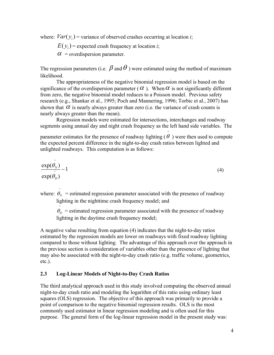where:  $Var(y_i)$  = variance of observed crashes occurring at location *i*;

 $E(y_i)$  = expected crash frequency at location *i*;

 $\alpha$  = overdispersion parameter.

The regression parameters (i.e.  $\beta$  and  $\theta$ ) were estimated using the method of maximum likelihood.

The appropriateness of the negative binomial regression model is based on the significance of the overdispersion parameter ( $\alpha$ ). When  $\alpha$  is not significantly different from zero, the negative binomial model reduces to a Poisson model. Previous safety research (e.g., Shankar et al., 1995; Poch and Mannering, 1996; Torbic et al., 2007) has shown that  $\alpha$  is nearly always greater than zero (i.e. the variance of crash counts is nearly always greater than the mean).

Regression models were estimated for intersections, interchanges and roadway segments using annual day and night crash frequency as the left hand side variables. The

parameter estimates for the presence of roadway lighting (  $\wedge$  $\theta$ ) were then used to compute the expected percent difference in the night-to-day crash ratios between lighted and unlighted roadways. This computation is as follows:

$$
\frac{\exp(\hat{\theta}_N)}{\exp(\hat{\theta}_D)} - 1\tag{4}
$$

where:  $\hat{\theta}_N$  = estimated regression parameter associated with the presence of roadway lighting in the nighttime crash frequency model; and

 $\hat{\theta}_D$  = estimated regression parameter associated with the presence of roadway lighting in the daytime crash frequency model;

A negative value resulting from equation (4) indicates that the night-to-day ratios estimated by the regression models are lower on roadways with fixed roadway lighting compared to those without lighting. The advantage of this approach over the approach in the previous section is consideration of variables other than the presence of lighting that may also be associated with the night-to-day crash ratio (e.g. traffic volume, geometrics, etc.).

### **2.3 Log-Linear Models of Night-to-Day Crash Ratios**

The third analytical approach used in this study involved computing the observed annual night-to-day crash ratio and modeling the logarithm of this ratio using ordinary least squares (OLS) regression. The objective of this approach was primarily to provide a point of comparison to the negative binomial regression results. OLS is the most commonly used estimator in linear regression modeling and is often used for this purpose. The general form of the log-linear regression model in the present study was: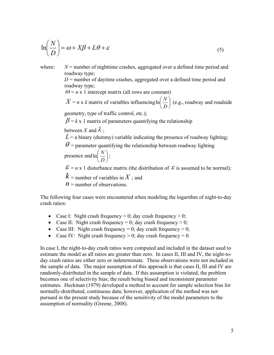$$
\ln\left(\frac{N}{D}\right) = \omega + X\beta + L\theta + \varepsilon
$$
\n(5)

where:  $N =$  number of nighttime crashes, aggregated over a defined time period and roadway type;

 $D$  = number of daytime crashes, aggregated over a defined time period and roadway type;

 $\omega = n \times 1$  intercept matrix (all rows are constant)

 $X = n \times k$  matrix of variables influencing ln  $\left(\frac{N}{R}\right)$ J  $\left(\frac{N}{R}\right)$  $\setminus$ ſ *D*  $\ln\left(\frac{N}{R}\right)$  (e.g., roadway and roadside

geometry, type of traffic control, etc.);

 $\beta = k \times 1$  matrix of parameters quantifying the relationship

between X and  $\lambda$ ;

 $L = a$  binary (dummy) variable indicating the presence of roadway lighting;

 $\theta$  = parameter quantifying the relationship between roadway lighting presence and  $\ln \frac{N}{D}$ J  $\left(\frac{N}{R}\right)$  $\setminus$ ſ *D*  $\ln\left(\frac{N}{R}\right);$ 

 $\mathcal{E} = n \times 1$  disturbance matrix (the distribution of  $\mathcal{E}$  is assumed to be normal);

 $k =$  number of variables in X ; and

 $n =$  number of observations.

The following four cases were encountered when modeling the logarithm of night-to-day crash ratios:

- Case I: Night crash frequency  $> 0$ ; day crash frequency  $> 0$ ;
- Case II: Night crash frequency = 0; day crash frequency  $> 0$ ;
- Case III: Night crash frequency = 0; day crash frequency = 0;
- Case IV: Night crash frequency  $> 0$ ; day crash frequency  $= 0$ .

In case I, the night-to-day crash ratios were computed and included in the dataset used to estimate the model as all ratios are greater than zero. In cases II, III and IV, the night-today crash ratios are either zero or indeterminate. These observations were not included in the sample of data. The major assumption of this approach is that cases II, III and IV are randomly-distributed in the sample of data. If this assumption is violated, the problem becomes one of selectivity bias; the result being biased and inconsistent parameter estimates. Heckman (1979) developed a method to account for sample selection bias for normally-distributed, continuous data; however, application of the method was not pursued in the present study because of the sensitivity of the model parameters to the assumption of normality (Greene, 2008).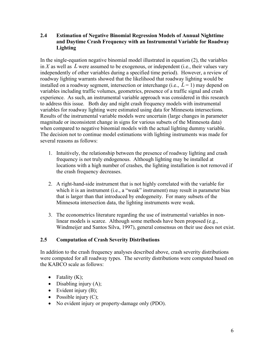**2.4 Estimation of Negative Binomial Regression Models of Annual Nighttime and Daytime Crash Frequency with an Instrumental Variable for Roadway Lighting**

In the single-equation negative binomial model illustrated in equation (2), the variables in *X* as well as *L* were assumed to be exogenous, or independent (i.e., their values vary independently of other variables during a specified time period). However, a review of roadway lighting warrants showed that the likelihood that roadway lighting would be installed on a roadway segment, intersection or interchange (i.e.,  $L = 1$ ) may depend on variables including traffic volumes, geometrics, presence of a traffic signal and crash experience. As such, an instrumental variable approach was considered in this research to address this issue. Both day and night crash frequency models with instrumental variables for roadway lighting were estimated using data for Minnesota intersections. Results of the instrumental variable models were uncertain (large changes in parameter magnitude or inconsistent change in signs for various subsets of the Minnesota data) when compared to negative binomial models with the actual lighting dummy variable. The decision not to continue model estimations with lighting instruments was made for several reasons as follows:

- 1. Intuitively, the relationship between the presence of roadway lighting and crash frequency is not truly endogenous. Although lighting may be installed at locations with a high number of crashes, the lighting installation is not removed if the crash frequency decreases.
- 2. A right-hand-side instrument that is not highly correlated with the variable for which it is an instrument (i.e., a "weak" instrument) may result in parameter bias that is larger than that introduced by endogeneity. For many subsets of the Minnesota intersection data, the lighting instruments were weak.
- 3. The econometrics literature regarding the use of instrumental variables in nonlinear models is scarce. Although some methods have been proposed (e.g., Windmeijer and Santos Silva, 1997), general consensus on their use does not exist.

## **2.5 Computation of Crash Severity Distributions**

In addition to the crash frequency analyses described above, crash severity distributions were computed for all roadway types. The severity distributions were computed based on the KABCO scale as follows:

- Fatality  $(K)$ ;
- $\bullet$  Disabling injury (A);
- $\bullet$  Evident injury (B);
- Possible injury  $(C)$ ;
- No evident injury or property-damage only (PDO).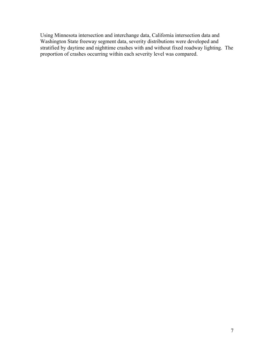Using Minnesota intersection and interchange data, California intersection data and Washington State freeway segment data, severity distributions were developed and stratified by daytime and nighttime crashes with and without fixed roadway lighting. The proportion of crashes occurring within each severity level was compared.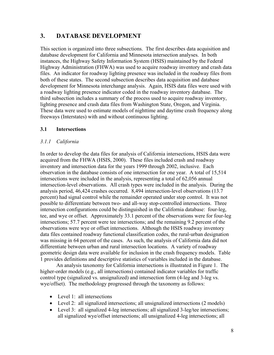## **3. DATABASE DEVELOPMENT**

This section is organized into three subsections. The first describes data acquisition and database development for California and Minnesota intersection analyses. In both instances, the Highway Safety Information System (HSIS) maintained by the Federal Highway Administration (FHWA) was used to acquire roadway inventory and crash data files. An indicator for roadway lighting presence was included in the roadway files from both of these states. The second subsection describes data acquisition and database development for Minnesota interchange analysis. Again, HSIS data files were used with a roadway lighting presence indicator coded in the roadway inventory database. The third subsection includes a summary of the process used to acquire roadway inventory, lighting presence and crash data files from Washington State, Oregon, and Virginia. These data were used to estimate models of nighttime and daytime crash frequency along freeways (Interstates) with and without continuous lighting.

### **3.1 Intersections**

#### *3.1.1 California*

In order to develop the data files for analysis of California intersections, HSIS data were acquired from the FHWA (HSIS, 2000). These files included crash and roadway inventory and intersection data for the years 1999 through 2002, inclusive. Each observation in the database consists of one intersection for one year. A total of 15,514 intersections were included in the analysis, representing a total of 62,056 annual intersection-level observations. All crash types were included in the analysis. During the analysis period, 46,424 crashes occurred. 8,494 intersection-level observations (13.7 percent) had signal control while the remainder operated under stop control. It was not possible to differentiate between two- and all-way stop-controlled intersections. Three intersection configurations could be distinguished in the California database: four-leg, tee, and wye or offset. Approximately 33.1 percent of the observations were for four-leg intersections; 57.7 percent were tee intersections; and the remaining 9.2 percent of the observations were wye or offset intersections. Although the HSIS roadway inventory data files contained roadway functional classification codes, the rural-urban designation was missing in 64 percent of the cases. As such, the analysis of California data did not differentiate between urban and rural intersection locations. A variety of roadway geometric design data were available for inclusion in the crash frequency models. Table 1 provides definitions and descriptive statistics of variables included in the database.

An analysis taxonomy for California intersections is illustrated in Figure 1. The higher-order models (e.g., all intersections) contained indicator variables for traffic control type (signalized vs. unsignalized) and intersection form (4-leg and 3-leg vs. wye/offset). The methodology progressed through the taxonomy as follows:

- Level 1: all intersections
- Level 2: all signalized intersections; all unsignalized intersections (2 models)
- Level 3: all signalized 4-leg intersections; all signalized 3-leg/tee intersections; all signalized wye/offset intersections; all unsignalized 4-leg intersections; all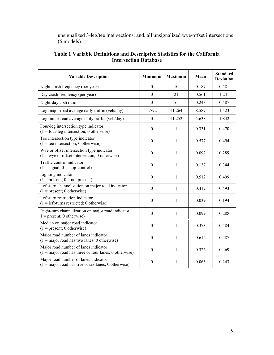unsignalized 3-leg/tee intersections; and, all unsignalized wye/offset intersections (6 models).

| <b>Variable Description</b>                                                                            | Minimum          | <b>Maximum</b> | Mean  | <b>Standard</b><br><b>Deviation</b> |
|--------------------------------------------------------------------------------------------------------|------------------|----------------|-------|-------------------------------------|
| Night crash frequency (per year)                                                                       | $\mathbf{0}$     | 10             | 0.187 | 0.581                               |
| Day crash frequency (per year)                                                                         | $\mathbf{0}$     | 21             | 0.561 | 1.241                               |
| Night-day crsh ratio                                                                                   | $\mathbf{0}$     | 6              | 0.243 | 0.487                               |
| Log major road average daily traffic (veh/day)                                                         | 1.792            | 11.264         | 8.587 | 1.523                               |
| Log minor road average daily traffic (veh/day)                                                         | $\mathbf{0}$     | 11.252         | 5.638 | 1.842                               |
| Four-leg intersection type indicator<br>$(1 = four$ -leg intersection; 0 otherwise)                    | $\boldsymbol{0}$ | 1              | 0.331 | 0.470                               |
| Tee intersection type indicator<br>$(1 = \text{tee intersection}; 0 \text{ otherwise})$                | $\theta$         | 1              | 0.577 | 0.494                               |
| Wye or offset intersection type indicator<br>$(1 = wye or offset intersection; 0 otherwise)$           | $\boldsymbol{0}$ | 1              | 0.092 | 0.289                               |
| Traffic control indicator<br>$(1 = signal; 0 = stop-control)$                                          | $\theta$         | $\mathbf{1}$   | 0.137 | 0.344                               |
| Lighting indicator<br>$(1 = present; 0 = not present)$                                                 | $\Omega$         | 1              | 0.512 | 0.499                               |
| Left-turn channelization on major road indicator<br>$(1 = present; 0 otherwise)$                       | $\mathbf{0}$     | 1              | 0.417 | 0.493                               |
| Left-turn restriction indicator<br>$(1 = left$ -turns restricted; 0 otherwise)                         | $\mathbf{0}$     | 1              | 0.039 | 0.194                               |
| Right-turn channelization on major road indicator<br>$1 = present$ ; 0 otherwise)                      | $\theta$         | 1              | 0.099 | 0.288                               |
| Median on major road indicator<br>$(1 = present; 0 otherwise)$                                         | $\boldsymbol{0}$ | $\mathbf{1}$   | 0.373 | 0.484                               |
| Major road number of lanes indicator<br>$(1 = \text{major road has two lanes; 0 otherwise})$           | $\boldsymbol{0}$ | $\mathbf{1}$   | 0.612 | 0.487                               |
| Major road number of lanes indicator<br>$(1 = \text{major road has three or four lanes; 0 otherwise})$ | $\theta$         | 1              | 0.326 | 0.469                               |
| Major road number of lanes indicator<br>$(1 = \text{major road has five or six lanes; 0 otherwise})$   | $\boldsymbol{0}$ | 1              | 0.063 | 0.243                               |

### **Table 1 Variable Definitions and Descriptive Statistics for the California Intersection Database**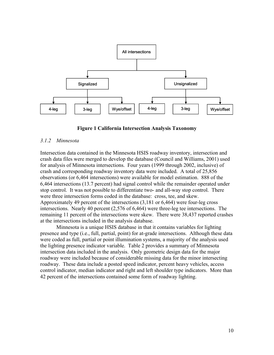



#### *3.1.2 Minnesota*

Intersection data contained in the Minnesota HSIS roadway inventory, intersection and crash data files were merged to develop the database (Council and Williams, 2001) used for analysis of Minnesota intersections. Four years (1999 through 2002, inclusive) of crash and corresponding roadway inventory data were included. A total of 25,856 observations (or 6,464 intersections) were available for model estimation. 888 of the 6,464 intersections (13.7 percent) had signal control while the remainder operated under stop control. It was not possible to differentiate two- and all-way stop control. There were three intersection forms coded in the database: cross, tee, and skew. Approximately 49 percent of the intersections (3,181 or 6,464) were four-leg cross intersections. Nearly 40 percent (2,576 of 6,464) were three-leg tee intersections. The remaining 11 percent of the intersections were skew. There were 38,437 reported crashes at the intersections included in the analysis database.

Minnesota is a unique HSIS database in that it contains variables for lighting presence and type (i.e., full, partial, point) for at-grade intersections. Although these data were coded as full, partial or point illumination systems, a majority of the analysis used the lighting presence indicator variable. Table 2 provides a summary of Minnesota intersection data included in the analysis. Only geometric design data for the major roadway were included because of considerable missing data for the minor intersecting roadway. These data include a posted speed indicator, percent heavy vehicles, access control indicator, median indicator and right and left shoulder type indicators. More than 42 percent of the intersections contained some form of roadway lighting.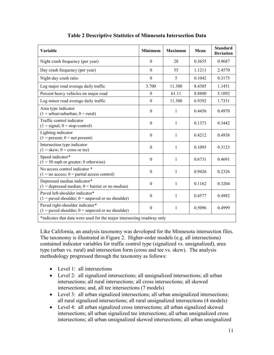| Variable                                                                                | Minimum          | <b>Maximum</b> | Mean   | <b>Standard</b><br><b>Deviation</b> |
|-----------------------------------------------------------------------------------------|------------------|----------------|--------|-------------------------------------|
| Night crash frequency (per year)                                                        | $\mathbf{0}$     | 28             | 0.3655 | 0.9687                              |
| Day crash frequency (per year)                                                          | $\overline{0}$   | 55             | 1.1211 | 2.4570                              |
| Night-day crash ratio                                                                   | $\mathbf{0}$     | 5              | 0.1042 | 0.3175                              |
| Log major road average daily traffic                                                    | 3.700            | 11.300         | 8.4305 | 1.1451                              |
| Percent heavy vehicles on major road                                                    | $\mathbf{0}$     | 61.11          | 8.8880 | 5.1092                              |
| Log minor road average daily traffic                                                    | $\boldsymbol{0}$ | 11.300         | 6.9392 | 1.7331                              |
| Area type indicator<br>$(1 = urban/suburban; 0 = rural)$                                | $\boldsymbol{0}$ | $\mathbf{1}$   | 0.4456 | 0.4970                              |
| Traffic control indicator<br>$(1 = signal; 0 = stop-control)$                           | $\theta$         | 1              | 0.1373 | 0.3442                              |
| Lighting indicator<br>$(1 = present; 0 = not present)$                                  | $\boldsymbol{0}$ | $\mathbf{1}$   | 0.4212 | 0.4938                              |
| Intersection type indicator<br>$(1 = \text{skew}; 0 = \text{cross or tee})$             | $\theta$         | 1              | 0.1095 | 0.3123                              |
| Speed indicator*<br>$(1 = 50$ mph or greater; 0 otherwise)                              | $\theta$         | 1              | 0.6731 | 0.4691                              |
| No access control indicator *<br>$(1 = no access; 0 = partial access control)$          | $\boldsymbol{0}$ | 1              | 0.9426 | 0.2326                              |
| Depressed median indicator*<br>$(1 =$ depressed median; $0 =$ barrier or no median)     | $\theta$         | $\mathbf{1}$   | 0.1162 | 0.3204                              |
| Paved left-shoulder indicator*<br>$(1 =$ paved shoulder; $0 =$ unpaved or no shoulder)  | $\boldsymbol{0}$ | 1              | 0.4577 | 0.4982                              |
| Paved right-shoulder indicator*<br>$(1 =$ paved shoulder; $0 =$ unpaved or no shoulder) | $\boldsymbol{0}$ | $\mathbf{1}$   | 0.5096 | 0.4999                              |
| *indicates that data were used for the major intersecting roadway only                  |                  |                |        |                                     |

## **Table 2 Descriptive Statistics of Minnesota Intersection Data**

Like California, an analysis taxonomy was developed for the Minnesota intersection files. The taxonomy is illustrated in Figure 2. Higher-order models (e.g. all intersections) contained indicator variables for traffic control type (signalized vs. unsignalized), area type (urban vs. rural) and intersection form (cross and tee vs. skew). The analysis methodology progressed through the taxonomy as follows:

- Level 1: all intersections
- Level 2: all signalized intersections; all unsignalized intersections; all urban intersections; all rural intersections; all cross intersections; all skewed intersections; and, all tee intersections (7 models)
- Level 3: all urban signalized intersections; all urban unsignalized intersections; all rural signalized intersections; all rural unsignalized intersections (4 models)
- Level 4: all urban signalized cross intersections; all urban signalized skewed intersections; all urban signalized tee intersections; all urban unsignalized cross intersections; all urban unsignalized skewed intersections; all urban unsignalized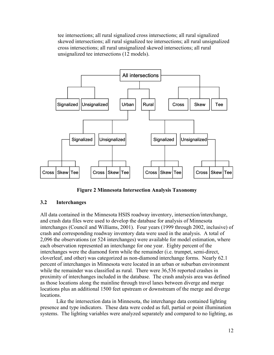tee intersections; all rural signalized cross intersections; all rural signalized skewed intersections; all rural signalized tee intersections; all rural unsignalized cross intersections; all rural unsignalized skewed intersections; all rural unsignalized tee intersections (12 models).



**Figure 2 Minnesota Intersection Analysis Taxonomy**

### **3.2 Interchanges**

All data contained in the Minnesota HSIS roadway inventory, intersection/interchange, and crash data files were used to develop the database for analysis of Minnesota interchanges (Council and Williams, 2001). Four years (1999 through 2002, inclusive) of crash and corresponding roadway inventory data were used in the analysis. A total of 2,096 the observations (or 524 interchanges) were available for model estimation, where each observation represented an interchange for one year. Eighty percent of the interchanges were the diamond form while the remainder (i.e. trumpet, semi-direct, cloverleaf, and other) was categorized as non-diamond interchange forms. Nearly 62.1 percent of interchanges in Minnesota were located in an urban or suburban environment while the remainder was classified as rural. There were 36,536 reported crashes in proximity of interchanges included in the database. The crash analysis area was defined as those locations along the mainline through travel lanes between diverge and merge locations plus an additional 1500 feet upstream or downstream of the merge and diverge locations.

Like the intersection data in Minnesota, the interchange data contained lighting presence and type indicators. These data were coded as full, partial or point illumination systems. The lighting variables were analyzed separately and compared to no lighting, as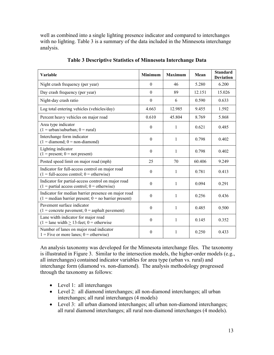well as combined into a single lighting presence indicator and compared to interchanges with no lighting. Table 3 is a summary of the data included in the Minnesota interchange analysis.

| Variable                                                                                                                    | Minimum          | <b>Maximum</b> | Mean   | <b>Standard</b><br><b>Deviation</b> |
|-----------------------------------------------------------------------------------------------------------------------------|------------------|----------------|--------|-------------------------------------|
| Night crash frequency (per year)                                                                                            | $\mathbf{0}$     | 46             | 5.280  | 6.200                               |
| Day crash frequency (per year)                                                                                              | $\mathbf{0}$     | 89             | 12.151 | 15.026                              |
| Night-day crash ratio                                                                                                       | $\boldsymbol{0}$ | 6              | 0.590  | 0.633                               |
| Log total entering vehicles (vehicles/day)                                                                                  | 4.663            | 12.985         | 9.455  | 1.592                               |
| Percent heavy vehicles on major road                                                                                        | 0.610            | 45.804         | 8.769  | 5.868                               |
| Area type indicator<br>$(1 = urban/suburban; 0 = rural)$                                                                    | $\boldsymbol{0}$ | 1              | 0.621  | 0.485                               |
| Interchange form indicator<br>$(1 =$ diamond; $0 =$ non-diamond)                                                            | $\theta$         | 1              | 0.798  | 0.402                               |
| Lighting indicator<br>$(1 = present; 0 = not present)$                                                                      | $\theta$         | 1              | 0.798  | 0.402                               |
| Posted speed limit on major road (mph)                                                                                      | 25               | 70             | 60.406 | 9.249                               |
| Indicator for full-access control on major road<br>$(1 = full-access control; 0 = otherwise)$                               | $\boldsymbol{0}$ | 1              | 0.781  | 0.413                               |
| Indicator for partial-access control on major road<br>$(1 =$ partial access control; $0 =$ otherwise)                       | $\theta$         | $\mathbf{1}$   | 0.094  | 0.291                               |
| Indicator for median barrier presence on major road<br>$(1 = \text{median barrier present}; 0 = \text{no barrier present})$ | $\boldsymbol{0}$ | $\mathbf{1}$   | 0.256  | 0.436                               |
| Pavement surface indicator<br>$(1 = \text{concrete payment}; 0 = \text{asphalt payment})$                                   | $\boldsymbol{0}$ | 1              | 0.485  | 0.500                               |
| Lane width indicator for major road<br>$(1 =$ lane width $\geq$ 13-feet; 0 = otherwise                                      | $\mathbf{0}$     | $\mathbf{1}$   | 0.145  | 0.352                               |
| Number of lanes on major road indicator<br>$1 =$ Five or more lanes; $0 =$ otherwise)                                       | $\theta$         | 1              | 0.250  | 0.433                               |

**Table 3 Descriptive Statistics of Minnesota Interchange Data**

An analysis taxonomy was developed for the Minnesota interchange files. The taxonomy is illustrated in Figure 3. Similar to the intersection models, the higher-order models (e.g., all interchanges) contained indicator variables for area type (urban vs. rural) and interchange form (diamond vs. non-diamond). The analysis methodology progressed through the taxonomy as follows:

- Level 1: all interchanges
- Level 2: all diamond interchanges; all non-diamond interchanges; all urban interchanges; all rural interchanges (4 models)
- Level 3: all urban diamond interchanges; all urban non-diamond interchanges; all rural diamond interchanges; all rural non-diamond interchanges (4 models).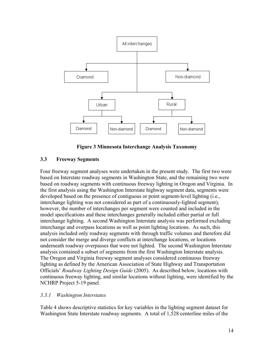

**Figure 3 Minnesota Interchange Analysis Taxonomy**

### **3.3 Freeway Segments**

Four freeway segment analyses were undertaken in the present study. The first two were based on Interstate roadway segments in Washington State, and the remaining two were based on roadway segments with continuous freeway lighting in Oregon and Virginia. In the first analysis using the Washington Interstate highway segment data, segments were developed based on the presence of contiguous or point segment-level lighting (i.e., interchange lighting was not considered as part of a continuously-lighted segment); however, the number of interchanges per segment were counted and included in the model specifications and these interchanges generally included either partial or full interchange lighting. A second Washington Interstate analysis was performed excluding interchange and overpass locations as well as point lighting locations. As such, this analysis included only roadway segments with through traffic volumes and therefore did not consider the merge and diverge conflicts at interchange locations, or locations underneath roadway overpasses that were not lighted. The second Washington Interstate analysis contained a subset of segments from the first Washington Interstate analysis. The Oregon and Virginia freeway segment analyses considered continuous freeway lighting as defined by the American Association of State Highway and Transportation Officials' *Roadway Lighting Design Guide* (2005). As described below, locations with continuous freeway lighting, and similar locations without lighting, were identified by the NCHRP Project 5-19 panel.

### *3.3.1 Washington Interstates*

Table 4 shows descriptive statistics for key variables in the lighting segment dataset for Washington State Interstate roadway segments. A total of 1,528 centerline miles of the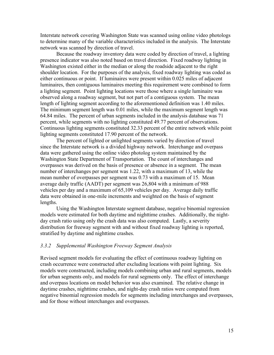Interstate network covering Washington State was scanned using online video photologs to determine many of the variable characteristics included in the analysis. The Interstate network was scanned by direction of travel.

Because the roadway inventory data were coded by direction of travel, a lighting presence indicator was also noted based on travel direction. Fixed roadway lighting in Washington existed either in the median or along the roadside adjacent to the right shoulder location. For the purposes of the analysis, fixed roadway lighting was coded as either continuous or point. If luminaires were present within 0.025 miles of adjacent luminaires, then contiguous luminaires meeting this requirement were combined to form a lighting segment. Point lighting locations were those where a single luminaire was observed along a roadway segment, but not part of a contiguous system. The mean length of lighting segment according to the aforementioned definition was 1.40 miles. The minimum segment length was 0.01 miles, while the maximum segment length was 64.84 miles. The percent of urban segments included in the analysis database was 71 percent, while segments with no lighting constituted 49.77 percent of observations. Continuous lighting segments constituted 32.33 percent of the entire network while point lighting segments constituted 17.90 percent of the network.

The percent of lighted or unlighted segments varied by direction of travel since the Interstate network is a divided highway network. Interchange and overpass data were gathered using the online video photolog system maintained by the Washington State Department of Transportation. The count of interchanges and overpasses was derived on the basis of presence or absence in a segment. The mean number of interchanges per segment was 1.22, with a maximum of 13, while the mean number of overpasses per segment was 0.73 with a maximum of 15. Mean average daily traffic (AADT) per segment was 26,804 with a minimum of 988 vehicles per day and a maximum of 65,109 vehicles per day. Average daily traffic data were obtained in one-mile increments and weighted on the basis of segment lengths.

Using the Washington Interstate segment database, negative binomial regression models were estimated for both daytime and nighttime crashes. Additionally, the nightday crash ratio using only the crash data was also computed. Lastly, a severity distribution for freeway segment with and without fixed roadway lighting is reported, stratified by daytime and nighttime crashes.

#### *3.3.2 Supplemental Washington Freeway Segment Analysis*

Revised segment models for evaluating the effect of continuous roadway lighting on crash occurrence were constructed after excluding locations with point lighting. Six models were constructed, including models combining urban and rural segments, models for urban segments only, and models for rural segments only. The effect of interchange and overpass locations on model behavior was also examined. The relative change in daytime crashes, nighttime crashes, and night-day crash ratios were computed from negative binomial regression models for segments including interchanges and overpasses, and for those without interchanges and overpasses.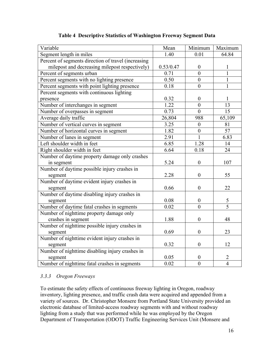| Variable                                            | Mean              | Minimum          | Maximum         |
|-----------------------------------------------------|-------------------|------------------|-----------------|
| Segment length in miles                             | 1.40              | 0.01             | 64.84           |
| Percent of segments direction of travel (increasing |                   |                  |                 |
| milepost and decreasing milepost respectively)      | 0.53/0.47         | $\boldsymbol{0}$ | 1               |
| Percent of segments urban                           | 0.71              | $\theta$         | $\mathbf{1}$    |
| Percent segments with no lighting presence          | 0.50              | $\overline{0}$   | $\mathbf{1}$    |
| Percent segments with point lighting presence       | 0.18              | $\overline{0}$   | 1               |
| Percent segments with continuous lighting           |                   |                  |                 |
| presence                                            | 0.32              | $\boldsymbol{0}$ | $\mathbf{1}$    |
| Number of interchanges in segment                   | 1.22              | $\overline{0}$   | 13              |
| Number of overpasses in segment                     | 0.73              | $\overline{0}$   | $\overline{15}$ |
| Average daily traffic                               | 26,804            | 988              | 65,109          |
| Number of vertical curves in segment                | 3.25              | $\boldsymbol{0}$ | 81              |
| Number of horizontal curves in segment              | 1.82              | $\boldsymbol{0}$ | 57              |
| Number of lanes in segment                          | 2.91              | 1                | 6.83            |
| Left shoulder width in feet                         | 6.85              | 1.28             | 14              |
| Right shoulder width in feet                        | 6.64              | 0.18             | 24              |
| Number of daytime property damage only crashes      |                   |                  |                 |
| in segment                                          | 5.24              | $\boldsymbol{0}$ | 107             |
| Number of daytime possible injury crashes in        |                   |                  |                 |
| segment                                             | 2.28              | $\mathbf{0}$     | 55              |
| Number of daytime evident injury crashes in         |                   |                  |                 |
| segment                                             | 0.66              | $\mathbf{0}$     | 22              |
| Number of daytime disabling injury crashes in       |                   |                  |                 |
| segment                                             | 0.08              | $\boldsymbol{0}$ | $\mathfrak{S}$  |
| Number of daytime fatal crashes in segments         | $\overline{0.02}$ | $\overline{0}$   | $\overline{5}$  |
| Number of nighttime property damage only            |                   |                  |                 |
| crashes in segment                                  | 1.88              | $\boldsymbol{0}$ | 48              |
| Number of nighttime possible injury crashes in      |                   |                  |                 |
| segment                                             | 0.69              | $\boldsymbol{0}$ | 23              |
| Number of nighttime evident injury crashes in       |                   |                  |                 |
| segment                                             | 0.32              | $\boldsymbol{0}$ | 12              |
| Number of nighttime disabling injury crashes in     |                   |                  |                 |
| segment                                             | 0.05              | $\boldsymbol{0}$ | $\overline{2}$  |
| Number of nighttime fatal crashes in segments       | 0.02              | $\overline{0}$   | $\overline{4}$  |

**Table 4 Descriptive Statistics of Washington Freeway Segment Data**

### *3.3.3 Oregon Freeways*

To estimate the safety effects of continuous freeway lighting in Oregon, roadway inventory, lighting presence, and traffic crash data were acquired and appended from a variety of sources. Dr. Christopher Monsere from Portland State University provided an electronic database of limited-access roadway segments with and without roadway lighting from a study that was performed while he was employed by the Oregon Department of Transportation (ODOT) Traffic Engineering Services Unit (Monsere and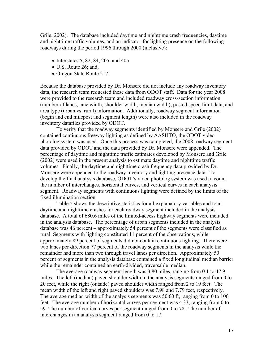Grile, 2002). The database included daytime and nighttime crash frequencies, daytime and nighttime traffic volumes, and an indicator for lighting presence on the following roadways during the period 1996 through 2000 (inclusive):

- $\bullet$  Interstates 5, 82, 84, 205, and 405;
- U.S. Route 26; and,
- Oregon State Route 217.

Because the database provided by Dr. Monsere did not include any roadway inventory data, the research team requested these data from ODOT staff. Data for the year 2008 were provided to the research team and included roadway cross-section information (number of lanes, lane width, shoulder width, median width), posted speed limit data, and area type (urban vs. rural) information. Additionally, roadway segment information (begin and end milepost and segment length) were also included in the roadway inventory datafiles provided by ODOT.

To verify that the roadway segments identified by Monsere and Grile (2002) contained continuous freeway lighting as defined by AASHTO, the ODOT video photolog system was used. Once this process was completed, the 2008 roadway segment data provided by ODOT and the data provided by Dr. Monsere were appended. The percentage of daytime and nighttime traffic estimates developed by Monsere and Grile (2002) were used in the present analysis to estimate daytime and nighttime traffic volumes. Finally, the daytime and nighttime crash frequency data provided by Dr. Monsere were appended to the roadway inventory and lighting presence data. To develop the final analysis database, ODOT's video photolog system was used to count the number of interchanges, horizontal curves, and vertical curves in each analysis segment. Roadway segments with continuous lighting were defined by the limits of the fixed illumination section.

Table 5 shows the descriptive statistics for all explanatory variables and total daytime and nighttime crashes for each roadway segment included in the analysis database. A total of 680.6 miles of the limited-access highway segments were included in the analysis database. The percentage of urban segments included in the analysis database was 46 percent – approximately 54 percent of the segments were classified as rural. Segments with lighting constituted 11 percent of the observations, while approximately 89 percent of segments did not contain continuous lighting. There were two lanes per direction 77 percent of the roadway segments in the analysis while the remainder had more than two through travel lanes per direction. Approximately 50 percent of segments in the analysis database contained a fixed longitudinal median barrier while the remainder contained an earth-divided, traversable median.

The average roadway segment length was 3.80 miles, ranging from 0.1 to 47.9 miles. The left (median) paved shoulder width in the analysis segments ranged from 0 to 20 feet, while the right (outside) paved shoulder width ranged from 2 to 19 feet. The mean width of the left and right paved shoulders was 7.98 and 7.79 feet, respectively. The average median width of the analysis segments was 50.60 ft, ranging from 0 to 106 feet. The average number of horizontal curves per segment was 4.33, ranging from 0 to 59. The number of vertical curves per segment ranged from 0 to 78. The number of interchanges in an analysis segment ranged from 0 to 17.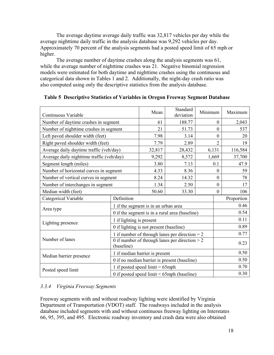The average daytime average daily traffic was 32,817 vehicles per day while the average nighttime daily traffic in the analysis database was 9,292 vehicles per day. Approximately 70 percent of the analysis segments had a posted speed limit of 65 mph or higher.

The average number of daytime crashes along the analysis segments was 61, while the average number of nighttime crashes was 21. Negative binomial regression models were estimated for both daytime and nighttime crashes using the continuous and categorical data shown in Tables 1 and 2. Additionally, the night-day crash ratio was also computed using only the descriptive statistics from the analysis database.

| Continuous Variable                       |                                                                | Mean                                             | Standard<br>deviation                        | Minimum |                  | Maximum    |
|-------------------------------------------|----------------------------------------------------------------|--------------------------------------------------|----------------------------------------------|---------|------------------|------------|
| Number of daytime crashes in segment      |                                                                | 61                                               | 188.77                                       |         | $\theta$         | 2,043      |
| Number of nighttime crashes in segment    |                                                                | 21                                               | 51.73                                        |         | $\theta$         | 537        |
| Left paved shoulder width (feet)          |                                                                | 7.98                                             | 3.14                                         |         | $\mathbf{0}$     | 20         |
| Right paved shoulder width (feet)         |                                                                | 7.79                                             | 2.89                                         |         | $\overline{2}$   | 19         |
| Average daily daytime traffic (veh/day)   |                                                                | 32,817                                           | 28,432                                       |         | 6,131            | 116,584    |
| Average daily nighttime traffic (veh/day) |                                                                | 9,292                                            | 8,572                                        |         | 1,669            | 37,700     |
| Segment length (miles)                    |                                                                | 3.80                                             | 7.13                                         |         | 0.1              | 47.9       |
| Number of horizontal curves in segment    |                                                                | 4.33                                             | 8.36                                         |         | $\boldsymbol{0}$ | 59         |
| Number of vertical curves in segment      |                                                                | 8.24                                             | 14.32                                        |         | $\boldsymbol{0}$ | 78         |
| Number of interchanges in segment         |                                                                | 1.34                                             | 2.50                                         |         | $\boldsymbol{0}$ | 17         |
| Median width (feet)                       | 50.60                                                          |                                                  |                                              |         | $\boldsymbol{0}$ | 106        |
| Categorical Variable                      | Definition                                                     |                                                  |                                              |         |                  | Proportion |
| Area type                                 |                                                                | 1 if the segment is in an urban area             |                                              |         |                  | 0.46       |
|                                           |                                                                | 0 if the segment is in a rural area (baseline)   |                                              |         |                  | 0.54       |
|                                           | 1 if lighting is present                                       |                                                  |                                              |         |                  | 0.11       |
| Lighting presence                         |                                                                | 0 if lighting is not present (baseline)          |                                              |         |                  | 0.89       |
|                                           |                                                                | 1 if number of through lanes per direction $= 2$ |                                              |         |                  | 0.77       |
| Number of lanes                           | 0 if number of through lanes per direction $>$ 2<br>(baseline) |                                                  |                                              |         | 0.23             |            |
|                                           |                                                                | 1 if median barrier is present                   |                                              |         |                  | 0.50       |
| Median barrier presence                   |                                                                |                                                  | 0 if no median barrier is present (baseline) |         |                  | 0.50       |
| Posted speed limit                        |                                                                | 1 if posted speed limit $= 65$ mph               |                                              |         |                  | 0.70       |
|                                           |                                                                | 0 if posted speed limit $\leq 65$ mph (baseline) |                                              |         |                  | 0.30       |

### **Table 5 Descriptive Statistics of Variables in Oregon Freeway Segment Database**

## *3.3.4 Virginia Freeway Segments*

Freeway segments with and without roadway lighting were identified by Virginia Department of Transportation (VDOT) staff. The roadways included in the analysis database included segments with and without continuous freeway lighting on Interstates 66, 95, 395, and 495. Electronic roadway inventory and crash data were also obtained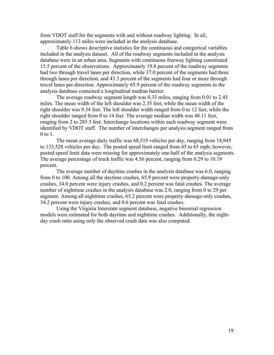from VDOT staff for the segments with and without roadway lighting. In all, approximately 113 miles were included in the analysis database.

Table 6 shows descriptive statistics for the continuous and categorical variables included in the analysis dataset. All of the roadway segments included in the analysis database were in an urban area. Segments with continuous freeway lighting constituted 15.5 percent of the observations. Approximately 19.8 percent of the roadway segments had two through travel lanes per direction, while 37.0 percent of the segments had three through lanes per direction, and 43.3 percent of the segments had four or more through travel lanes per direction. Approximately 65.9 percent of the roadway segments in the analysis database contained a longitudinal median barrier.

The average roadway segment length was 0.33 miles, ranging from 0.01 to 2.45 miles. The mean width of the left shoulder was 2.35 feet, while the mean width of the right shoulder was 9.34 feet. The left shoulder width ranged from 0 to 12 feet, while the right shoulder ranged from 0 to 14 feet. The average median width was 48.11 feet, ranging from 2 to 285.5 feet. Interchange locations within each roadway segment were identified by VDOT staff. The number of interchanges per analysis segment ranged from 0 to 1.

The mean average daily traffic was 68,519 vehicles per day, ranging from 18,945 to 133,528 vehicles per day.The posted speed limit ranged from 45 to 65 mph; however, posted speed limit data were missing for approximately one-half of the analysis segments. The average percentage of truck traffic was 4.56 percent, ranging from 0.29 to 10.19 percent.

The average number of daytime crashes in the analysis database was 6.0, ranging from 0 to 100. Among all the daytime crashes, 65.9 percent were property-damage-only crashes, 34.0 percent were injury crashes, and 0.2 percent was fatal crashes. The average number of nighttime crashes in the analysis database was 2.0, ranging from 0 to 29 per segment. Among all nighttime crashes, 65.2 percent were property-damage-only crashes, 34.2 percent were injury crashes, and 0.6 percent was fatal crashes.

Using the Virginia Interstate segment database, negative binomial regression models were estimated for both daytime and nighttime crashes. Additionally, the nightday crash ratio using only the observed crash data was also computed.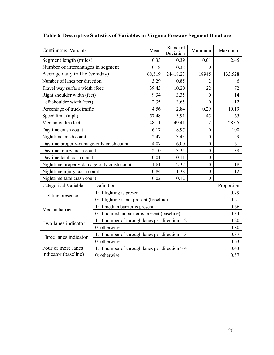| Continuous Variable                                                        |                                                      | Mean   | Standard<br>Deviation | Minimum          | Maximum      |  |  |
|----------------------------------------------------------------------------|------------------------------------------------------|--------|-----------------------|------------------|--------------|--|--|
| Segment length (miles)                                                     |                                                      | 0.33   | 0.39                  | 0.01             | 2.45         |  |  |
| Number of interchanges in segment                                          |                                                      | 0.18   | 0.38                  | $\mathbf{0}$     |              |  |  |
| Average daily traffic (veh/day)                                            |                                                      | 68,519 | 24418.23              | 18945            | 133,528      |  |  |
| Number of lanes per direction                                              |                                                      | 3.29   | 0.85                  | $\overline{2}$   | 6            |  |  |
| Travel way surface width (feet)                                            |                                                      | 39.43  | 10.20                 | 22               | 72           |  |  |
| Right shoulder width (feet)                                                |                                                      | 9.34   | 3.35                  | $\boldsymbol{0}$ | 14           |  |  |
| Left shoulder width (feet)                                                 |                                                      | 2.35   | 3.65                  | $\mathbf{0}$     | 12           |  |  |
| Percentage of truck traffic                                                |                                                      | 4.56   | 2.84                  | 0.29             | 10.19        |  |  |
| Speed limit (mph)                                                          |                                                      | 57.48  | 3.91                  | 45               | 65           |  |  |
| Median width (feet)                                                        |                                                      | 48.11  | 49.41                 | $\overline{2}$   | 285.5        |  |  |
| Daytime crash count                                                        |                                                      | 6.17   | 8.97                  | $\boldsymbol{0}$ | 100          |  |  |
| Nighttime crash count                                                      |                                                      | 2.47   | 3.43                  | $\boldsymbol{0}$ | 29           |  |  |
|                                                                            | Daytime property-damage-only crash count             |        | 6.00                  | $\overline{0}$   | 61           |  |  |
| Daytime injury crash count                                                 |                                                      | 2.10   | 3.35                  | $\mathbf{0}$     | 39           |  |  |
| Daytime fatal crash count                                                  |                                                      | 0.01   | 0.11                  | $\overline{0}$   | 1            |  |  |
| Nighttime property-damage-only crash count                                 |                                                      | 1.61   | 2.37                  | $\boldsymbol{0}$ | 18           |  |  |
| Nighttime injury crash count                                               |                                                      | 0.84   | 1.38                  | $\boldsymbol{0}$ | 12           |  |  |
| Nighttime fatal crash count                                                |                                                      | 0.02   | 0.12                  | $\theta$         | $\mathbf{1}$ |  |  |
| Categorical Variable                                                       | Definition                                           |        |                       |                  | Proportion   |  |  |
| Lighting presence                                                          | 1: if lighting is present                            |        |                       |                  | 0.79         |  |  |
|                                                                            | 0: if lighting is not present (baseline)             |        |                       |                  | 0.21         |  |  |
| Median barrier                                                             | 1: if median barrier is present                      |        |                       |                  | 0.66         |  |  |
|                                                                            | 0: if no median barrier is present (baseline)        |        |                       |                  | 0.34         |  |  |
| Two lanes indicator                                                        | 1: if number of through lanes per direction = $2$    |        |                       |                  | 0.20         |  |  |
|                                                                            | 0: otherwise                                         |        |                       |                  | 0.80         |  |  |
| 1: if number of through lanes per direction = $3$<br>Three lanes indicator |                                                      |        |                       |                  | 0.37         |  |  |
|                                                                            | 0: otherwise                                         |        |                       |                  | 0.63         |  |  |
| Four or more lanes                                                         | 1: if number of through lanes per direction $\geq$ 4 |        |                       |                  | 0.43         |  |  |
| indicator (baseline)                                                       | 0: otherwise                                         |        |                       |                  | 0.57         |  |  |

# **Table 6 Descriptive Statistics of Variables in Virginia Freeway Segment Database**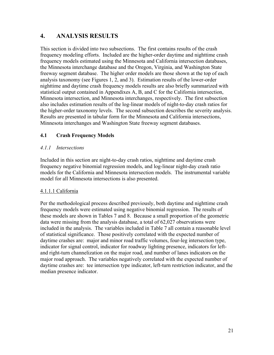## **4. ANALYSIS RESULTS**

This section is divided into two subsections. The first contains results of the crash frequency modeling efforts. Included are the higher-order daytime and nighttime crash frequency models estimated using the Minnesota and California intersection databases, the Minnesota interchange database and the Oregon, Virginia, and Washington State freeway segment database. The higher order models are those shown at the top of each analysis taxonomy (see Figures 1, 2, and 3). Estimation results of the lower-order nighttime and daytime crash frequency models results are also briefly summarized with statistical output contained in Appendixes A, B, and C for the California intersection, Minnesota intersection, and Minnesota interchanges, respectively. The first subsection also includes estimation results of the log-linear models of night-to-day crash ratios for the higher-order taxonomy levels. The second subsection describes the severity analysis. Results are presented in tabular form for the Minnesota and California intersections, Minnesota interchanges and Washington State freeway segment databases.

### **4.1 Crash Frequency Models**

### *4.1.1 Intersections*

Included in this section are night-to-day crash ratios, nighttime and daytime crash frequency negative binomial regression models, and log-linear night-day crash ratio models for the California and Minnesota intersection models. The instrumental variable model for all Minnesota intersections is also presented.

### 4.1.1.1 California

Per the methodological process described previously, both daytime and nighttime crash frequency models were estimated using negative binomial regression. The results of these models are shown in Tables 7 and 8. Because a small proportion of the geometric data were missing from the analysis database, a total of 62,027 observations were included in the analysis. The variables included in Table 7 all contain a reasonable level of statistical significance. Those positively correlated with the expected number of daytime crashes are: major and minor road traffic volumes, four-leg intersection type, indicator for signal control, indicator for roadway lighting presence, indicators for leftand right-turn channelization on the major road, and number of lanes indicators on the major road approach. The variables negatively correlated with the expected number of daytime crashes are: tee intersection type indicator, left-turn restriction indicator, and the median presence indicator.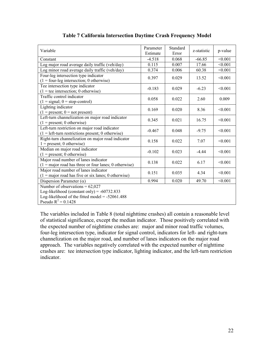| Variable                                                                                                                                                         | Parameter<br>Estimate | Standard<br>Error | z-statistic | p-value |
|------------------------------------------------------------------------------------------------------------------------------------------------------------------|-----------------------|-------------------|-------------|---------|
| Constant                                                                                                                                                         | $-4.518$              | 0.068             | $-66.85$    | < 0.001 |
| Log major road average daily traffic (veh/day)                                                                                                                   | 0.115                 | 0.007             | 17.66       | < 0.001 |
| Log minor road average daily traffic (veh/day)                                                                                                                   | 0.374                 | 0.006             | 60.38       | < 0.001 |
| Four-leg intersection type indicator<br>$(1 = four$ -leg intersection; 0 otherwise)                                                                              | 0.397                 | 0.029             | 13.52       | < 0.001 |
| Tee intersection type indicator<br>$(1 = \text{tee intersection}; 0 \text{ otherwise})$                                                                          | $-0.183$              | 0.029             | $-6.23$     | < 0.001 |
| Traffic control indicator<br>$(1 = signal; 0 = stop-control)$                                                                                                    | 0.058                 | 0.022             | 2.60        | 0.009   |
| Lighting indicator<br>$(1 = present; 0 = not present)$                                                                                                           | 0.169                 | 0.020             | 8.36        | < 0.001 |
| Left-turn channelization on major road indicator<br>$(1 = present; 0 otherwise)$                                                                                 | 0.345                 | 0.021             | 16.75       | < 0.001 |
| Left-turn restriction on major road indicator<br>$(1 = left$ -turn restrictions present; 0 otherwise)                                                            | $-0.467$              | 0.048             | $-9.75$     | < 0.001 |
| Right-turn channelization on major road indicator<br>$1 = present$ ; 0 otherwise)                                                                                | 0.158                 | 0.022             | 7.07        | < 0.001 |
| Median on major road indicator<br>$(1 = present; 0 otherwise)$                                                                                                   | $-0.102$              | 0.023             | $-4.44$     | < 0.001 |
| Major road number of lanes indicator<br>$(1 = \text{major road has three or four lanes; 0 otherwise})$                                                           | 0.138                 | 0.022             | 6.17        | < 0.001 |
| Major road number of lanes indicator<br>$(1 = \text{major road has five or six lanes; 0 otherwise})$                                                             | 0.151                 | 0.035             | 4.34        | < 0.001 |
| Dispersion Parameter $(\alpha)$                                                                                                                                  | 0.994                 | 0.020             | 49.70       | < 0.001 |
| Number of observations = $62,027$<br>Log-likelihood (constant only) = $-60732.833$<br>Log-likelihood of the fitted model = $-52061.488$<br>Pseudo $R^2 = 0.1428$ |                       |                   |             |         |

### **Table 7 California Intersection Daytime Crash Frequency Model**

The variables included in Table 8 (total nighttime crashes) all contain a reasonable level of statistical significance, except the median indicator. Those positively correlated with the expected number of nighttime crashes are: major and minor road traffic volumes, four-leg intersection type, indicator for signal control, indicators for left- and right-turn channelization on the major road, and number of lanes indicators on the major road approach. The variables negatively correlated with the expected number of nighttime crashes are: tee intersection type indicator, lighting indicator, and the left-turn restriction indicator.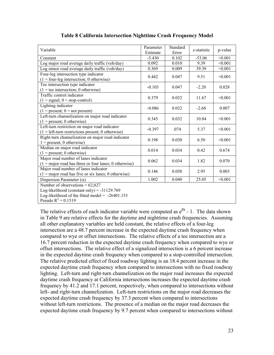| Variable                                                                                                                                                         | Parameter<br>Estimate | Standard<br>Error | z-statistic | p-value |
|------------------------------------------------------------------------------------------------------------------------------------------------------------------|-----------------------|-------------------|-------------|---------|
| Constant                                                                                                                                                         | $-5.430$              | 0.102             | $-53.06$    | < 0.001 |
| Log major road average daily traffic (veh/day)                                                                                                                   | 0.092                 | 0.010             | 9.39        | < 0.001 |
| Log minor road average daily traffic (veh/day)                                                                                                                   | 0.369                 | 0.009             | 39.39       | < 0.001 |
| Four-leg intersection type indicator<br>$(1 = four$ -leg intersection; 0 otherwise)                                                                              | 0.442                 | 0.047             | 9.51        | < 0.001 |
| Tee intersection type indicator<br>$(1 = \text{tee intersection}; 0 \text{ otherwise})$                                                                          | $-0.103$              | 0.047             | $-2.20$     | 0.028   |
| Traffic control indicator<br>$(1 = signal; 0 = stop-control)$                                                                                                    | 0.379                 | 0.032             | 11.67       | < 0.001 |
| Lighting indicator<br>$(1 = present; 0 = not present)$                                                                                                           | $-0.086$              | 0.032             | $-2.68$     | 0.007   |
| Left-turn channelization on major road indicator<br>$(1 = present; 0 otherwise)$                                                                                 | 0.345                 | 0.032             | 10.84       | < 0.001 |
| Left-turn restriction on major road indicator<br>$(1 = left$ -turn restrictions present; 0 otherwise)                                                            | $-0.397$              | .074              | 5.37        | < 0.001 |
| Right-turn channelization on major road indicator<br>$1 = present$ ; 0 otherwise)                                                                                | 0.198                 | 0.030             | 6.50        | < 0.001 |
| Median on major road indicator<br>$(1 = present; 0 otherwise)$                                                                                                   | 0.014                 | 0.034             | 0.42        | 0.674   |
| Major road number of lanes indicator<br>$=$ major road has three or four lanes; 0 otherwise)<br>(1)                                                              | 0.062                 | 0.034             | 1.82        | 0.070   |
| Major road number of lanes indicator<br>$(1 = \text{major road has five or six lanes; 0 otherwise})$                                                             | 0.146                 | 0.050             | 2.95        | 0.003   |
| Dispersion Parameter $(\alpha)$                                                                                                                                  | 1.002                 | 0.040             | 25.05       | < 0.001 |
| Number of observations = $62,027$<br>Log-likelihood (constant only) = $-31129.769$<br>Log-likelihood of the fitted model = $-26401.153$<br>Pseudo $R^2 = 0.1519$ |                       |                   |             |         |

#### **Table 8 California Intersection Nighttime Crash Frequency Model**

The relative effects of each indicator variable were computed as  $e^{\beta k}$  - 1. The data shown in Table 9 are relative effects for the daytime and nighttime crash frequencies. Assuming all other explanatory variables are held constant, the relative effects of a four-leg intersection are a 48.7 percent increase in the expected daytime crash frequency when compared to wye or offset intersections. The relative effects of a tee intersection are a 16.7 percent reduction in the expected daytime crash frequency when compared to wye or offset intersections. The relative effect of a signalized intersection is a 6 percent increase in the expected daytime crash frequency when compared to a stop-controlled intersection. The relative predicted effect of fixed roadway lighting is an 18.4 percent increase in the expected daytime crash frequency when compared to intersections with no fixed roadway lighting. Left-turn and right-turn channelization on the major road increases the expected daytime crash frequency at California intersections increases the expected daytime crash frequency by 41.2 and 17.1 percent, respectively, when compared to intersections without left- and right-turn channelization. Left-turn restrictions on the major road decreases the expected daytime crash frequency by 37.3 percent when compared to intersections without left-turn restrictions. The presence of a median on the major road decreases the expected daytime crash frequency by 9.7 percent when compared to intersections without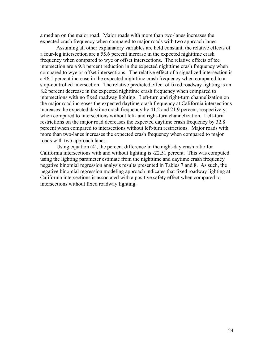a median on the major road. Major roads with more than two-lanes increases the expected crash frequency when compared to major roads with two approach lanes.

Assuming all other explanatory variables are held constant, the relative effects of a four-leg intersection are a 55.6 percent increase in the expected nighttime crash frequency when compared to wye or offset intersections. The relative effects of tee intersection are a 9.8 percent reduction in the expected nighttime crash frequency when compared to wye or offset intersections. The relative effect of a signalized intersection is a 46.1 percent increase in the expected nighttime crash frequency when compared to a stop-controlled intersection. The relative predicted effect of fixed roadway lighting is an 8.2 percent decrease in the expected nighttime crash frequency when compared to intersections with no fixed roadway lighting. Left-turn and right-turn channelization on the major road increases the expected daytime crash frequency at California intersections increases the expected daytime crash frequency by 41.2 and 21.9 percent, respectively, when compared to intersections without left- and right-turn channelization. Left-turn restrictions on the major road decreases the expected daytime crash frequency by 32.8 percent when compared to intersections without left-turn restrictions. Major roads with more than two-lanes increases the expected crash frequency when compared to major roads with two approach lanes.

Using equation (4), the percent difference in the night-day crash ratio for California intersections with and without lighting is -22.51 percent. This was computed using the lighting parameter estimate from the nighttime and daytime crash frequency negative binomial regression analysis results presented in Tables 7 and 8. As such, the negative binomial regression modeling approach indicates that fixed roadway lighting at California intersections is associated with a positive safety effect when compared to intersections without fixed roadway lighting.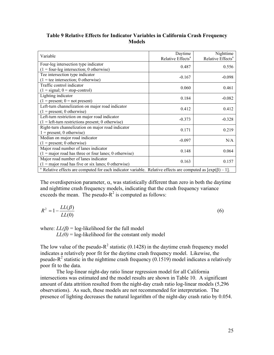| Table 9 Relative Effects for Indicator Variables in California Crash Frequency |  |  |  |  |
|--------------------------------------------------------------------------------|--|--|--|--|
| <b>Models</b>                                                                  |  |  |  |  |

| Variable                                                                                                                       | Daytime<br>Relative Effects <sup>a</sup> | Nighttime<br>Relative Effects <sup>a</sup> |  |  |
|--------------------------------------------------------------------------------------------------------------------------------|------------------------------------------|--------------------------------------------|--|--|
| Four-leg intersection type indicator<br>$(1 = four$ -leg intersection; 0 otherwise)                                            | 0.487                                    | 0.556                                      |  |  |
| Tee intersection type indicator<br>$(1 = \text{tee intersection}; 0 \text{ otherwise})$                                        | $-0.167$                                 | $-0.098$                                   |  |  |
| Traffic control indicator<br>$(1 = signal; 0 = stop-control)$                                                                  | 0.060                                    | 0.461                                      |  |  |
| Lighting indicator<br>$(1 = present; 0 = not present)$                                                                         | 0.184                                    | $-0.082$                                   |  |  |
| Left-turn channelization on major road indicator<br>$(1 = present; 0 otherwise)$                                               | 0.412                                    | 0.412                                      |  |  |
| Left-turn restriction on major road indicator<br>$(1 = left$ -turn restrictions present; 0 otherwise)                          | $-0.373$                                 | $-0.328$                                   |  |  |
| Right-turn channelization on major road indicator<br>$1 = present$ ; 0 otherwise)                                              | 0.171                                    | 0.219                                      |  |  |
| Median on major road indicator<br>$(1 = present; 0 otherwise)$                                                                 | $-0.097$                                 | N/A                                        |  |  |
| Major road number of lanes indicator<br>$(1 = \text{major road has three or four lanes; 0 otherwise})$                         | 0.148                                    | 0.064                                      |  |  |
| Major road number of lanes indicator<br>$(1 = \text{major road has five or six lanes; 0 otherwise})$                           | 0.163                                    | 0.157                                      |  |  |
| <sup>a</sup> Relative effects are computed for each indicator variable. Relative effects are computed as $[\exp(\beta) - 1]$ . |                                          |                                            |  |  |

The overdispersion parameter,  $\alpha$ , was statistically different than zero in both the daytime and nighttime crash frequency models, indicating that the crash frequency variance exceeds the mean. The pseudo- $R^2$  is computed as follows:

$$
R^2 = 1 - \frac{LL(\beta)}{LL(0)}\tag{6}
$$

where:  $LL(\beta) = \log-1$  ikelihood for the full model

 $LL(0) = log-likelihood$  for the constant only model

The low value of the pseudo- $R^2$  statistic (0.1428) in the daytime crash frequency model indicates a relatively poor fit for the daytime crash frequency model. Likewise, the pseudo-R<sup>2</sup> statistic in the nighttime crash frequency (0.1519) model indicates a relatively poor fit to the data.

The log-linear night-day ratio linear regression model for all California intersections was estimated and the model results are shown in Table 10. A significant amount of data attrition resulted from the night-day crash ratio log-linear models (5,296 observations). As such, these models are not recommended for interpretation. The presence of lighting decreases the natural logarithm of the night-day crash ratio by 0.054.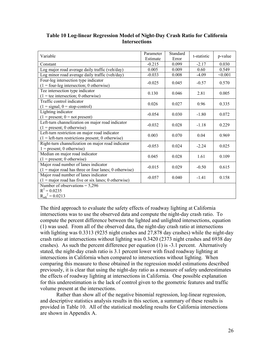| Variable                                                       | Parameter | Standard | t-statistic | p-value |
|----------------------------------------------------------------|-----------|----------|-------------|---------|
|                                                                | Estimate  | Error    |             |         |
| Constant                                                       | $-0.215$  | 0.099    | $-2.17$     | 0.030   |
| Log major road average daily traffic (veh/day)                 | 0.005     | 0.009    | 0.60        | 0.549   |
| Log minor road average daily traffic (veh/day)                 | $-0.033$  | 0.008    | $-4.09$     | < 0.001 |
| Four-leg intersection type indicator                           | $-0.025$  | 0.045    | $-0.57$     | 0.570   |
| $(1 = four$ -leg intersection; 0 otherwise)                    |           |          |             |         |
| Tee intersection type indicator                                | 0.130     | 0.046    | 2.81        | 0.005   |
| $(1 = \text{tee intersection}; 0 \text{ otherwise})$           |           |          |             |         |
| Traffic control indicator                                      | 0.026     | 0.027    | 0.96        | 0.335   |
| $(1 = signal; 0 = stop-control)$                               |           |          |             |         |
| Lighting indicator                                             | $-0.054$  | 0.030    | $-1.80$     | 0.072   |
| $(1 = present; 0 = not present)$                               |           |          |             |         |
| Left-turn channelization on major road indicator               | $-0.032$  | 0.028    | $-1.18$     | 0.229   |
| $(1 = present; 0 otherwise)$                                   |           |          |             |         |
| Left-turn restriction on major road indicator                  | 0.003     | 0.070    | 0.04        | 0.969   |
| $(1 = left$ -turn restrictions present; 0 otherwise)           |           |          |             |         |
| Right-turn channelization on major road indicator              | $-0.053$  | 0.024    | $-2.24$     | 0.025   |
| $1 = present$ ; 0 otherwise)                                   |           |          |             |         |
| Median on major road indicator                                 | 0.045     | 0.028    | 1.61        | 0.109   |
| $(1 = present; 0 otherwise)$                                   |           |          |             |         |
| Major road number of lanes indicator                           | $-0.015$  | 0.029    | $-0.50$     | 0.615   |
| $(1 = \text{major road has three or four lanes; 0 otherwise})$ |           |          |             |         |
| Major road number of lanes indicator                           | $-0.057$  | 0.040    | $-1.41$     | 0.158   |
| $(1 = \text{major road has five or six lanes; 0 otherwise})$   |           |          |             |         |
| Number of observations = $5,296$                               |           |          |             |         |
| $R^2 = 0.0235$                                                 |           |          |             |         |
| $R_{\text{adi}}^2 = 0.0213$                                    |           |          |             |         |

#### **Table 10 Log-linear Regression Model of Night-Day Crash Ratio for California Intersections**

The third approach to evaluate the safety effects of roadway lighting at California intersections was to use the observed data and compute the night-day crash ratio. To compute the percent difference between the lighted and unlighted intersections, equation (1) was used. From all of the observed data, the night-day crash ratio at intersections with lighting was 0.3313 (9235 night crashes and 27,878 day crashes) while the night-day crash ratio at intersections without lighting was 0.3420 (2373 night crashes and 6938 day crashes). As such the percent difference per equation (1) is -3.1 percent. Alternatively stated, the night-day crash ratio is 3.1 percent lower with fixed roadway lighting at intersections in California when compared to intersections without lighting. When comparing this measure to those obtained in the regression model estimations described previously, it is clear that using the night-day ratio as a measure of safety underestimates the effects of roadway lighting at intersections in California. One possible explanation for this underestimation is the lack of control given to the geometric features and traffic volume present at the intersections.

Rather than show all of the negative binomial regression, log-linear regression, and descriptive statistics analysis results in this section, a summary of these results is provided in Table 10. All of the statistical modeling results for California intersections are shown in Appendix A.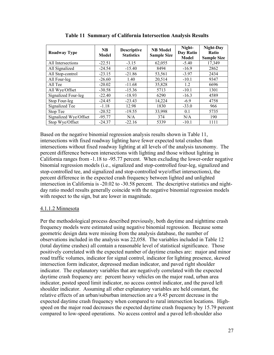| Roadway Type          | <b>NB</b><br>Model | <b>Descriptive</b><br><b>Statistics</b> | <b>NB</b> Model<br><b>Sample Size</b> | Night-<br>Day Ratio<br><b>Model</b> | Night-Day<br><b>Ratio</b><br><b>Sample Size</b> |
|-----------------------|--------------------|-----------------------------------------|---------------------------------------|-------------------------------------|-------------------------------------------------|
| All Intersections     | $-22.51$           | $-3.15$                                 | 62,055                                | $-5.40$                             | 17,349                                          |
| All Signalized        | $-24.54$           | $-15.40$                                | 8494                                  | $-16.9$                             | 2862                                            |
| All Stop-control      | $-23.15$           | $-21.86$                                | 53,561                                | $-3.97$                             | 2434                                            |
| All Four-leg          | $-26.60$           | 1.40                                    | 20,514                                | $-10.1$                             | 9347                                            |
| All Tee               | $-20.02$           | $-11.68$                                | 35,828                                | 1.2                                 | 6696                                            |
| All Wye/Offset        | $-30.58$           | $-15.36$                                | 5713                                  | $-10.1$                             | 1301                                            |
| Signalized Four-leg   | $-22.40$           | $-18.93$                                | 6290                                  | $-16.3$                             | 4589                                            |
| Stop Four-leg         | $-24.45$           | $-23.43$                                | 14,224                                | $-6.9$                              | 4758                                            |
| Signalized Tee        | $-1.18$            | 12.98                                   | 1830                                  | $-33.0$                             | 966                                             |
| Stop Tee              | $-20.52$           | $-19.55$                                | 33,998                                | 0.1                                 | 5735                                            |
| Signalized Wye/Offset | $-95.77$           | N/A                                     | 374                                   | N/A                                 | 190                                             |
| Stop Wye/Offset       | $-24.37$           | $-22.16$                                | 5339                                  | $-10.1$                             | 1111                                            |

**Table 11 Summary of California Intersection Analysis Results**

Based on the negative binomial regression analysis results shown in Table 11, intersections with fixed roadway lighting have fewer expected total crashes than intersections without fixed roadway lighting at all levels of the analysis taxonomy. The percent difference between intersections with lighting and those without lighting in California ranges from -1.18 to -95.77 percent. When excluding the lower-order negative binomial regression models (i.e., signalized and stop-controlled four-leg, signalized and stop-controlled tee, and signalized and stop-controlled wye/offset intersections), the percent difference in the expected crash frequency between lighted and unlighted intersection in California is -20.02 to -30.58 percent. The descriptive statistics and nightday ratio model results generally coincide with the negative binomial regression models with respect to the sign, but are lower in magnitude.

#### 4.1.1.2 Minnesota

Per the methodological process described previously, both daytime and nighttime crash frequency models were estimated using negative binomial regression. Because some geometric design data were missing from the analysis database, the number of observations included in the analysis was 22,058. The variables included in Table 12 (total daytime crashes) all contain a reasonable level of statistical significance. Those positively correlated with the expected number of daytime crashes are: major and minor road traffic volumes, indicator for signal control, indicator for lighting presence, skewed intersection form indicator, depressed median indicator, and paved right shoulder indicator. The explanatory variables that are negatively correlated with the expected daytime crash frequency are: percent heavy vehicles on the major road, urban area indicator, posted speed limit indicator, no access control indicator, and the paved left shoulder indicator. Assuming all other explanatory variables are held constant, the relative effects of an urban/suburban intersection are a 9.45 percent decrease in the expected daytime crash frequency when compared to rural intersection locations. Highspeed on the major road decreases the expected daytime crash frequency by 15.79 percent compared to low-speed operations. No access control and a paved left-shoulder also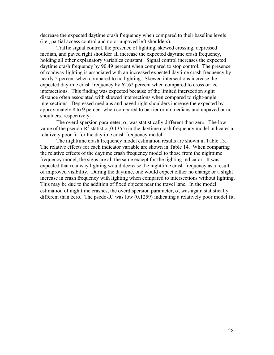decrease the expected daytime crash frequency when compared to their baseline levels (i.e., partial access control and no or unpaved left shoulders).

Traffic signal control, the presence of lighting, skewed crossing, depressed median, and paved right shoulder all increase the expected daytime crash frequency, holding all other explanatory variables constant. Signal control increases the expected daytime crash frequency by 90.49 percent when compared to stop control. The presence of roadway lighting is associated with an increased expected daytime crash frequency by nearly 5 percent when compared to no lighting. Skewed intersections increase the expected daytime crash frequency by 62.62 percent when compared to cross or tee intersections. This finding was expected because of the limited intersection sight distance often associated with skewed intersections when compared to right-angle intersections. Depressed medians and paved right shoulders increase the expected by approximately 8 to 9 percent when compared to barrier or no medians and unpaved or no shoulders, respectively.

The overdispersion parameter,  $\alpha$ , was statistically different than zero. The low value of the pseudo- $R^2$  statistic (0.1355) in the daytime crash frequency model indicates a relatively poor fit for the daytime crash frequency model.

The nighttime crash frequency model estimation results are shown in Table 13. The relative effects for each indicator variable are shown in Table 14. When comparing the relative effects of the daytime crash frequency model to those from the nighttime frequency model, the signs are all the same except for the lighting indicator. It was expected that roadway lighting would decrease the nighttime crash frequency as a result of improved visibility. During the daytime, one would expect either no change or a slight increase in crash frequency with lighting when compared to intersections without lighting. This may be due to the addition of fixed objects near the travel lane. In the model estimation of nighttime crashes, the overdispersion parameter,  $\alpha$ , was again statistically different than zero. The psedo- $R^2$  was low (0.1259) indicating a relatively poor model fit.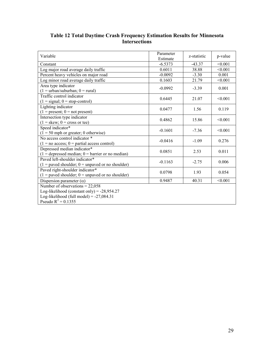| Variable                                             | Parameter<br>Estimate | z-statistic | p-value |
|------------------------------------------------------|-----------------------|-------------|---------|
| Constant                                             | $-6.5373$             | $-43.37$    | < 0.001 |
| Log major road average daily traffic                 | 0.6011                | 38.88       | < 0.001 |
| Percent heavy vehicles on major road                 | $-0.0092$             | $-3.30$     | 0.001   |
| Log minor road average daily traffic                 | 0.1603                | 21.79       | < 0.001 |
| Area type indicator                                  | $-0.0992$             | $-3.39$     | 0.001   |
| $(1 = urban/suburban; 0 = rural)$                    |                       |             |         |
| Traffic control indicator                            | 0.6445                | 21.07       | < 0.001 |
| $(1 = signal; 0 = stop-control)$                     |                       |             |         |
| Lighting indicator                                   | 0.0477                | 1.56        | 0.119   |
| $(1 = present; 0 = not present)$                     |                       |             |         |
| Intersection type indicator                          | 0.4862                | 15.86       | < 0.001 |
| $(1 = \text{skew}; 0 = \text{cross or tee})$         |                       |             |         |
| Speed indicator*                                     | $-0.1601$             | $-7.36$     | < 0.001 |
| $(1 = 50$ mph or greater; 0 otherwise)               |                       |             |         |
| No access control indicator *                        | $-0.0416$             | $-1.09$     | 0.276   |
| $(1 = no access; 0 = partial access control)$        |                       |             |         |
| Depressed median indicator*                          | 0.0851                | 2.53        | 0.011   |
| $(1 =$ depressed median; $0 =$ barrier or no median) |                       |             |         |
| Paved left-shoulder indicator*                       | $-0.1163$             | $-2.75$     | 0.006   |
| $(1 =$ paved shoulder; $0 =$ unpaved or no shoulder) |                       |             |         |
| Paved right-shoulder indicator*                      | 0.0798                | 1.93        | 0.054   |
| $(1 =$ paved shoulder; $0 =$ unpaved or no shoulder) |                       |             |         |
| Dispersion parameter $(\alpha)$                      | 0.9487                | 40.31       | < 0.001 |
| Number of observations = $22,058$                    |                       |             |         |
| Log-likelihood (constant only) = $-28,954.27$        |                       |             |         |
| Log-likelihood (full model) = $-27,084.31$           |                       |             |         |
| Pseudo $R^2 = 0.1355$                                |                       |             |         |

#### **Table 12 Total Daytime Crash Frequency Estimation Results for Minnesota Intersections**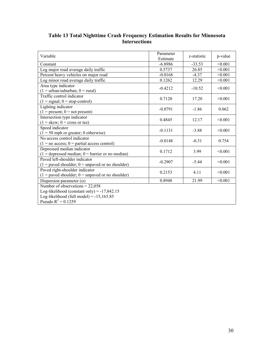| Variable                                                                                                                                                  | Parameter<br>Estimate | z-statistic | p-value |
|-----------------------------------------------------------------------------------------------------------------------------------------------------------|-----------------------|-------------|---------|
| Constant                                                                                                                                                  | $-6.8986$             | $-33.53$    | < 0.001 |
| Log major road average daily traffic                                                                                                                      | 0.5737                | 26.85       | < 0.001 |
| Percent heavy vehicles on major road                                                                                                                      | $-0.0168$             | $-4.37$     | < 0.001 |
| Log minor road average daily traffic                                                                                                                      | 0.1262                | 12.29       | < 0.001 |
| Area type indicator<br>$(1 = urban/suburban; 0 = rural)$                                                                                                  | $-0.4212$             | $-10.52$    | < 0.001 |
| Traffic control indicator<br>$(1 = signal; 0 = stop-control)$                                                                                             | 0.7120                | 17.20       | < 0.001 |
| Lighting indicator<br>$(1 = present; 0 = not present)$                                                                                                    | $-0.0791$             | $-1.86$     | 0.062   |
| Intersection type indicator<br>$(1 = \text{skew}; 0 = \text{cross or tee})$                                                                               | 0.4845                | 12.17       | < 0.001 |
| Speed indicator<br>$(1 = 50$ mph or greater; 0 otherwise)                                                                                                 | $-0.1131$             | $-3.88$     | < 0.001 |
| No access control indicator<br>$(1 = no access; 0 = partial access control)$                                                                              | $-0.0148$             | $-0.31$     | 0.754   |
| Depressed median indicator<br>$(1 =$ depressed median; $0 =$ barrier or no median)                                                                        | 0.1712                | 3.99        | < 0.001 |
| Paved left-shoulder indicator<br>$(1 =$ paved shoulder; $0 =$ unpaved or no shoulder)                                                                     | $-0.2907$             | $-5.44$     | < 0.001 |
| Paved right-shoulder indicator<br>$(1 =$ paved shoulder; $0 =$ unpaved or no shoulder)                                                                    | 0.2153                | 4.11        | < 0.001 |
| Dispersion parameter $(\alpha)$                                                                                                                           | 0.8948                | 21.99       | < 0.001 |
| Number of observations = $22,058$<br>Log-likelihood (constant only) = $-17,842.15$<br>Log-likelihood (full model) = $-15,165.85$<br>Pseudo $R^2 = 0.1259$ |                       |             |         |

#### **Table 13 Total Nighttime Crash Frequency Estimation Results for Minnesota Intersections**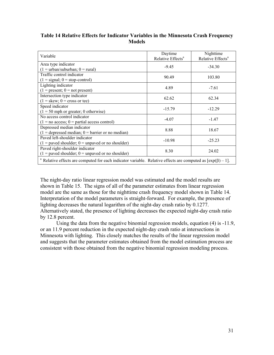| Variable                                                                                                          | Daytime<br>Relative Effects <sup>a</sup> | Nighttime<br>Relative Effects <sup>a</sup> |
|-------------------------------------------------------------------------------------------------------------------|------------------------------------------|--------------------------------------------|
| Area type indicator                                                                                               |                                          |                                            |
| $(1 =$ urban/suburban; $0 =$ rural)                                                                               | $-9.45$                                  | $-34.30$                                   |
| Traffic control indicator                                                                                         | 90.49                                    | 103.80                                     |
| $(1 = signal; 0 = stop-control)$                                                                                  |                                          |                                            |
| Lighting indicator                                                                                                | 4.89                                     | $-7.61$                                    |
| $(1 = present; 0 = not present)$                                                                                  |                                          |                                            |
| Intersection type indicator                                                                                       | 62.62                                    | 62.34                                      |
| $(1 = \text{skew}; 0 = \text{cross or tee})$                                                                      |                                          |                                            |
| Speed indicator                                                                                                   | $-15.79$                                 | $-12.29$                                   |
| $(1 = 50$ mph or greater; 0 otherwise)                                                                            |                                          |                                            |
| No access control indicator                                                                                       | $-4.07$                                  | $-1.47$                                    |
| $(1 = no access; 0 = partial access control)$                                                                     |                                          |                                            |
| Depressed median indicator                                                                                        | 8.88                                     | 18.67                                      |
| $(1 =$ depressed median; $0 =$ barrier or no median)                                                              |                                          |                                            |
| Payed left-shoulder indicator                                                                                     | $-10.98$                                 | $-25.23$                                   |
| $(1 =$ paved shoulder; $0 =$ unpaved or no shoulder)                                                              |                                          |                                            |
| Paved right-shoulder indicator                                                                                    | 8.30                                     | 24.02                                      |
| $(1 =$ paved shoulder; $0 =$ unpaved or no shoulder)                                                              |                                          |                                            |
| Relative effects are computed for each indicator variable. Relative effects are computed as $[\exp(\beta) - 1]$ . |                                          |                                            |

#### **Table 14 Relative Effects for Indicator Variables in the Minnesota Crash Frequency Models**

The night-day ratio linear regression model was estimated and the model results are shown in Table 15. The signs of all of the parameter estimates from linear regression model are the same as those for the nighttime crash frequency model shown in Table 14. Interpretation of the model parameters is straight-forward. For example, the presence of lighting decreases the natural logarithm of the night-day crash ratio by 0.1277. Alternatively stated, the presence of lighting decreases the expected night-day crash ratio by 12.8 percent.

Using the data from the negative binomial regression models, equation (4) is -11.9, or an 11.9 percent reduction in the expected night-day crash ratio at intersections in Minnesota with lighting. This closely matches the results of the linear regression model and suggests that the parameter estimates obtained from the model estimation process are consistent with those obtained from the negative binomial regression modeling process.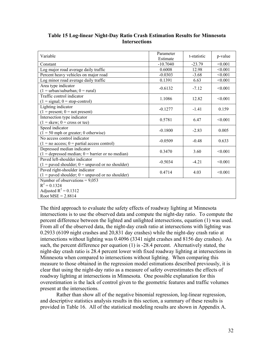| Variable                                             | Parameter<br>Estimate | t-statistic | p-value |
|------------------------------------------------------|-----------------------|-------------|---------|
| Constant                                             | $-10.7040$            | $-23.79$    | < 0.001 |
| Log major road average daily traffic                 | 0.6008                | 12.98       | < 0.001 |
| Percent heavy vehicles on major road                 | $-0.0303$             | $-3.68$     | < 0.001 |
| Log minor road average daily traffic                 | 0.1391                | 6.63        | < 0.001 |
| Area type indicator                                  | $-0.6132$             | $-7.12$     | < 0.001 |
| $(1 = urban/suburban; 0 = rural)$                    |                       |             |         |
| Traffic control indicator                            | 1.1086                | 12.82       | < 0.001 |
| $(1 = signal; 0 = stop-control)$                     |                       |             |         |
| Lighting indicator                                   | $-0.1277$             | $-1.41$     | 0.159   |
| $(1 = present; 0 = not present)$                     |                       |             |         |
| Intersection type indicator                          | 0.5781                | 6.47        | < 0.001 |
| $(1 = \text{skew}; 0 = \text{cross or tee})$         |                       |             |         |
| Speed indicator                                      | $-0.1800$             | $-2.83$     | 0.005   |
| $(1 = 50$ mph or greater; 0 otherwise)               |                       |             |         |
| No access control indicator                          | $-0.0509$             | $-0.48$     | 0.633   |
| $(1 = no access; 0 = partial access control)$        |                       |             |         |
| Depressed median indicator                           | 0.3470                | 3.60        | < 0.001 |
| $(1 =$ depressed median; $0 =$ barrier or no median) |                       |             |         |
| Paved left-shoulder indicator                        | $-0.5034$             | $-4.21$     | < 0.001 |
| $(1 =$ paved shoulder; $0 =$ unpaved or no shoulder) |                       |             |         |
| Paved right-shoulder indicator                       | 0.4714                | 4.03        | < 0.001 |
| $(1 =$ paved shoulder; $0 =$ unpaved or no shoulder) |                       |             |         |
| Number of observations = $9,053$                     |                       |             |         |
| $R^2 = 0.1324$                                       |                       |             |         |
| Adjusted $R^2$ = 0.1312                              |                       |             |         |
| Root $MSE = 2.8814$                                  |                       |             |         |

#### **Table 15 Log-linear Night-Day Ratio Crash Estimation Results for Minnesota Intersections**

The third approach to evaluate the safety effects of roadway lighting at Minnesota intersections is to use the observed data and compute the night-day ratio. To compute the percent difference between the lighted and unlighted intersections, equation (1) was used. From all of the observed data, the night-day crash ratio at intersections with lighting was 0.2933 (6109 night crashes and 20,831 day crashes) while the night-day crash ratio at intersections without lighting was 0.4096 (3341 night crashes and 8156 day crashes). As such, the percent difference per equation (1) is -28.4 percent. Alternatively stated, the night-day crash ratio is 28.4 percent lower with fixed roadway lighting at intersections in Minnesota when compared to intersections without lighting. When comparing this measure to those obtained in the regression model estimations described previously, it is clear that using the night-day ratio as a measure of safety overestimates the effects of roadway lighting at intersections in Minnesota. One possible explanation for this overestimation is the lack of control given to the geometric features and traffic volumes present at the intersections.

Rather than show all of the negative binomial regression, log-linear regression, and descriptive statistics analysis results in this section, a summary of these results is provided in Table 16. All of the statistical modeling results are shown in Appendix A.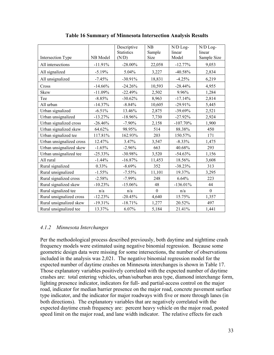|                          |           | Descriptive<br><b>Statistics</b> | NB<br>Sample | N/D Log-<br>linear | N/D Log-<br>linear |
|--------------------------|-----------|----------------------------------|--------------|--------------------|--------------------|
| Intersection Type        | NB Model  | (N/D)                            | Size         | Model              | Sample Size        |
| All intersections        | $-11.91%$ | $-28.00\%$                       | 22,058       | $-12.77%$          | 9,053              |
| All signalized           | $-5.19%$  | 5.04%                            | 3,227        | $-40.58%$          | 2,834              |
| All unsignalized         | $-7.45%$  | $-30.91%$                        | 18,831       | $-4.25%$           | 6,219              |
| Cross                    | $-14.66%$ | $-24.26%$                        | 10,593       | $-28.44%$          | 4,955              |
| Skew                     | $-11.09%$ | $-22.49%$                        | 2,502        | 9.96%              | 1,284              |
| Tee                      | $-8.85%$  | $-30.62%$                        | 8,963        | $-17.14%$          | 2,814              |
| All urban                | $-14.37%$ | $-8.84%$                         | 10,605       | $-29.91%$          | 5,445              |
| Urban signalized         | $-6.51%$  | 13.46%                           | 2,875        | $-39.69%$          | 2,521              |
| Urban unsignalized       | $-13.27%$ | $-18.96%$                        | 7,730        | $-27.92%$          | 2,924              |
| Urban signalized cross   | $-26.46%$ | $-7.90\%$                        | 2,158        | $-107.70%$         | 1,900              |
| Urban signalized skew    | 64.62%    | 98.95%                           | 514          | 88.38%             | 450                |
| Urban signalized tee     | 117.81%   | 162.93%                          | 203          | 150.57%            | 171                |
| Urban unsignalized cross | 12.47%    | 3.47%                            | 3,547        | $-8.33%$           | 1,475              |
| Urban unsignalized skew  | $-1.65%$  | $-2.96%$                         | 663          | 40.68%             | 293                |
| Urban unsignalized tee   | $-25.33%$ | $-30.98%$                        | 3,520        | $-54.63%$          | 1,156              |
| All rural                | $-1.44%$  | $-16.87%$                        | 11,453       | 18.56%             | 3,608              |
| Rural signalized         | 0.33%     | $-8.69%$                         | 352          | $-38.23%$          | 313                |
| Rural unsignalized       | $-1.55%$  | $-7.55\%$                        | 11,101       | 19.37%             | 3,295              |
| Rural signalized cross   | $-2.58%$  | $-7.99\%$                        | 248          | 6.64%              | 223                |
| Rural signalized skew    | $-10.23%$ | $-15.06%$                        | 48           | $-136.01\%$        | 44                 |
| Rural signalized tee     | n/a       | n/a                              | $\mathbf{0}$ | n/a                | $\mathbf{0}$       |
| Rural unsignalized cross | $-12.23%$ | $-20.45%$                        | 4,640        | 15.75%             | 1,357              |
| Rural unsignalized skew  | $-19.31%$ | $-18.71%$                        | 1,277        | 20.52%             | 497                |
| Rural unsignalized tee   | 13.37%    | $6.07\%$                         | 5,184        | 21.41%             | 1,441              |

**Table 16 Summary of Minnesota Intersection Analysis Results**

#### *4.1.2 Minnesota Interchanges*

Per the methodological process described previously, both daytime and nighttime crash frequency models were estimated using negative binomial regression. Because some geometric design data were missing for some intersections, the number of observations included in the analysis was 2,021. The negative binomial regression model for the expected number of daytime crashes on Minnesota interchanges is shown in Table 17. Those explanatory variables positively correlated with the expected number of daytime crashes are: total entering vehicles, urban/suburban area type, diamond interchange form, lighting presence indicator, indicators for full- and partial-access control on the major road, indicator for median barrier presence on the major road, concrete pavement surface type indicator, and the indicator for major roadways with five or more through lanes (in both directions). The explanatory variables that are negatively correlated with the expected daytime crash frequency are: percent heavy vehicle on the major road, posted speed limit on the major road, and lane width indicator. The relative effects for each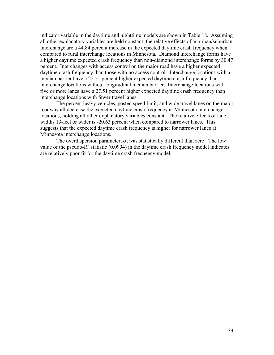indicator variable in the daytime and nighttime models are shown in Table 18. Assuming all other explanatory variables are held constant, the relative effects of an urban/suburban interchange are a 44.84 percent increase in the expected daytime crash frequency when compared to rural interchange locations in Minnesota. Diamond interchange forms have a higher daytime expected crash frequency than non-diamond interchange forms by 30.47 percent. Interchanges with access control on the major road have a higher expected daytime crash frequency than those with no access control. Interchange locations with a median barrier have a 22.51 percent higher expected daytime crash frequency than interchange locations without longitudinal median barrier. Interchange locations with five or more lanes have a 27.51 percent higher expected daytime crash frequency than interchange locations with fewer travel lanes.

The percent heavy vehicles, posted speed limit, and wide travel lanes on the major roadway all decrease the expected daytime crash frequency at Minnesota interchange locations, holding all other explanatory variables constant. The relative effects of lane widths 13-feet or wider is -20.63 percent when compared to narrower lanes. This suggests that the expected daytime crash frequency is higher for narrower lanes at Minnesota interchange locations.

The overdispersion parameter,  $\alpha$ , was statistically different than zero. The low value of the pseudo- $R^2$  statistic (0.0994) in the daytime crash frequency model indicates are relatively poor fit for the daytime crash frequency model.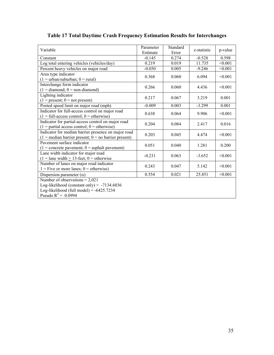| Variable                                                                                                                                                 | Parameter<br>Estimate | Standard<br>Error | z-statistic | p-value |
|----------------------------------------------------------------------------------------------------------------------------------------------------------|-----------------------|-------------------|-------------|---------|
| Constant                                                                                                                                                 | $-0.145$              | 0.274             | $-0.528$    | 0.598   |
| Log total entering vehicles (vehicles/day)                                                                                                               | 0.219                 | 0.019             | 11.735      | < 0.001 |
| Percent heavy vehicles on major road                                                                                                                     | $-0.050$              | 0.005             | $-9.246$    | < 0.001 |
| Area type indicator<br>$(1 = urban/suburban; 0 = rural)$                                                                                                 | 0.368                 | 0.060             | 6.094       | < 0.001 |
| Interchange form indicator<br>$(1 =$ diamond; $0 =$ non-diamond)                                                                                         | 0.266                 | 0.060             | 4.436       | < 0.001 |
| Lighting indicator<br>$(1 = present; 0 = not present)$                                                                                                   | 0.217                 | 0.067             | 3.219       | 0.001   |
| Posted speed limit on major road (mph)                                                                                                                   | $-0.009$              | 0.003             | $-3.299$    | 0.001   |
| Indicator for full-access control on major road<br>$(1 = full-access control; 0 = otherwise)$                                                            | 0.638                 | 0.064             | 9.906       | < 0.001 |
| Indicator for partial-access control on major road<br>$(1 =$ partial access control; $0 =$ otherwise)                                                    | 0.204                 | 0.084             | 2.417       | 0.016   |
| Indicator for median barrier presence on major road<br>$(1 = \text{median barrier present}; 0 = \text{no barrier present})$                              | 0.203                 | 0.045             | 4.474       | < 0.001 |
| Pavement surface indicator<br>$(1 = \text{concrete payment}; 0 = \text{asphalt payment})$                                                                | 0.051                 | 0.040             | 1.281       | 0.200   |
| Lane width indicator for major road<br>$(1 =$ lane width $\geq$ 13-feet; 0 = otherwise                                                                   | $-0.231$              | 0.063             | $-3.652$    | < 0.001 |
| Number of lanes on major road indicator<br>$1 =$ Five or more lanes; $0 =$ otherwise)                                                                    | 0.243                 | 0.047             | 5.142       | < 0.001 |
| Dispersion parameter $(\alpha)$                                                                                                                          | 0.554                 | 0.021             | 25.851      | < 0.001 |
| Number of observations = $2,021$<br>Log-likelihood (constant only) = $-7134.6036$<br>Log-likelihood (full model) = $-6425.7234$<br>Pseudo $R^2 = 0.0994$ |                       |                   |             |         |

# **Table 17 Total Daytime Crash Frequency Estimation Results for Interchanges**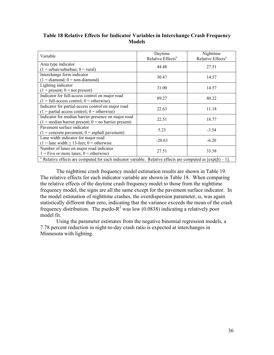| Variable                                                                                                                       | Daytime<br>Relative Effects <sup>a</sup> | Nighttime<br>Relative Effects <sup>a</sup> |
|--------------------------------------------------------------------------------------------------------------------------------|------------------------------------------|--------------------------------------------|
| Area type indicator                                                                                                            |                                          |                                            |
| $(1 = urban/suburban; 0 = rural)$                                                                                              | 44.48                                    | 27.51                                      |
| Interchange form indicator                                                                                                     | 30.47                                    | 14.57                                      |
| $(1 =$ diamond; $0 =$ non-diamond)                                                                                             |                                          |                                            |
| Lighting indicator                                                                                                             | 31.00                                    | 14.57                                      |
| $(1 = present; 0 = not present)$                                                                                               |                                          |                                            |
| Indicator for full-access control on major road                                                                                | 89.27                                    | 80.22                                      |
| $(1 = full-access control; 0 = otherwise)$                                                                                     |                                          |                                            |
| Indicator for partial-access control on major road                                                                             | 22.63                                    | 11.18                                      |
| $(1 =$ partial access control; $0 =$ otherwise)                                                                                |                                          |                                            |
| Indicator for median barrier presence on major road                                                                            | 22.51                                    | 18.77                                      |
| $(1 = \text{median barrier present}; 0 = \text{no barrier present})$                                                           |                                          |                                            |
| Pavement surface indicator                                                                                                     | 5.23                                     | $-3.54$                                    |
| $(1 = \text{concrete payment}; 0 = \text{asphalt payment})$                                                                    |                                          |                                            |
| Lane width indicator for major road                                                                                            | $-20.63$                                 | $-6.20$                                    |
| $(1 =$ lane width $\geq$ 13-feet; 0 = otherwise                                                                                |                                          |                                            |
| Number of lanes on major road indicator                                                                                        | 27.51                                    | 33.38                                      |
| $1 =$ Five or more lanes; $0 =$ otherwise)                                                                                     |                                          |                                            |
| <sup>a</sup> Relative effects are computed for each indicator variable. Relative effects are computed as $[\exp(\beta) - 1]$ . |                                          |                                            |

#### **Table 18 Relative Effects for Indicator Variables in Interchange Crash Frequency Models**

The nighttime crash frequency model estimation results are shown in Table 19. The relative effects for each indicator variable are shown in Table 18. When comparing the relative effects of the daytime crash frequency model to those from the nighttime frequency model, the signs are all the same except for the pavement surface indicator. In the model estimation of nighttime crashes, the overdispersion parameter,  $\alpha$ , was again statistically different than zero, indicating that the variance exceeds the mean of the crash frequency distribution. The psedo- $R^2$  was low (0.0838) indicating a relatively poor model fit.

Using the parameter estimates from the negative binomial regression models, a 7.78 percent reduction in night-to-day crash ratio is expected at interchanges in Minnesota with lighting.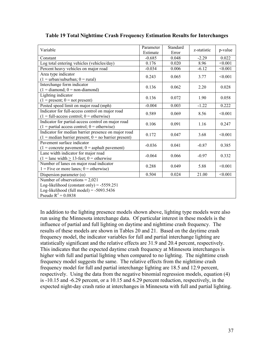| Variable                                                                                                                                                | Parameter<br>Estimate | Standard<br>Error | z-statistic | p-value |
|---------------------------------------------------------------------------------------------------------------------------------------------------------|-----------------------|-------------------|-------------|---------|
| Constant                                                                                                                                                | $-0.685$              | 0.048             | $-2.29$     | 0.022   |
| Log total entering vehicles (vehicles/day)                                                                                                              | 0.176                 | 0.020             | 8.96        | < 0.001 |
| Percent heavy vehicles on major road                                                                                                                    | $-0.034$              | 0.006             | $-6.12$     | < 0.001 |
| Area type indicator<br>$(1 = urban/suburban; 0 = rural)$                                                                                                | 0.243                 | 0.065             | 3.77        | < 0.001 |
| Interchange form indicator<br>$(1 =$ diamond; $0 =$ non-diamond)                                                                                        | 0.136                 | 0.062             | 2.20        | 0.028   |
| Lighting indicator<br>$(1 = present; 0 = not present)$                                                                                                  | 0.136                 | 0.072             | 1.90        | 0.058   |
| Posted speed limit on major road (mph)                                                                                                                  | $-0.004$              | 0.003             | $-1.22$     | 0.222   |
| Indicator for full-access control on major road<br>$(1 = full-access control; 0 = otherwise)$                                                           | 0.589                 | 0.069             | 8.56        | < 0.001 |
| Indicator for partial-access control on major road<br>$(1 =$ partial access control; $0 =$ otherwise)                                                   | 0.106                 | 0.091             | 1.16        | 0.247   |
| Indicator for median barrier presence on major road<br>$(1 = \text{median barrier present}; 0 = \text{no barrier present})$                             | 0.172                 | 0.047             | 3.68        | < 0.001 |
| Pavement surface indicator<br>$(1 = \text{concrete payment}; 0 = \text{asphalt payment})$                                                               | $-0.036$              | 0.041             | $-0.87$     | 0.385   |
| Lane width indicator for major road<br>$(1 =$ lane width $\geq$ 13-feet; 0 = otherwise                                                                  | $-0.064$              | 0.066             | $-0.97$     | 0.332   |
| Number of lanes on major road indicator<br>$1 =$ Five or more lanes; $0 =$ otherwise)                                                                   | 0.288                 | 0.049             | 5.88        | < 0.001 |
| Dispersion parameter $(\alpha)$                                                                                                                         | 0.504                 | 0.024             | 21.00       | < 0.001 |
| Number of observations = $2,021$<br>Log-likelihood (constant only) = $-5559.251$<br>Log-likelihood (full model) = $-5093.5436$<br>Pseudo $R^2 = 0.0838$ |                       |                   |             |         |

#### **Table 19 Total Nighttime Crash Frequency Estimation Results for Interchanges**

In addition to the lighting presence models shown above, lighting type models were also run using the Minnesota interchange data. Of particular interest in these models is the influence of partial and full lighting on daytime and nighttime crash frequency. The results of these models are shown in Tables 20 and 21. Based on the daytime crash frequency model, the indicator variables for full and partial interchange lighting are statistically significant and the relative effects are 31.9 and 20.4 percent, respectively. This indicates that the expected daytime crash frequency at Minnesota interchanges is higher with full and partial lighting when compared to no lighting. The nighttime crash frequency model suggests the same. The relative effects from the nighttime crash frequency model for full and partial interchange lighting are 18.5 and 12.9 percent, respectively. Using the data from the negative binomial regression models, equation (4) is -10.15 and -6.29 percent, or a 10.15 and 6.29 percent reduction, respectively, in the expected night-day crash ratio at interchanges in Minnesota with full and partial lighting.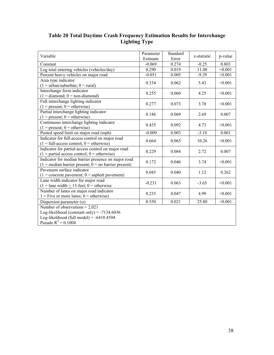| Variable                                                                                                                                                 | Parameter | Standard | z-statistic | p-value |
|----------------------------------------------------------------------------------------------------------------------------------------------------------|-----------|----------|-------------|---------|
|                                                                                                                                                          | Estimate  | Error    |             |         |
| Constant                                                                                                                                                 | $-0.069$  | 0.274    | $-0.25$     | 0.803   |
| Log total entering vehicles (vehicles/day)                                                                                                               | 0.290     | 0.019    | 11.08       | < 0.001 |
| Percent heavy vehicles on major road                                                                                                                     | $-0.051$  | 0.005    | $-9.39$     | < 0.001 |
| Area type indicator<br>$(1 = urban/suburban; 0 = rural)$                                                                                                 | 0.334     | 0.062    | 5.43        | < 0.001 |
| Interchange form indicator                                                                                                                               |           |          |             |         |
| $(1 =$ diamond; 0 = non-diamond)                                                                                                                         | 0.255     | 0.060    | 4.25        | < 0.001 |
| Full interchange lighting indicator<br>$(1 = present; 0 = otherwise)$                                                                                    | 0.277     | 0.073    | 3.78        | < 0.001 |
| Partial interchange lighting indicator<br>$(1 = present; 0 = otherwise)$                                                                                 | 0.186     | 0.069    | 2.69        | 0.007   |
| Continuous interchange lighting indicator<br>$(1 = present; 0 = otherwise)$                                                                              | 0.435     | 0.092    | 4.73        | < 0.001 |
| Posted speed limit on major road (mph)                                                                                                                   | $-0.009$  | 0.003    | $-3.19$     | 0.001   |
| Indicator for full-access control on major road<br>$(1 = full-access control; 0 = otherwise)$                                                            | 0.664     | 0.065    | 10.26       | < 0.001 |
| Indicator for partial-access control on major road<br>$(1 =$ partial access control; $0 =$ otherwise)                                                    | 0.229     | 0.084    | 2.72        | 0.007   |
| Indicator for median barrier presence on major road<br>$(1 = \text{median barrier present}; 0 = \text{no barrier present})$                              | 0.172     | 0.046    | 3.74        | < 0.001 |
| Pavement surface indicator<br>$(1 = \text{concrete payment}; 0 = \text{asphalt payment})$                                                                | 0.045     | 0.040    | 1.12        | 0.262   |
| Lane width indicator for major road<br>$(1 =$ lane width $\geq$ 13-feet; 0 = otherwise                                                                   | $-0.231$  | 0.063    | $-3.65$     | < 0.001 |
| Number of lanes on major road indicator<br>$1 =$ Five or more lanes; $0 =$ otherwise)                                                                    | 0.235     | 0.047    | 4.99        | < 0.001 |
| Dispersion parameter $(\alpha)$                                                                                                                          | 0.550     | 0.021    | 25.80       | < 0.001 |
| Number of observations = $2,021$<br>Log-likelihood (constant only) = $-7134.6036$<br>Log-likelihood (full model) = $-6418.4594$<br>Pseudo $R^2 = 0.1004$ |           |          |             |         |

### **Table 20 Total Daytime Crash Frequency Estimation Results for Interchange Lighting Type**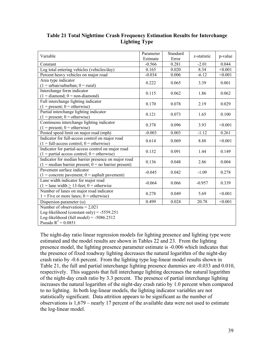| Variable                                                                                                                                                | Parameter<br>Estimate | Standard<br>Error | z-statistic | p-value        |
|---------------------------------------------------------------------------------------------------------------------------------------------------------|-----------------------|-------------------|-------------|----------------|
| Constant                                                                                                                                                | $-0.566$              | 0.281             | $-2.01$     | 0.044          |
| Log total entering vehicles (vehicles/day)                                                                                                              | 0.165                 | 0.020             | 8.34        | $\sqrt{0.001}$ |
| Percent heavy vehicles on major road                                                                                                                    | $-0.034$              | 0.006             | $-6.12$     | $\sqrt{0.001}$ |
| Area type indicator<br>$(1 = urban/suburban; 0 = rural)$                                                                                                | 0.222                 | 0.065             | 3.39        | 0.001          |
| Interchange form indicator<br>$(1 =$ diamond; $0 =$ non-diamond)                                                                                        | 0.115                 | 0.062             | 1.86        | 0.062          |
| Full interchange lighting indicator<br>$(1 = present; 0 = otherwise)$                                                                                   | 0.170                 | 0.078             | 2.19        | 0.029          |
| Partial interchange lighting indicator<br>$(1 = present; 0 = otherwise)$                                                                                | 0.121                 | 0.073             | 1.65        | 0.100          |
| Continuous interchange lighting indicator<br>$(1 = present; 0 = otherwise)$                                                                             | 0.378                 | 0.096             | 3.93        | < 0.001        |
| Posted speed limit on major road (mph)                                                                                                                  | $-0.003$              | 0.003             | $-1.12$     | 0.261          |
| Indicator for full-access control on major road<br>$(1 = full-access control; 0 = otherwise)$                                                           | 0.614                 | 0.069             | 8.88        | < 0.001        |
| Indicator for partial-access control on major road<br>$(1 =$ partial access control; $0 =$ otherwise)                                                   | 0.132                 | 0.091             | 1.44        | 0.149          |
| Indicator for median barrier presence on major road<br>$(1 = \text{median barrier present}; 0 = \text{no barrier present})$                             | 0.136                 | 0.048             | 2.86        | 0.004          |
| Pavement surface indicator<br>$(1 = \text{concrete payment}; 0 = \text{asphalt payment})$                                                               | $-0.045$              | 0.042             | $-1.09$     | 0.278          |
| Lane width indicator for major road<br>$(1 =$ lane width $\geq$ 13-feet; 0 = otherwise                                                                  | $-0.064$              | 0.066             | $-0.957$    | 0.339          |
| Number of lanes on major road indicator<br>$1 =$ Five or more lanes; $0 =$ otherwise)                                                                   | 0.278                 | 0.049             | 5.69        | < 0.001        |
| Dispersion parameter $(\alpha)$                                                                                                                         | 0.499                 | 0.024             | 20.78       | < 0.001        |
| Number of observations = $2,021$<br>Log-likelihood (constant only) = $-5559.251$<br>Log-likelihood (full model) = $-5086.2512$<br>Pseudo $R^2 = 0.0851$ |                       |                   |             |                |

**Table 21 Total Nighttime Crash Frequency Estimation Results for Interchange Lighting Type**

The night-day ratio linear regression models for lighting presence and lighting type were estimated and the model results are shown in Tables 22 and 23. From the lighting presence model, the lighting presence parameter estimate is -0.006 which indicates that the presence of fixed roadway lighting decreases the natural logarithm of the night-day crash ratio by -0.6 percent. From the lighting type log-linear model results shown in Table 21, the full and partial interchange lighting presence dummies are -0.033 and 0.010, respectively. This suggests that full interchange lighting decreases the natural logarithm of the night-day crash ratio by 3.3 percent. The presence of partial interchange lighting increases the natural logarithm of the night-day crash ratio by 1.0 percent when compared to no lighting. In both log-linear models, the lighting indicator variables are not statistically significant. Data attrition appears to be significant as the number of observations is 1,679 – nearly 17 percent of the available data were not used to estimate the log-linear model.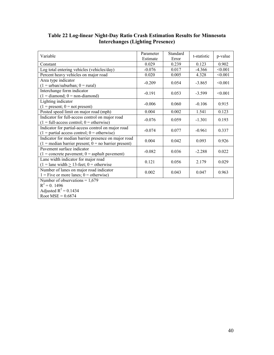| Variable                                                             | Parameter | Standard | t-statistic        | p-value |
|----------------------------------------------------------------------|-----------|----------|--------------------|---------|
|                                                                      | Estimate  | Error    |                    |         |
| Constant                                                             | 0.029     | 0.239    | 0.123              | 0.902   |
| Log total entering vehicles (vehicles/day)                           | $-0.076$  | 0.017    | $-4.366$           | < 0.001 |
| Percent heavy vehicles on major road                                 | 0.020     | 0.005    | 4.328              | < 0.001 |
| Area type indicator                                                  | $-0.209$  | 0.054    | $-3.865$           | < 0.001 |
| $(1 = urban/suburban; 0 = rural)$                                    |           |          |                    |         |
| Interchange form indicator                                           | $-0.191$  | 0.053    | $-3.599$           | < 0.001 |
| $(1 =$ diamond; $0 =$ non-diamond)                                   |           |          |                    |         |
| Lighting indicator                                                   |           |          |                    |         |
| $(1 = present; 0 = not present)$                                     | $-0.006$  | 0.060    | $-0.106$           | 0.915   |
| Posted speed limit on major road (mph)                               | 0.004     | 0.002    | $\overline{1.541}$ | 0.123   |
| Indicator for full-access control on major road                      | $-0.076$  | 0.059    | $-1.301$           | 0.193   |
| $(1 = full-access control; 0 = otherwise)$                           |           |          |                    |         |
| Indicator for partial-access control on major road                   | $-0.074$  | 0.077    | $-0.961$           | 0.337   |
| $(1 =$ partial access control; $0 =$ otherwise)                      |           |          |                    |         |
| Indicator for median barrier presence on major road                  | 0.004     | 0.042    | 0.093              | 0.926   |
| $(1 = \text{median barrier present}; 0 = \text{no barrier present})$ |           |          |                    |         |
| Pavement surface indicator                                           | $-0.082$  | 0.036    | $-2.288$           | 0.022   |
| $(1 = \text{concrete payment}; 0 = \text{asphalt payment})$          |           |          |                    |         |
| Lane width indicator for major road                                  | 0.121     | 0.056    | 2.179              | 0.029   |
| $(1 =$ lane width $\geq$ 13-feet; 0 = otherwise                      |           |          |                    |         |
| Number of lanes on major road indicator                              | 0.002     | 0.043    | 0.047              | 0.963   |
| $1 =$ Five or more lanes; $0 =$ otherwise)                           |           |          |                    |         |
| Number of observations = $1,679$                                     |           |          |                    |         |
| $R^2 = 0.1496$                                                       |           |          |                    |         |
| Adjusted $R^2$ = 0.1434                                              |           |          |                    |         |
| Root $MSE = 0.6874$                                                  |           |          |                    |         |

#### **Table 22 Log-linear Night-Day Ratio Crash Estimation Results for Minnesota Interchanges (Lighting Presence)**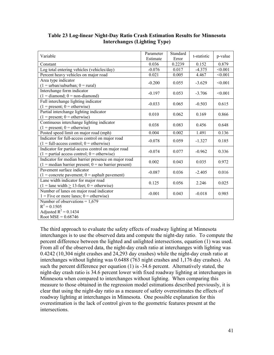| Variable                                                                                                                    | Parameter<br>Estimate | Standard<br>Error | t-statistic | p-value |
|-----------------------------------------------------------------------------------------------------------------------------|-----------------------|-------------------|-------------|---------|
| Constant                                                                                                                    | 0.036                 | 0.2239            | 0.152       | 0.879   |
| Log total entering vehicles (vehicles/day)                                                                                  | $-0.076$              | 0.017             | $-4.375$    | < 0.001 |
| Percent heavy vehicles on major road                                                                                        | 0.021                 | 0.005             | 4.467       | < 0.001 |
| Area type indicator<br>$(1 = urban/suburban; 0 = rural)$                                                                    | $-0.200$              | 0.055             | $-3.629$    | < 0.001 |
| Interchange form indicator<br>$(1 =$ diamond; $0 =$ non-diamond)                                                            | $-0.197$              | 0.053             | $-3.706$    | < 0.001 |
| Full interchange lighting indicator<br>$(1 = present; 0 = otherwise)$                                                       | $-0.033$              | 0.065             | $-0.503$    | 0.615   |
| Partial interchange lighting indicator<br>$(1 = present; 0 = otherwise)$                                                    | 0.010                 | 0.062             | 0.169       | 0.866   |
| Continuous interchange lighting indicator<br>$(1 = present; 0 = otherwise)$                                                 | 0.038                 | 0.083             | 0.456       | 0.648   |
| Posted speed limit on major road (mph)                                                                                      | 0.004                 | 0.002             | 1.491       | 0.136   |
| Indicator for full-access control on major road<br>$(1 = full-access control; 0 = otherwise)$                               | $-0.078$              | 0.059             | $-1.327$    | 0.185   |
| Indicator for partial-access control on major road<br>$(1 =$ partial access control; $0 =$ otherwise)                       | $-0.074$              | 0.077             | $-0.962$    | 0.336   |
| Indicator for median barrier presence on major road<br>$(1 = \text{median barrier present}; 0 = \text{no barrier present})$ | 0.002                 | 0.043             | 0.035       | 0.972   |
| Pavement surface indicator<br>$(1 = \text{concrete payment}; 0 = \text{asphalt payment})$                                   | $-0.087$              | 0.036             | $-2.405$    | 0.016   |
| Lane width indicator for major road<br>$(1 =$ lane width $\geq$ 13-feet; 0 = otherwise)                                     | 0.125                 | 0.056             | 2.246       | 0.025   |
| Number of lanes on major road indicator<br>$1 =$ Five or more lanes; $0 =$ otherwise)                                       | $-0.001$              | 0.043             | $-0.018$    | 0.985   |
| Number of observations = $1,679$<br>$R^2 = 0.1505$<br>Adjusted $R^2$ = 0.1434<br>Root $MSE = 0.68746$                       |                       |                   |             |         |

#### **Table 23 Log-linear Night-Day Ratio Crash Estimation Results for Minnesota Interchanges (Lighting Type)**

The third approach to evaluate the safety effects of roadway lighting at Minnesota interchanges is to use the observed data and compute the night-day ratio. To compute the percent difference between the lighted and unlighted intersections, equation (1) was used. From all of the observed data, the night-day crash ratio at interchanges with lighting was 0.4242 (10,304 night crashes and 24,293 day crashes) while the night-day crash ratio at interchanges without lighting was 0.6488 (763 night crashes and 1,176 day crashes). As such the percent difference per equation (1) is -34.6 percent. Alternatively stated, the night-day crash ratio is 34.6 percent lower with fixed roadway lighting at interchanges in Minnesota when compared to interchanges without lighting. When comparing this measure to those obtained in the regression model estimations described previously, it is clear that using the night-day ratio as a measure of safety overestimates the effects of roadway lighting at interchanges in Minnesota. One possible explanation for this overestimation is the lack of control given to the geometric features present at the intersections.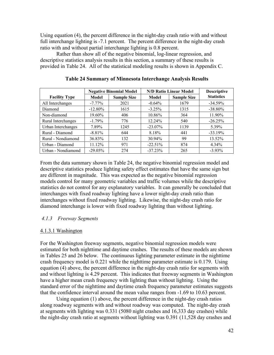Using equation (4), the percent difference in the night-day crash ratio with and without full interchange lighting is -7.1 percent. The percent difference in the night-day crash ratio with and without partial interchange lighting is 0.8 percent.

 Rather than show all of the negative binomial, log-linear regression, and descriptive statistics analysis results in this section, a summary of these results is provided in Table 24. All of the statistical modeling results is shown in Appendix C.

|                      | <b>Negative Binomial Model</b> |                    | <b>N/D Ratio Linear Model</b> | <b>Descriptive</b> |                   |
|----------------------|--------------------------------|--------------------|-------------------------------|--------------------|-------------------|
| <b>Facility Type</b> | <b>Model</b>                   | <b>Sample Size</b> | Model                         | <b>Sample Size</b> | <b>Statistics</b> |
| All Interchanges     | $-7.77\%$                      | 2021               | $-0.64\%$                     | 1679               | $-34.59%$         |
| Diamond              | $-12.80\%$                     | 1615               | $-3.25%$                      | 1315               | $-38.80\%$        |
| Non-diamond          | 19.60%                         | 406                | 10.86%                        | 364                | 11.90%            |
| Rural Interchanges   | $-1.79\%$                      | 776                | 12.24%                        | 540                | $-26.25%$         |
| Urban Interchanges   | 7.89%                          | 1245               | $-23.07\%$                    | 1139               | 5.39%             |
| Rural - Diamond      | $-8.81\%$                      | 644                | 8.18%                         | 441                | $-33.19%$         |
| Rural - Nondiamond   | 36.83%                         | 132                | 30.94%                        | 99                 | 13.52%            |
| Urban - Diamond      | 11.12%                         | 971                | $-22.51%$                     | 874                | $4.34\%$          |
| Urban - Nondiamond   | $-29.05%$                      | 274                | $-37.23%$                     | 265                | $-3.93\%$         |

**Table 24 Summary of Minnesota Interchange Analysis Results**

From the data summary shown in Table 24, the negative binomial regression model and descriptive statistics produce lighting safety effect estimates that have the same sign but are different in magnitude. This was expected as the negative binomial regression models control for many geometric variables and traffic volumes while the descriptive statistics do not control for any explanatory variables. It can generally be concluded that interchanges with fixed roadway lighting have a lower night-day crash ratio than interchanges without fixed roadway lighting. Likewise, the night-day crash ratio for diamond interchange is lower with fixed roadway lighting than without lighting.

#### *4.1.3 Freeway Segments*

#### 4.1.3.1 Washington

For the Washington freeway segments, negative binomial regression models were estimated for both nighttime and daytime crashes. The results of these models are shown in Tables 25 and 26 below. The continuous lighting parameter estimate in the nighttime crash frequency model is 0.221 while the nighttime parameter estimate is 0.179. Using equation (4) above, the percent difference in the night-day crash ratio for segments with and without lighting is 4.29 percent. This indicates that freeway segments in Washington have a higher mean crash frequency with lighting than without lighting. Using the standard error of the nighttime and daytime crash frequency parameter estimates suggests that the confidence interval around the mean value ranges from -1.69 to 10.63 percent.

Using equation (1) above, the percent difference in the night-day crash ratios along roadway segments with and without roadway was computed. The night-day crash at segments with lighting was 0.331 (5080 night crashes and 16,333 day crashes) while the night-day crash ratio at segments without lighting was 0.391 (11,528 day crashes and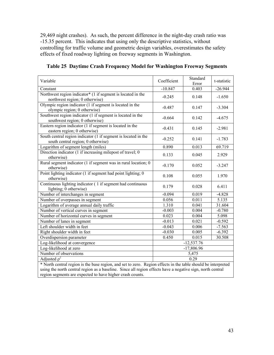29,469 night crashes). As such, the percent difference in the night-day crash ratio was -15.35 percent. This indicates that using only the descriptive statistics, without controlling for traffic volume and geometric design variables, overestimates the safety effects of fixed roadway lighting on freeway segments in Washington.

| Variable                                                                                                             | Coefficient | Standard<br>Error | t-statistic |
|----------------------------------------------------------------------------------------------------------------------|-------------|-------------------|-------------|
| Constant                                                                                                             | $-10.847$   | 0.403             | $-26.944$   |
| Northwest region indicator <sup>*</sup> $(1 \text{ if segment is located in the})$<br>northwest region; 0 otherwise) | $-0.245$    | 0.148             | $-1.650$    |
| Olympic region indicator (1 if segment is located in the<br>olympic region; 0 otherwise)                             | $-0.487$    | 0.147             | $-3.304$    |
| Southwest region indicator $(1$ if segment is located in the<br>southwest region; 0 otherwise)                       | $-0.664$    | 0.142             | $-4.675$    |
| Eastern region indicator (1 if segment is located in the<br>eastern region; 0 otherwise)                             | $-0.431$    | 0.145             | $-2.981$    |
| South central region indicator (1 if segment is located in the<br>south central region; 0 otherwise)                 | $-0.252$    | 0.141             | $-1.783$    |
| Logarithm of segment length (miles)                                                                                  | 0.890       | 0.013             | 69.719      |
| Direction indicator (1 if increasing milepost of travel; 0<br>otherwise)                                             | 0.133       | 0.045             | 2.929       |
| Rural segment indicator (1 if segment was in rural location; 0<br>otherwise)                                         | $-0.170$    | 0.052             | $-3.247$    |
| Point lighting indicator (1 if segment had point lighting; 0<br>otherwise)                                           | 0.108       | 0.055             | 1.970       |
| Continuous lighting indicator (1 if segment had continuous<br>lighting; 0 otherwise)                                 | 0.179       | 0.028             | 6.411       |
| Number of interchanges in segment                                                                                    | $-0.094$    | 0.019             | $-4.828$    |
| Number of overpasses in segment                                                                                      | 0.056       | 0.011             | 5.135       |
| Logarithm of average annual daily traffic                                                                            | 1.310       | 0.041             | 31.604      |
| Number of vertical curves in segment                                                                                 | $-0.003$    | 0.004             | $-0.780$    |
| Number of horizontal curves in segment                                                                               | 0.023       | 0.004             | 5.098       |
| Number of lanes in segment                                                                                           | $-0.013$    | 0.021             | $-0.592$    |
| Left shoulder width in feet                                                                                          | $-0.043$    | 0.006             | $-7.563$    |
| Right shoulder width in feet                                                                                         | $-0.030$    | 0.005             | $-6.392$    |
| Overdispersion parameter                                                                                             | 0.450       | 0.015             | 30.508      |
| Log-likelihood at convergence                                                                                        |             | $-12,537.76$      |             |
| Log-likelihood at zero<br>$-17,806.96$                                                                               |             |                   |             |
| Number of observations                                                                                               | 5,475       |                   |             |
| Adjusted $\rho^2$                                                                                                    |             | 0.29              |             |
| * North central region is the base region, and set to zero. Region effects in the table should be interpreted        |             |                   |             |

|  |  | Table 25 Daytime Crash Frequency Model for Washington Freeway Segments |  |
|--|--|------------------------------------------------------------------------|--|
|  |  |                                                                        |  |

\* North central region is the base region, and set to zero. Region effects in the table should be interpreted using the north central region as a baseline. Since all region effects have a negative sign, north central region segments are expected to have higher crash counts.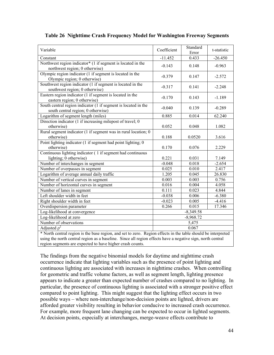| Variable                                                                                                                                                                                                                                                                                 | Coefficient | Standard<br>Error | t-statistic |  |  |
|------------------------------------------------------------------------------------------------------------------------------------------------------------------------------------------------------------------------------------------------------------------------------------------|-------------|-------------------|-------------|--|--|
| Constant                                                                                                                                                                                                                                                                                 | $-11.452$   | 0.433             | $-26.450$   |  |  |
| Northwest region indicator* (1 if segment is located in the<br>northwest region; 0 otherwise)                                                                                                                                                                                            | $-0.143$    | 0.148             | $-0.963$    |  |  |
| Olympic region indicator (1 if segment is located in the<br>Olympic region; 0 otherwise)                                                                                                                                                                                                 | $-0.379$    | 0.147             | $-2.572$    |  |  |
| Southwest region indicator $(1$ if segment is located in the<br>southwest region; 0 otherwise)                                                                                                                                                                                           | $-0.317$    | 0.141             | $-2.248$    |  |  |
| Eastern region indicator (1 if segment is located in the<br>eastern region; 0 otherwise)                                                                                                                                                                                                 | $-0.170$    | 0.143             | $-1.189$    |  |  |
| South central region indicator (1 if segment is located in the<br>south central region; 0 otherwise)                                                                                                                                                                                     | $-0.040$    | 0.139             | $-0.289$    |  |  |
| Logarithm of segment length (miles)                                                                                                                                                                                                                                                      | 0.885       | 0.014             | 62.240      |  |  |
| Direction indicator (1 if increasing milepost of travel; 0<br>otherwise)                                                                                                                                                                                                                 | 0.052       | 0.048             | 1.082       |  |  |
| Rural segment indicator (1 if segment was in rural location; 0<br>otherwise)                                                                                                                                                                                                             | 0.188       | 0.0520            | 3.616       |  |  |
| Point lighting indicator (1 if segment had point lighting; 0<br>otherwise)                                                                                                                                                                                                               | 0.170       | 0.076             | 2.229       |  |  |
| Continuous lighting indicator (1 if segment had continuous                                                                                                                                                                                                                               |             |                   |             |  |  |
| lighting; 0 otherwise)                                                                                                                                                                                                                                                                   | 0.221       | 0.031             | 7.149       |  |  |
| Number of interchanges in segment                                                                                                                                                                                                                                                        | $-0.048$    | 0.018             | $-2.654$    |  |  |
| Number of overpasses in segment                                                                                                                                                                                                                                                          | 0.025       | 0.010             | 2.417       |  |  |
| Logarithm of average annual daily traffic                                                                                                                                                                                                                                                | 1.205       | 0.045             | 26.830      |  |  |
| Number of vertical curves in segment                                                                                                                                                                                                                                                     | 0.003       | 0.003             | 0.756       |  |  |
| Number of horizontal curves in segment                                                                                                                                                                                                                                                   | 0.016       | 0.004             | 4.058       |  |  |
| Number of lanes in segment                                                                                                                                                                                                                                                               | 0.111       | 0.023             | 4.844       |  |  |
| Left shoulder width in feet                                                                                                                                                                                                                                                              | $-0.038$    | 0.006             | $-6.380$    |  |  |
| Right shoulder width in feet                                                                                                                                                                                                                                                             | $-0.023$    | 0.005             | $-4.416$    |  |  |
| Overdispersion parameter                                                                                                                                                                                                                                                                 | 0.266       | 0.015             | 17.346      |  |  |
| Log-likelihood at convergence                                                                                                                                                                                                                                                            |             | $-8,349.58$       |             |  |  |
| Log-likelihood at zero                                                                                                                                                                                                                                                                   | $-8,968.72$ |                   |             |  |  |
| Number of observations<br>5,475                                                                                                                                                                                                                                                          |             |                   |             |  |  |
| Adjusted $\rho^2$<br>0.067                                                                                                                                                                                                                                                               |             |                   |             |  |  |
| * North central region is the base region, and set to zero. Region effects in the table should be interpreted<br>using the north central region as a baseline. Since all region effects have a negative sign, north central<br>region segments are expected to have higher crash counts. |             |                   |             |  |  |

**Table 26 Nighttime Crash Frequency Model for Washington Freeway Segments**

The findings from the negative binomial models for daytime and nighttime crash occurrence indicate that lighting variables such as the presence of point lighting and continuous lighting are associated with increases in nighttime crashes. When controlling for geometric and traffic volume factors, as well as segment length, lighting presence appears to indicate a greater than expected number of crashes compared to no lighting. In particular, the presence of continuous lighting is associated with a stronger positive effect compared to point lighting. This might suggest that the lighting effect occurs in two possible ways – where non-interchange/non-decision points are lighted, drivers are afforded greater visibility resulting in behavior conducive to increased crash occurrence. For example, more frequent lane changing can be expected to occur in lighted segments. At decision points, especially at interchanges, merge-weave effects contribute to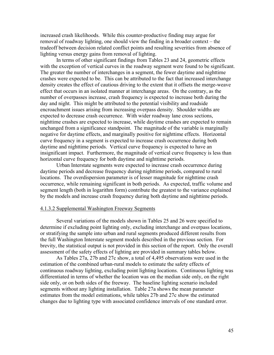increased crash likelihoods. While this counter-productive finding may argue for removal of roadway lighting, one should view the finding in a broader context – the tradeoff between decision related conflict points and resulting severities from absence of lighting versus energy gains from removal of lighting.

In terms of other significant findings from Tables 23 and 24, geometric effects with the exception of vertical curves in the roadway segment were found to be significant. The greater the number of interchanges in a segment, the fewer daytime and nighttime crashes were expected to be. This can be attributed to the fact that increased interchange density creates the effect of cautious driving to the extent that it offsets the merge-weave effect that occurs in an isolated manner at interchange areas. On the contrary, as the number of overpasses increase, crash frequency is expected to increase both during the day and night. This might be attributed to the potential visibility and roadside encroachment issues arising from increasing overpass density. Shoulder widths are expected to decrease crash occurrence. With wider roadway lane cross sections, nighttime crashes are expected to increase, while daytime crashes are expected to remain unchanged from a significance standpoint. The magnitude of the variable is marginally negative for daytime effects, and marginally positive for nighttime effects. Horizontal curve frequency in a segment is expected to increase crash occurrence during both daytime and nighttime periods. Vertical curve frequency is expected to have an insignificant impact. Furthermore, the magnitude of vertical curve frequency is less than horizontal curve frequency for both daytime and nighttime periods.

Urban Interstate segments were expected to increase crash occurrence during daytime periods and decrease frequency during nighttime periods, compared to rural locations. The overdispersion parameter is of lesser magnitude for nighttime crash occurrence, while remaining significant in both periods. As expected, traffic volume and segment length (both in logarithm form) contribute the greatest to the variance explained by the models and increase crash frequency during both daytime and nighttime periods.

#### 4.1.3.2 Supplemental Washington Freeway Segments

Several variations of the models shown in Tables 25 and 26 were specified to determine if excluding point lighting only, excluding interchange and overpass locations, or stratifying the sample into urban and rural segments produced different results from the full Washington Interstate segment models described in the previous section. For brevity, the statistical output is not provided in this section of the report. Only the overall assessment of the safety effects of lighting are provided in summary tables below.

As Tables 27a, 27b and 27c show, a total of 4,495 observations were used in the estimation of the combined urban-rural models to estimate the safety effects of continuous roadway lighting, excluding point lighting locations. Continuous lighting was differentiated in terms of whether the location was on the median side only, on the right side only, or on both sides of the freeway. The baseline lighting scenario included segments without any lighting installation. Table 27a shows the mean parameter estimates from the model estimations, while tables 27b and 27c show the estimated changes due to lighting type with associated confidence intervals of one standard error.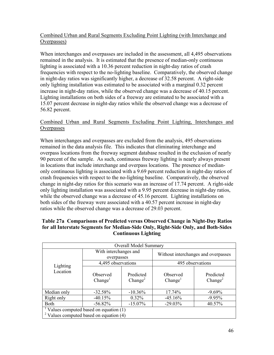#### Combined Urban and Rural Segments Excluding Point Lighting (with Interchange and Overpasses)

When interchanges and overpasses are included in the assessment, all 4,495 observations remained in the analysis. It is estimated that the presence of median-only continuous lighting is associated with a 10.36 percent reduction in night-day ratios of crash frequencies with respect to the no-lighting baseline. Comparatively, the observed change in night-day ratios was significantly higher, a decrease of 32.58 percent. A right-side only lighting installation was estimated to be associated with a marginal 0.32 percent increase in night-day ratios, while the observed change was a decrease of 40.15 percent. Lighting installations on both sides of a freeway are estimated to be associated with a 15.07 percent decrease in night-day ratios while the observed change was a decrease of 56.82 percent.

#### Combined Urban and Rural Segments Excluding Point Lighting, Interchanges and **Overpasses**

When interchanges and overpasses are excluded from the analysis, 495 observations remained in the data analysis file. This indicates that eliminating interchange and overpass locations from the freeway segment database resulted in the exclusion of nearly 90 percent of the sample. As such, continuous freeway lighting is nearly always present in locations that include interchange and overpass locations. The presence of medianonly continuous lighting is associated with a 9.69 percent reduction in night-day ratios of crash frequencies with respect to the no-lighting baseline. Comparatively, the observed change in night-day ratios for this scenario was an increase of 17.74 percent. A right-side only lighting installation was associated with a 9.95 percent decrease in night-day ratios, while the observed change was a decrease of 45.16 percent. Lighting installations on both sides of the freeway were associated with a 40.57 percent increase in night-day ratios while the observed change was a decrease of 29.03 percent.

| Overall Model Summary                                                                            |                                     |                                  |                                     |                                  |  |
|--------------------------------------------------------------------------------------------------|-------------------------------------|----------------------------------|-------------------------------------|----------------------------------|--|
|                                                                                                  | With interchanges and<br>overpasses |                                  | Without interchanges and overpasses |                                  |  |
|                                                                                                  | 4,495 observations                  |                                  |                                     | 495 observations                 |  |
| Lighting<br>Location                                                                             | Observed<br>Change <sup>1</sup>     | Predicted<br>Change <sup>2</sup> | Observed<br>Change <sup>1</sup>     | Predicted<br>Change <sup>2</sup> |  |
| Median only                                                                                      | $-32.58%$                           | $-10.36%$                        | 17.74%                              | $-9.69%$                         |  |
| Right only                                                                                       | $-40.15%$                           | 0.32%                            | $-45.16%$                           | $-9.95%$                         |  |
| <b>Both</b>                                                                                      | $-56.82\%$                          | $-15.07\%$                       | $-29.03%$                           | 40.57%                           |  |
| $\frac{1}{2}$ Values computed based on equation (1)<br>$2$ Values computed based on equation (4) |                                     |                                  |                                     |                                  |  |

#### **Table 27a Comparisons of Predicted versus Observed Change in Night-Day Ratios for all Interstate Segments for Median-Side Only, Right-Side Only, and Both-Sides Continuous Lighting**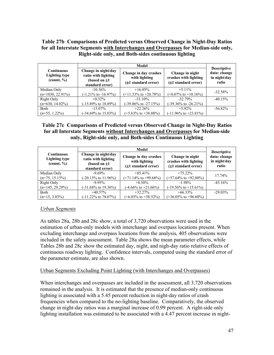#### **Table 27b Comparisons of Predicted versus Observed Change in Night-Day Ratios for all Interstate Segments with Interchanges and Overpasses for Median-side only, Right-side only, and Both-sides continuous lighting**

| <b>Continuous</b><br><b>Lighting type</b><br>$\left(\text{count}, \frac{0}{0}\right)$ | Change in night/day<br>ratio with lighting<br>(based on $\pm 1$<br>standard error) | Change in day crashes<br>with lighting<br>(±1 standard error) | Change in night<br>crashes with lighting<br>$(\pm 1$ standard error) | <b>Descriptive</b><br>data: change<br>in night/day<br>ratio |
|---------------------------------------------------------------------------------------|------------------------------------------------------------------------------------|---------------------------------------------------------------|----------------------------------------------------------------------|-------------------------------------------------------------|
| Median Only                                                                           | $-10.36\%$                                                                         | $+16.05\%$                                                    | $+511\%$                                                             | $-32.58%$                                                   |
| $(n=1030, 22.91\%)$                                                                   | $(-1.21\% \text{ to } -16.97\%)$                                                   | $(+11.33\% \text{ to } +20.78\%)$                             | $(+0.07\% \text{ to } +10.16\%)$                                     |                                                             |
| Right Only                                                                            | $+0.32\%$                                                                          | $-33.10\%$                                                    | $-32.79\%$                                                           | $-40.15%$                                                   |
| $(n=630, 14.02\%)$                                                                    | $(-15.89\% \text{ to } 18.89\%)$                                                   | $(-39.06\% \text{ to } -27.15\%)$                             | $(-39.36\% \text{ to } -26.21\%)$                                    |                                                             |
| <b>Both</b>                                                                           | $-15.07\%$                                                                         | $+22.26%$                                                     | $+5.92\%$                                                            | $-56.82\%$                                                  |
| $(n=55, 1.22\%)$                                                                      | $(-34.69\% \text{ to } 15.03\%)$                                                   | $(+5.63\% \text{ to } +38.88\%)$                              | $(-11.96\% \text{ to } +23.81\%)$                                    |                                                             |

#### **Table 27c Comparisons of Predicted versus Observed Change in Night-Day Ratios for all Interstate Segments without Interchanges and Overpasses for Median-side only, Right-side only, and Both-sides Continuous Lighting**

| <b>Continuous</b><br><b>Lighting type</b><br>$\left(\text{count}, \frac{0}{0}\right)$ | Change in night/day<br>ratio with lighting<br>(based on $\pm 1$<br>standard error) | Change in day crashes<br>with lighting<br>$(\pm 1$ standard error) | Change in night<br>crashes with lighting<br>$(\pm 1$ standard error) | <b>Descriptive</b><br>data: change<br>in night/day<br>ratio |
|---------------------------------------------------------------------------------------|------------------------------------------------------------------------------------|--------------------------------------------------------------------|----------------------------------------------------------------------|-------------------------------------------------------------|
| Median Only                                                                           | $-9.69\%$                                                                          | $+85.41\%$                                                         | $+75.22\%$                                                           | 17.74%                                                      |
| $(n=75, 15.15\%)$                                                                     | $(-20.15\% \text{ to } 11.96\%)$                                                   | $(+71.14\% \text{ to } +99.68\%)$                                  | $(+57.64\% \text{ to } +92.80\%)$                                    |                                                             |
| Right Only                                                                            | $-9.95\%$                                                                          | $+8.50\%$                                                          | $-1.98\%$                                                            | $-45.16%$                                                   |
| $(n=145, 29.29%)$                                                                     | $(-31.68\% \text{ to } 19.36\%)$                                                   | $(-4.66\% \text{ to } +21.66\%)$                                   | $(-19.56\% \text{ to } +15.61\%)$                                    |                                                             |
| Both                                                                                  | $+40.57\%$                                                                         | $+32.27%$                                                          | $+66.33\%$                                                           | $-29.03\%$                                                  |
| $(n=15, 3.03\%)$                                                                      | $(-11.22\% \text{ to } 78.07\%)$                                                   | $(+6.03\% \text{ to } +58.52\%)$                                   | $(+36.05\% \text{ to } +96.60\%)$                                    |                                                             |

### *Urban Segments*

As tables 28a, 28b and 28c show, a total of 3,720 observations were used in the estimation of urban-only models with interchange and overpass locations present. When excluding interchange and overpass locations from the analysis, 405 observations were included in the safety assessment. Table 28a shows the mean parameter effects, while Tables 28b and 28c show the estimated day, night, and nigh-day ratio relative effects of continuous roadway lighting. Confidence intervals, computed using the standard error of the parameter estimate, are also shown.

#### Urban Segments Excluding Point Lighting (with Interchanges and Overpasses)

When interchanges and overpasses are included in the assessment, all 3,720 observations remained in the analysis. It is estimated that the presence of median-only continuous lighting is associated with a 5.45 percent reduction in night-day ratios of crash frequencies when compared to the no-lighting baseline. Comparatively, the observed change in night-day ratios was a marginal increase of 0.99 percent. A right-side only lighting installation was estimated to be associated with a 4.47 percent increase in night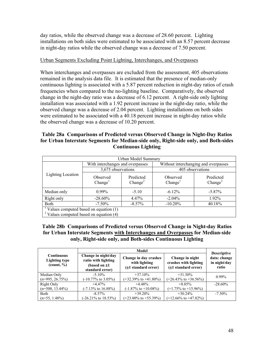day ratios, while the observed change was a decrease of 28.60 percent. Lighting installations on both sides were estimated to be associated with an 8.57 percent decrease in night-day ratios while the observed change was a decrease of 7.50 percent.

#### Urban Segments Excluding Point Lighting, Interchanges, and Overpasses

When interchanges and overpasses are excluded from the assessment, 405 observations remained in the analysis data file. It is estimated that the presence of median-only continuous lighting is associated with a 5.87 percent reduction in night-day ratios of crash frequencies when compared to the no-lighting baseline. Comparatively, the observed change in the night-day ratio was a decrease of 6.12 percent. A right-side only lighting installation was associated with a 1.92 percent increase in the night-day ratio, while the observed change was a decrease of 2.04 percent. Lighting installations on both sides were estimated to be associated with a 40.18 percent increase in night-day ratios while the observed change was a decrease of 10.20 percent.

#### **Table 28a Comparisons of Predicted versus Observed Change in Night-Day Ratios for Urban Interstate Segments for Median-side only, Right-side only, and Both-sides Continuous Lighting**

| Urban Model Summary                                 |                                           |                                  |                                      |                                  |  |  |
|-----------------------------------------------------|-------------------------------------------|----------------------------------|--------------------------------------|----------------------------------|--|--|
|                                                     | With interchanges and overpasses          |                                  | Without interchanging and overpasses |                                  |  |  |
|                                                     | 3,675 observations                        |                                  | 405 observations                     |                                  |  |  |
| Lighting Location                                   | Observed<br>Change <sup>1</sup>           | Predicted<br>Change <sup>2</sup> | Observed<br>Change <sup>1</sup>      | Predicted<br>Change <sup>2</sup> |  |  |
| Median only                                         | $0.99\%$                                  | $-5.10$                          | $-6.12\%$                            | $-5.87\%$                        |  |  |
| Right only                                          | $-28.60\%$                                | 4.47%                            | $-2.04\%$                            | 1.92%                            |  |  |
| <b>Both</b>                                         | $-7.50\%$                                 | $-8.57\%$                        | $-10.20\%$                           | 40.18%                           |  |  |
| $\frac{1}{2}$ Values computed based on equation (1) |                                           |                                  |                                      |                                  |  |  |
|                                                     | $2$ Values computed based on equation (4) |                                  |                                      |                                  |  |  |

#### **Table 28b Comparisons of Predicted versus Observed Change in Night-day Ratios for Urban Interstate Segments with Interchanges and Overpasses for Median-side only, Right-side only, and Both-sides Continuous Lighting**

| <b>Continuous</b><br><b>Lighting type</b><br>$\left(\text{count}, \frac{0}{0}\right)$ | Change in night/day<br>ratio with lighting<br>(based on $\pm 1$<br>standard error) | Change in day crashes<br>with lighting<br>$(\pm 1$ standard error) | Change in night<br>crashes with lighting<br>$(\pm 1$ standard error) | <b>Descriptive</b><br>data: change<br>in night/day<br>ratio |
|---------------------------------------------------------------------------------------|------------------------------------------------------------------------------------|--------------------------------------------------------------------|----------------------------------------------------------------------|-------------------------------------------------------------|
| Median Only                                                                           | $-5.10\%$                                                                          | $+37.10\%$                                                         | $+31.50\%$                                                           | $0.99\%$                                                    |
| $(n=995, 26.75%)$                                                                     | $(-10.77\% \text{ to } 3.05\%)$                                                    | $(+32.39\% \text{ to } +41.80\%)$                                  | $(+26.43\% \text{ to } +36.56\%)$                                    |                                                             |
| Right Only                                                                            | $+4.47%$                                                                           | $+4.48%$                                                           | $+8.85%$                                                             | $-28.60\%$                                                  |
| $(n=500, 13.44\%)$                                                                    | $(-7.13\% \text{ to } 16.88\%)$                                                    | $(-1.87\% \text{ to } +10.08\%)$                                   | $(+1.75\% \text{ to } +15.96\%)$                                     |                                                             |
| <b>Both</b>                                                                           | $-8.57\%$                                                                          | $+39.20\%$                                                         | $+30.24\%$                                                           | $-7.50\%$                                                   |
| $(n=55, 1.48\%)$                                                                      | $(-26.21\% \text{ to } 18.53\%)$                                                   | $(+23.00\% \text{ to } +55.39\%)$                                  | $(+12.66\% \text{ to } +47.82\%)$                                    |                                                             |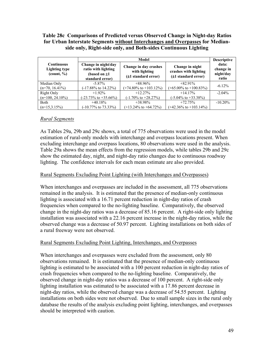#### **Table 28c Comparisons of Predicted versus Observed Change in Night-day Ratios for Urban Interstate Segments without Interchanges and Overpasses for Medianside only, Right-side only, and Both-sides Continuous Lighting**

|                                                                |                                                                                    | Model                                                              |                                                                      |                                          |  |  |  |
|----------------------------------------------------------------|------------------------------------------------------------------------------------|--------------------------------------------------------------------|----------------------------------------------------------------------|------------------------------------------|--|--|--|
| <b>Continuous</b><br>Lighting type<br>$\frac{1}{2}$ (count, %) | Change in night/day<br>ratio with lighting<br>(based on $\pm 1$<br>standard error) | Change in day crashes<br>with lighting<br>$(\pm 1$ standard error) | Change in night<br>crashes with lighting<br>$(\pm 1$ standard error) | data:<br>change in<br>night/day<br>ratio |  |  |  |
| Median Only                                                    | $-5.87\%$                                                                          | $+88.96\%$                                                         | $+82.91\%$                                                           | $-6.12%$                                 |  |  |  |
| $(n=70, 16.41\%)$                                              | $(-17.88\% \text{ to } 14.22\%)$                                                   | $(+74.80\% \text{ to } +103.12\%)$                                 | $(+65.00\% \text{ to } +100.83\%)$                                   |                                          |  |  |  |
| Right Only                                                     | $+1.92\%$                                                                          | $+12.27\%$                                                         | $+14.17\%$                                                           | $-2.04\%$                                |  |  |  |
| $(n=100, 24.10\%)$                                             | $(-23.73\% \text{ to } +35.66\%)$                                                  | $(-1.70\% \text{ to } +28.27\%)$                                   | $(-5.04\% \text{ to } +33.38\%)$                                     |                                          |  |  |  |
| <b>Both</b>                                                    | $+40.18%$                                                                          | $+38.98\%$                                                         | $+72.75%$                                                            | $-10.20\%$                               |  |  |  |
| $(n=15.3.15\%)$                                                | $(-10.77\% \text{ to } 73.33\%)$                                                   | $(+13.24\% \text{ to } +64.72\%)$                                  | $(+42.36\% \text{ to } +103.14\%)$                                   |                                          |  |  |  |

#### *Rural Segments*

As Tables 29a, 29b and 29c shows, a total of 775 observations were used in the model estimation of rural-only models with interchange and overpass locations present. When excluding interchange and overpass locations, 80 observations were used in the analysis. Table 29a shows the mean effects from the regression models, while tables 29b and 29c show the estimated day, night, and night-day ratio changes due to continuous roadway lighting. The confidence intervals for each mean estimate are also provided.

#### Rural Segments Excluding Point Lighting (with Interchanges and Overpasses)

When interchanges and overpasses are included in the assessment, all 775 observations remained in the analysis. It is estimated that the presence of median-only continuous lighting is associated with a 16.71 percent reduction in night-day ratios of crash frequencies when compared to the no-lighting baseline. Comparatively, the observed change in the night-day ratios was a decrease of 85.16 percent. A right-side only lighting installation was associated with a 22.16 percent increase in the night-day ratios, while the observed change was a decrease of 50.97 percent. Lighting installations on both sides of a rural freeway were not observed.

#### Rural Segments Excluding Point Lighting, Interchanges, and Overpasses

When interchanges and overpasses were excluded from the assessment, only 80 observations remained. It is estimated that the presence of median-only continuous lighting is estimated to be associated with a 100 percent reduction in night-day ratios of crash frequencies when compared to the no-lighting baseline. Comparatively, the observed change in night-day ratios was a decrease of 100 percent. A right-side only lighting installation was estimated to be associated with a 17.86 percent decrease in night-day ratios, while the observed change was a decrease of 54.55 percent. Lighting installations on both sides were not observed. Due to small sample sizes in the rural only database the results of the analysis excluding point lighting, interchanges, and overpasses should be interpreted with caution.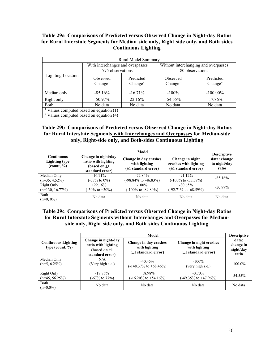#### **Table 29a Comparisons of Predicted versus Observed Change in Night-day Ratios for Rural Interstate Segments for Median-side only, Right-side only, and Both-sides Continuous Lighting**

| Rural Model Summary                       |                                                     |                                  |                                      |                                  |  |  |  |  |
|-------------------------------------------|-----------------------------------------------------|----------------------------------|--------------------------------------|----------------------------------|--|--|--|--|
|                                           | With interchanges and overpasses                    |                                  | Without interchanging and overpasses |                                  |  |  |  |  |
| <b>Lighting Location</b><br>Median only   | 775 observations                                    |                                  |                                      | 80 observations                  |  |  |  |  |
|                                           | <b>Observed</b><br>Change <sup>1</sup>              | Predicted<br>Change <sup>2</sup> | Observed<br>Change <sup>1</sup>      | Predicted<br>Change <sup>2</sup> |  |  |  |  |
|                                           | $-85.16\%$                                          | $-16.71\%$                       | $-100\%$                             | $-100.00\%$                      |  |  |  |  |
| Right only                                | $-50.97\%$                                          | 22.16%                           | $-54.55\%$                           | $-17.86%$                        |  |  |  |  |
| <b>Both</b>                               | No data                                             | No data                          | No data                              | No data                          |  |  |  |  |
|                                           | $\frac{1}{2}$ Values computed based on equation (1) |                                  |                                      |                                  |  |  |  |  |
| $2$ Values computed based on equation (4) |                                                     |                                  |                                      |                                  |  |  |  |  |

#### **Table 29b Comparisons of Predicted versus Observed Change in Night-day Ratios for Rural Interstate Segments with Interchanges and Overpasses for Median-side only, Right-side only, and Both-sides Continuous Lighting**

|                                                                                       |                                                                                    | Model                                                              |                                                                 | <b>Descriptive</b><br>data: change<br>in night/day<br>ratio |  |
|---------------------------------------------------------------------------------------|------------------------------------------------------------------------------------|--------------------------------------------------------------------|-----------------------------------------------------------------|-------------------------------------------------------------|--|
| <b>Continuous</b><br><b>Lighting type</b><br>$\left(\text{count}, \frac{0}{0}\right)$ | Change in night/day<br>ratio with lighting<br>(based on $\pm 1$<br>standard error) | Change in day crashes<br>with lighting<br>$(\pm 1$ standard error) | Change in night<br>crashes with lighting<br>(±1 standard error) |                                                             |  |
| Median Only<br>$(n=35, 4.52\%)$                                                       | $-16.71\%$<br>$(-37\% \text{ to } 0\%)$                                            | $-72.84\%$<br>$(-98.84\% \text{ to } -46.83\%)$                    | $-91.12\%$<br>$(-100\% \text{ to } -55.57\%)$                   | $-85.16%$                                                   |  |
| Right Only<br>$(n=130, 16.77\%)$                                                      | $+22.16%$<br>$(-30\% \text{ to } +30\%)$                                           | $-100\%$<br>$(-100\% \text{ to } -89.80\%)$                        | $-80.65\%$<br>$(-92.71\% \text{ to } -68.59\%)$                 | $-50.97\%$                                                  |  |
| Both<br>$(n=0, 0\%)$                                                                  | No data                                                                            | No data                                                            | No data                                                         | No data                                                     |  |

#### **Table 29c Comparisons of Predicted versus Observed Change in Night-day Ratios for Rural Interstate Segments without Interchanges and Overpasses for Medianside only, Right-side only, and Both-sides Continuous Lighting**

|                                                   |                                                                                    | Model                                                         |                                                                      | <b>Descriptive</b>                       |
|---------------------------------------------------|------------------------------------------------------------------------------------|---------------------------------------------------------------|----------------------------------------------------------------------|------------------------------------------|
| <b>Continuous Lighting</b><br>type (count, $\%$ ) | Change in night/day<br>ratio with lighting<br>(based on $\pm 1$<br>standard error) | Change in day crashes<br>with lighting<br>(±1 standard error) | Change in night crashes<br>with lighting<br>$(\pm 1$ standard error) | data:<br>change in<br>night/day<br>ratio |
| Median Only<br>$(n=5, 6.25\%)$                    | N/A<br>(Very high s.e.)                                                            | $-40.45%$<br>$(-148.37\% \text{ to } +68.46\%)$               | $-100\%$<br>(very high s.e.)                                         | $-100.0\%$                               |
| <b>Right Only</b><br>$(n=45, 56.25%)$             | $-17.86\%$<br>(-67% to 77%)                                                        | $+18.98\%$<br>$(-16.20\% \text{ to } +54.16\%)$               | $-0.70\%$<br>$(-49.35\% \text{ to } +47.96\%)$                       | $-54.55\%$                               |
| Both<br>$(n=0.0\%)$                               | No data                                                                            | No data                                                       | No data                                                              | No data                                  |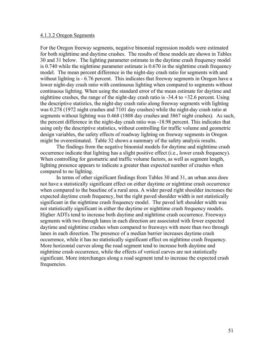#### 4.1.3.2 Oregon Segments

For the Oregon freeway segments, negative binomial regression models were estimated for both nighttime and daytime crashes. The results of these models are shown in Tables 30 and 31 below. The lighting parameter estimate in the daytime crash frequency model is 0.740 while the nighttime parameter estimate is 0.670 in the nighttime crash frequency model. The mean percent difference in the night-day crash ratio for segments with and without lighting is  $-6.76$  percent. This indicates that freeway segments in Oregon have a lower night-day crash ratio with continuous lighting when compared to segments without continuous lighting. When using the standard error of the mean estimate for daytime and nighttime crashes, the range of the night-day crash ratio is -34.4 to +32.6 percent. Using the descriptive statistics, the night-day crash ratio along freeway segments with lighting was 0.278 (1972 night crashes and 7101 day crashes) while the night-day crash ratio at segments without lighting was 0.468 (1808 day crashes and 3867 night crashes). As such, the percent difference in the night-day crash ratio was -18.98 percent. This indicates that using only the descriptive statistics, without controlling for traffic volume and geometric design variables, the safety effects of roadway lighting on freeway segments in Oregon might be overestimated. Table 32 shows a summary of the safety analysis results.

The findings from the negative binomial models for daytime and nighttime crash occurrence indicate that lighting has a slight positive effect (i.e., lower crash frequency). When controlling for geometric and traffic volume factors, as well as segment length, lighting presence appears to indicate a greater than expected number of crashes when compared to no lighting.

In terms of other significant findings from Tables 30 and 31, an urban area does not have a statistically significant effect on either daytime or nighttime crash occurrence when compared to the baseline of a rural area. A wider paved right shoulder increases the expected daytime crash frequency, but the right paved shoulder width is not statistically significant in the nighttime crash frequency model. The paved left shoulder width was not statistically significant in either the daytime or nighttime crash frequency models. Higher ADTs tend to increase both daytime and nighttime crash occurrence. Freeways segments with two through lanes in each direction are associated with fewer expected daytime and nighttime crashes when compared to freeways with more than two through lanes in each direction. The presence of a median barrier increases daytime crash occurrence, while it has no statistically significant effect on nighttime crash frequency. More horizontal curves along the road segment tend to increase both daytime and nighttime crash occurrence, while the effects of vertical curves are not statistically significant. More interchanges along a road segment tend to increase the expected crash frequencies.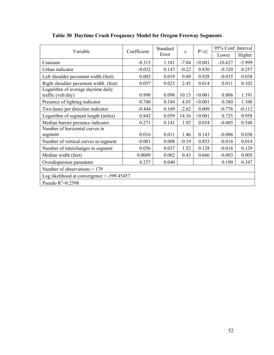| Variable                             | Coefficient                                  | Standard | Z       | P >  z  | 95% Conf. Interval |          |  |  |  |
|--------------------------------------|----------------------------------------------|----------|---------|---------|--------------------|----------|--|--|--|
|                                      |                                              | Error    |         |         | Lower              | Higher   |  |  |  |
| Constant                             | $-8.313$                                     | 1.181    | $-7.04$ | < 0.001 | $-10.627$          | $-5.999$ |  |  |  |
| Urban indicator                      | $-0.032$                                     | 0.147    | $-0.22$ | 0.830   | $-0.320$           | 0.257    |  |  |  |
| Left shoulder pavement width (feet)  | 0.002                                        | 0.019    | 0.09    | 0.928   | $-0.035$           | 0.038    |  |  |  |
| Right shoulder pavement width (feet) | 0.057                                        | 0.023    | 2.45    | 0.014   | 0.011              | 0.102    |  |  |  |
| Logarithm of average daytime daily   |                                              |          |         |         |                    |          |  |  |  |
| traffic (veh/day)                    | 0.998                                        | 0.098    | 10.15   | < 0.001 | 0.806              | 1.191    |  |  |  |
| Presence of lighting indicator       | 0.740                                        | 0.184    | 4.03    | < 0.001 | 0.380              | 1.100    |  |  |  |
| Two-lanes per direction indicator    | $-0.444$                                     | 0.169    | $-2.62$ | 0.009   | $-0.776$           | $-0.112$ |  |  |  |
| Logarithm of segment length (miles)  | 0.842                                        | 0.059    | 14.16   | < 0.001 | 0.725              | 0.958    |  |  |  |
| Median barrier presence indicator    | 0.271                                        | 0.141    | 1.92    | 0.054   | $-0.005$           | 0.548    |  |  |  |
| Number of horizontal curves in       |                                              |          |         |         |                    |          |  |  |  |
| segment                              | 0.016                                        | 0.011    | 1.46    | 0.143   | $-0.006$           | 0.038    |  |  |  |
| Number of vertical curves in segment | $-0.001$                                     | 0.008    | $-0.19$ | 0.853   | $-0.016$           | 0.014    |  |  |  |
| Number of interchanges in segment    | 0.056                                        | 0.037    | 1.52    | 0.128   | $-0.016$           | 0.129    |  |  |  |
| Median width (feet)                  | 0.0009                                       | 0.002    | 0.43    | 0.666   | $-0.003$           | 0.005    |  |  |  |
| Overdispersion parameter             | 0.257                                        | 0.040    |         |         | 0.190              | 0.347    |  |  |  |
| Number of observations $= 179$       |                                              |          |         |         |                    |          |  |  |  |
|                                      | Log likelihood at convergence $= -599.45457$ |          |         |         |                    |          |  |  |  |
| Pseudo $R^2 = 0.2598$                |                                              |          |         |         |                    |          |  |  |  |

# **Table 30 Daytime Crash Frequency Model for Oregon Freeway Segments**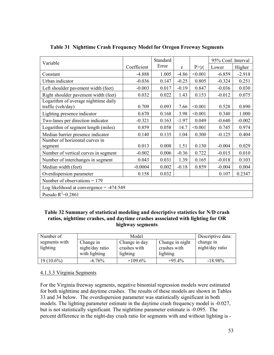| Variable                                                  |             | Standard                                                                                                                                                                                                                                                                                                                                                                                                                                                                                                                                                                                                                                                                                                                                  |        |  |  |          |
|-----------------------------------------------------------|-------------|-------------------------------------------------------------------------------------------------------------------------------------------------------------------------------------------------------------------------------------------------------------------------------------------------------------------------------------------------------------------------------------------------------------------------------------------------------------------------------------------------------------------------------------------------------------------------------------------------------------------------------------------------------------------------------------------------------------------------------------------|--------|--|--|----------|
|                                                           | Coefficient | 95% Conf. Interval<br>Error<br>P >  z <br>Lower<br>Z<br>< 0.001<br>$-4.86$<br>$-6.859$<br>$-4.888$<br>1.005<br>$-0.036$<br>0.147<br>$-0.25$<br>0.805<br>$-0.324$<br>$-0.003$<br>0.017<br>$-0.19$<br>0.847<br>$-0.036$<br>0.032<br>0.022<br>1.43<br>0.153<br>$-0.012$<br>< 0.001<br>0.709<br>0.093<br>7.66<br>0.528<br>0.670<br>0.168<br>3.98<br>< 0.001<br>0.340<br>$-1.97$<br>0.049<br>$-0.321$<br>0.163<br>$-0.640$<br>0.859<br>0.058<br>< 0.001<br>0.745<br>14.7<br>0.140<br>0.135<br>1.04<br>0.300<br>$-0.125$<br>0.013<br>0.008<br>1.51<br>0.130<br>$-0.004$<br>$-0.002$<br>0.006<br>$-0.36$<br>0.722<br>$-0.015$<br>0.043<br>0.031<br>1.39<br>0.165<br>$-0.018$<br>0.002<br>$-0.18$<br>0.859<br>$-0.004$<br>0.158<br>0.032<br>0.107 | Higher |  |  |          |
| Constant                                                  |             |                                                                                                                                                                                                                                                                                                                                                                                                                                                                                                                                                                                                                                                                                                                                           |        |  |  | $-2.918$ |
| Urban indicator                                           |             |                                                                                                                                                                                                                                                                                                                                                                                                                                                                                                                                                                                                                                                                                                                                           |        |  |  | 0.251    |
| Left shoulder pavement width (feet)                       |             |                                                                                                                                                                                                                                                                                                                                                                                                                                                                                                                                                                                                                                                                                                                                           |        |  |  | 0.030    |
| Right shoulder pavement width (feet)                      |             |                                                                                                                                                                                                                                                                                                                                                                                                                                                                                                                                                                                                                                                                                                                                           |        |  |  | 0.075    |
| Logarithm of average nighttime daily<br>traffic (veh/day) |             |                                                                                                                                                                                                                                                                                                                                                                                                                                                                                                                                                                                                                                                                                                                                           |        |  |  | 0.890    |
| Lighting presence indicator                               |             |                                                                                                                                                                                                                                                                                                                                                                                                                                                                                                                                                                                                                                                                                                                                           |        |  |  | 1.000    |
| Two-lanes per direction indicator                         |             |                                                                                                                                                                                                                                                                                                                                                                                                                                                                                                                                                                                                                                                                                                                                           |        |  |  | $-0.002$ |
| Logarithm of segment length (miles)                       |             |                                                                                                                                                                                                                                                                                                                                                                                                                                                                                                                                                                                                                                                                                                                                           |        |  |  | 0.974    |
| Median barrier presence indicator                         |             |                                                                                                                                                                                                                                                                                                                                                                                                                                                                                                                                                                                                                                                                                                                                           |        |  |  | 0.404    |
| Number of horizontal curves in<br>segment                 |             |                                                                                                                                                                                                                                                                                                                                                                                                                                                                                                                                                                                                                                                                                                                                           |        |  |  | 0.029    |
| Number of vertical curves in segment                      |             |                                                                                                                                                                                                                                                                                                                                                                                                                                                                                                                                                                                                                                                                                                                                           |        |  |  | 0.010    |
| Number of interchanges in segment                         |             |                                                                                                                                                                                                                                                                                                                                                                                                                                                                                                                                                                                                                                                                                                                                           |        |  |  | 0.103    |
| Median width (feet)                                       | $-0.0004$   |                                                                                                                                                                                                                                                                                                                                                                                                                                                                                                                                                                                                                                                                                                                                           |        |  |  | 0.004    |
| Overdispersion parameter                                  |             |                                                                                                                                                                                                                                                                                                                                                                                                                                                                                                                                                                                                                                                                                                                                           |        |  |  | 0.2347   |
| Number of observations $= 179$                            |             |                                                                                                                                                                                                                                                                                                                                                                                                                                                                                                                                                                                                                                                                                                                                           |        |  |  |          |
| Log likelihood at convergence $=$ -474.549                |             |                                                                                                                                                                                                                                                                                                                                                                                                                                                                                                                                                                                                                                                                                                                                           |        |  |  |          |
| Pseudo $R^2=0.2861$                                       |             |                                                                                                                                                                                                                                                                                                                                                                                                                                                                                                                                                                                                                                                                                                                                           |        |  |  |          |

#### **Table 31 Nighttime Crash Frequency Model for Oregon Freeway Segments**

#### **Table 32 Summary of statistical modeling and descriptive statistics for N/D crash ratios, nighttime crashes, and daytime crashes associated with lighting for OR highway segments**

| Number of     |                 | Model         |                 | Descriptive data: |
|---------------|-----------------|---------------|-----------------|-------------------|
| segments with | Change in       | Change in day | Change in night | change in         |
| lighting      | night/day ratio | crashes with  | crashes with    | night/day ratio   |
|               | with lighting   | lighting      | lighting        |                   |
| $19(10.6\%)$  | $-6.76\%$       | $+109.6\%$    | $+95.4%$        | $-18.98\%$        |

#### 4.1.3.3 Virginia Segments

For the Virginia freeway segments, negative binomial regression models were estimated for both nighttime and daytime crashes. The results of these models are shown in Tables 33 and 34 below. The overdispersion parameter was statistically significant in both models. The lighting parameter estimate in the daytime crash frequency model is -0.027, but is not statistically significant. The nighttime parameter estimate is -0.095. The percent difference in the night-day crash ratio for segments with and without lighting is -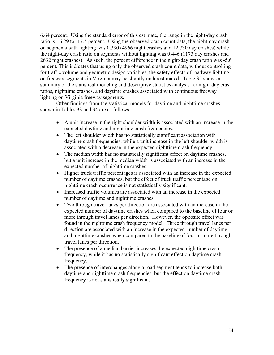6.64 percent*.* Using the standard error of this estimate, the range in the night-day crash ratio is +6.29 to -17.5 percent.Using the observed crash count data, the night-day crash on segments with lighting was 0.390 (4966 night crashes and 12,730 day crashes) while the night-day crash ratio on segments without lighting was 0.446 (1173 day crashes and 2632 night crashes). As such, the percent difference in the night-day crash ratio was -5.6 percent. This indicates that using only the observed crash count data, without controlling for traffic volume and geometric design variables, the safety effects of roadway lighting on freeway segments in Virginia may be slightly underestimated. Table 35 shows a summary of the statistical modeling and descriptive statistics analysis for night-day crash ratios, nighttime crashes, and daytime crashes associated with continuous freeway lighting on Virginia freeway segments.

Other findings from the statistical models for daytime and nighttime crashes shown in Tables 33 and 34 are as follows:

- A unit increase in the right shoulder width is associated with an increase in the expected daytime and nighttime crash frequencies.
- The left shoulder width has no statistically significant association with daytime crash frequencies, while a unit increase in the left shoulder width is associated with a decrease in the expected nighttime crash frequency.
- The median width has no statistically significant effect on daytime crashes, but a unit increase in the median width is associated with an increase in the expected number of nighttime crashes.
- Higher truck traffic percentages is associated with an increase in the expected number of daytime crashes, but the effect of truck traffic percentage on nighttime crash occurrence is not statistically significant.
- Increased traffic volumes are associated with an increase in the expected number of daytime and nighttime crashes.
- Two through travel lanes per direction are associated with an increase in the expected number of daytime crashes when compared to the baseline of four or more through travel lanes per direction. However, the opposite effect was found in the nighttime crash frequency model. Three through travel lanes per direction are associated with an increase in the expected number of daytime and nighttime crashes when compared to the baseline of four or more through travel lanes per direction.
- The presence of a median barrier increases the expected nighttime crash frequency, while it has no statistically significant effect on daytime crash frequency.
- The presence of interchanges along a road segment tends to increase both daytime and nighttime crash frequencies, but the effect on daytime crash frequency is not statistically significant.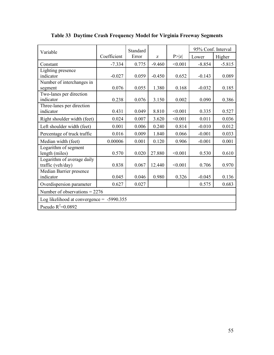| Variable                                        |             | Standard |          |         | 95% Conf. Interval |          |
|-------------------------------------------------|-------------|----------|----------|---------|--------------------|----------|
|                                                 | Coefficient | Error    | Z        | P >  z  | Lower              | Higher   |
| Constant                                        | $-7.334$    | 0.775    | $-9.460$ | < 0.001 | $-8.854$           | $-5.815$ |
| Lighting presence                               |             |          |          |         |                    |          |
| indicator                                       | $-0.027$    | 0.059    | $-0.450$ | 0.652   | $-0.143$           | 0.089    |
| Number of interchanges in                       |             |          |          |         |                    |          |
| segment                                         | 0.076       | 0.055    | 1.380    | 0.168   | $-0.032$           | 0.185    |
| Two-lanes per direction                         |             |          |          |         |                    |          |
| indicator                                       | 0.238       | 0.076    | 3.150    | 0.002   | 0.090              | 0.386    |
| Three-lanes per direction                       |             |          |          |         |                    |          |
| indicator                                       | 0.431       | 0.049    | 8.810    | < 0.001 | 0.335              | 0.527    |
| Right shoulder width (feet)                     | 0.024       | 0.007    | 3.620    | < 0.001 | 0.011              | 0.036    |
| Left shoulder width (feet)                      | 0.001       | 0.006    | 0.240    | 0.814   | $-0.010$           | 0.012    |
| Percentage of truck traffic                     | 0.016       | 0.009    | 1.840    | 0.066   | $-0.001$           | 0.033    |
| Median width (feet)                             | 0.00006     | 0.001    | 0.120    | 0.906   | $-0.001$           | 0.001    |
| Logarithm of segment<br>length (miles)          | 0.570       | 0.020    | 27.880   | < 0.001 | 0.530              | 0.610    |
| Logarithm of average daily<br>traffic (veh/day) | 0.838       | 0.067    | 12.440   | < 0.001 | 0.706              | 0.970    |
| Median Barrier presence<br>indicator            | 0.045       | 0.046    | 0.980    | 0.326   | $-0.045$           | 0.136    |
| Overdispersion parameter                        | 0.627       | 0.027    |          |         | 0.575              | 0.683    |
| Number of observations = $2276$                 |             |          |          |         |                    |          |
| Log likelihood at convergence = $-5990.355$     |             |          |          |         |                    |          |
| Pseudo $R^2$ =0.0892                            |             |          |          |         |                    |          |

**Table 33 Daytime Crash Frequency Model for Virginia Freeway Segments**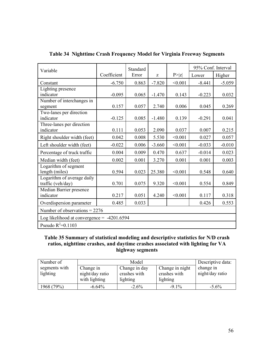| Variable                                     |             | Standard |          |         | 95% Conf. Interval |          |
|----------------------------------------------|-------------|----------|----------|---------|--------------------|----------|
|                                              | Coefficient | Error    | Z        | P >  z  | Lower              | Higher   |
| Constant                                     | $-6.750$    | 0.863    | $-7.820$ | < 0.001 | $-8.441$           | $-5.059$ |
| Lighting presence                            |             |          |          |         |                    |          |
| indicator                                    | $-0.095$    | 0.065    | $-1.470$ | 0.143   | $-0.223$           | 0.032    |
| Number of interchanges in                    |             |          |          |         |                    |          |
| segment                                      | 0.157       | 0.057    | 2.740    | 0.006   | 0.045              | 0.269    |
| Two-lanes per direction                      |             |          |          |         |                    |          |
| indicator                                    | $-0.125$    | 0.085    | $-1.480$ | 0.139   | $-0.291$           | 0.041    |
| Three-lanes per direction                    |             |          |          |         |                    |          |
| indicator                                    | 0.111       | 0.053    | 2.090    | 0.037   | 0.007              | 0.215    |
| Right shoulder width (feet)                  | 0.042       | 0.008    | 5.530    | < 0.001 | 0.027              | 0.057    |
| Left shoulder width (feet)                   | $-0.022$    | 0.006    | $-3.660$ | < 0.001 | $-0.033$           | $-0.010$ |
| Percentage of truck traffic                  | 0.004       | 0.009    | 0.470    | 0.637   | $-0.014$           | 0.023    |
| Median width (feet)                          | 0.002       | 0.001    | 3.270    | 0.001   | 0.001              | 0.003    |
| Logarithm of segment<br>length (miles)       | 0.594       | 0.023    | 25.380   | < 0.001 | 0.548              | 0.640    |
| Logarithm of average daily                   |             |          |          |         |                    |          |
| traffic (veh/day)                            | 0.701       | 0.075    | 9.320    | < 0.001 | 0.554              | 0.849    |
| Median Barrier presence                      |             |          |          |         |                    |          |
| indicator                                    | 0.217       | 0.051    | 4.240    | < 0.001 | 0.117              | 0.318    |
| Overdispersion parameter                     | 0.485       | 0.033    |          |         | 0.426              | 0.553    |
| Number of observations = $2276$              |             |          |          |         |                    |          |
| Log likelihood at convergence = $-4201.6594$ |             |          |          |         |                    |          |
| Pseudo $R^2=0.1103$                          |             |          |          |         |                    |          |

#### **Table 34 Nighttime Crash Frequency Model for Virginia Freeway Segments**

#### **Table 35 Summary of statistical modeling and descriptive statistics for N/D crash ratios, nighttime crashes, and daytime crashes associated with lighting for VA highway segments**

| Number of     |                 | Model         |                 | Descriptive data: |
|---------------|-----------------|---------------|-----------------|-------------------|
| segments with | Change in       | Change in day | Change in night | change in         |
| lighting      | night/day ratio | crashes with  | crashes with    | night/day ratio   |
|               | with lighting   | lighting      | lighting        |                   |
| 1968 (79%)    | $-6.64\%$       | $-2.6\%$      | $-9.1\%$        | $-5.6\%$          |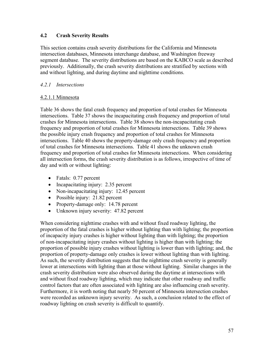#### **4.2 Crash Severity Results**

This section contains crash severity distributions for the California and Minnesota intersection databases, Minnesota interchange database, and Washington freeway segment database. The severity distributions are based on the KABCO scale as described previously. Additionally, the crash severity distributions are stratified by sections with and without lighting, and during daytime and nighttime conditions.

#### *4.2.1 Intersections*

#### 4.2.1.1 Minnesota

Table 36 shows the fatal crash frequency and proportion of total crashes for Minnesota intersections. Table 37 shows the incapacitating crash frequency and proportion of total crashes for Minnesota intersections. Table 38 shows the non-incapacitating crash frequency and proportion of total crashes for Minnesota intersections. Table 39 shows the possible injury crash frequency and proportion of total crashes for Minnesota intersections. Table 40 shows the property-damage only crash frequency and proportion of total crashes for Minnesota intersections. Table 41 shows the unknown crash frequency and proportion of total crashes for Minnesota intersections. When considering all intersection forms, the crash severity distribution is as follows, irrespective of time of day and with or without lighting:

- Fatals: 0.77 percent
- Incapacitating injury: 2.35 percent
- Non-incapacitating injury: 12.45 percent
- Possible injury: 21.82 percent
- Property-damage only: 14.78 percent
- Unknown injury severity: 47.82 percent

When considering nighttime crashes with and without fixed roadway lighting, the proportion of the fatal crashes is higher without lighting than with lighting; the proportion of incapacity injury crashes is higher without lighting than with lighting; the proportion of non-incapacitating injury crashes without lighting is higher than with lighting; the proportion of possible injury crashes without lighting is lower than with lighting; and, the proportion of property-damage only crashes is lower without lighting than with lighting. As such, the severity distribution suggests that the nighttime crash severity is generally lower at intersections with lighting than at those without lighting. Similar changes in the crash severity distribution were also observed during the daytime at intersections with and without fixed roadway lighting, which may indicate that other roadway and traffic control factors that are often associated with lighting are also influencing crash severity. Furthermore, it is worth noting that nearly 50 percent of Minnesota intersection crashes were recorded as unknown injury severity. As such, a conclusion related to the effect of roadway lighting on crash severity is difficult to quantify.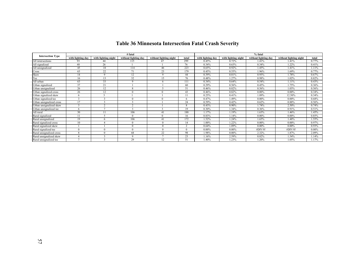|                          |                   |                     | # fatal              |                        |        |                   |                     | % fatal              |                        |          |
|--------------------------|-------------------|---------------------|----------------------|------------------------|--------|-------------------|---------------------|----------------------|------------------------|----------|
| <b>Intersection Type</b> | with lighting day | with lighting night | without lighting day | without lighting night | total  | with lighting day | with lighting night | without lighting day | without lighting night | total    |
| All intersections        | 93                | 44                  | 115                  | 47                     | 299    | 0.45%             | 0.72%               | 1.41%                | 1.41%                  | 0.77%    |
| All signalized           | 48                | 26                  |                      |                        | 76     | 0.34%             | 0.63%               | 0.34%                | 1.22%                  | 0.41%    |
| All unsignalized         | 45                | 18                  | 114                  | 46                     | 223    | 0.65%             | 0.92%               | .45%                 | 1.41%                  | 1.11%    |
| Cross                    | 63                | 22                  | 71                   | 23                     | 179    | 0.45%             | 0.55%               | 1.96%                | 1.69%                  | 0.77%    |
| Skew                     | 14                | $\mathbf Q$         | 12                   | $\Omega$               | 44     | 0.39%             | 0.81%               | 0.95%                | 1.78%                  | 0.67%    |
| Гее                      | 16                | 13                  | 32                   | 15                     | 76     | 0.48%             | 1.27%               | 0.98%                | 1.02%                  | 0.82%    |
| All urban                | 63                | 33                  | $\Omega$             |                        | 111    | 0.34%             | 0.64%               | 0.54%                | 1.11%                  | 0.43%    |
| Urban signalized         | 37                | 21                  |                      |                        | 60     | 0.29%             | 0.56%               | 0.45%                | 1.75%                  | 0.36%    |
| Urban unsignalized       | 26                | 12                  |                      |                        | 51     | 0.46%             | 0.82%               | 0.56%                | 1.03%                  | 0.56%    |
| Urban signalized cross   | 26                | 12                  | $\Omega$             | $\Omega$               | 43     | 0.46%             | 0.82%               | $0.00\%$             | $0.00\%$               | 0.34%    |
| Urban signalized skew    | 6                 |                     |                      |                        |        | 0.25%             | 0.41%               | 1.89%                | 12.50%                 | 0.34%    |
| Urban signalized tee     |                   |                     | $\Omega$             | 0                      | 6      | 0.47%             | 1.49%               | $0.00\%$             | $0.00\%$               | 0.68%    |
| Urban unsignalized cross | 17                |                     |                      |                        | 24     | 0.59%             | 0.42%               | 0.62%                | 0.88%                  | 0.56%    |
| Urban unsignalized skew  |                   | $\mathbf{\hat{}}$   |                      |                        | 8      | 0.43%             | 0.90%               | .74%                 | 2.50%                  | 0.74%    |
| Urban unsignalized tee   |                   | $\overline{a}$      |                      | 3                      | 19     | 0.30%             | 1.34%               | 0.36%                | 0.91%                  | 0.51%    |
| All rural                | 30                | 11                  | 106                  | 41                     | 188    | 1.17%             | 1.19%               | 1.63%                | 1.46%                  | 1.45%    |
| Rural signalized         |                   |                     | $\Omega$             | 0                      | 16     | 0.83%             | 1.14%               | $0.00\%$             | $0.00\%$               | 0.85%    |
| Rural unsignalized       | 19                |                     | 106                  | 41                     | 172    | .52%              | 1.24%               | 1.65%                | 1.48%                  | 1.55%    |
| Rural signalized cross   | 10                |                     | $\Omega$             |                        | 14     | $1.00\%$          | 1.22%               | $0.00\%$             | $0.00\%$               | 0.97%    |
| Rural signalized skew    |                   |                     | $\Omega$             | $\Omega$               | $\sim$ | 0.64%             | 1.89%               | $0.00\%$             | $0.00\%$               | 0.93%    |
| Rural signalized tee     |                   | $\Omega$            |                      |                        |        | $0.00\%$          | $0.00\%$            | #DIV/0!              | #DIV/0!                | $0.00\%$ |
| Rural unsignalized cross | $\circ$           | $\Omega$            | 68                   | 22                     | 98     | 1.98%             | $0.00\%$            | 2.32%                | 1.87%                  | 2.09%    |
| Rural unsignalized skew  |                   |                     | $\Omega$             |                        | 23     | .16%              | 2.59%               | 0.82%                | 1.54%                  | 1.14%    |
| Rural unsignalized tee   |                   |                     | 29                   | 12                     | 51     | 1.40%             | 1.23%               | 1.20%                | 1.05%                  | 1.17%    |

### **Table 36 Minnesota Intersection Fatal Crash Severity**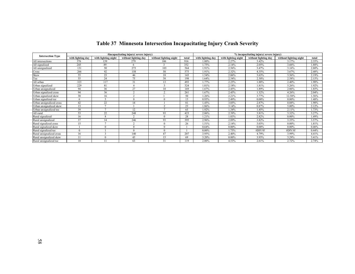| <b>Intersection Type</b> |                   |                     | #incapacitating injury(severe injury) |                        | % incapacitating injury(severe injury) |                   |                     |                      |                        |       |
|--------------------------|-------------------|---------------------|---------------------------------------|------------------------|----------------------------------------|-------------------|---------------------|----------------------|------------------------|-------|
|                          | with lighting day | with lighting night | without lighting day                  | without lighting night | total                                  | with lighting day | with lighting night | without lighting day | without lighting night | total |
| All intersections        | 376               | 139                 | 279                                   | 106                    | 916                                    | 1.80%             | 2.27%               | 3.42%                | 3.17%                  | 2.35% |
| All signalized           | 245               | 89                  | 6.                                    |                        | 352                                    | 1.75%             | 2.14%               | 2.05%                | 3.66%                  | 1.88% |
| All unsignalized         | 131               | 50                  | 273                                   | 103                    | 564                                    | 1.91%             | 2.56%               | 3.47%                | 3.16%                  | 2.80% |
| Cross                    | 266               | 92                  | 158                                   | 50                     | 575                                    | 1.91%             | 2.32%               | 4.35%                | 3.67%                  | 2.48% |
| Skew                     | 55                | 23                  | 46                                    | 18                     | 143                                    | 1.54%             | 2.06%               | 3.63%                | 3.56%                  | 2.19% |
| Tee                      | 55                | 24                  | 75                                    | 38                     | 198                                    | 1.64%             | 2.34%               | 2.30%                | 2.58%                  | 2.15% |
| All urban                | 323               | 117                 | 31                                    | 13                     | 493                                    | 1.77%             | 2.25%               | 1.88%                | 2.40%                  | 1.90% |
| Urban signalized         | 229               | 81                  |                                       |                        | 324                                    | 1.81%             | 2.18%               | 1.81%                | 5.26%                  | 1.92% |
| Urban unsignalized       | 94                | 36                  | 27                                    | 10                     | 169                                    | 1.67%             | 2.45%               | 1.89%                | 2.06%                  | 1.85% |
| Urban signalized cross   | 94                | 36                  |                                       |                        | 261                                    | 1.67%             | 2.45%               | 1.32%                | 4.26%                  | 2.04% |
| Urban signalized skew    | 30                | 16                  |                                       |                        | 50                                     | 1.26%             | 2.21%               | 3.77%                | 12.50%                 | 1.56% |
| Urban signalized tee     |                   |                     | $\Omega$                              |                        | 13                                     | 0.93%             | 2.49%               | $0.00\%$             | $0.00\%$               | 1.48% |
| Urban unsignalized cross | 42                | 22                  | 14                                    |                        | 81                                     | 1.45%             | 3.05%               | 2.87%                | 0.88%                  | 1.90% |
| Urban unsignalized skew  | 13                | $\overline{ }$      |                                       |                        | 23                                     | 1.86%             | 3.14%               | 0.87%                | 5.00%                  | 2.12% |
| Urban unsignalized tee   | 39                | r.                  | 12                                    |                        | 65                                     | 1.92%             | 1.34%               | 1.45%                | 2.11%                  | 1.73% |
| All rural                | 53                | 22                  | 248                                   | 93                     | 423                                    | 2.06%             | 2.39%               | 3.81%                | 3.32%                  | 3.27% |
| Rural signalized         | 16                |                     |                                       |                        | 28                                     | 1.21%             | 1.83%               | 2.82%                | $0.00\%$               | 1.49% |
| Rural unsignalized       | 37                | 14                  | 246                                   | 93                     | 395                                    | 2.96%             | 2.89%               | 3.82%                | 3.35%                  | 3.57% |
| Rural signalized cross   | 15                |                     |                                       |                        | 26                                     | 1.51%             | 2.14%               | 3.03%                | $0.00\%$               | 1.81% |
| Rural signalized skew    |                   |                     | $\Omega$                              |                        |                                        | 0.64%             | $0.00\%$            | $0.00\%$             | $0.00\%$               | 0.46% |
| Rural signalized tee     |                   |                     | $\Omega$                              |                        |                                        | $0.00\%$          | 1.75%               | #DIV/0!              | #DIV/0!                | 0.44% |
| Rural unsignalized cross | 16                |                     | 140                                   | 47                     | 207                                    | 3.95%             | 2.40%               | 4.79%                | 3.99%                  | 4.41% |
| Rural unsignalized skew  |                   |                     | 43                                    | 15                     | 69                                     | 3.20%             | $0.00\%$            | 3.93%                | 3.29%                  | 3.41% |
| Rural unsignalized tee   | 10                | 11                  | 63                                    | 31                     | 119                                    | 2.00%             | 4.53%               | 2.61%                | 2.72%                  | 2.74% |

### **Table 37 Minnesota Intersection Incapacitating Injury Crash Severity**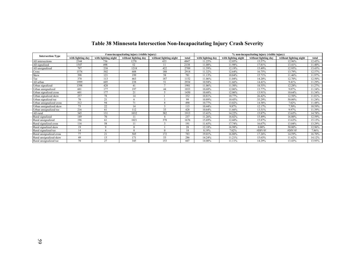| <b>Intersection Type</b> |                   |                     | # non-incapacitating injury (visible injury) |                        | % non-incapacitating injury (visible injury) |                   |                     |                      |                        |        |
|--------------------------|-------------------|---------------------|----------------------------------------------|------------------------|----------------------------------------------|-------------------|---------------------|----------------------|------------------------|--------|
|                          | with lighting day | with lighting night | without lighting day                         | without lighting night | total                                        | with lighting day | with lighting night | without lighting day | without lighting night | total  |
| All intersections        | 2344              | 736                 | 1270                                         | 433                    | 4847                                         | 11.25%            | 12.05%              | 15.57%               | 12.96%                 | 12.45% |
| All signalized           | 1547              | 498                 | 52                                           | 11                     | 2138                                         | 11.08%            | 11.98%              | 17.81%               | 13.41%                 | 11.40% |
| All unsignalized         | 797               | 238                 | 1218                                         | 422                    | 2709                                         | 11.59%            | 12.19%              | 15.49%               | 12.95%                 | 13.43% |
| Cross                    | 1576              | 502                 | 608                                          | 188                    | 2914                                         | 11.32%            | 12.64%              | 16.75%               | 13.79%                 | 12.57% |
| Skew                     | 398               | 121                 | 199                                          | 58                     | 781                                          | 11.13%            | 10.84%              | 15.71%               | 11.46%                 | 11.97% |
| Tee                      | 370               | 113                 | 463                                          | 187                    | 1152                                         | 11.06%            | 11.04%              | 14.20%               | 12.70%                 | 12.50% |
| All urban                | 1999              | 605                 | 238                                          | 51                     | 2934                                         | 10.94%            | 11.66%              | 14.41%               | 9.41%                  | 11.29% |
| Urban signalized         | 1398              | 428                 | 41                                           |                        | 1901                                         | 11.06%            | 11.50%              | 18.55%               | 12.28%                 | 11.27% |
| Urban unsignalized       | 601               | 177                 | 197                                          | 44                     | 1033                                         | 10.68%            | 12.06%              | 13.77%               | 9.07%                  | 11.34% |
| Urban signalized cross   | 601               | 177                 | 21                                           |                        | 1450                                         | 10.68%            | 12.06%              | 13.91%               | 10.64%                 | 11.34% |
| Urban signalized skew    | 257               | 78                  | 14                                           |                        | 352                                          | 10.81%            | 10.77%              | 26.42%               | 12.50%                 | 11.01% |
| Urban signalized tee     | 70                | 21                  | 6                                            |                        | 99                                           | 10.89%            | 10.45%              | 35.29%               | 50.00%                 | 11.24% |
| Urban unsignalized cross | 312               | 94                  | 71                                           |                        | 490                                          | 10.77%            | 13.02%              | 14.58%               | 7.02%                  | 11.48% |
| Urban unsignalized skew  | 73                | 22                  |                                              |                        | 115                                          | 10.44%            | 9.87%               | 12.17%               | 7.50%                  | 10.59% |
| Urban unsignalized tee   | 216               | 61                  | 112                                          | 33                     | 428                                          | 10.64%            | 11.66%              | 13.51%               | 9.97%                  | 11.39% |
| All rural                | 345               | 131                 | 1032                                         | 382                    | 1913                                         | 13.41%            | 14.22%              | 15.87%               | 13.65%                 | 14.78% |
| Rural signalized         | 149               | 70                  | 11                                           |                        | 237                                          | 11.26%            | 16.02%              | 15.49%               | 16.00%                 | 12.59% |
| Rural unsignalized       | 196               | 61                  | 1021                                         | 378                    | 1676                                         | 15.69%            | 12.60%              | 15.87%               | 13.63%                 | 15.15% |
| Rural signalized cross   | 116               | 58                  |                                              |                        | 191                                          | 11.65%            | 17.74%              | 16.67%               | 13.04%                 | 13.29% |
| Rural signalized skew    | 19                | $\Omega$            | $\Omega$                                     |                        | 28                                           | 12.18%            | 16.98%              | $0.00\%$             | 50.00%                 | 12.96% |
| Rural signalized tee     | 14                |                     | $\Omega$                                     |                        | 18                                           | 8.19%             | 7.02%               | #DIV/0!              | #DIV/0!                | 7.86%  |
| Rural unsignalized cross | 77                | 21                  | 505                                          | 172                    | 783                                          | 19.01%            | 16.80%              | 17.26%               | 14.59%                 | 16.70% |
| Rural unsignalized skew  | 49                | 13                  | 171                                          | 53                     | 286                                          | 14.24%            | 11.21%              | 15.63%               | 11.62%                 | 14.12% |
| Rural unsignalized tee   | 70                | 27                  | 345                                          | 153                    | 607                                          | 14.00%            | 11.11%              | 14.29%               | 13.43%                 | 13.95% |

### **Table 38 Minnesota Intersection Non-Incapacitating Injury Crash Severity**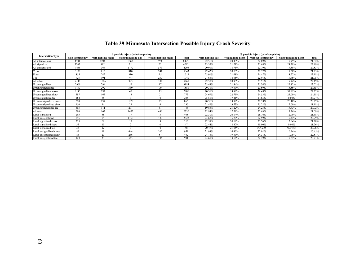| <b>Intersection Type</b> | # possible injury (pain/complaint) |                     |                      |                        |       | % possible injury (pain/complaint) |                     |                      |                        |        |
|--------------------------|------------------------------------|---------------------|----------------------|------------------------|-------|------------------------------------|---------------------|----------------------|------------------------|--------|
|                          | with lighting day                  | with lighting night | without lighting day | without lighting night | total | with lighting day                  | with lighting night | without lighting day | without lighting night | total  |
| All intersections        | 4701                               | 1248                | 1867                 | 593                    | 8495  | 22.56%                             | 20.43%              | 22.89%               | 17.75%                 | 21.82% |
| All signalized           | 3263                               | 882                 | 75                   | 20                     | 4292  | 23.37%                             | 21.21%              | 25.68%               | 24.39%                 | 22.89% |
| All unsignalized         | 1438                               | 366                 | 1792                 | 573                    | 4203  | 20.91%                             | 18.75%              | 22.79%               | 17.58%                 | 20.83% |
| Cross                    | 3121                               | 815                 | 810                  | 241                    | 5043  | 22.42%                             | 20.53%              | 22.32%               | 17.68%                 | 21.75% |
| Skew                     | 855                                | 242                 | 310                  | 95                     | 1512  | 23.91%                             | 21.68%              | 24.47%               | 18.77%                 | 23.18% |
| Гее                      | 725                                | 191                 | 747                  | 257                    | 1940  | 21.68%                             | 18.65%              | 22.91%               | 17.46%                 | 21.05% |
| All urban                | 4111                               | 1086                | 395                  | 107                    | 5765  | 22.50%                             | 20.93%              | 23.91%               | 19.74%                 | 22.19% |
| Jrban signalized         | 2968                               | 794                 | 56                   | 17                     | 3884  | 23.48%                             | 21.34%              | 25.34%               | 29.82%                 | 23.02% |
| Jrban unsignalized       | 1143                               | 292                 | 339                  | 90                     | 1881  | 20.31%                             | 19.89%              | 23.69%               | 18.56%                 | 20.65% |
| Urban signalized cross   | 1143                               | 292                 | 40                   | 15                     | 2906  | 20.31%                             | 19.89%              | 26.49%               | 31.91%                 | 22.72% |
| Jrban signalized skew    | 587                                | 165                 | 13                   | $\sqrt{2}$             | 773   | 24.69%                             | 22.79%              | 24.53%               | 25.00%                 | 24.18% |
| Jrban signalized tee     | 164                                | 35                  |                      |                        | 205   | 25.51%                             | 17.41%              | 17.65%               | $0.00\%$               | 23.27% |
| Jrban unsignalized cross | 590                                | 137                 | 109                  | 23                     | 865   | 20.36%                             | 18.98%              | 22.38%               | 20.18%                 | 20.27% |
| Urban unsignalized skew  | 150                                | 44                  | 29                   |                        | 230   | 21.46%                             | 19.73%              | 25.22%               | 15.00%                 | 21.18% |
| Urban unsignalized tee   | 403                                | 111                 | 201                  | 61                     | 786   | 19.85%                             | 21.22%              | 24.25%               | 18.43%                 | 20.92% |
| All rural                | 590                                | 162                 | 1472                 | 486                    | 2730  | 22.94%                             | 17.59%              | 22.63%               | 17.36%                 | 21.09% |
| Rural signalized         | 295                                | 88                  | 19                   |                        | 408   | 22.30%                             | 20.14%              | 26.76%               | 12.00%                 | 21.68% |
| Rural unsignalized       | 295                                | 74                  | 1453                 | 483                    | 2322  | 23.62%                             | 15.29%              | 22.59%               | 17.41%                 | 20.99% |
| Rural signalized cross   | 225                                | 66                  | 17                   |                        | 313   | 22.59%                             | 20.18%              | 25.76%               | 13.04%                 | 21.78% |
| Rural signalized skew    | 35                                 | 10                  | $\sim$               |                        | 47    | 22.44%                             | 18.87%              | 40.00%               | $0.00\%$               | 21.76% |
| Rural signalized tee     | 35                                 | 12                  |                      |                        | 48    | 20.47%                             | 21.05%              | #DIV/0!              | #DIV/0!                | 20.96% |
| Rural unsignalized cross | 89                                 | 18                  | 644                  | 200                    | 959   | 21.98%                             | 14.40%              | 22.02%               | 16.96%                 | 20.45% |
| Rural unsignalized skew  | 83                                 | 23                  | 266                  | 87                     | 462   | 24.13%                             | 19.83%              | 24.31%               | 19.08%                 | 22.81% |
| Rural unsignalized tee   | 123                                | 33                  | 543                  | 196                    | 901   | 24.60%                             | 13.58%              | 22.49%               | 17.21%                 | 20.71% |

# **Table 39 Minnesota Intersection Possible Injury Crash Severity**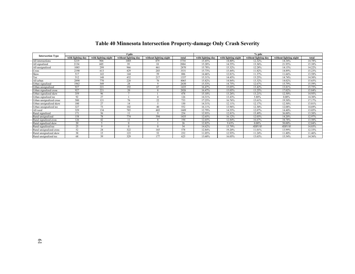|                          |                   |                     | $#$ pdo              |                        |       |                   |                     | $%$ pdo              |                        |        |
|--------------------------|-------------------|---------------------|----------------------|------------------------|-------|-------------------|---------------------|----------------------|------------------------|--------|
| <b>Intersection Type</b> | with lighting day | with lighting night | without lighting day | without lighting night | total | with lighting day | with lighting night | without lighting day | without lighting night | total  |
| All intersections        | 3219              | 904                 | 1005                 | 479                    | 5754  | 15.45%            | 14.80%              | 12.32%               | 14.34%                 | 14.78% |
| All signalized           | 2134              | 605                 | 39                   | 18                     | 2884  | 15.28%            | 14.55%              | 13.36%               | 21.95%                 | 15.38% |
| All unsignalized         | 1085              | 299                 | 966                  | 461                    | 2870  | 15.78%            | 15.32%              | 12.28%               | 14.15%                 | 14.22% |
| Cross                    | 2190              | 613                 | 429                  | 203                    | 3531  | 15.73%            | 15.44%              | 11.82%               | 14.89%                 | 15.23% |
| Skew                     | 517               | 143                 | 144                  | 59                     | 886   | 14.46%            | 12.81%              | 11.37%               | 11.66%                 | 13.58% |
| Tee                      | 512               | 148                 | 432                  | 217                    | 1337  | 15.31%            | 14.45%              | 13.25%               | 14.74%                 | 14.50% |
| All urban                | 2890              | 770                 | 220                  | 76                     | 4065  | 15.82%            | 14.84%              | 13.32%               | 14.02%                 | 15.65% |
| Urban signalized         | 1963              | 549                 | 28                   | Q                      | 2630  | 15.53%            | 14.75%              | 12.67%               | 15.79%                 | 15.59% |
| Urban unsignalized       | 927               | 221                 | 192                  | 67                     | 1435  | 16.47%            | 15.05%              | 13.42%               | 13.81%                 | 15.75% |
| Urban signalized cross   | 927               | 221                 | 20                   | 8                      | 2026  | 16.47%            | 15.05%              | 13.25%               | 17.02%                 | 15.84% |
| Urban signalized skew    | 359               | 96                  |                      |                        | 478   | 15.10%            | 13.26%              | 13.21%               | 12.50%                 | 14.95% |
| Urban signalized tee     | 92                | 27                  |                      | 0                      | 126   | 14.31%            | 13.43%              | 5.88%                | $0.00\%$               | 14.30% |
| Urban unsignalized cross | 500               | 121                 | 76                   | 22                     | 733   | 17.25%            | 16.76%              | 15.61%               | 19.30%                 | 17.17% |
| Urban unsignalized skew  | 100               | 27                  | 14                   |                        | 150   | 14.31%            | 12.11%              | 12.17%               | 12.50%                 | 13.81% |
| Urban unsignalized tee   | 327               | 73                  | 102                  | 40                     | 552   | 16.11%            | 13.96%              | 12.30%               | 12.08%                 | 14.69% |
| All rural                | 329               | 134                 | 785                  | 403                    | 1689  | 12.79%            | 14.55%              | 12.07%               | 14.40%                 | 13.05% |
| Rural signalized         | 171               | 56                  |                      | 9                      | 254   | 12.93%            | 12.81%              | 15.49%               | 36.00%                 | 13.50% |
| Rural unsignalized       | 158               | 78                  | 774                  | 394                    | 1435  | 12.65%            | 16.12%              | 12.03%               | 14.20%                 | 12.97% |
| Rural signalized cross   | 126               | 42                  |                      | 8                      | 194   | 12.65%            | 12.84%              | 16.67%               | 34.78%                 | 13.50% |
| Rural signalized skew    | 20                |                     |                      |                        | 26    | 12.82%            | 9.43%               | $0.00\%$             | 50.00%                 | 12.04% |
| Rural signalized tee     | 25                |                     |                      | $\Omega$               | 34    | 14.62%            | 15.79%              | #DIV/0!              | #DIV/0!                | 14.85% |
| Rural unsignalized cross | 52                | 24                  | 322                  | 165                    | 578   | 12.84%            | 19.20%              | 11.01%               | 13.99%                 | 12.33% |
| Rural unsignalized skew  | 38                | 15                  | 123                  | 52                     | 232   | 11.05%            | 12.93%              | 11.24%               | 11.40%                 | 11.46% |
| Rural unsignalized tee   | 68                | 39                  | 329                  | 177                    | 625   | 13.60%            | 16.05%              | 13.63%               | 15.54%                 | 14.36% |

# **Table 40 Minnesota Intersection Property-damage Only Crash Severity**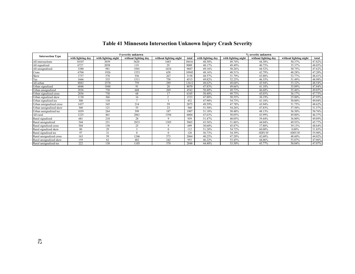| <b>Intersection Type</b> |                   |                     | # severity unknown   |                        |       |                   |                     | % severity unknown   |                        |        |
|--------------------------|-------------------|---------------------|----------------------|------------------------|-------|-------------------|---------------------|----------------------|------------------------|--------|
|                          | with lighting day | with lighting night | without lighting day | without lighting night | total | with lighting day | with lighting night | without lighting day | without lighting night | total  |
| All intersections        | 10107             | 3039                | 3620                 | 1683                   | 18616 | 48.50%            | 49.74%              | 44.38%               | 50.37%                 | 47.82% |
| All signalized           | 6727              | 2058                | 119                  | 29                     | 9009  | 48.17%            | 49.49%              | 40.75%               | 35.37%                 | 48.05% |
| All unsignalized         | 3380              | 981                 | 3501                 | 1654                   | 9607  | 49.16%            | 50.26%              | 44.52%               | 50.75%                 | 47.62% |
| Cross                    | 6704              | 1926                | 1553                 | 658                    | 10943 | 48.16%            | 48.51%              | 42.79%               | 48.28%                 | 47.20% |
| Skew                     | 1737              | 578                 | 556                  | 267                    | 3158  | 48.57%            | 51.79%              | 43.88%               | 52.77%                 | 48.41% |
| Tee                      | 1666              | 535                 | 1511                 | 758                    | 4515  | 49.82%            | 52.25%              | 46.35%               | 51.49%                 | 48.98% |
| All urban                | 8882              | 2578                | 759                  | 289                    | 12612 | 48.62%            | 49.68%              | 45.94%               | 53.32%                 | 48.54% |
| Urban signalized         | 6046              | 1848                | 91                   | 20                     | 8070  | 47.83%            | 49.66%              | 41.18%               | 35.09%                 | 47.84% |
| Urban unsignalized       | 2836              | 730                 | 668                  | 269                    | 4542  | 50.40%            | 49.73%              | 46.68%               | 55.46%                 | 49.85% |
| Urban signalized cross   | 2836              | 730                 | 68                   |                        | 6105  | 50.40%            | 49.73%              | 45.03%               | 36.17%                 | 47.73% |
| Urban signalized skew    | 1138              | 366                 | 16                   |                        | 1533  | 47.88%            | 50.55%              | 30.19%               | 25.00%                 | 47.95% |
| Urban signalized tee     | 308               | 110                 | $\mathbf{r}$         |                        | 432   | 47.90%            | 54.73%              | 41.18%               | 50.00%                 | 49.04% |
| Urban unsignalized cross | 1437              | 345                 | 214                  | 59                     | 2075  | 49.59%            | 47.78%              | 43.94%               | 51.75%                 | 48.62% |
| Urban unsignalized skew  | 360               | 121                 | 55                   | 23                     | 560   | 51.50%            | 54.26%              | 47.83%               | 57.50%                 | 51.57% |
| Urban unsignalized tee   | 1039              | 264                 | 399                  | 187                    | 1907  | 51.18%            | 50.48%              | 48.13%               | 56.50%                 | 50.76% |
| All rural                | 1225              | 461                 | 2861                 | 1394                   | 6004  | 47.63%            | 50.05%              | 43.99%               | 49.80%                 | 46.37% |
| Rural signalized         | 681               | 210                 | 28                   |                        | 939   | 51.47%            | 48.05%              | 39.44%               | 36.00%                 | 49.89% |
| Rural unsignalized       | 544               | 251                 | 2833                 | 1385                   | 5065  | 43.56%            | 51.86%              | 44.04%               | 49.93%                 | 45.77% |
| Rural signalized cross   | 504               | 150                 | 25                   |                        | 699   | 50.60%            | 45.87%              | 37.88%               | 39.13%                 | 48.64% |
| Rural signalized skew    | 80                | 29                  |                      |                        | 112   | 51.28%            | 54.72%              | 60.00%               | $0.00\%$               | 51.85% |
| Rural signalized tee     | 97                | 31                  | $\Omega$             |                        | 128   | 56.73%            | 54.39%              | #DIV/0!              | #DIV/0!                | 55.90% |
| Rural unsignalized cross | 163               | 59                  | 1246                 | 573                    | 2064  | 40.25%            | 47.20%              | 42.60%               | 48.60%                 | 44.02% |
| Rural unsignalized skew  | 159               | 62                  | 482                  | 242                    | 953   | 46.22%            | 53.45%              | 44.06%               | 53.07%                 | 47.06% |
| Rural unsignalized tee   | 222               | 130                 | 1105                 | 570                    | 2048  | 44.40%            | 53.50%              | 45.77%               | 50.04%                 | 47.07% |

## **Table 41 Minnesota Intersection Unknown Injury Crash Severity**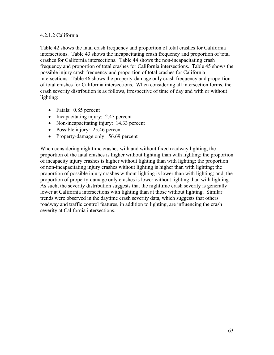#### 4.2.1.2 California

Table 42 shows the fatal crash frequency and proportion of total crashes for California intersections. Table 43 shows the incapacitating crash frequency and proportion of total crashes for California intersections. Table 44 shows the non-incapacitating crash frequency and proportion of total crashes for California intersections. Table 45 shows the possible injury crash frequency and proportion of total crashes for California intersections. Table 46 shows the property-damage only crash frequency and proportion of total crashes for California intersections. When considering all intersection forms, the crash severity distribution is as follows, irrespective of time of day and with or without lighting:

- Fatals: 0.85 percent
- Incapacitating injury: 2.47 percent
- Non-incapacitating injury: 14.33 percent
- Possible injury: 25.46 percent
- Property-damage only: 56.69 percent

When considering nighttime crashes with and without fixed roadway lighting, the proportion of the fatal crashes is higher without lighting than with lighting; the proportion of incapacity injury crashes is higher without lighting than with lighting; the proportion of non-incapacitating injury crashes without lighting is higher than with lighting; the proportion of possible injury crashes without lighting is lower than with lighting; and, the proportion of property-damage only crashes is lower without lighting than with lighting. As such, the severity distribution suggests that the nighttime crash severity is generally lower at California intersections with lighting than at those without lighting. Similar trends were observed in the daytime crash severity data, which suggests that others roadway and traffic control features, in addition to lighting, are influencing the crash severity at California intersections.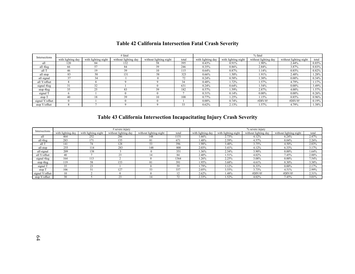| Intersections   |                   |                     | # fatal              |                        |       |                   |                     | % fatal              |                        |          |
|-----------------|-------------------|---------------------|----------------------|------------------------|-------|-------------------|---------------------|----------------------|------------------------|----------|
|                 | with lighting day | with lighting night | without lighting day | without lighting night | total | with lighting day | with lighting night | without lighting day | without lighting night | total    |
| all             | 120               | 84                  | 132                  | 58                     | 395   | 0.43%             | 0.91%               | 1.90%                | 2.44%                  | 0.85%    |
| all 4leg        | 66                | 57                  | 84                   | 39                     | 246   | 0.35%             | $0.86\%$            | 2.84%                | 3.87%                  | 0.83%    |
| all T           | 46                | 19                  | 39                   | 10                     | 115   | 0.64%             | 0.87%               | .14%                 | 0.85%                  | 0.82%    |
| all stop        | 83                | 50                  | 131                  | 58                     | 323   | 0.66%             | 1.50%               | 1.91%                | 2.48%                  | .28%     |
| all signal      | 37                | 34                  |                      | $^{\circ}$             | 72    | 0.24%             | 0.58%               | .30%                 | $0.00\%$               | 0.34%    |
| all Y/offset    | $\lambda$         |                     |                      |                        | 34    | 0.48%             | 1.72%               | 1.57%                | 4.79%                  | .17%     |
| signal 4leg     |                   | 32                  |                      |                        | 631   | 0.24%             | 0.64%               | 1.54%                | $0.00\%$               | 3.49%    |
| stop 4leg       | 35                | 25<br>ل کے          | 83                   | 39                     | 182   | 0.57%             | 1.59%               | 2.87%                | $4.00\%$               | 1.57%    |
| signal          | n                 |                     |                      |                        |       | 0.31%             | 0.14%               | $0.00\%$             | $0.00\%$               | $0.26\%$ |
| stop T          | 40                | 18                  | 39                   | 10                     | 108   | 0.77%             | 1.25%               | 1.15%                | 0.85%                  | $0.96\%$ |
| signal Y/offset | $\theta$          |                     |                      |                        |       | $0.00\%$          | 0.74%               | #DIV/0!              | #DIV/0!                | 0.19%    |
| stop Y/offset   |                   |                     |                      |                        |       | 0.62%             | 2.13%               | 1.57%                | 4.79%                  | 1.38%    |

## **Table 42 California Intersection Fatal Crash Severity**

## **Table 43 California Intersection Incapacitating Injury Crash Severity**

|                 |                   |                        | $#$ severe injury    |                        |                |                   |                     | % severe injury      |                        |       |
|-----------------|-------------------|------------------------|----------------------|------------------------|----------------|-------------------|---------------------|----------------------|------------------------|-------|
| Intersections   | with lighting day | with<br>lighting night | without lighting day | without lighting night | total          | with lighting day | with lighting night | without lighting day | without lighting night | total |
| all             | 464               | 252                    | 286                  | 148                    | 151            | .66%              | 2.73%               | 4.12%                | 6.24%                  | 2.47% |
| all 4leg        | 283               | 171                    | 135                  |                        | 671            | 1.48%             | 2.59%               | 4.57%                | 8.04%                  | 2.26% |
| all T           | 141               | 74                     | 128                  | 53                     | 396            | .98%              | 3.40%               | 3.75%                | 4.50%                  | 2.83% |
| all stop        | 255               | 114                    | 283                  | 148                    | 800            | 2.03%             | 3.41%               | 4.12%                | 6.33%                  | 3.17% |
| all signal      | 209               | 138                    |                      |                        | 351            | .36%              | 2.34%               | 3.90%                | $0.00\%$               | 1.64% |
| all Y/offset    | 40                |                        | 23                   | 14                     | 84             | 2.40%             | 1.51%               | 4.02%                | 7.45%                  | 2.88% |
| signal 4leg     | 164               | 113                    |                      |                        | 1364           | .26%              | 2.25%               | 3.08%                | $0.00\%$               | 7.54% |
| stop 4leg       | 119               | 58                     | - 4.4                |                        | 391            | .95%              | 3.68%               | 4.61%                | 8.30%                  | 3.38% |
| signal 1        | 35                | 23                     |                      |                        | 59             | .79%              | 3.12%               | 8.33%                | $0.00\%$               | 2.17% |
| stop T          | 106               |                        | 127                  | 53                     | 337            | 2.05%             | 3.55%               | 3.73%                | 4.51%                  | 2.99% |
| signal Y/offset | 10                |                        |                      |                        |                | 2.62%             | 1.48%               | #DIV/0!              | #DIV/0!                | 2.31% |
| stop Y/offset   | 30                |                        | $\sim$               |                        | $\overline{ }$ | 2.33%             | 1.52%               | 4.02%                | 7.45%                  | 3.01% |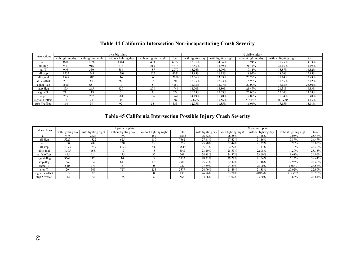| Intersections   |                   |                     | $#$ visible injury   |                        |       |                   |                     | % visible injury     |                        |        |
|-----------------|-------------------|---------------------|----------------------|------------------------|-------|-------------------|---------------------|----------------------|------------------------|--------|
|                 | with lighting day | with lighting night | without lighting day | without lighting night | total | with lighting day | with lighting night | without lighting day | without lighting night | total  |
| all             | 3600              | 1326                | 1314                 | 433                    | 6677  | 12.91%            | 14.36%              | 18.94%               | 18.25%                 | 14.33% |
| all 4leg        | 2453              | 916                 | 633                  | 213                    | 4216  | 12.86%            | 13.89%              | 21.44%               | 21.15%                 | 14.19% |
| all T           | 946               | 350                 | 584                  | 187                    | 2070  | 13.26%            | 16.09%              | 17.11%               | 15.87%                 | 14.82% |
| all stop        | 1752              | 541                 | 1298                 | 427                    | 402   | 13.95%            | 16.18%              | 18.92%               | 18.26%                 | 15.95% |
| all signal      | 1848              | 785                 |                      |                        | 2656  | 12.06%            | 13.33%              | 20.78%               | 17.14%                 | 12.43% |
| all Y/offset    | 201               | 60                  | 97                   | 33                     | 391   | 12.05%            | 12.93%              | 16.96%               | 17.55%                 | 13.42% |
| signal 4leg     | 1600              | 65                  |                      |                        | 4250  | 12.33%            | 12.97%              | 20.00%               | 16.13%                 | 23.50% |
| stop 4leg       | 853               | 265                 | 620                  | 208                    | 1946  | 14.00%            | 16.80%              | 21.47%               | 21.31%                 | 16.83% |
| signal 1        | 211               | 113                 |                      |                        | 328   | 10.78%            | 15.33%              | 25.00%               | 25.00%                 | 12.08% |
| stop T          | 735               | 237                 | 581                  | 186                    | 1742  | 14.19%            | 16.48%              | 17.08%               | 15.84%                 | 15.48% |
| signal Y/offset | 37                | 21                  |                      |                        | 58    | 9.69%             | 15.56%              | #DIV/0!              | #DIV/0!                | 11.15% |
| stop Y/offset   | 164               | 39                  | 97                   |                        | 333   | 12.75%            | 1.85%               | 16.96%               | 17.55%                 | 13.91% |

## **Table 44 California Intersection Non-incapacitating Crash Severity**

# **Table 45 California Intersection Possible Injury Crash Severity**

| Intersections   |                   |                     | $#$ pain/complaint   |                        |       |                   |                     | % pain/complaint     |                        |        |
|-----------------|-------------------|---------------------|----------------------|------------------------|-------|-------------------|---------------------|----------------------|------------------------|--------|
|                 | with lighting day | with lighting night | without lighting day | without lighting night | total | with lighting day | with lighting night | without lighting day | without lighting night | total  |
| all             | 7478              | 2424                | 1490                 | 452                    | 11862 | 26.82%            | 26.25%              | 21.48%               | 19.05%                 | 25.46% |
| all 4leg        | 5229              | 1822                | 625                  | 180                    | 7862  | 27.41%            | 27.62%              | 21.16%               | 17.87%                 | 26.47% |
| all T           | 1834              | 488                 | 730                  | 235                    | 3299  | 25.70%            | 22.44%              | 21.39%               | 19.95%                 | 23.62% |
| all stop        | 3173              | 743                 | 1473                 | 447                    | 5849  | 25.27%            | 22.22%              | 21.47%               | 19.12%                 | 23.20% |
| all signal      | 4305              | 1681                |                      |                        | 6013  | 28.10%            | 28.53%              | 22.08%               | 14.29%                 | 28.13% |
| all Y/offset    | 415               | 114                 | 135                  |                        | 701   | 24.88%            | 24.57%              | 23.60%               | 19.68%                 | 24.06% |
| signal 4leg     | 3662              | 1470                |                      |                        | 7133  | 28.21%            | 29.29%              | 21.54%               | 16.13%                 | 39.44% |
| stop 4leg       | 1567              | 352                 | 611                  | 175                    | 2706  | 25.71%            | 22.32%              | 21.16%               | 17.93%                 | 23.40% |
| signal T        | 540               | 179                 |                      |                        | 722   | 27.59%            | 24.29%              | 25.00%               | $0.00\%$               | 26.58% |
| stop T          | 294               | 309                 | 727                  | 235                    | 2577  | 24.99%            | 21.49%              | 21.38%               | 20.02%                 | 22.90% |
| signal Y/offset | 103               | 32                  |                      |                        | 135   | 26.96%            | 23.70%              | #DIV/0!              | #DIV/0!                | 25.96% |
| stop Y/offset   | 312               | 82                  | 135                  | 37                     | 566   | 24.26%            | 24.92%              | 23.60%               | 19.68%                 | 23.64% |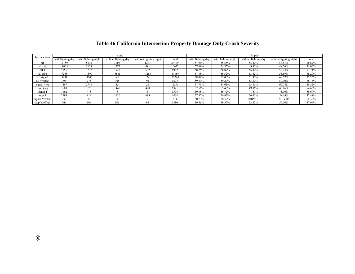|                 |                   |                     | $#$ pdo              |                        |       |                   |                     | $%$ pdo              |                        |        |
|-----------------|-------------------|---------------------|----------------------|------------------------|-------|-------------------|---------------------|----------------------|------------------------|--------|
| Intersections   | with lighting day | with lighting night | without lighting day | without lighting night | total | with lighting day | with lighting night | without lighting day | without lighting night | total  |
| all             | 16159             | 5130                | 3705                 | 1277                   | 26409 | 57.96%            | 55.55%              | 53.40%               | 53.81%                 | 56.69% |
| all 4leg        | 11005             | 3618                | 1475                 | 491                    | 16653 | 57.69%            | 54.85%              | 49.95%               | 48.76%                 | 56.06% |
| all T           | 4156              | 1237                | 1925                 | 692                    | 8062  | 58.25%            | 56.87%              | 56.40%               | 58.74%                 | 57.71% |
| all stop        | 7268              | 1890                | 3665                 | 1253                   | 14169 | 57.88%            | 56.52%              | 53.42%               | 53.59%                 | 56.20% |
| all signal      | 8891              | 3240                | 40                   |                        | 12240 | 58.04%            | 55.00%              | 51.95%               | 68.57%                 | 57.26% |
| all Y/offset    | 998               | 275                 | 305                  | 94                     | 1694  | 59.83%            | 59.27%              | 53.32%               | 50.00%                 | 58.13% |
| signal 4leg     | 7497              | 2743                | 35                   | $\mathcal{L}_{1}$      | 12575 | 57.75%            | 54.65%              | 53.85%               | 67.74%                 | 69.52% |
| stop 4 leg      | 3508              | 875                 | 1440                 | 470                    | 6321  | 57.56%            | 55.49%              | 49.86%               | 48.16%                 | 54.66% |
| signal T        | 1162              | 418                 |                      |                        | 1594  | 59.38%            | 56.72%              | 41.67%               | 75.00%                 | 58.69% |
| stop T          | 2994              | 819                 | 1920                 | 689                    | 6468  | 57.82%            | 56.95%              | 56.45%               | 58.69%                 | 57.48% |
| signal Y/offset | 232               | 79                  |                      |                        | 314   | 60.73%            | 58.52%              | #DIV/0!              | #DIV/0!                | 60.38% |
| stop Y/offset   | 766               | 196                 | 305                  | 94                     | 1380  | 59.56%            | 59.57%              | 53.32%               | 50.00%                 | 57.64% |

# **Table 46 California Intersection Property Damage Only Crash Severity**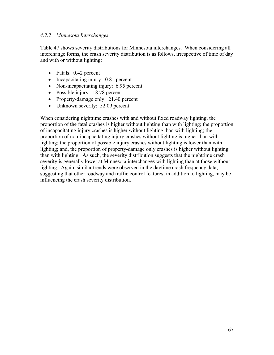#### *4.2.2 Minnesota Interchanges*

Table 47 shows severity distributions for Minnesota interchanges. When considering all interchange forms, the crash severity distribution is as follows, irrespective of time of day and with or without lighting:

- Fatals: 0.42 percent
- Incapacitating injury: 0.81 percent
- Non-incapacitating injury: 6.95 percent
- Possible injury: 18.78 percent
- Property-damage only: 21.40 percent
- Unknown severity: 52.09 percent

When considering nighttime crashes with and without fixed roadway lighting, the proportion of the fatal crashes is higher without lighting than with lighting; the proportion of incapacitating injury crashes is higher without lighting than with lighting; the proportion of non-incapacitating injury crashes without lighting is higher than with lighting; the proportion of possible injury crashes without lighting is lower than with lighting; and, the proportion of property-damage only crashes is higher without lighting than with lighting. As such, the severity distribution suggests that the nighttime crash severity is generally lower at Minnesota interchanges with lighting than at those without lighting. Again, similar trends were observed in the daytime crash frequency data, suggesting that other roadway and traffic control features, in addition to lighting, may be influencing the crash severity distribution.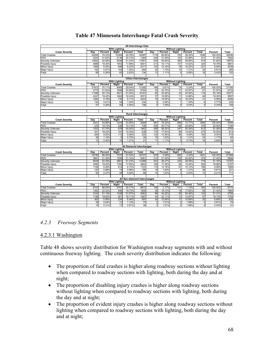|                       |       |         |                      |         | All Interchange Data            |                         |                |                         |         |                |         |       |
|-----------------------|-------|---------|----------------------|---------|---------------------------------|-------------------------|----------------|-------------------------|---------|----------------|---------|-------|
|                       |       |         | <b>With Lighting</b> |         |                                 |                         |                | <b>Without Lighting</b> |         |                |         |       |
| <b>Crash Severity</b> | Dav   | Percent | Night                | Percent | Total                           | Dav                     | Percent        | Night                   | Percent | Total          | Percent | Total |
| <b>Total Crashes</b>  | 24293 | 70.22%  | 10304                | 29.78%  | 34597                           | 1176                    | 60.65%         | 763                     | 39.35%  | 1939           | 100.00% | 36536 |
| <b>PDO</b>            | 5253  | 21.62%  | 2136                 | 20.73%  | 7389                            | 248                     | 21.09%         | 183                     | 23.98%  | 431            | 21.40%  | 7820  |
| Severity Unknown      | 12652 | 52.08%  | 5299                 | 51.43%  | 17951                           | 539                     | 45.83%         | 380                     | 49.80%  | 919            | 51.65%  | 18870 |
| Possible Injury       | 4688  | 19.30%  | 1853                 | 17.98%  | 6541                            | 213                     | 18.11%         | 107                     | 14.02%  | 320            | 18.78%  | 6861  |
| Minor Injury          | 1469  | 6.05%   | 848                  | 8.23%   | 2317                            | 143                     | 12.16%         | 78                      | 10.22%  | 221            | 6.95%   | 2538  |
| Major Injury          | 162   | 0.67%   | 103                  | 1.00%   | 265                             | 20                      | 1.70%          | 10                      | 1.31%   | 30             | 0.81%   | 295   |
| Fatal                 | 69    | 0.28%   | 65                   | 0.63%   | 134                             | 13                      | 1.11%          | 5                       | 0.66%   | 18             | 0.42%   | 152   |
|                       |       |         |                      |         |                                 |                         |                |                         |         |                |         |       |
|                       |       |         |                      |         | <b>Urban Interchanges</b>       |                         |                |                         |         |                |         |       |
|                       |       |         | <b>With Lighting</b> |         |                                 |                         |                | <b>Without Lighting</b> |         |                |         |       |
| <b>Crash Severity</b> | Dav   | Percent | Night                | Percent | Total                           | Dav                     | Percent        | Niaht                   | Percent | Total          | Percent | Total |
| <b>Total Crashes</b>  | 21872 | 70.11%  | 9060                 | 29.04%  | 31292                           | 189                     | 0.61%          | 74                      | 0.24%   | 265            | 100.00% | 31195 |
| <b>PDO</b>            | 4775  | 21.83%  | 1898                 | 20.95%  | 6794                            | 43                      | 22.75%         | 17                      | 22.97%  | 61             | 21.97%  | 6733  |
| Severity Unknown      | 11399 | 52.12%  | 4621                 | 51.00%  | 16161                           | 83                      | 43.92%         | 33                      | 44.59%  | 116            | 52.18%  | 16277 |
| Possible Injury       | 4247  | 19.42%  | 1662                 | 18.34%  | 5973                            | 37                      | 19.58%         | 11                      | 14.86%  | 49             | 19.30%  | 5957  |
| Minor Injury          | 1260  | 5.76%   | 735                  | 8.11%   | 2022                            | 19                      | 10.05%         | 12                      | 16.22%  | 31             | 6.58%   | 2026  |
| Major Injury          | 134   | 0.61%   | 94                   | 1.04%   | 234                             | 5                       | 2.65%          | $\overline{1}$          | 1.35%   | 6              | 0.77%   | 234   |
| Fatal                 | 57    | 0.26%   | 50                   | 0.55%   | 108                             | $\overline{2}$          | 1.06%          | $\mathbf{0}$            | 0.00%   | $\overline{2}$ | 0.35%   | 109   |
|                       |       |         |                      |         |                                 |                         |                |                         |         |                |         |       |
|                       |       |         |                      |         |                                 |                         |                |                         |         |                |         |       |
|                       |       |         |                      |         | <b>Rural Interchanges</b>       |                         |                |                         |         |                |         |       |
|                       |       |         | <b>With Lighting</b> |         |                                 | <b>Without Lighting</b> |                |                         |         |                |         |       |
| <b>Crash Severity</b> | Day   | Percent | Night                | Percent | <b>Total</b>                    | Day                     | Percent        | Night                   | Percent | <b>Total</b>   | Percent | Total |
| <b>Total Crashes</b>  | 2421  | 44.88%  | 1244                 | 23.06%  | 3699                            | 987                     | 18.30%         | 689                     | 12.77%  | 1695           | 100.00% | 5394  |
| <b>PDO</b>            | 478   | 19.74%  | 238                  | 19.13%  | 728                             | 205                     | 20.77%         | 166                     | 24.09%  | 378            | 20.50%  | 1106  |
| Severity Unknown      | 1253  | 51.76%  | 678                  | 54.50%  | 1942                            | 456                     | 46.20%         | 347                     | 50.36%  | 812            | 51.06%  | 2754  |
| Possible Injury       | 441   | 18.22%  | 191                  | 15.35%  | 638                             | 176                     | 17.83%         | 96                      | 13.93%  | 275            | 16.93%  | 913   |
| Minor Injury          | 209   | 8.63%   | 113                  | 9.08%   | 325                             | 124                     | 12.56%         | 66                      | 9.58%   | 190            | 9.55%   | 515   |
| Major Injury          | 28    | 1.16%   | 9                    | 0.72%   | 39                              | 15                      | 1.52%          | 9                       | 1.31%   | 24             | 1.17%   | 63    |
| Fatal                 | 12    | 0.50%   | 15                   | 1.21%   | 27                              | 11                      | 1.11%          | 5                       | 0.73%   | 16             | 0.80%   | 43    |
|                       |       |         |                      |         |                                 |                         |                |                         |         |                |         |       |
|                       |       |         |                      |         | <b>All Diamond Interchanges</b> |                         |                |                         |         |                |         |       |
|                       |       |         | <b>With Lighting</b> |         |                                 |                         |                | <b>Without Lighting</b> |         |                |         |       |
| <b>Crash Severity</b> | Day   | Percent | <b>Night</b>         | Percent | Total                           | Day                     | <b>Percent</b> | Night                   | Percent | <b>Total</b>   | Percent | Total |
| <b>Total Crashes</b>  | 18190 | 66.46%  | 7537                 | 27.54%  | 25727                           | 979                     | 3.58%          | 662                     | 2.42%   | 1641           | 100.00% | 27368 |
| PD <sub>O</sub>       | 3891  | 21.39%  | 1590                 | 21.10%  | 5481                            | 210                     | 21.45%         | 165                     | 24.92%  | 375            | 21.40%  | 5856  |
| Severity Unknown      | 9528  | 52.38%  | 3861                 | 51.23%  | 13389                           | 453                     | 46.27%         | 325                     | 49.09%  | 778            | 51.76%  | 14167 |
| Possible Injury       | 3492  | 19.20%  | 1352                 | 17.94%  | 4844                            | 169                     | 17.26%         | 94                      | 14.20%  | 263            | 18.66%  | 5107  |
| Minor Injury          | 1106  | 6.08%   | 614                  | 8.15%   | 1720                            | 119                     | 12.16%         | 67                      | 10.12%  | 186            | 6.96%   | 1906  |
| <b>Major Injury</b>   | 123   | 0.68%   | 72                   | 0.96%   | 195                             | 18                      | 1.84%          | 8                       | 1.21%   | 26             | 0.81%   | 221   |
| Fatal                 | 50    | 0.27%   | 48                   | 0.64%   | 98                              | 10                      | 1.02%          | $\overline{3}$          | 0.45%   | 13             | 0.41%   | 111   |
|                       |       |         |                      |         |                                 |                         |                |                         |         |                |         |       |
|                       |       |         |                      |         | All Non-diamond Interchanges    |                         |                |                         |         |                |         |       |
|                       |       |         | <b>With Lighting</b> |         |                                 |                         |                | <b>Without Lighting</b> |         |                |         |       |
| <b>Crash Severity</b> | Dav   | Percent | Niaht                | Percent | Total                           | Dav                     | Percent        | <b>Night</b>            | Percent | <b>Total</b>   | Percent | Total |
| <b>Total Crashes</b>  | 6103  | 66.55%  | 2767                 | 30.17%  | 8870                            | 199                     | 2.17%          | 101                     | 1.10%   | 300            | 100.00% | 9170  |
| <b>PDO</b>            | 1362  | 22.32%  | 546                  | 19.73%  | 1908                            | 38                      | 19.10%         | 18                      | 17.82%  | 56             | 21.42%  | 1964  |
| Severity Unknown      | 3124  | 51.19%  | 1438                 | 51.97%  | 4562                            | 88                      | 44.22%         | 55                      | 54.46%  | 143            | 51.31%  | 4705  |
| Possible Injury       | 1196  | 19.60%  | 501                  | 18.11%  | 1697                            | 44                      | 22.11%         | 13                      | 12.87%  | 57             | 19.13%  | 1754  |
| Minor Injury          | 363   | 5.95%   | 234                  | 8.46%   | 597                             | 24                      | 12.06%         | 11                      | 10.89%  | 35             | 6.89%   | 632   |
| Major Injury          | 39    | 0.64%   | 31                   | 1.12%   | 70                              | $\overline{2}$          | 1.01%          | 2                       | 1.98%   | 4              | 0.81%   | 74    |
| Fatal                 | 19    | 0.31%   | 17                   | 0.61%   | 36                              | 3                       | 1.51%          | $\overline{2}$          | 1.98%   | 5              | 0.45%   | 41    |

### **Table 47 Minnesota Interchange Fatal Crash Severity**

#### *4.2.3 Freeway Segments*

#### 4.2.3.1 Washington

Table 48 shows severity distribution for Washington roadway segments with and without continuous freeway lighting. The crash severity distribution indicates the following:

- The proportion of fatal crashes is higher along roadway sections without lighting when compared to roadway sections with lighting, both during the day and at night;
- The proportion of disabling injury crashes is higher along roadway sections without lighting when compared to roadway sections with lighting, both during the day and at night;
- The proportion of evident injury crashes is higher along roadway sections without lighting when compared to roadway sections with lighting, both during the day and at night;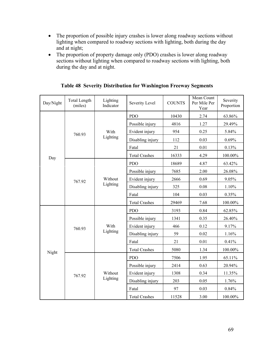- The proportion of possible injury crashes is lower along roadway sections without lighting when compared to roadway sections with lighting, both during the day and at night;
- The proportion of property damage only (PDO) crashes is lower along roadway sections without lighting when compared to roadway sections with lighting, both during the day and at night.

| Day/Night | <b>Total Length</b><br>(miles) | Lighting<br>Indicator | Severity Level       | <b>COUNTS</b> | Mean Count<br>Per Mile Per<br>Year | Severity<br>Proportion |
|-----------|--------------------------------|-----------------------|----------------------|---------------|------------------------------------|------------------------|
|           |                                |                       | <b>PDO</b>           | 10430         | 2.74                               | 63.86%                 |
|           |                                |                       | Possible injury      | 4816          | 1.27                               | 29.49%                 |
|           | 760.93                         | With                  | Evident injury       | 954           | 0.25                               | 5.84%                  |
|           |                                | Lighting              | Disabling injury     | 112           | 0.03                               | 0.69%                  |
|           |                                |                       | Fatal                | 21            | 0.01                               | 0.13%                  |
| Day       |                                |                       | <b>Total Crashes</b> | 16333         | 4.29                               | 100.00%                |
|           |                                |                       | <b>PDO</b>           | 18689         | 4.87                               | 63.42%                 |
|           |                                |                       | Possible injury      | 7685          | 2.00                               | 26.08%                 |
|           | 767.92                         | Without               | Evident injury       | 2666          | 0.69                               | 9.05%                  |
|           |                                | Lighting              | Disabling injury     | 325           | 0.08                               | 1.10%                  |
|           |                                |                       | Fatal                | 104           | 0.03                               | 0.35%                  |
|           |                                |                       | <b>Total Crashes</b> | 29469         | 7.68                               | 100.00%                |
|           |                                |                       | <b>PDO</b>           | 3193          | 0.84                               | 62.85%                 |
|           |                                |                       | Possible injury      | 1341          | 0.35                               | 26.40%                 |
|           | 760.93                         | With                  | Evident injury       | 466           | 0.12                               | 9.17%                  |
|           |                                | Lighting              | Disabling injury     | 59            | 0.02                               | 1.16%                  |
|           |                                |                       | Fatal                | 21            | 0.01                               | 0.41%                  |
| Night     |                                |                       | <b>Total Crashes</b> | 5080          | 1.34                               | 100.00%                |
|           |                                |                       | <b>PDO</b>           | 7506          | 1.95                               | 65.11%                 |
|           |                                |                       | Possible injury      | 2414          | 0.63                               | 20.94%                 |
|           | 767.92                         | Without               | Evident injury       | 1308          | 0.34                               | 11.35%                 |
|           |                                | Lighting              | Disabling injury     | 203           | 0.05                               | 1.76%                  |
|           |                                |                       | Fatal                | 97            | 0.03                               | 0.84%                  |
|           |                                |                       | <b>Total Crashes</b> | 11528         | 3.00                               | 100.00%                |

**Table 48 Severity Distribution for Washington Freeway Segments**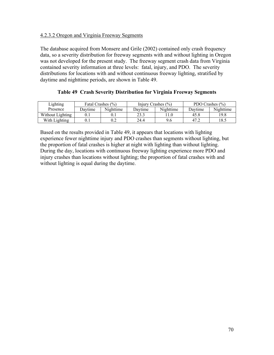#### 4.2.3.2 Oregon and Virginia Freeway Segments

The database acquired from Monsere and Grile (2002) contained only crash frequency data, so a severity distribution for freeway segments with and without lighting in Oregon was not developed for the present study. The freeway segment crash data from Virginia contained severity information at three levels: fatal, injury, and PDO. The severity distributions for locations with and without continuous freeway lighting, stratified by daytime and nighttime periods, are shown in Table 49.

| Lighting         | Fatal Crashes $(\% )$ |           | Injury Crashes $(\% )$ |           | PDO Crashes $(\% )$ |           |  |
|------------------|-----------------------|-----------|------------------------|-----------|---------------------|-----------|--|
| Presence         | Javtime               | Nighttime | Davtime                | Nighttime | Davtime             | Nighttime |  |
| Without Lighting |                       | U.1       | າາາ                    |           | 45.8                | 19.8      |  |
| With Lighting    |                       | 0.2       | 24.4                   |           | 47.2                | 18.5      |  |

|  | Table 49 Crash Severity Distribution for Virginia Freeway Segments |  |  |
|--|--------------------------------------------------------------------|--|--|
|  |                                                                    |  |  |

Based on the results provided in Table 49, it appears that locations with lighting experience fewer nighttime injury and PDO crashes than segments without lighting, but the proportion of fatal crashes is higher at night with lighting than without lighting. During the day, locations with continuous freeway lighting experience more PDO and injury crashes than locations without lighting; the proportion of fatal crashes with and without lighting is equal during the daytime.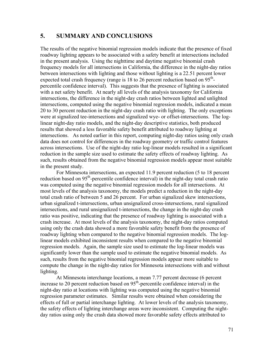#### **5. SUMMARY AND CONCLUSIONS**

The results of the negative binomial regression models indicate that the presence of fixed roadway lighting appears to be associated with a safety benefit at intersections included in the present analysis. Using the nighttime and daytime negative binomial crash frequency models for all intersections in California, the difference in the night-day ratios between intersections with lighting and those without lighting is a 22.51 percent lower expected total crash frequency (range is 18 to 26 percent reduction based on  $95<sup>th</sup>$ ) percentile confidence interval). This suggests that the presence of lighting is associated with a net safety benefit. At nearly all levels of the analysis taxonomy for California intersections, the difference in the night-day crash ratios between lighted and unlighted intersections, computed using the negative binomial regression models, indicated a mean 20 to 30 percent reduction in the night-day crash ratio with lighting. The only exceptions were at signalized tee-intersections and signalized wye- or offset-intersections. The loglinear night-day ratio models, and the night-day descriptive statistics, both produced results that showed a less favorable safety benefit attributed to roadway lighting at intersections. As noted earlier in this report, computing night-day ratios using only crash data does not control for differences in the roadway geometry or traffic control features across intersections. Use of the night-day ratio log-linear models resulted in a significant reduction in the sample size used to estimate the safety effects of roadway lighting. As such, results obtained from the negative binomial regression models appear most suitable in the present study.

For Minnesota intersections, an expected 11.9 percent reduction (5 to 18 percent reduction based on  $95<sup>th</sup>$ -percentile confidence interval) in the night-day total crash ratio was computed using the negative binomial regression models for all intersections. At most levels of the analysis taxonomy, the models predict a reduction in the night-day total crash ratio of between 5 and 26 percent. For urban signalized skew intersections, urban signalized t-intersections, urban unsignalized cross-intersections, rural signalized intersections, and rural unsignalized t-intersections, the change in the night-day crash ratio was positive, indicating that the presence of roadway lighting is associated with a crash increase. At most levels of the analysis taxonomy, the night-day ratios computed using only the crash data showed a more favorable safety benefit from the presence of roadway lighting when compared to the negative binomial regression models. The loglinear models exhibited inconsistent results when compared to the negative binomial regression models. Again, the sample size used to estimate the log-linear models was significantly lower than the sample used to estimate the negative binomial models. As such, results from the negative binomial regression models appear more suitable to compute the change in the night-day ratios for Minnesota intersections with and without lighting.

At Minnesota interchange locations, a mean 7.77 percent decrease (6 percent increase to 20 percent reduction based on  $95<sup>th</sup>$ -percentile confidence interval) in the night-day ratio at locations with lighting was computed using the negative binomial regression parameter estimates. Similar results were obtained when considering the effects of full or partial interchange lighting. At lower levels of the analysis taxonomy, the safety effects of lighting interchange areas were inconsistent. Computing the nightday ratios using only the crash data showed more favorable safety effects attributed to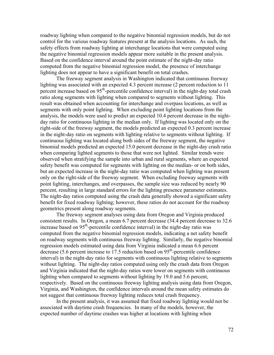roadway lighting when compared to the negative binomial regression models, but do not control for the various roadway features present at the analysis locations. As such, the safety effects from roadway lighting at interchange locations that were computed using the negative binomial regression models appear more suitable in the present analysis. Based on the confidence interval around the point estimate of the night-day ratio computed from the negative binomial regression model, the presence of interchange lighting does not appear to have a significant benefit on total crashes.

The freeway segment analysis in Washington indicated that continuous freeway lighting was associated with an expected 4.3 percent increase (2 percent reduction to 11 percent increase based on 95<sup>th</sup>-percentile confidence interval) in the night-day total crash ratio along segments with lighting when compared to segments without lighting. This result was obtained when accounting for interchange and overpass locations, as well as segments with only point lighting. When excluding point lighting locations from the analysis, the models were used to predict an expected 10.4 percent decrease in the nightday ratio for continuous lighting in the median only. If lighting was located only on the right-side of the freeway segment, the models predicted an expected 0.3 percent increase in the night-day ratio on segments with lighting relative to segments without lighting. If continuous lighting was located along both sides of the freeway segment, the negative binomial models predicted an expected 15.0 percent decrease in the night-day crash ratio when comparing lighted segments to those that were not lighted. Similar trends were observed when stratifying the sample into urban and rural segments, where an expected safety benefit was computed for segments with lighting on the median- or on both sides, but an expected increase in the night-day ratio was computed when lighting was present only on the right-side of the freeway segment. When excluding freeway segments with point lighting, interchanges, and overpasses, the sample size was reduced by nearly 90 percent, resulting in large standard errors for the lighting presence parameter estimates. The night-day ratios computed using the crash data generally showed a significant safety benefit for fixed roadway lighting; however, these ratios do not account for the roadway geometrics present along roadway segments.

The freeway segment analyses using data from Oregon and Virginia produced consistent results. In Oregon, a mean 6.7 percent decrease (34.4 percent decrease to 32.6 increase based on 95<sup>th</sup>-percentile confidence interval) in the night-day ratio was computed from the negative binomial regression models, indicating a net safety benefit on roadway segments with continuous freeway lighting. Similarly, the negative binomial regression models estimated using data from Virginia indicated a mean 6.6 percent decrease (5.6 percent increase to  $17.5$  reduction based on  $95<sup>th</sup>$ -percentile confidence interval) in the night-day ratio for segments with continuous lighting relative to segments without lighting. The night-day ratios computed using only the crash data from Oregon and Virginia indicated that the night-day ratios were lower on segments with continuous lighting when compared to segments without lighting by 19.0 and 5.6 percent, respectively. Based on the continuous freeway lighting analysis using data from Oregon, Virginia, and Washington, the confidence intervals around the mean safety estimates do not suggest that continuous freeway lighting reduces total crash frequency.

In the present analysis, it was assumed that fixed roadway lighting would not be associated with daytime crash frequencies. In many of the models, however, the expected number of daytime crashes was higher at locations with lighting when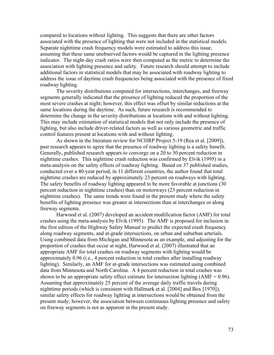compared to locations without lighting. This suggests that there are other factors associated with the presence of lighting that were not included in the statistical models. Separate nighttime crash frequency models were estimated to address this issue, assuming that these same unobserved factors would be captured in the lighting presence indicator. The night-day crash ratios were then computed as the metric to determine the association with lighting presence and safety. Future research should attempt to include additional factors in statistical models that may be associated with roadway lighting to address the issue of daytime crash frequencies being associated with the presence of fixed roadway lighting.

The severity distributions computed for intersections, interchanges, and freeway segments generally indicated that the presence of lighting reduced the proportion of the most severe crashes at night; however, this effect was offset by similar reductions at the same locations during the daytime. As such, future research is recommended to determine the change in the severity distributions at locations with and without lighting. This may include estimation of statistical models that not only include the presence of lighting, but also include driver-related factors as well as various geometric and traffic control features present at locations with and without lighting.

As shown in the literature review for NCHRP Project 5-19 (Rea et al. [2009]), past research appears to agree that the presence of roadway lighting is a safety benefit. Generally, published research appears to converge on a 20 to 30 percent reduction in nighttime crashes. This nighttime crash reduction was confirmed by Elvik (1995) in a meta-analysis on the safety effects of roadway lighting. Based on 37 published studies, conducted over a 40-year period, in 11 different countries, the author found that total nighttime crashes are reduced by approximately 23 percent on roadways with lighting. The safety benefits of roadway lighting appeared to be more favorable at junctions (30 percent reduction in nighttime crashes) than on motorways (23 percent reduction in nighttime crashes). The same trends were found in the present study where the safety benefits of lighting presence was greater at intersections than at interchanges or along freeway segments.

Harwood et al. (2007) developed an accident modification factor (AMF) for total crashes using the meta-analysis by Elvik (1995). The AMF is proposed for inclusion in the first edition of the Highway Safety Manual to predict the expected crash frequency along roadway segments, and at-grade intersections, on urban and suburban arterials. Using combined data from Michigan and Minnesota as an example, and adjusting for the proportion of crashes that occur at night, Harwood et al. (2007) illustrated that an appropriate AMF for total crashes on roadway segments with lighting would be approximately 0.96 (i.e., 4 percent reduction in total crashes after installing roadway lighting). Similarly, an AMF for at-grade intersections was estimated using combined data from Minnesota and North Carolina. A 4 percent reduction in total crashes was shown to be an appropriate safety effect estimate for intersection lighting  $(AMF = 0.96)$ . Assuming that approximately 25 percent of the average daily traffic travels during nighttime periods (which is consistent with Hallmark et al. [2004] and Box [1970]), similar safety effects for roadway lighting at intersections would be obtained from the present study; however, the association between continuous lighting presence and safety on freeway segments is not as apparent in the present study.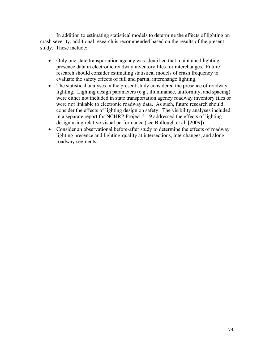In addition to estimating statistical models to determine the effects of lighting on crash severity, additional research is recommended based on the results of the present study. These include:

- Only one state transportation agency was identified that maintained lighting presence data in electronic roadway inventory files for interchanges. Future research should consider estimating statistical models of crash frequency to evaluate the safety effects of full and partial interchange lighting.
- The statistical analyses in the present study considered the presence of roadway lighting. Lighting design parameters (e.g., illuminance, uniformity, and spacing) were either not included in state transportation agency roadway inventory files or were not linkable to electronic roadway data. As such, future research should consider the effects of lighting design on safety. The visibility analyses included in a separate report for NCHRP Project 5-19 addressed the effects of lighting design using relative visual performance (see Bullough et al. [2009]).
- Consider an observational before-after study to determine the effects of roadway lighting presence and lighting-quality at intersections, interchanges, and along roadway segments.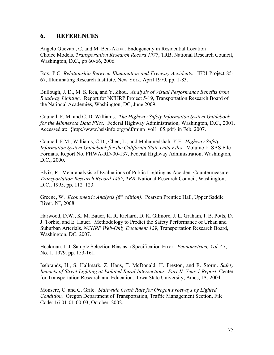#### **6. REFERENCES**

Angelo Guevara, C. and M. Ben-Akiva. Endogeneity in Residential Location Choice Models. *Transportation Research Record 1977*, TRB, National Research Council, Washington, D.C., pp 60-66, 2006.

Box, P.C. *Relationship Between Illumination and Freeway Accidents.* IERI Project 85- 67, Illuminating Research Institute, New York, April 1970, pp. 1-83.

Bullough, J. D., M. S. Rea, and Y. Zhou. *Analysis of Visual Performance Benefits from Roadway Lighting.* Report for NCHRP Project 5-19, Transportation Research Board of the National Academies, Washington, DC, June 2009.

Council, F. M. and C. D. Williams. *The Highway Safety Information System Guidebook for the Minnesota Data Files.* Federal Highway Administration, Washington, D.C., 2001. Accessed at: {http://www.hsisinfo.org/pdf/minn\_vol1\_05.pdf} in Feb. 2007.

Council, F.M., Williams, C.D., Chen, L., and Mohamedshah, Y.F. *Highway Safety Information System Guidebook for the California State Data Files.* Volume I: SAS File Formats. Report No. FHWA-RD-00-137, Federal Highway Administration, Washington, D.C., 2000.

Elvik, R. Meta-analysis of Evaluations of Public Lighting as Accident Countermeasure. *Transportation Research Record 1485, TRB*, National Research Council, Washington, D.C., 1995, pp. 112–123.

Greene, W. *Econometric Analysis (6<sup>th</sup> edition)*. Pearson Prentice Hall, Upper Saddle River, NJ, 2008.

Harwood, D.W., K. M. Bauer, K. R. Richard, D. K. Gilmore, J. L. Graham, I. B. Potts, D. J. Torbic, and E. Hauer. Methodology to Predict the Safety Performance of Urban and Suburban Arterials. *NCHRP Web-Only Document 129*, Transportation Research Board, Washington, DC, 2007.

Heckman, J. J. Sample Selection Bias as a Specification Error. *Econometrica, Vol.* 47, No. 1, 1979. pp. 153-161.

Isebrands, H., S. Hallmark, Z. Hans, T. McDonald, H. Preston, and R. Storm. *Safety Impacts of Street Lighting at Isolated Rural Intersections: Part II, Year 1 Report. Center* for Transportation Research and Education. Iowa State University, Ames, IA, 2004.

Monsere, C. and C. Grile. *Statewide Crash Rate for Oregon Freeways by Lighted Condition.* Oregon Department of Transportation, Traffic Management Section, File Code: 16-01-01-00-03, October, 2002.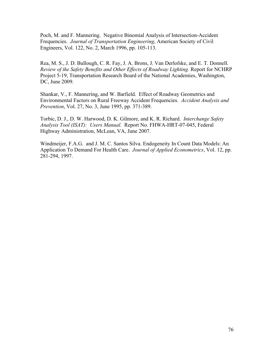Poch, M. and F. Mannering. Negative Binomial Analysis of Intersection-Accident Frequencies. *Journal of Transportation Engineering*, American Society of Civil Engineers, Vol. 122, No. 2, March 1996, pp. 105-113.

Rea, M. S., J. D. Bullough, C. R. Fay, J. A. Brons, J. Van Derlofske, and E. T. Donnell. *Review of the Safety Benefits and Other Effects of Roadway Lighting.* Report for NCHRP Project 5-19, Transportation Research Board of the National Academies, Washington, DC, June 2009.

Shankar, V., F. Mannering, and W. Barfield. Effect of Roadway Geometrics and Environmental Factors on Rural Freeway Accident Frequencies. *Accident Analysis and Prevention*, Vol. 27, No. 3, June 1995, pp. 371-389.

Torbic, D. J., D. W. Harwood, D. K. Gilmore, and K. R. Richard. *Interchange Safety Analysis Tool (ISAT): Users Manual.* Report No. FHWA-HRT-07-045, Federal Highway Administration, McLean, VA, June 2007.

Windmeijer, F.A.G. and J. M. C. Santos Silva. Endogeneity In Count Data Models: An Application To Demand For Health Care. *Journal of Applied Econometrics*, Vol. 12, pp. 281-294, 1997.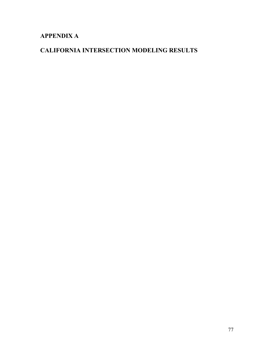# **APPENDIX A**

# **CALIFORNIA INTERSECTION MODELING RESULTS**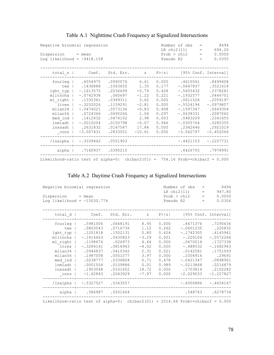| Negative binomial regression<br>$Disperson = mean$<br>Log likelihood = $-9418.158$ |                           |          |          | Number of obs<br>$\qquad \qquad =$<br>LR chi2(11)<br>$=$<br>Prob > chi2<br>$=$<br>Pseudo R2<br>$=$ |                                              |             |  |
|------------------------------------------------------------------------------------|---------------------------|----------|----------|----------------------------------------------------------------------------------------------------|----------------------------------------------|-------------|--|
|                                                                                    |                           |          |          |                                                                                                    |                                              |             |  |
| total n                                                                            |                           |          |          |                                                                                                    | Coef. Std. Err. z P> z  [95% Conf. Interval] |             |  |
| fourleg                                                                            | .6554975                  | .0992076 | 6.61     | 0.000                                                                                              | .4610541                                     | .8499408    |  |
| tee                                                                                | .1436888                  | .1063655 | 1.35     | 0.177                                                                                              | $-.0647837$                                  | .3521614    |  |
| $l$ qht typ $ $                                                                    | $-.1613575$               | .2036699 | $-0.79$  | 0.428                                                                                              | $-.5605432$                                  | .2378281    |  |
| mlltncha                                                                           | $-.0742938$               | .060697  | $-1.22$  | 0.221                                                                                              | $-.1932577$                                  | .0446701    |  |
|                                                                                    | ml right   .1335361       | .0369311 | 3.62     | 0.000                                                                                              | .0611524                                     | .2059197    |  |
| ltres                                                                              | $-.3252026$               | .1159291 | $-2.81$  | 0.005                                                                                              | $-.5524194$                                  | $-.0979857$ |  |
| mllan34                                                                            | $-.0474021$               | .0573136 | $-0.83$  | 0.408                                                                                              | $-.1597347$                                  | .0649304    |  |
| mllan56                                                                            | .0724366                  | .0695266 | 1.04     | 0.297                                                                                              | $-.0638331$                                  | .2087062    |  |
| med ind                                                                            | .1412432                  | .0474102 | 2.98     | 0.003                                                                                              | .0483209                                     | .2341655    |  |
| lnmladt                                                                            | $-.0010204$               | .0150798 | $-0.07$  | 0.946                                                                                              | $-.0305764$                                  | .0285355    |  |
| lnxsadt                                                                            | .2631832                  | .0147547 | 17.84    | 0.000                                                                                              | .2342646                                     | .2921019    |  |
| cons                                                                               | $-3.007431$               | .2833551 | $-10.61$ | 0.000                                                                                              | $-3.562797$                                  | $-2.452066$ |  |
| /lnalpha                                                                           | $-.3339442$ .0551903      |          |          |                                                                                                    | $-.4421153$                                  | $-.2257731$ |  |
|                                                                                    | alpha   .7160937 .0395215 |          |          |                                                                                                    | .6426755                                     | .7978991    |  |
| Likelihood-ratio test of alpha=0: chibar2(01) = $754.16$ Prob>=chibar2 = 0.000     |                           |          |          |                                                                                                    |                                              |             |  |

## Table A.1 Nighttime Crash Frequency at Signalized Intersections

## Table A.2 Daytime Crash Frequency at Signalized Intersections

| Negative binomial regression<br>$Disperson = mean$<br>Log likelihood = $-15030.774$ |                                    |                                  |                          | Pseudo R2               | Number of obs<br>LR chi2(11)<br>Prob > chi2 | $=$<br>$=$<br>$=$<br>$=$ | 8494<br>947.80<br>0.0000<br>0.0306  |
|-------------------------------------------------------------------------------------|------------------------------------|----------------------------------|--------------------------|-------------------------|---------------------------------------------|--------------------------|-------------------------------------|
| total d                                                                             | Coef.                              | Std. Err.                        | $Z$ and $Z$              | P >  z                  |                                             |                          | [95% Conf. Interval]                |
| fourleg                                                                             | .5981006<br>.0803543               | .0668191<br>.0716736             | 8.95<br>1.12             | 0.000<br>0.262          | .4671376<br>$-.0601235$                     |                          | .7290636<br>.220832                 |
| tee<br>lght typ                                                                     | .1201818                           | .1502131                         | 0.80                     | 0.424                   | $-.1742305$                                 |                          | .4145941                            |
| mlltncha  <br>ml right                                                              | $-.1416663$<br>.1198676            | .0430823<br>.026973              | $-3.29$<br>4.44          | 0.001<br>0.000          | $-.226106$<br>.0670014                      |                          | $-.0572266$<br>.1727338             |
| ltres                                                                               | $-.3284141$                        | .0816943                         | $-4.02$                  | 0.000                   | $-.488532$                                  |                          | $-.1682963$                         |
| mllan34<br>mllan56                                                                  | .0946837<br>.1987008               | .0410342<br>.0501077             | 2.31<br>3.97             | 0.021<br>0.000          | .0142581<br>.1004916                        |                          | .1751093<br>.29691                  |
| med ind                                                                             | .0238777                           | .0336804                         | 0.71                     | 0.478                   | $-.0421347$                                 |                          | .0898901                            |
| lnmladt<br>lnxsadt<br>cons                                                          | .0001506<br>.1903048<br>$-1.62843$ | .0109886<br>.0101652<br>.2043929 | 0.01<br>18.72<br>$-7.97$ | 0.989<br>0.000<br>0.000 | $-.0213868$<br>.1703814<br>$-2.029033$      |                          | .0216879<br>.2102282<br>$-1.227827$ |
| /lnalpha                                                                            | $-.5327527$                        | .0343557                         |                          |                         | $-.6000886$                                 |                          | $-.4654167$                         |
| alpha                                                                               | .586987                            | .0201664                         |                          |                         | .548763                                     |                          | .6278734                            |
| Likelihood-ratio test of alpha=0: chibar2(01) = $2514.64$ Prob>=chibar2 = 0.000     |                                    |                                  |                          |                         |                                             |                          |                                     |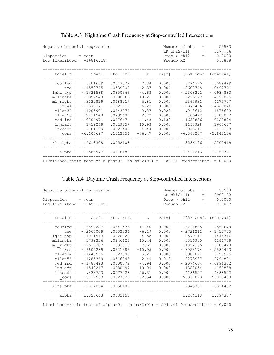| Negative binomial regression<br>$Disperson = mean$<br>Log likelihood = $-16816.184$                                                |                                                                                                                                                            |                                                                                                                                              |                                                                                                                 |                                                                                                          | 53533<br>Number of obs<br>$\qquad \qquad =$<br>LR chi2(11)<br>3277.66<br>$=$<br>Prob > chi2<br>0.0000<br>$=$<br>0.0888<br>Pseudo R2<br>$=$              |                                                                                                                                                          |  |  |
|------------------------------------------------------------------------------------------------------------------------------------|------------------------------------------------------------------------------------------------------------------------------------------------------------|----------------------------------------------------------------------------------------------------------------------------------------------|-----------------------------------------------------------------------------------------------------------------|----------------------------------------------------------------------------------------------------------|---------------------------------------------------------------------------------------------------------------------------------------------------------|----------------------------------------------------------------------------------------------------------------------------------------------------------|--|--|
| total n                                                                                                                            | Coef.                                                                                                                                                      |                                                                                                                                              |                                                                                                                 |                                                                                                          | Std. Err. z P> z  [95% Conf. Interval]                                                                                                                  |                                                                                                                                                          |  |  |
| fourleg  <br>tee l<br>lght typ<br>mlltncha  <br>ml right<br>ltres  <br>mllan34<br>mllan56<br>med ind<br>lnmladt<br>lnxsadt<br>cons | .401659<br>$-.1550745$<br>$-.1621588$<br>.3992548<br>.3322819<br>$-.6373171$<br>.1005901<br>.2214548<br>$-.0704971$<br>.1412268<br>.4181169<br>$-6.105697$ | .0547377<br>.0539808<br>.0350366<br>.0390965<br>.0488217<br>.1022618<br>.0443774<br>.0799682<br>.0476471<br>.0129257<br>.0121408<br>.1313854 | 7.34<br>$-2.87$<br>$-4.63$<br>10.21<br>6.81<br>$-6.23$<br>2.27<br>2.77<br>$-1.48$<br>10.93<br>34.44<br>$-46.47$ | 0.000<br>0.004<br>0.000<br>0.000<br>0.000<br>0.000<br>0.023<br>0.006<br>0.139<br>0.000<br>0.000<br>0.000 | .294375<br>$-.2608748$<br>$-.2308292$<br>.3226272<br>.2365931<br>$-.8377466$<br>.013612<br>.06472<br>$-.1638836$<br>.1158928<br>.3943214<br>$-6.363207$ | .5089429<br>$-.0492741$<br>$-.0934883$<br>.4758825<br>.4279707<br>$-.4368876$<br>.1875682<br>.3781897<br>.0228894<br>.1665607<br>.4419123<br>$-5.848186$ |  |  |
|                                                                                                                                    | /lnalpha   .4618308 .0552108                                                                                                                               |                                                                                                                                              |                                                                                                                 |                                                                                                          |                                                                                                                                                         | .3536196 .5700419                                                                                                                                        |  |  |
|                                                                                                                                    | alpha   1.586977 .0876182                                                                                                                                  |                                                                                                                                              |                                                                                                                 |                                                                                                          | 1.424213                                                                                                                                                | 1.768341                                                                                                                                                 |  |  |
| Likelihood-ratio test of alpha=0: chibar2(01) = $788.24$ Prob>=chibar2 = 0.000                                                     |                                                                                                                                                            |                                                                                                                                              |                                                                                                                 |                                                                                                          |                                                                                                                                                         |                                                                                                                                                          |  |  |

### Table A.3 Nighttime Crash Frequency at Stop-controlled Intersections

### Table A.4 Daytime Crash Frequency at Stop-controlled Intersections

.

| Negative binomial regression<br>$Disperson = mean$<br>Log likelihood = $-36501.459$                                            |                                                                                                                                                                   | 53533<br>Number of obs<br>$\qquad \qquad =$<br>LR chi2(11)<br>8902.22<br>$\qquad \qquad =$<br>0.0000<br>Prob > chi2<br>$\qquad \qquad =$<br>0.1087<br>Pseudo R2<br>$=$ |                                                                                                                |                                                                                                          |                                                                                                                                                          |  |                                                                                                                                                        |
|--------------------------------------------------------------------------------------------------------------------------------|-------------------------------------------------------------------------------------------------------------------------------------------------------------------|------------------------------------------------------------------------------------------------------------------------------------------------------------------------|----------------------------------------------------------------------------------------------------------------|----------------------------------------------------------------------------------------------------------|----------------------------------------------------------------------------------------------------------------------------------------------------------|--|--------------------------------------------------------------------------------------------------------------------------------------------------------|
| total $d$                                                                                                                      | Coef.                                                                                                                                                             | Std. Err.                                                                                                                                                              | $Z$ and $Z$                                                                                                    | P >  z                                                                                                   |                                                                                                                                                          |  | [95% Conf. Interval]                                                                                                                                   |
| fourleg  <br>tee<br>lght typ<br>ml right<br>ltres<br>mllan34<br>mllan56<br>med ind<br>lnmladt<br>lnxsadt<br>$\mathsf{\_}$ cons | .3894287<br>$-.2067008$<br>.1011913<br>mlltncha   .3799336<br>.2539307<br>$-.6805289$<br>.1448535<br>.1285369<br>$-.1485493$<br>.1540217<br>.433753<br>$-5.17563$ | .0341533<br>.0333834<br>.0220822<br>.0246128<br>.033018<br>.0621382<br>.027588<br>.0516046<br>.0300572<br>.0080697<br>.0077028<br>.0827528                             | 11.40<br>$-6.19$<br>4.58<br>15.44<br>7.69<br>$-10.95$<br>5.25<br>2.49<br>$-4.94$<br>19.09<br>56.31<br>$-62.54$ | 0.000<br>0.000<br>0.000<br>0.000<br>0.000<br>0.000<br>0.000<br>0.013<br>0.000<br>0.000<br>0.000<br>0.000 | .3224895<br>$-.2721312$<br>.0579111<br>.3316935<br>.1892165<br>$-.8023174$<br>.0907821<br>.0273937<br>$-.2074604$<br>.1382054<br>.4186557<br>$-5.337823$ |  | .4563679<br>$-.1412705$<br>.1444716<br>.4281738<br>.3186448<br>$-.5587403$<br>.198925<br>.2296801<br>$-.0896382$<br>.169838<br>.4488502<br>$-5.013438$ |
| /lnalpha                                                                                                                       | .2834054                                                                                                                                                          | .0250182                                                                                                                                                               |                                                                                                                |                                                                                                          | .2343707                                                                                                                                                 |  | .3324402                                                                                                                                               |
| alpha                                                                                                                          |                                                                                                                                                                   | 1.327643 .0332153                                                                                                                                                      |                                                                                                                |                                                                                                          | 1.264113                                                                                                                                                 |  | 1.394367                                                                                                                                               |
| Likelihood-ratio test of alpha=0: chibar2(01) = 5099.01 Prob>=chibar2 = $0.000$                                                |                                                                                                                                                                   |                                                                                                                                                                        |                                                                                                                |                                                                                                          |                                                                                                                                                          |  |                                                                                                                                                        |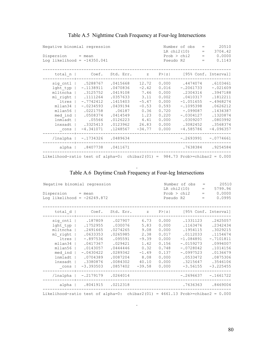|                                                                                                     | Negative binomial regression                                                                                                                                                         |                                                                                                                    |                                                                                                     |                                                                                                 |                                                                                                                                                   | $=$ | 20510                                                                                                                                    |
|-----------------------------------------------------------------------------------------------------|--------------------------------------------------------------------------------------------------------------------------------------------------------------------------------------|--------------------------------------------------------------------------------------------------------------------|-----------------------------------------------------------------------------------------------------|-------------------------------------------------------------------------------------------------|---------------------------------------------------------------------------------------------------------------------------------------------------|-----|------------------------------------------------------------------------------------------------------------------------------------------|
| $Disperson = mean$<br>Log likelihood = $-14350.041$                                                 |                                                                                                                                                                                      | LR chi2(10)<br>3704.42<br>$=$<br>Prob > chi2<br>$= 0.0000$<br>0.1143<br>Pseudo R2<br>$=$                           |                                                                                                     |                                                                                                 |                                                                                                                                                   |     |                                                                                                                                          |
| total n                                                                                             |                                                                                                                                                                                      | $Coef.$ Std. Err. $z$ P> $ z $                                                                                     |                                                                                                     |                                                                                                 |                                                                                                                                                   |     | [95% Conf. Interval]                                                                                                                     |
| lght typ  <br>ltres  <br>$mllan34$  <br>mllan56<br>$med$ ind $ $<br>lnmladt  <br>lnxsadt  <br>_cons | sig cntl   .5288767 .0415668<br>$-.1138911$<br>mlltncha   .3125752<br>ml right   .1111264<br>$-.7742412$<br>$-.0234593$<br>.0221758<br>.0508374<br>.05566<br>.3325413<br>$-4.341071$ | .0470836<br>.0419108<br>.0357633<br>.1415403<br>.0439194<br>.06187<br>.0414549<br>.0126223<br>.0123962<br>.1248567 | 12.72<br>$-2.42$<br>7.46<br>3.11<br>$-5.47$<br>$-0.53$<br>0.36<br>1.23<br>4.41<br>26.83<br>$-34.77$ | 0.000<br>0.016<br>0.000<br>0.002<br>0.000<br>0.593<br>0.720<br>0.220<br>0.000<br>0.000<br>0.000 | .4474074<br>$-.2061733$<br>.2304316<br>.0410317<br>$-1.051655$<br>$-.1095398$<br>$-.099087$<br>$-.0304127$<br>.0309207<br>.3082452<br>$-4.585786$ |     | .6103461<br>$-.021609$<br>.3947188<br>.1812211<br>$-.4968274$<br>.0626212<br>.1434387<br>.1320874<br>.0803992<br>.3568374<br>$-4.096357$ |
|                                                                                                     | /lnalpha   -.1734326 .0489634                                                                                                                                                        |                                                                                                                    |                                                                                                     |                                                                                                 | -.2693991                                                                                                                                         |     | $-.0774661$                                                                                                                              |
|                                                                                                     | alpha   .8407738 .0411671                                                                                                                                                            |                                                                                                                    |                                                                                                     |                                                                                                 |                                                                                                                                                   |     | .7638384.9254584                                                                                                                         |
| Likelihood-ratio test of alpha=0: chibar2(01) = $984.73$ Prob>=chibar2 = 0.000                      |                                                                                                                                                                                      |                                                                                                                    |                                                                                                     |                                                                                                 |                                                                                                                                                   |     |                                                                                                                                          |

### Table A.5 Nighttime Crash Frequency at Four-leg Intersections

#### . Table A.6 Daytime Crash Frequency at Four-leg Intersections

| Negative binomial regression<br>Dispersion = mean<br>Log likelihood = $-26249.872$ |  |                                                                                                                                                                                                             |                                                                                                               |                                                                    | Number of obs<br>$=$<br>LR chi2(10)<br>$=$ 100 $-$<br>$Prob > chi2 = 0.0000$<br>Pseudo R2<br>$=$ |                                                                                                                                  |  | 20510<br>5799.96<br>0.0995                                                                                              |
|------------------------------------------------------------------------------------|--|-------------------------------------------------------------------------------------------------------------------------------------------------------------------------------------------------------------|---------------------------------------------------------------------------------------------------------------|--------------------------------------------------------------------|--------------------------------------------------------------------------------------------------|----------------------------------------------------------------------------------------------------------------------------------|--|-------------------------------------------------------------------------------------------------------------------------|
|                                                                                    |  | total d   Coef. Std. Err. z P> z  [95% Conf. Interval]                                                                                                                                                      |                                                                                                               |                                                                    |                                                                                                  |                                                                                                                                  |  |                                                                                                                         |
| ltres  <br>mllan34  <br>med ind  <br>lnxsadt                                       |  | sig cntl   .187809 .027907 6.73 0.000<br>lght typ   .1752955<br>mlltncha   .2491665<br>ml right   .0633353<br>$-.897536$<br>.0417367<br>mllan56   .0143057<br>$-.0430422$<br>lnmladt   .0704389<br>.3380876 | .030076<br>.0274265<br>.0265985<br>.095591<br>.029421<br>.0444446<br>.0289342<br>.0087204<br>$.0084302$ 40.10 | 5.83<br>9.08<br>2.38<br>$-9.39$<br>1.42<br>0.32<br>$-1.49$<br>8.08 | 0.000<br>0.000<br>0.017<br>0.000<br>0.156<br>0.748<br>0.137<br>0.000<br>0.000                    | .1331123<br>.1163476<br>.1954115<br>.0112033<br>$-1.084891$<br>$-.0159273$<br>$-.0728042$<br>$-.0997523$<br>.0533472<br>.3215647 |  | .2425057<br>.2342434<br>.3029215<br>.1154674<br>$-.7101811$<br>.0994007<br>.1014156<br>.0136679<br>.0875306<br>.3546106 |
|                                                                                    |  | $cons$   $-3.393503$                                                                                                                                                                                        | $.0857402 -39.58$                                                                                             |                                                                    | 0.000                                                                                            | $-3.56155$                                                                                                                       |  | $-3.225455$                                                                                                             |
|                                                                                    |  | /lnalpha   -.2179179 .0264014                                                                                                                                                                               | ___________                                                                                                   |                                                                    |                                                                                                  | $-.2696637-.1661722$                                                                                                             |  |                                                                                                                         |
|                                                                                    |  | alpha   .8041915 .0212318                                                                                                                                                                                   |                                                                                                               |                                                                    |                                                                                                  |                                                                                                                                  |  | .7636363 .8469004                                                                                                       |
| Likelihood-ratio test of alpha=0: chibar2(01) = $4661.13$ Prob>=chibar2 = 0.000    |  |                                                                                                                                                                                                             |                                                                                                               |                                                                    |                                                                                                  |                                                                                                                                  |  |                                                                                                                         |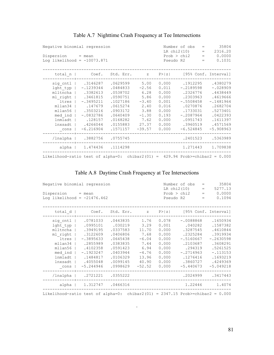| Negative binomial regression                                                              |                                                                                                                                                                            |                                                                                                                                         |                                                                                            |                                                                                                 | Number of obs<br>LR chi2(10)                                                                                                                 | $=$<br>$=$ | 35804<br>2316.20                                                                                                                         |
|-------------------------------------------------------------------------------------------|----------------------------------------------------------------------------------------------------------------------------------------------------------------------------|-----------------------------------------------------------------------------------------------------------------------------------------|--------------------------------------------------------------------------------------------|-------------------------------------------------------------------------------------------------|----------------------------------------------------------------------------------------------------------------------------------------------|------------|------------------------------------------------------------------------------------------------------------------------------------------|
| Dispersion = mean<br>Log likelihood = $-10073.871$                                        |                                                                                                                                                                            |                                                                                                                                         |                                                                                            | Pseudo R2                                                                                       | Prob > chi2                                                                                                                                  | $=$<br>$=$ | 0.0000<br>0.1031                                                                                                                         |
| total n                                                                                   |                                                                                                                                                                            | Coef. Std. Err. z                                                                                                                       |                                                                                            |                                                                                                 | $P >  z $ [95% Conf. Interval]                                                                                                               |            |                                                                                                                                          |
| $lqht typ$  <br>ml right  <br>ltres  <br>$mllan34$  <br>med ind  <br>lnmladt  <br>lnxsadt | sig cntl   .3146287<br>$-.1239344$<br>mlltncha   .3382613<br>.3461815<br>$-.3495211$<br>.147679<br>mllan56   .3503216<br>$-.0832786$<br>.128157<br>.4266044<br>$-6.216904$ | $.0629599$ 5.00<br>.0484833<br>.0538702<br>.0590751<br>.1027186<br>.0615274<br>.0903172<br>.0640409<br>.0168282<br>.0155883<br>.1571157 | $-2.56$<br>6.28<br>5.86<br>$-3.40$<br>2.40<br>3.88<br>$-1.30$<br>7.62<br>27.37<br>$-39.57$ | 0.000<br>0.011<br>0.000<br>0.000<br>0.001<br>0.016<br>0.000<br>0.193<br>0.000<br>0.000<br>0.000 | .1912295<br>$-.2189598$<br>.2326776<br>.2303963<br>$-.5508458$<br>.0270876<br>.1733031<br>$-.2087964$<br>.0951743<br>.3960519<br>$-6.524845$ |            | .4380279<br>$-.028909$<br>.4438449<br>.4619666<br>$-.1481964$<br>.2682704<br>.5273401<br>.0422393<br>.1611397<br>.4571569<br>$-5.908963$ |
| cons  <br>/lnalpha                                                                        | .3882756 .0755745                                                                                                                                                          |                                                                                                                                         |                                                                                            |                                                                                                 | .2401523                                                                                                                                     |            | .5363989                                                                                                                                 |
|                                                                                           | alpha   1.474436 .1114298                                                                                                                                                  |                                                                                                                                         |                                                                                            |                                                                                                 | 1.271443                                                                                                                                     |            | 1.709838                                                                                                                                 |
| Likelihood-ratio test of alpha=0: chibar2(01) = $429.94$ Prob>=chibar2 = 0.000            |                                                                                                                                                                            |                                                                                                                                         |                                                                                            |                                                                                                 |                                                                                                                                              |            |                                                                                                                                          |

## Table A.7 Nighttime Crash Frequency at Tee Intersections

## Table A.8 Daytime Crash Frequency at Tee Intersections

| Negative binomial regression<br>Dispersion = mean<br>Log likelihood = $-21476.462$ |                                                                                                                                                                                                                         |                                                                                                                              |                                                                               |                                                                                        | Number of obs<br>LR chi2(10)<br>Pseudo R2                                                                                                        | 35804<br>$=$<br>5277.13<br>$\equiv$ 0.000 $^{\circ}$<br>$Prob > chi2 = 0.0000$<br>0.1094<br>$=$                                          |
|------------------------------------------------------------------------------------|-------------------------------------------------------------------------------------------------------------------------------------------------------------------------------------------------------------------------|------------------------------------------------------------------------------------------------------------------------------|-------------------------------------------------------------------------------|----------------------------------------------------------------------------------------|--------------------------------------------------------------------------------------------------------------------------------------------------|------------------------------------------------------------------------------------------------------------------------------------------|
|                                                                                    | total d   Coef. Std. Err. z P> z  [95% Conf. Interval]                                                                                                                                                                  |                                                                                                                              |                                                                               |                                                                                        |                                                                                                                                                  |                                                                                                                                          |
| ltres  <br>mllan34  <br>med ind  <br>lnxsadt  <br>_cons                            | sig cntl   .0781033 .0443835 1.76<br>lght typ   .0995101<br>mlltncha   .3949195<br>ml right   .3122609<br>$-.3895633$<br>.2855989<br>mllan56   .4102358<br>$-.1923247$<br>lnmladt   .1484817<br>.4055048<br>$-5.244946$ | .030219<br>.0337583<br>.0406806<br>.0645438<br>.0383835<br>.0591423<br>.0403944<br>.0106329<br>.0099145<br>$.0998629 -52.52$ | 3.29<br>11.70<br>7.68<br>$-6.04$<br>7.44<br>6.94<br>$-4.76$<br>13.96<br>40.90 | 0.001<br>0.000<br>0.000<br>0.000<br>0.000<br>0.000<br>0.000<br>0.000<br>0.000<br>0.000 | $0.078 - 0088868$<br>.040282<br>.3287545<br>.2325284<br>$-.5160667$<br>.2103687<br>.294319<br>$-.2714963$<br>.1276416<br>.3860727<br>$-5.440673$ | .1650934<br>.1587382<br>.4610844<br>.3919934<br>$-.2630598$<br>.3608291<br>.5261525<br>$-.113153$<br>.1693219<br>.4249369<br>$-5.049218$ |
|                                                                                    | /lnalpha   .2721221 .0355222                                                                                                                                                                                            |                                                                                                                              |                                                                               |                                                                                        |                                                                                                                                                  | .2024999 .3417443                                                                                                                        |
|                                                                                    | alpha   1.312747 .0466316                                                                                                                                                                                               |                                                                                                                              |                                                                               |                                                                                        |                                                                                                                                                  | 1.22446 1.4074                                                                                                                           |
| Likelihood-ratio test of alpha=0: chibar2(01) = $2347.15$ Prob>=chibar2 = 0.000    |                                                                                                                                                                                                                         |                                                                                                                              |                                                                               |                                                                                        |                                                                                                                                                  |                                                                                                                                          |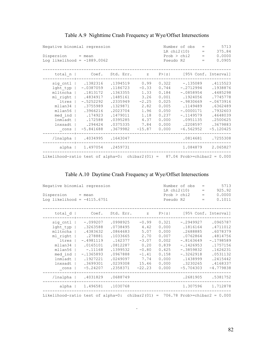| Negative binomial regression                                                  |  |                           |          |  |          |       | Number of obs<br>LR chi2(10) | $=$<br>$=$ | 5713<br>375.84   |
|-------------------------------------------------------------------------------|--|---------------------------|----------|--|----------|-------|------------------------------|------------|------------------|
| $Disperson = mean$<br>Log likelihood = $-1889.0062$                           |  |                           |          |  |          |       | Prob > chi2<br>Pseudo R2     | $=$<br>$=$ | 0.0000<br>0.0905 |
| total $n$                                                                     |  | Coef. Std. Err. z         |          |  |          |       | P> z  [95% Conf. Interval]   |            |                  |
| sig cntl                                                                      |  | .1382316                  | .1394519 |  | 0.99     | 0.322 |                              | $-.135089$ | .4115523         |
| $lqht typ$                                                                    |  | $-.0387059$               | .1186723 |  | $-0.33$  | 0.744 | $-.2712994$                  |            | .1938876         |
| mlltncha                                                                      |  | .1813172                  | .1363355 |  | 1.33     | 0.184 | $-.0858954$                  |            | .4485298         |
| ml right                                                                      |  | .4834917                  | .1485161 |  | 3.26     | 0.001 | .1924056                     |            | .7745778         |
| ltres                                                                         |  | $-.5252292$               | .2335949 |  | $-2.25$  | 0.025 | $-.9830669$                  |            | $-.0673916$      |
| mllan34                                                                       |  | .3755989                  | .1329871 |  | 2.82     | 0.005 | .1149489                     |            | .6362489         |
|                                                                               |  | mllan56   .3966216        | .2023704 |  | 1.96     | 0.050 | $-.0000171$                  |            | .7932603         |
| $med$ ind $ $                                                                 |  | .174923                   | .1479011 |  | 1.18     | 0.237 | $-.1149579$                  |            | .4648039         |
| lnmladt                                                                       |  | .172588                   | .0395285 |  | 4.37     | 0.000 | .0951135                     |            | .2500625         |
| lnxsadt                                                                       |  | .294424                   | .0375335 |  | 7.84     | 0.000 |                              | .2208597   | .3679883         |
| _cons                                                                         |  | $-5.841688$               | .3679982 |  | $-15.87$ | 0.000 | $-6.562952$                  |            | $-5.120425$      |
| $/$ lnalpha                                                                   |  | .4034995                  | .1643047 |  |          |       |                              | .0814681   | .7255308         |
|                                                                               |  | alpha   1.497054 .2459731 |          |  |          |       |                              | 1.084879   | 2.065827         |
| Likelihood-ratio test of alpha=0: chibar2(01) = $87.04$ Prob>=chibar2 = 0.000 |  |                           |          |  |          |       |                              |            |                  |

### Table A.9 Nighttime Crash Frequency at Wye/Offset Intersections

## Table A.10 Daytime Crash Frequency at Wye/Offset Intersections

| Negative binomial regression<br>$Disperson = mean$                             |                                                        | Number of obs<br>$=$<br>LR chi2(10)<br>$=$<br>Prob > chi2 |         |       | 5713<br>925.92<br>0.0000<br><b>Contract Contract Contract</b> |     |                   |
|--------------------------------------------------------------------------------|--------------------------------------------------------|-----------------------------------------------------------|---------|-------|---------------------------------------------------------------|-----|-------------------|
| Log likelihood = $-4115.6751$                                                  |                                                        |                                                           |         |       | Pseudo R2                                                     | $=$ | 0.1011            |
|                                                                                | total d   Coef. Std. Err. z P> z  [95% Conf. Interval] |                                                           |         |       |                                                               |     |                   |
|                                                                                | sig cntl   -.099207 .0998925 -0.99                     |                                                           |         |       | $0.321 - .2949927$                                            |     | .0965787          |
|                                                                                | lght typ   .3263588                                    | .0738495                                                  | 4.42    | 0.000 | .1816164                                                      |     | .4711012          |
|                                                                                | mlltncha   .4383632                                    | .0864683                                                  | 5.07    | 0.000 | .2688885                                                      |     | .6078379          |
| ml right                                                                       | .278881                                                | .1033665                                                  | 2.70    | 0.007 | .0762864                                                      |     | .4814756          |
| ltres                                                                          | $-.4981119$                                            | .162377                                                   | $-3.07$ | 0.002 | $-.8163649$                                                   |     | $-.1798589$       |
| mllan34                                                                        | .0165101                                               | .0812287                                                  | 0.20    | 0.839 | $-.1426953$                                                   |     | .1757156          |
|                                                                                | $mllan56$   $-.11168$                                  | .1399532                                                  | $-0.80$ | 0.425 | $-.3859832$                                                   |     | .1626231          |
| med ind                                                                        | $-.1365893$                                            | .0967888                                                  | $-1.41$ | 0.158 | $-.3262918$                                                   |     | .0531132          |
|                                                                                | lnmladt   .1927221                                     | .0249097                                                  | 7.74    | 0.000 | .1438999                                                      |     | .2415442          |
| lnxsadt                                                                        | .3699301                                               | .0239308 15.46                                            |         | 0.000 | .3230265                                                      |     | .4168337          |
| $_{\rm cons}$                                                                  | $1 - 5.24207$                                          | $.2358371 - 22.23$                                        |         | 0.000 | $-5.704303$                                                   |     | $-4.779838$       |
|                                                                                | /lnalpha   .4031829 .0688749                           |                                                           |         |       |                                                               |     | .2681905 .5381752 |
|                                                                                | alpha   1.496581 .1030768                              |                                                           |         |       |                                                               |     | 1.307596 1.712878 |
| Likelihood-ratio test of alpha=0: chibar2(01) = 706.78 Prob>=chibar2 = $0.000$ |                                                        |                                                           |         |       |                                                               |     |                   |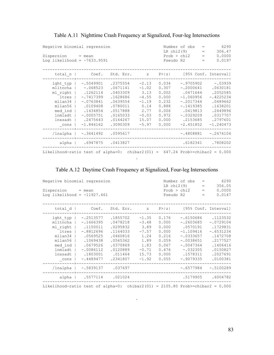| Negative binomial regression<br>Dispersion = mean<br>Log likelihood = $-7633.9591$               |                                                                                                                                                             | Pseudo R2                                                                                                            | Number of obs<br>LR $chi2(9)$<br>Prob > chi2                                                    | $=$<br>$=$<br>$\, =$<br>$\qquad \qquad =$                                              | 6290<br>306.47<br>0.0000<br>0.0197                                                                                         |  |                                                                                                                                        |
|--------------------------------------------------------------------------------------------------|-------------------------------------------------------------------------------------------------------------------------------------------------------------|----------------------------------------------------------------------------------------------------------------------|-------------------------------------------------------------------------------------------------|----------------------------------------------------------------------------------------|----------------------------------------------------------------------------------------------------------------------------|--|----------------------------------------------------------------------------------------------------------------------------------------|
| total $n$                                                                                        |                                                                                                                                                             | Coef. Std. Err. z P> z  [95% Conf. Interval]                                                                         |                                                                                                 |                                                                                        |                                                                                                                            |  |                                                                                                                                        |
| $l$ ght typ $ $<br>ltres<br>mllan34<br>mllan56<br>med ind<br>lnmladt<br>lnxsadt<br>$_{\rm cons}$ | $-.5049901$<br>mlltncha $ -$ .068523<br>ml right   .1262114<br>$-.7417399$<br>$-.0763841$<br>.0109408<br>.1434854<br>$-.0005751$<br>.2475643<br>$-1.846162$ | .2375554<br>.0671141<br>.0403309<br>.1628686<br>.0639554<br>.0780011<br>.0517888<br>.0165033<br>.0164267<br>.3090309 | $-2.13$<br>$-1.02$<br>3.13<br>$-4.55$<br>$-1.19$<br>0.14<br>2.77<br>$-0.03$<br>15.07<br>$-5.97$ | 0.034<br>0.307<br>0.002<br>0.000<br>0.232<br>0.888<br>0.006<br>0.972<br>0.000<br>0.000 | $-.2000641$<br>.0471644<br>$-1.060956$<br>$-.2017344$<br>$-.1419385$<br>.0419813<br>$-.0329209$<br>.2153685<br>$-2.451852$ |  | $-.9705902 - .03939$<br>.0630181<br>.2052585<br>$-.4225234$<br>.0489662<br>.1638201<br>.2449896<br>.0317707<br>.2797601<br>$-1.240473$ |
|                                                                                                  | /lnalpha   -.3641492 .0595617                                                                                                                               |                                                                                                                      |                                                                                                 |                                                                                        | $-.4808881$                                                                                                                |  | $-.2474104$                                                                                                                            |
|                                                                                                  | alpha   .6947875 .0413827                                                                                                                                   |                                                                                                                      |                                                                                                 |                                                                                        |                                                                                                                            |  | .6182341 .7808202                                                                                                                      |
| Likelihood-ratio test of alpha=0: chibar2(01) = $647.24$ Prob>=chibar2 = 0.000                   |                                                                                                                                                             |                                                                                                                      |                                                                                                 |                                                                                        |                                                                                                                            |  |                                                                                                                                        |

## Table A.11 Nighttime Crash Frequency at Signalized, Four-leg Intersections

## Table A.12 Daytime Crash Frequency at Signalized, Four-leg Intersections

.

| Negative binomial regression                                                    |             |           |         | Number of obs | $=$         | 6290 |                      |  |
|---------------------------------------------------------------------------------|-------------|-----------|---------|---------------|-------------|------|----------------------|--|
|                                                                                 |             |           |         | LR $chi2(9)$  |             | $=$  | 356.05               |  |
| $Disperson = mean$                                                              |             |           |         |               | Prob > chi2 | $=$  | 0.0000               |  |
| Log likelihood = $-11927.461$                                                   |             |           |         | Pseudo R2     |             | $=$  | 0.0147               |  |
| total $d$                                                                       | Coef.       | Std. Err. | Z       | P >  z        |             |      | [95% Conf. Interval] |  |
| lght typ                                                                        | $-.2513577$ | .1855702  | $-1.35$ | 0.176         | $-.6150686$ |      | .1123532             |  |
| mlltncha                                                                        | $-.1666395$ | .0478218  | $-3.48$ | 0.000         | $-.2603685$ |      | $-.0729104$          |  |
| ml right                                                                        | .1150011    | .0295832  | 3.89    | 0.000         | .0570191    |      | .1729831             |  |
| ltres                                                                           | $-.8812696$ | .1164033  | $-7.57$ | 0.000         | $-1.109416$ |      | $-.6531234$          |  |
| mllan34                                                                         | .0569525    | .0460816  | 1.24    | 0.216         | $-.0333657$ |      | .1472708             |  |
| mllan56                                                                         | .1069438    | .0565362  | 1.89    | 0.059         | $-.0038651$ |      | .2177527             |  |
| med ind                                                                         | .0679526    | .0370869  | 1.83    | 0.067         | $-.0047364$ |      | .1406416             |  |
| lnmladt                                                                         | $-.0086112$ | .0120889  | $-0.71$ | 0.476         | $-.032305$  |      | .0150827             |  |
| lnxsadt                                                                         | .1803001    | .011464   | 15.73   | 0.000         | .1578311    |      | .2027691             |  |
| cons                                                                            | $-.4489477$ | .2341807  | $-1.92$ | 0.055         | $-.9079335$ |      | .0100381             |  |
| /lnalpha                                                                        | $-.5839137$ | .037697   |         |               | $-.6577984$ |      | $-.5100289$          |  |
| $alpha$                                                                         | .5577114    | .021024   |         |               | .5179905    |      | .6004782             |  |
| Likelihood-ratio test of alpha=0: chibar2(01) = $2105.80$ Prob>=chibar2 = 0.000 |             |           |         |               |             |      |                      |  |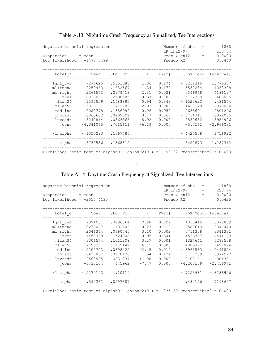| Negative binomial regression<br>Dispersion = mean<br>Log likelihood = $-1473.8499$                       |                                                                                                                               |                                                                                                                      | Number of obs<br>LR $chi2(9)$<br>Prob > chi2<br>Pseudo R2                             | $=$<br>$=$<br>$=$<br>$=$                                                               | 1830<br>135.54<br>0.0000<br>0.0440                                                                                                    |  |                                                                                                                        |
|----------------------------------------------------------------------------------------------------------|-------------------------------------------------------------------------------------------------------------------------------|----------------------------------------------------------------------------------------------------------------------|---------------------------------------------------------------------------------------|----------------------------------------------------------------------------------------|---------------------------------------------------------------------------------------------------------------------------------------|--|------------------------------------------------------------------------------------------------------------------------|
| total $n$                                                                                                | Coef.                                                                                                                         | Std. Err.                                                                                                            | $\mathbb Z$                                                                           |                                                                                        |                                                                                                                                       |  | $P >  z $ [95% Conf. Interval]                                                                                         |
| lght typ<br>mlltncha<br>ml right<br>ltres<br>mllan34<br>mllan56<br>med ind<br>lnmladt<br>lnxsadt<br>cons | .7275625<br>$-.2259463$<br>.2266572<br>$-.0823061$<br>.1397559<br>.5019131<br>.0082778<br>.0068662<br>.3242814<br>$-4.341065$ | .5351088<br>.1682567<br>.0979418<br>.2198585<br>.1488895<br>.1713783<br>.1386999<br>.0409892<br>.0363365<br>.7015611 | 1.36<br>$-1.34$<br>2.31<br>$-0.37$<br>0.94<br>2.93<br>0.06<br>0.17<br>8.92<br>$-6.19$ | 0.174<br>0.179<br>0.021<br>0.708<br>0.348<br>0.003<br>0.952<br>0.867<br>0.000<br>0.000 | $-.3212315$<br>$-.5557234$<br>.0346948<br>$-.5132208$<br>$-.1520623$<br>.1660179<br>$-.2635691$<br>$-.0734711$<br>.2530632<br>-5.7161 |  | 1.776357<br>.1038308<br>.4186197<br>.3486085<br>.431574<br>.8378084<br>.2801246<br>.0872035<br>.3954996<br>$-2.966031$ |
| /lnalpha                                                                                                 | $-.1355293$                                                                                                                   | .1567485                                                                                                             |                                                                                       |                                                                                        | $-.4427508$                                                                                                                           |  | .1716922                                                                                                               |
|                                                                                                          |                                                                                                                               | alpha   .8732536 .1368812                                                                                            |                                                                                       |                                                                                        | .6422673                                                                                                                              |  | 1.187312                                                                                                               |
| Likelihood-ratio test of alpha=0: chibar2(01) = $93.32$ Prob>=chibar2 = 0.000                            |                                                                                                                               |                                                                                                                      |                                                                                       |                                                                                        |                                                                                                                                       |  |                                                                                                                        |

### Table A.13 Nighttime Crash Frequency at Signalized, Tee Intersections

Table A.14 Daytime Crash Frequency at Signalized, Tee Intersections

.

| Negative binomial regression<br>$Disperson = mean$<br>Log likelihood = $-2517.4135$                                    |                                                                                                                              |                                                                                                                     | Pseudo R2                                                                              | Number of obs<br>$LR$ chi $2(9)$<br>Prob > chi2                                        | $=$<br>$=$<br>$=$<br>$\qquad \qquad =$                                                                                              | 1830<br>223.74<br>0.0000<br>0.0425 |                                                                                                                           |
|------------------------------------------------------------------------------------------------------------------------|------------------------------------------------------------------------------------------------------------------------------|---------------------------------------------------------------------------------------------------------------------|----------------------------------------------------------------------------------------|----------------------------------------------------------------------------------------|-------------------------------------------------------------------------------------------------------------------------------------|------------------------------------|---------------------------------------------------------------------------------------------------------------------------|
| total $d$                                                                                                              |                                                                                                                              | Coef. Std. Err.                                                                                                     | $\mathbb Z$                                                                            |                                                                                        |                                                                                                                                     |                                    | $P >  z $ [95% Conf. Interval]                                                                                            |
| $lqht typ$  <br>mlltncha  <br>ml right<br>ltres  <br>mllan34<br>mllan56<br>$med$ ind $ $<br>lnmladt<br>lnxsadt<br>cons | .7394551<br>$-.0270067$<br>.2046344<br>.1452398<br>.3306574<br>.7193201<br>$-.2202703$<br>.0427851<br>.2560985<br>$-3.33104$ | .3236864<br>.1182443<br>.0660745<br>.1524908<br>.1011209<br>.1175442<br>.0898425<br>.0278128<br>.0231037<br>.445962 | 2.28<br>$-0.23$<br>3.10<br>0.95<br>3.27<br>6.12<br>$-2.45$<br>1.54<br>11.08<br>$-7.47$ | 0.022<br>0.819<br>0.002<br>0.341<br>0.001<br>0.000<br>0.014<br>0.124<br>0.000<br>0.000 | .1050415<br>$-.2587613$<br>.0751308<br>$-.1536367$<br>.1324641<br>.4889377<br>$-.3963583$<br>$-.0117269$<br>.2108161<br>$-4.205109$ |                                    | 1.373869<br>.2047479<br>.3341381<br>.4441163<br>.5288508<br>.9497024<br>$-.0441824$<br>.0972972<br>.301381<br>$-2.456971$ |
| /lnalpha                                                                                                               | $-.5270193$ .10119                                                                                                           |                                                                                                                     |                                                                                        |                                                                                        | $-.7253481$                                                                                                                         |                                    | $-.3286906$                                                                                                               |
| alpha                                                                                                                  | .590362                                                                                                                      | .0597387                                                                                                            |                                                                                        |                                                                                        | .484156                                                                                                                             |                                    | .7198657                                                                                                                  |
|                                                                                                                        |                                                                                                                              |                                                                                                                     |                                                                                        |                                                                                        |                                                                                                                                     |                                    |                                                                                                                           |

Likelihood-ratio test of alpha=0: chibar2(01) = 235.80 Prob>=chibar2 = 0.000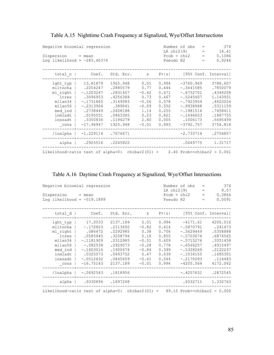| Negative binomial regression<br>Dispersion = mean<br>Log likelihood = $-285.40374$                              |                                                                                                                                             |                                                                                                                     |                                                                                          | Number of obs<br>LR $chi2(9)$<br>Prob > chi2<br>Pseudo R2                              | 374<br>14.41<br>$=$ 100 $-$<br>0.1086<br>0.0246                                                                                               |  |                                                                                                                      |
|-----------------------------------------------------------------------------------------------------------------|---------------------------------------------------------------------------------------------------------------------------------------------|---------------------------------------------------------------------------------------------------------------------|------------------------------------------------------------------------------------------|----------------------------------------------------------------------------------------|-----------------------------------------------------------------------------------------------------------------------------------------------|--|----------------------------------------------------------------------------------------------------------------------|
| total_n                                                                                                         |                                                                                                                                             | Coef. Std. Err. z P> z  [95% Conf. Interval]                                                                        |                                                                                          |                                                                                        |                                                                                                                                               |  |                                                                                                                      |
| mlltncha  <br>ml right  <br>ltres  <br>$mllan34$  <br>mllan56<br>med ind<br>lnmladt<br>lnxsadt<br>$_{\rm cons}$ | lght typ   13.81879<br>.2204247<br>$-.1203247$<br>.3096953<br>$-.1751865$<br>$-.2313904$<br>.2738449<br>.0195551<br>.3350836<br>$-17.96947$ | 1925.948<br>.2880579<br>.2831407<br>.4256384<br>.3149083<br>.389041<br>.2408188<br>.0863385<br>.1196279<br>1925.948 | 0.01<br>0.77<br>$-0.42$<br>0.73<br>$-0.56$<br>$-0.59$<br>1.14<br>0.23<br>2.80<br>$-0.01$ | 0.994<br>0.444<br>0.671<br>0.467<br>0.578<br>0.552<br>0.255<br>0.821<br>0.005<br>0.993 | -3760.969<br>$-.3441585$<br>$-.6752701$<br>$-.5245407$<br>$-.7923954$<br>$-.9938968$<br>$-.1981514$<br>$-.1496653$<br>.1006173<br>$-3792.757$ |  | 3788.607<br>.7850079<br>.4346208<br>1.143931<br>.4420224<br>.5311159<br>.7458411<br>.1887755<br>.5695499<br>3756.818 |
|                                                                                                                 | /lnalpha   -1.229114 .7676671                                                                                                               |                                                                                                                     |                                                                                          |                                                                                        | $-2.733714$                                                                                                                                   |  | .2754857                                                                                                             |
|                                                                                                                 | alpha   .2925516 .2245822                                                                                                                   |                                                                                                                     |                                                                                          |                                                                                        |                                                                                                                                               |  | $.0649775$ 1.31717                                                                                                   |
| Likelihood-ratio test of alpha=0: chibar2(01) = $2.40$ Prob>=chibar2 = 0.061                                    |                                                                                                                                             |                                                                                                                     |                                                                                          |                                                                                        |                                                                                                                                               |  |                                                                                                                      |

Table A.15 Nighttime Crash Frequency at Signalized, Wye/Offset Intersections

|  |  | Table A.16 Daytime Crash Frequency at Signalized, Wye/Offset Intersections |  |
|--|--|----------------------------------------------------------------------------|--|
|  |  |                                                                            |  |

| Negative binomial regression                                                  | Number of obs<br>LR $chi2(9)$ | 374<br>9.57          |           |         |                  |             |     |                      |  |
|-------------------------------------------------------------------------------|-------------------------------|----------------------|-----------|---------|------------------|-------------|-----|----------------------|--|
| $Disperson = mean$                                                            |                               |                      |           |         |                  | Prob > chi2 | $=$ | 0.3864               |  |
|                                                                               | Log likelihood = $-519.1899$  |                      |           |         | Pseudo R2<br>$=$ |             |     |                      |  |
| total d                                                                       |                               | Coef.                | Std. Err. | Z       | P >  z           |             |     | [95% Conf. Interval] |  |
| lght typ                                                                      |                               | 17.2033              | 2137.189  | 0.01    | 0.994            | $-4171.61$  |     | 4206.016             |  |
| mlltncha                                                                      |                               | $-.172803$           | .2113692  | $-0.82$ | 0.414            | $-.5870791$ |     | .241473              |  |
| ml right                                                                      |                               | .086472              | .2292985  | 0.38    | 0.706            | $-.3629449$ |     | .5358888             |  |
| ltres                                                                         |                               | .0585445             | .3208794  | 0.18    | 0.855            | $-.5703676$ |     | .6874565             |  |
| mllan34                                                                       |                               | $-.1181909$          | .2312985  | $-0.51$ | 0.609            | $-.5715276$ |     | .3351458             |  |
| mllan56                                                                       |                               | $-.082538$           | .2929073  | $-0.28$ | 0.778            | $-.6566257$ |     | .4915497             |  |
| med ind                                                                       |                               | $-.1603016$          | .1900674  | $-0.84$ | 0.399            | $-.5328269$ |     | .2122237             |  |
| lnmladt                                                                       |                               | .0325573             | .0693752  | 0.47    | 0.639            | $-.1034155$ |     | .1685301             |  |
| lnxsadt                                                                       |                               | $-.0512632$          | .0845659  | $-0.61$ | 0.544            | $-.2170093$ |     | .114483              |  |
| cons                                                                          |                               | $-16.75143$          | 2137.189  | $-0.01$ | 0.994            | $-4205.564$ |     | 4172.062             |  |
| /lnalpha                                                                      |                               | $-.0692543-.1818956$ |           |         |                  | $-.4257631$ |     | .2872545             |  |
| alpha                                                                         |                               | .9330894 .1697248    |           |         |                  | .6532711    |     | 1.332763             |  |
| Likelihood-ratio test of alpha=0: chibar2(01) = $89.10$ Prob>=chibar2 = 0.000 |                               |                      |           |         |                  |             |     |                      |  |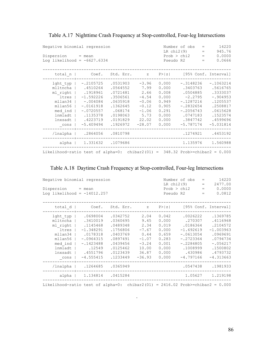| Negative binomial regression<br>Dispersion = mean<br>Log likelihood = $-6627.6334$                             |                                                                                                                                                 |                                                                                                                     |                                                                                                  | LR $chi2(9)$<br>Pseudo R2                                                              | Number of obs<br>Prob > chi2                                                                                                         | $=$<br>$=$<br>$=$<br>$=$ | 14220<br>945.76<br>0.0000<br>0.0666                                                                                          |
|----------------------------------------------------------------------------------------------------------------|-------------------------------------------------------------------------------------------------------------------------------------------------|---------------------------------------------------------------------------------------------------------------------|--------------------------------------------------------------------------------------------------|----------------------------------------------------------------------------------------|--------------------------------------------------------------------------------------------------------------------------------------|--------------------------|------------------------------------------------------------------------------------------------------------------------------|
| total $n$                                                                                                      | Coef.                                                                                                                                           | Std. Err. z                                                                                                         |                                                                                                  |                                                                                        |                                                                                                                                      |                          | $P >  z $ [95% Conf. Interval]                                                                                               |
| lght typ<br>mlltncha  <br>ltres  <br>$mllan34$ $\perp$<br>mllan56<br>med ind<br>lnmladt<br>lnxsadt<br>$\_cons$ | $-.2105725$<br>.4510264<br>ml right   .1918961<br>$-1.592226$<br>$-004084$<br>$-.0161918$<br>$-.0720557$<br>.1135378<br>.4223719<br>$-5.409494$ | .0531903<br>.0564552<br>.0721481<br>.3506561<br>.0635918<br>.1362645<br>.068174<br>.0198063<br>.0191829<br>.1926972 | $-3.96$<br>7.99<br>2.66<br>$-4.54$<br>$-0.06$<br>$-0.12$<br>$-1.06$<br>5.73<br>22.02<br>$-28.07$ | 0.000<br>0.000<br>0.008<br>0.000<br>0.949<br>0.905<br>0.291<br>0.000<br>0.000<br>0.000 | $-.3148236$<br>.3403763<br>.0504885<br>$-2.2795$<br>$-.1287216$<br>$-.2832654$<br>$-.2056743$<br>.0747183<br>.3847742<br>$-5.787174$ |                          | $-.1063214$<br>.5616765<br>.3333037<br>$-.904953$<br>.1205537<br>.2508817<br>.0615628<br>.1523574<br>.4599696<br>$-5.031814$ |
| /lnalpha                                                                                                       | .2864056                                                                                                                                        | .0810798                                                                                                            |                                                                                                  |                                                                                        | .1274921                                                                                                                             |                          | .4453192                                                                                                                     |
|                                                                                                                | alpha   1.331632 .1079686                                                                                                                       |                                                                                                                     |                                                                                                  |                                                                                        | 1.135976                                                                                                                             |                          | 1.560988                                                                                                                     |
| Likelihood-ratio test of alpha=0: chibar2(01) = $348.32$ Prob>=chibar2 = 0.000                                 |                                                                                                                                                 |                                                                                                                     |                                                                                                  |                                                                                        |                                                                                                                                      |                          |                                                                                                                              |

Table A.17 Nighttime Crash Frequency at Stop-controlled, Four-leg Intersections

|  |  |  |  |  |  |  | Table A.18 Daytime Crash Frequency at Stop-controlled, Four-leg Intersections |
|--|--|--|--|--|--|--|-------------------------------------------------------------------------------|
|--|--|--|--|--|--|--|-------------------------------------------------------------------------------|

| Negative binomial regression<br>Dispersion<br>Log likelihood = $-14012.257$                              | $=$ mean                                                                                                                       |                                                                                                                      |                                                                                             | LR $chi2(9)$<br>Pseudo R2                                                              | Number of obs<br>Prob > chi2                                                                                                      | $=$<br>$=$<br>$=$<br>$=$ | 14220<br>2477.00<br>0.0000<br>0.0812                                                                                         |
|----------------------------------------------------------------------------------------------------------|--------------------------------------------------------------------------------------------------------------------------------|----------------------------------------------------------------------------------------------------------------------|---------------------------------------------------------------------------------------------|----------------------------------------------------------------------------------------|-----------------------------------------------------------------------------------------------------------------------------------|--------------------------|------------------------------------------------------------------------------------------------------------------------------|
| total d                                                                                                  | Coef.                                                                                                                          | Std. Err.                                                                                                            | Z                                                                                           | P >  z                                                                                 |                                                                                                                                   |                          | [95% Conf. Interval]                                                                                                         |
| lght typ<br>mlltncha<br>ml right<br>ltres<br>mllan34<br>mllan56<br>med ind<br>lnmladt<br>lnxsadt<br>cons | .0698004<br>.3410019<br>.1145468<br>$-1.348291$<br>.0178318<br>$-.0964315$<br>$-.1423488$<br>.12549<br>.4551796<br>$-4.555415$ | .0342752<br>.0360695<br>.0489348<br>.1756806<br>.0403769<br>.0897491<br>.0439456<br>.0125462<br>.0123439<br>.1233449 | 2.04<br>9.45<br>2.34<br>$-7.67$<br>0.44<br>$-1.07$<br>$-3.24$<br>10.00<br>36.87<br>$-36.93$ | 0.042<br>0.000<br>0.019<br>0.000<br>0.659<br>0.283<br>0.001<br>0.000<br>0.000<br>0.000 | .0026222<br>.270307<br>.0186364<br>$-1.692619$<br>$-.0613054$<br>$-.2723364$<br>$-.2284805$<br>.1008999<br>.430986<br>$-4.797166$ |                          | .1369785<br>.4116968<br>.2104572<br>$-1.003963$<br>.0969691<br>.0794734<br>$-.056217$<br>.1500802<br>.4793732<br>$-4.313663$ |
| /lnalpha                                                                                                 | .1264685                                                                                                                       | .0365949                                                                                                             |                                                                                             |                                                                                        | .0547438                                                                                                                          |                          | .1981933                                                                                                                     |
| alpha                                                                                                    | 1.134814                                                                                                                       | .0415284                                                                                                             |                                                                                             |                                                                                        | 1.05627                                                                                                                           |                          | 1.219198                                                                                                                     |
| Likelihood-ratio test of alpha=0: chibar2(01) = $2416.02$ Prob>=chibar2 = 0.000                          |                                                                                                                                |                                                                                                                      |                                                                                             |                                                                                        |                                                                                                                                   |                          |                                                                                                                              |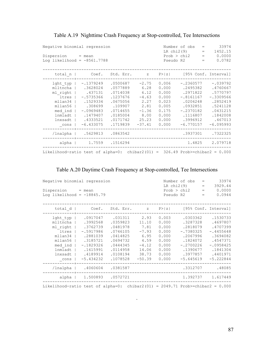| Negative binomial regression<br>Dispersion = mean<br>Log likelihood = $-8561.7788$                       |                                                                                                                                |                                                                                                                     |                                                                                            |                                                                                        | Number of obs<br>LR $chi2(9)$<br>Prob > chi2<br>Pseudo R2                                                                        | $=$<br>$\hspace{1.0cm} = \hspace{1.0cm}$<br>$=$<br>$=$ | 33974<br>1452.15<br>0.0000<br>0.0782                                                                                        |
|----------------------------------------------------------------------------------------------------------|--------------------------------------------------------------------------------------------------------------------------------|---------------------------------------------------------------------------------------------------------------------|--------------------------------------------------------------------------------------------|----------------------------------------------------------------------------------------|----------------------------------------------------------------------------------------------------------------------------------|--------------------------------------------------------|-----------------------------------------------------------------------------------------------------------------------------|
| total n                                                                                                  | Coef.                                                                                                                          | Std. Err. z                                                                                                         |                                                                                            | P >  z                                                                                 |                                                                                                                                  |                                                        | [95% Conf. Interval]                                                                                                        |
| lght typ<br>mlltncha<br>ml right<br>ltres<br>mllan34<br>mllan56<br>med ind<br>lnmladt<br>lnxsadt<br>cons | $-.1379249$<br>.3628024<br>.437131<br>$-.5735366$<br>.1529334<br>.308699<br>$-.0969483$<br>.1479407<br>.4333521<br>$-6.433075$ | .0500687<br>.0577889<br>.0714038<br>.1237676<br>.0675056<br>.109907<br>.0714655<br>.0185004<br>.0171742<br>.1719839 | $-2.75$<br>6.28<br>6.12<br>$-4.63$<br>2.27<br>2.81<br>$-1.36$<br>8.00<br>25.23<br>$-37.41$ | 0.006<br>0.000<br>0.000<br>0.000<br>0.023<br>0.005<br>0.175<br>0.000<br>0.000<br>0.000 | $-.2360577$<br>.2495382<br>.2971822<br>$-.8161167$<br>.0206248<br>.0932851<br>$-.2370182$<br>.1116807<br>.3996912<br>$-6.770157$ |                                                        | $-.039792$<br>.4760667<br>.5770797<br>$-.3309566$<br>.2852419<br>.5241128<br>.0431215<br>.1842008<br>.467013<br>$-6.095993$ |
| /lnalpha                                                                                                 | .5629813                                                                                                                       | .0863542                                                                                                            |                                                                                            |                                                                                        | .3937301                                                                                                                         |                                                        | .7322325                                                                                                                    |
| alpha                                                                                                    | 1.7559                                                                                                                         | .1516294                                                                                                            |                                                                                            |                                                                                        | 1.4825                                                                                                                           |                                                        | 2.079718                                                                                                                    |
| Likelihood-ratio test of alpha=0: chibar2(01) = $326.49$ Prob>=chibar2 = 0.000                           |                                                                                                                                |                                                                                                                     |                                                                                            |                                                                                        |                                                                                                                                  |                                                        |                                                                                                                             |

## Table A.19 Nighttime Crash Frequency at Stop-controlled, Tee Intersections

## Table A.20 Daytime Crash Frequency at Stop-controlled, Tee Intersections

|                                                                                 | Negative binomial regression |           |             |       |                                | 33974<br>Number of obs<br>$=$ |             |  |  |  |
|---------------------------------------------------------------------------------|------------------------------|-----------|-------------|-------|--------------------------------|-------------------------------|-------------|--|--|--|
|                                                                                 |                              |           |             |       | LR $chi2(9)$                   | $=$                           | 3929.44     |  |  |  |
| $Disperson = mean$                                                              |                              |           |             |       | Prob > chi2                    | $=$                           | 0.0000      |  |  |  |
| Log likelihood = $-18845.79$                                                    |                              |           |             |       | Pseudo R2                      | $=$                           | 0.0944      |  |  |  |
| total $d$                                                                       | Coef.                        | Std. Err. | $Z_{\rm c}$ |       | $P >  z $ [95% Conf. Interval] |                               |             |  |  |  |
| $l$ ght typ $ $                                                                 | .0917047                     | .031311   | 2.93        | 0.003 | .0303362                       |                               | .1530733    |  |  |  |
| mlltncha                                                                        | .3992568                     | .0359823  | 11.10       | 0.000 | .3287328                       |                               | .4697807    |  |  |  |
| ml right                                                                        | .3762739                     | .0481978  | 7.81        | 0.000 | .2818079                       |                               | .4707399    |  |  |  |
| ltres                                                                           | $-.5917986$                  | .0746105  | $-7.93$     | 0.000 | $-.7380325$                    |                               | $-.4455648$ |  |  |  |
| mllan34                                                                         | .2881039                     | .0414825  | 6.95        | 0.000 | .2067996                       |                               | .3694082    |  |  |  |
| mllan56                                                                         | .3185721                     | .0694732  | 4.59        | 0.000 | .1824072                       |                               | .4547371    |  |  |  |
| med ind                                                                         | $-.1829326$                  | .0444345  | $-4.12$     | 0.000 | $-.2700226$                    |                               | $-.0958425$ |  |  |  |
| lnmladt                                                                         | .1615991                     | .0114958  | 14.06       | 0.000 | .1390677                       |                               | .1841304    |  |  |  |
| lnxsadt                                                                         | .4189914                     | .0108194  | 38.73       | 0.000 | .3977857                       |                               | .4401971    |  |  |  |
| $\_cons$                                                                        | $-5.434232$                  | .1078528  | $-50.39$    | 0.000 | $-5.645619$                    |                               | $-5.222844$ |  |  |  |
| /lnalpha                                                                        | .4060604                     | .0381587  |             |       | .3312707                       |                               | .48085      |  |  |  |
| alpha                                                                           | 1,500893                     | .0572721  |             |       | 1.392737                       |                               | 1.617449    |  |  |  |
| Likelihood-ratio test of alpha=0: chibar2(01) = $2049.71$ Prob>=chibar2 = 0.000 |                              |           |             |       |                                |                               |             |  |  |  |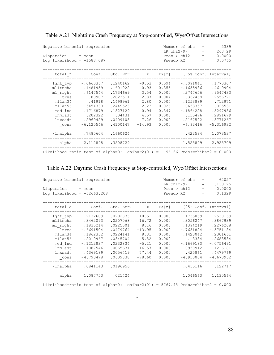| Negative binomial regression<br>$Disperson = mean$<br>Log likelihood = $-1588.087$             |                                                                                                                                      |                                                                                                                    |                                                                                        |                                                                                        | Number of obs<br>LR $chi2(9)$<br>Prob > chi2<br>Pseudo R2                                                                         | $=$<br>$=$<br>$=$<br>$=$ | 5339<br>263.29<br>0.0000<br>0.0765                                                                                        |
|------------------------------------------------------------------------------------------------|--------------------------------------------------------------------------------------------------------------------------------------|--------------------------------------------------------------------------------------------------------------------|----------------------------------------------------------------------------------------|----------------------------------------------------------------------------------------|-----------------------------------------------------------------------------------------------------------------------------------|--------------------------|---------------------------------------------------------------------------------------------------------------------------|
|                                                                                                | total n   Coef. Std. Err. z P> z  [95% Conf. Interval]                                                                               |                                                                                                                    |                                                                                        |                                                                                        |                                                                                                                                   |                          |                                                                                                                           |
| lght typ<br>mlltncha  <br>ltres<br>mllan34<br>mllan56<br>med ind<br>lnmladt<br>lnxsadt<br>cons | $-.0660367$<br>.1481959<br>ml right   .6147544<br>$-0.80907$<br>.41918<br>.5454333<br>.1716879<br>.202322<br>.2969429<br>$-6.120546$ | .1240162<br>.1601022<br>.1734669<br>.2823511<br>.1498961<br>.2449523<br>.1827129<br>.04431<br>.0409108<br>.4100147 | $-0.53$<br>0.93<br>3.54<br>$-2.87$<br>2.80<br>2.23<br>0.94<br>4.57<br>7.26<br>$-14.93$ | 0.594<br>0.355<br>0.000<br>0.004<br>0.005<br>0.026<br>0.347<br>0.000<br>0.000<br>0.000 | $-.3091041$<br>$-.1655986$<br>.2747656<br>$-1.362468$<br>.1253889<br>.0653357<br>$-.1864228$<br>.115476<br>.2167592<br>$-6.92416$ |                          | .1770307<br>.4619904<br>.9547433<br>$-.2556721$<br>.712971<br>1.025531<br>.5297986<br>.2891679<br>.3771267<br>$-5.316932$ |
|                                                                                                | /lnalpha   .7480604 .1660624                                                                                                         |                                                                                                                    |                                                                                        |                                                                                        |                                                                                                                                   | .422584                  | 1.073537                                                                                                                  |
|                                                                                                | alpha   2.112898 .3508729                                                                                                            |                                                                                                                    |                                                                                        |                                                                                        |                                                                                                                                   |                          | 1.525899 2.925709                                                                                                         |
| Likelihood-ratio test of alpha=0: chibar2(01) = $96.66$ Prob>=chibar2 = 0.000                  |                                                                                                                                      |                                                                                                                    |                                                                                        |                                                                                        |                                                                                                                                   |                          |                                                                                                                           |

|  |  |  | Table A.21 Nighttime Crash Frequency at Stop-controlled, Wye/Offset Intersections |
|--|--|--|-----------------------------------------------------------------------------------|
|  |  |  |                                                                                   |

## Table A.22 Daytime Crash Frequency at Stop-controlled, Wye/Offset Intersections

| Negative binomial regression                                                    |             | Number of obs<br>LR $chi2(9)$ | 62027<br>16139.25 |        |             |                   |                      |
|---------------------------------------------------------------------------------|-------------|-------------------------------|-------------------|--------|-------------|-------------------|----------------------|
| Dispersion                                                                      | $=$ mean    |                               |                   |        | Prob > chi2 | $\qquad \qquad =$ | 0.0000               |
| Log likelihood = $-52663.208$                                                   |             |                               |                   |        | Pseudo R2   | $=$               | 0.1329               |
|                                                                                 |             |                               |                   |        |             |                   |                      |
| total $d$                                                                       | Coef.       | Std. Err.                     | Z                 | P >  z |             |                   | [95% Conf. Interval] |
| lght typ                                                                        | .2132609    | .0202835                      | 10.51             | 0.000  | .1735059    |                   | .2530159             |
| mlltncha                                                                        | .3462093    | .0207068                      | 16.72             | 0.000  | .3056247    |                   | .3867939             |
| ml right                                                                        | .1835214    | .0225001                      | 8.16              | 0.000  | .1394219    |                   | .2276208             |
| ltres                                                                           | $-.6691504$ | .0479764                      | $-13.95$          | 0.000  | $-.7631824$ |                   | $-.5751184$          |
| mllan34                                                                         | .1862352    | .0224141                      | 8.31              | 0.000  | .1423042    |                   | .2301661             |
| mllan56                                                                         | .2010967    | .0345704                      | 5.82              | 0.000  | .13334      |                   | .2688534             |
| med ind                                                                         | $-.1212837$ | .0232834                      | $-5.21$           | 0.000  | $-.1669183$ |                   | $-.0756491$          |
| lnmladt                                                                         | .1087546    | .0065631                      | 16.57             | 0.000  | .0958912    |                   | .1216181             |
| lnxsadt                                                                         | .4369189    | .0056419                      | 77.44             | 0.000  | .425861     |                   | .4479769             |
| cons                                                                            | $-4.793478$ | .0609838                      | $-78.60$          | 0.000  | $-4.913004$ |                   | $-4.673952$          |
| /lnalpha                                                                        | .0841143    | .0196956                      |                   |        | .0455116    |                   | .122717              |
| alpha                                                                           | 1.087753    | .021424                       |                   |        | 1.046563    |                   | 1.130564             |
| Likelihood-ratio test of alpha=0: chibar2(01) = 8767.45 Prob>=chibar2 = $0.000$ |             |                               |                   |        |             |                   |                      |

..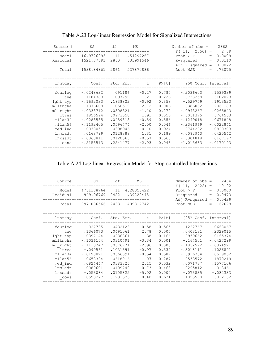|                                                                                                                            |                                                                                                                                                                   |                                                                                                                                           |                                                                                                                   |                                                                                                          | $F(11, 2850) =$                                                                                                                                                              | 2.89                                                                                                                                               |
|----------------------------------------------------------------------------------------------------------------------------|-------------------------------------------------------------------------------------------------------------------------------------------------------------------|-------------------------------------------------------------------------------------------------------------------------------------------|-------------------------------------------------------------------------------------------------------------------|----------------------------------------------------------------------------------------------------------|------------------------------------------------------------------------------------------------------------------------------------------------------------------------------|----------------------------------------------------------------------------------------------------------------------------------------------------|
| Model<br>Residual                                                                                                          | 16.9726993<br>1521.87591                                                                                                                                          | 11<br>2850                                                                                                                                | 1.54297267<br>.533991546                                                                                          |                                                                                                          | $Prob$ > $F$<br>R-squared<br>Adj R-squared                                                                                                                                   | 0.0009<br>$=$<br>0.0110<br>$\qquad \qquad =$<br>0.0072<br>$\hspace{1.6cm} = \hspace{1.6cm}$                                                        |
| Total                                                                                                                      | 1538.84861                                                                                                                                                        | 2861                                                                                                                                      | .537870886                                                                                                        |                                                                                                          | Root MSE                                                                                                                                                                     | .73075<br>$=$                                                                                                                                      |
| lnntday                                                                                                                    | Coef.                                                                                                                                                             | Std. Err.                                                                                                                                 | t                                                                                                                 | P>  t                                                                                                    | [95% Conf. Interval]                                                                                                                                                         |                                                                                                                                                    |
| fourleg<br>tee<br>lght typ<br>mlltncha<br>ml right<br>ltres<br>mllan34<br>mllan56<br>med ind<br>lnmladt<br>lnxsadt<br>cons | $-.0248632$<br>.1184383<br>$-.1692033$<br>.1376608<br>$-.0338712$<br>.1856594<br>$-.0288585$<br>$-.1192405$<br>.0038051<br>.0168799<br>$-.0068811$<br>$-.5153513$ | .091186<br>.097799<br>.1838822<br>.050519<br>.0308321<br>.0973058<br>.0489818<br>.0596474<br>.0398946<br>.0128388<br>.0120363<br>.2541477 | $-0.27$<br>1.21<br>$-0.92$<br>2.72<br>$-1.10$<br>1.91<br>$-0.59$<br>$-2.00$<br>0.10<br>1.31<br>$-0.57$<br>$-2.03$ | 0.785<br>0.226<br>0.358<br>0.006<br>0.272<br>0.056<br>0.556<br>0.046<br>0.924<br>0.189<br>0.568<br>0.043 | $-.2036603$<br>$-.0733258$<br>$-.529759$<br>.0386032<br>$-.0943267$<br>$-.0051375$<br>$-.1249018$<br>$-.2361969$<br>$-.0744202$<br>$-.0082943$<br>$-.0304818$<br>$-1.013683$ | .1539339<br>.3102023<br>.1913523<br>.2367183<br>.0265843<br>.3764563<br>.0671848<br>$-.0022841$<br>.0820303<br>.0420542<br>.0167197<br>$-.0170193$ |

Table A.23 Log-linear Regression Model for Signalized Intersections

Table A.24 Log-linear Regression Model for Stop-controlled Intersections

| Source                                                                                                                     | SS                                                                                                                                                                | df                                                                                                                                           | MS                                                                                                                   |                                                                                                          | Number of $obs =$                                                                                                                                                        | 2434<br>10.92<br>$\qquad \qquad =$                                                                                                                  |
|----------------------------------------------------------------------------------------------------------------------------|-------------------------------------------------------------------------------------------------------------------------------------------------------------------|----------------------------------------------------------------------------------------------------------------------------------------------|----------------------------------------------------------------------------------------------------------------------|----------------------------------------------------------------------------------------------------------|--------------------------------------------------------------------------------------------------------------------------------------------------------------------------|-----------------------------------------------------------------------------------------------------------------------------------------------------|
| Model<br>Residual                                                                                                          | 47.1188764<br>949.96769                                                                                                                                           | 11<br>2422                                                                                                                                   | 4.28353422<br>.39222448                                                                                              |                                                                                                          | F(11, 2422)<br>$Prob$ > $F$<br>R-squared<br>Adj $R$ -squared =                                                                                                           | 0.0000<br>$=$<br>0.0473<br>$=$<br>0.0429                                                                                                            |
| Total                                                                                                                      | 997.086566                                                                                                                                                        | 2433                                                                                                                                         | .409817742                                                                                                           |                                                                                                          | Root MSE                                                                                                                                                                 | .62628<br>$=$                                                                                                                                       |
| lnntday                                                                                                                    | Coef.                                                                                                                                                             | Std. Err.                                                                                                                                    | t i                                                                                                                  | P >  t                                                                                                   | [95% Conf. Interval]                                                                                                                                                     |                                                                                                                                                     |
| fourleg<br>tee<br>lght typ<br>mlltncha<br>ml right<br>ltres<br>mllan34<br>mllan56<br>med ind<br>lnmladt<br>lnxsadt<br>cons | $-.027735$<br>.1366073<br>$-.0397144$<br>$-.1036154$<br>$-.1113747$<br>$-.099561$<br>$-.0198821$<br>.0658324<br>.0824447<br>$-.0080601$<br>$-.053084$<br>.0593277 | .0482123<br>.0491061<br>.0286861<br>.0310491<br>.0376771<br>.1031391<br>.0366091<br>.0618016<br>.0383825<br>.0109749<br>.0105822<br>.1233526 | $-0.58$<br>2.78<br>$-1.38$<br>$-3.34$<br>$-2.96$<br>$-0.97$<br>$-0.54$<br>1.07<br>2.15<br>$-0.73$<br>$-5.02$<br>0.48 | 0.565<br>0.005<br>0.166<br>0.001<br>0.003<br>0.334<br>0.587<br>0.287<br>0.032<br>0.463<br>0.000<br>0.631 | $-.1222767$<br>.0403131<br>$-.0959662$<br>$-.164501$<br>$-.1852572$<br>$-.3018111$<br>$-.0916704$<br>$-.0553572$<br>.0071787<br>$-.0295812$<br>$-.073835$<br>$-.1825598$ | .0668067<br>.2329015<br>.0165374<br>$-.0427299$<br>$-.0374921$<br>.1026891<br>.0519062<br>.1870219<br>.1577106<br>.013461<br>$-.032333$<br>.3012152 |
|                                                                                                                            |                                                                                                                                                                   |                                                                                                                                              |                                                                                                                      |                                                                                                          |                                                                                                                                                                          |                                                                                                                                                     |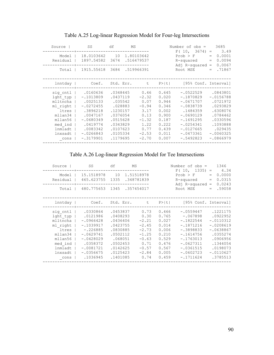| Source                                                                                                               | SS                                                                                                                                              | df                                                                                                                             | MS                                                                                                  |                                                                                                 | Number of $obs =$<br>F(10, 3674)                                                                                                                               | $\,=\,$           | 3685<br>3.49                                                                                                                             |
|----------------------------------------------------------------------------------------------------------------------|-------------------------------------------------------------------------------------------------------------------------------------------------|--------------------------------------------------------------------------------------------------------------------------------|-----------------------------------------------------------------------------------------------------|-------------------------------------------------------------------------------------------------|----------------------------------------------------------------------------------------------------------------------------------------------------------------|-------------------|------------------------------------------------------------------------------------------------------------------------------------------|
| Model<br>Residual                                                                                                    | 18.0103642 10<br>1897.54582                                                                                                                     | 3674                                                                                                                           | 1.80103642<br>.516479537                                                                            |                                                                                                 | Prob > F<br>R-squared<br>Adj R-squared                                                                                                                         | $=$<br>$=$<br>$=$ | 0.0001<br>0.0094<br>0.0067                                                                                                               |
| Total                                                                                                                | 1915.55618 3684 .519966391                                                                                                                      |                                                                                                                                |                                                                                                     |                                                                                                 | Root MSE                                                                                                                                                       | $=$               | .71867                                                                                                                                   |
| lnntday                                                                                                              | Coef.                                                                                                                                           | Std. Err.                                                                                                                      | こうしん せいしん せいしん                                                                                      | $P>$  t                                                                                         | [95% Conf. Interval]                                                                                                                                           |                   |                                                                                                                                          |
| sig cntl<br>lght typ<br>mlltncha<br>ml right<br>ltres<br>mllan34<br>mllan56<br>med ind<br>lnmladt<br>lnxsadt<br>cons | .0160636<br>$-.1013809$<br>.0025133<br>$-.0272455$<br>.3896218<br>.0047167<br>$-.0680349$<br>.0419774<br>.0083342<br>$-.0266843$<br>$-.3179901$ | .0348445<br>.0437119<br>.035542<br>.028883<br>.1230157<br>.0376054<br>.0515628<br>.0343829<br>.0107623<br>.0105334<br>.1179695 | 0.46<br>$-2.32$<br>0.07<br>$-0.94$<br>3.17<br>0.13<br>$-1.32$<br>1.22<br>0.77<br>$-2.53$<br>$-2.70$ | 0.645<br>0.020<br>0.944<br>0.346<br>0.002<br>0.900<br>0.187<br>0.222<br>0.439<br>0.011<br>0.007 | $-.0522529$<br>$-.1870829$<br>$-.0671707$<br>$-.0838739$<br>.1484359<br>$-.0690129$<br>$-.1691295$<br>$-.0254341$<br>$-.0127665$<br>$-.0473361$<br>$-.5492823$ |                   | .0843801<br>$-.0156788$<br>.0721972<br>.0293829<br>.6308076<br>.0784462<br>.0330596<br>.1093888<br>.029435<br>$-.0060325$<br>$-.0866979$ |

## Table A.25 Log-linear Regression Model for Four-leg Intersections

Table A.26 Log-linear Regression Model for Tee Intersections

| Source                                                                                                                 | SS                                                                                                                                                   | df                                                                                                                              | MS                                                                                                        |                                                                                                 | Number of $obs =$<br>$F(10, 1335) =$                                                                                                                             | 1346<br>4.34                                                                                                                                 |
|------------------------------------------------------------------------------------------------------------------------|------------------------------------------------------------------------------------------------------------------------------------------------------|---------------------------------------------------------------------------------------------------------------------------------|-----------------------------------------------------------------------------------------------------------|-------------------------------------------------------------------------------------------------|------------------------------------------------------------------------------------------------------------------------------------------------------------------|----------------------------------------------------------------------------------------------------------------------------------------------|
| Model<br>Residual                                                                                                      | 15.1518978<br>465.623755 1335                                                                                                                        | 10                                                                                                                              | 1.51518978<br>.348781839                                                                                  |                                                                                                 | $Prob$ > $F$<br>R-squared<br>Adj $R$ -squared =                                                                                                                  | 0.0000<br>$=$<br>0.0315<br>$=$<br>0.0243                                                                                                     |
| Total                                                                                                                  |                                                                                                                                                      |                                                                                                                                 | 480.775653 1345 .357454017                                                                                |                                                                                                 | Root MSE                                                                                                                                                         | .59058<br>$=$                                                                                                                                |
| lnntday                                                                                                                | Coef.                                                                                                                                                |                                                                                                                                 | Std. Err. t                                                                                               |                                                                                                 | $P >  t $ [95% Conf. Interval]                                                                                                                                   |                                                                                                                                              |
| sig cntl  <br>lght typ<br>mlltncha<br>ml right<br>ltres<br>mllan34<br>mllan56<br>med ind<br>lnmladt<br>lnxsadt<br>cons | .0330864<br>.0121986<br>$-.0966428$<br>$-.1039917$<br>$-.226885$<br>$-.0629741$<br>$-.0428029$<br>.0358372<br>$-.0081721$<br>$-.0356675$<br>.1036945 | .0453837<br>.0408293<br>.0436406<br>.0423755<br>.0830885<br>.0502112<br>.068051<br>.0502453<br>.0142625<br>.0125423<br>.1401085 | 0.73<br>0.30<br>$-2.21$<br>$-2.45$<br>$-2.73$<br>$-1.25$<br>$-0.63$<br>0.71<br>$-0.57$<br>$-2.84$<br>0.74 | 0.466<br>0.765<br>0.027<br>0.014<br>0.006<br>0.210<br>0.529<br>0.476<br>0.567<br>0.005<br>0.459 | $-.0559447$<br>$-.067898$<br>$-.1822544$<br>$-.1871216$<br>$-.3898833$<br>$-.1614756$<br>$-.1763013$<br>$-.0627311$<br>$-.0361515$<br>$-.0602723$<br>$-.1711624$ | .1221175<br>.0922952<br>$-.0110312$<br>$-.0208619$<br>$-.0638867$<br>.0355274<br>.0906956<br>.1344054<br>.0198073<br>$-.0110627$<br>.3785513 |
|                                                                                                                        |                                                                                                                                                      |                                                                                                                                 |                                                                                                           |                                                                                                 |                                                                                                                                                                  |                                                                                                                                              |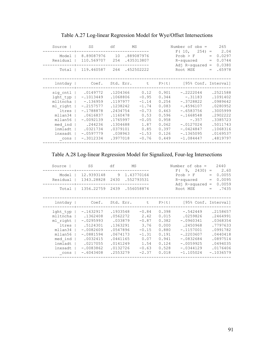| Source                                                                                                               | SS                                                                                                                                                  | df                                                                                                                   |         | MS                                                                                                        |                                                                                                 | Number of $obs =$                                                                                                                                           |                                 | 265                                                                                                                              |
|----------------------------------------------------------------------------------------------------------------------|-----------------------------------------------------------------------------------------------------------------------------------------------------|----------------------------------------------------------------------------------------------------------------------|---------|-----------------------------------------------------------------------------------------------------------|-------------------------------------------------------------------------------------------------|-------------------------------------------------------------------------------------------------------------------------------------------------------------|---------------------------------|----------------------------------------------------------------------------------------------------------------------------------|
| Model<br>Residual                                                                                                    | 8.89087976 10<br>110.569707                                                                                                                         | 254                                                                                                                  |         | .889087976<br>.435313807                                                                                  |                                                                                                 | F(10,<br>$254 =$<br>$Prob$ > $F$<br>R-squared<br>Adj R-squared                                                                                              | $=$<br>$=$<br>$\qquad \qquad =$ | 2.04<br>0.0297<br>0.0744<br>0.0380                                                                                               |
| Total                                                                                                                | 119.460587 264 .452502222                                                                                                                           |                                                                                                                      |         |                                                                                                           |                                                                                                 | Root MSE                                                                                                                                                    | $=$                             | .65978                                                                                                                           |
| lnntday                                                                                                              | Coef.                                                                                                                                               |                                                                                                                      |         | Std. Err. t P> t                                                                                          |                                                                                                 | [95% Conf. Interval]                                                                                                                                        |                                 |                                                                                                                                  |
| sig cntl<br>lght typ<br>mlltncha<br>ml right<br>ltres<br>mllan34<br>mllan56<br>med ind<br>lnmladt<br>lnxsadt<br>cons | .0149772<br>$-.1013449$<br>$-.136959$<br>$-.2157577$<br>$-.1788878$<br>.0616837<br>$-.0092139$<br>.244236<br>.0321734<br>$-.0597779$<br>$-.3012334$ | .1204366<br>.1068806<br>.1197977<br>.1238242<br>.2434754<br>.1160478<br>.1765997<br>.1304688<br>.0379101<br>.3977018 | .038963 | 0.12<br>$-0.95$<br>$-1.14$<br>$-1.74$<br>$-0.73$<br>0.53<br>$-0.05$<br>1.87<br>0.85<br>$-1.53$<br>$-0.76$ | 0.901<br>0.344<br>0.254<br>0.083<br>0.463<br>0.596<br>0.958<br>0.062<br>0.397<br>0.126<br>0.449 | $-.2222044$<br>$-.31183$<br>$-.3728822$<br>$-.4596107$<br>$-.6583756$<br>$-.1668548$<br>$-.357$<br>$-.0127024$<br>$-.0424847$<br>$-.1365095$<br>$-1.084447$ |                                 | .2521588<br>.1091402<br>.0989642<br>.0280952<br>.3005999<br>.2902222<br>.3385723<br>.5011743<br>.1068316<br>.0169537<br>.4819797 |
|                                                                                                                      |                                                                                                                                                     |                                                                                                                      |         |                                                                                                           |                                                                                                 |                                                                                                                                                             |                                 |                                                                                                                                  |

Table A.27 Log-linear Regression Model for Wye/Offset Intersections

Table A.28 Log-linear Regression Model for Signalized, Four-leg Intersections

| Source<br>Model<br>Residual<br>Total                                                                       | SS<br>12.9393148 9 1.43770164<br>1343.28828 2430 .552793531<br>1356.22759 2439 .556058874                                              | df                                                                                                                  | MS |                                                                                                |                                                                                        | Number of $obs =$<br>$F(9, 2430) =$<br>$Prob$ > $F$<br>R-squared<br>Adj $R$ -squared =<br>Root MSE |                                                   | $=$<br>$=$<br>$=$ | 2440<br>2.60<br>0.0055<br>0.0095<br>0.0059<br>.7435                                                                     |
|------------------------------------------------------------------------------------------------------------|----------------------------------------------------------------------------------------------------------------------------------------|---------------------------------------------------------------------------------------------------------------------|----|------------------------------------------------------------------------------------------------|----------------------------------------------------------------------------------------|----------------------------------------------------------------------------------------------------|---------------------------------------------------|-------------------|-------------------------------------------------------------------------------------------------------------------------|
| lnntday                                                                                                    |                                                                                                                                        |                                                                                                                     |    |                                                                                                |                                                                                        | Coef. Std. Err. t P> t  [95% Conf. Interval]                                                       |                                                   |                   |                                                                                                                         |
| lght typ<br>mlltncha<br>ml right  <br>ltres<br>mllan34<br>mllan56<br>med ind<br>lnmladt<br>lnxsadt<br>cons | $-.1632917$<br>.1362408<br>$-.0295993$<br>.5124301<br>$-.0082609$<br>$-.0881594$<br>.0032415<br>.0217055<br>$-.0083862$<br>$-.6043408$ | .1933548<br>.0562272<br>.033879<br>.1363291<br>.0547896<br>.0674173<br>.0441165<br>.0141249<br>.0132726<br>.2553279 |    | $-0.84$<br>2.42<br>$-0.87$<br>3.76<br>$-0.15$<br>$-1.31$<br>0.07<br>1.54<br>$-0.63$<br>$-2.37$ | 0.398<br>0.015<br>0.382<br>0.000<br>0.880<br>0.191<br>0.941<br>0.124<br>0.528<br>0.018 | $-.0960341$<br>$-.1157001$<br>$-.2203607$<br>$-.0832684$<br>$-.0059925$<br>$-.0344129$             | $-.542449$<br>.0259826<br>.2450968<br>$-1.105024$ |                   | .2158657<br>.2464991<br>.0368354<br>.7797633<br>.0991782<br>.0440418<br>.0897514<br>.0494035<br>.0176406<br>$-.1036579$ |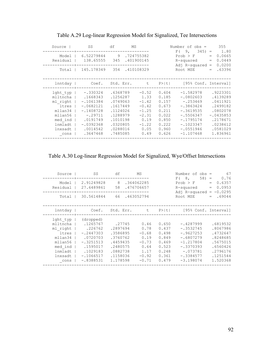| Source                                                                                               | SS                                                                                                                                           | df                                                                                                                   | MS |                                                                                                |                                                                                        | Number of $obs =$<br>$F(9, 345) = 1.80$                                                                                                         |            | 355                                                                                                                     |
|------------------------------------------------------------------------------------------------------|----------------------------------------------------------------------------------------------------------------------------------------------|----------------------------------------------------------------------------------------------------------------------|----|------------------------------------------------------------------------------------------------|----------------------------------------------------------------------------------------|-------------------------------------------------------------------------------------------------------------------------------------------------|------------|-------------------------------------------------------------------------------------------------------------------------|
| Model  <br>Residual                                                                                  | 6.52279844 9.724755382<br>138.65555 345 .401900145                                                                                           |                                                                                                                      |    |                                                                                                |                                                                                        | $Prob$ > $F$<br>R-squared<br>Adj $R$ -squared =                                                                                                 | $=$<br>$=$ | 0.0665<br>0.0449<br>0.0200                                                                                              |
| Total                                                                                                | 145.178349 354 .410108329                                                                                                                    |                                                                                                                      |    |                                                                                                |                                                                                        | Root MSE                                                                                                                                        | $=$        | .63396                                                                                                                  |
|                                                                                                      |                                                                                                                                              |                                                                                                                      |    |                                                                                                |                                                                                        | lnntday   Coef. Std. Err. t P> t  [95% Conf. Interval]                                                                                          |            |                                                                                                                         |
| lght typ  <br>ml right  <br>ltres  <br>mllan34<br>mllan56<br>med ind  <br>lnmladt<br>lnxsadt<br>cons | -.330324<br>mlltncha   .1668343<br>$-.1061384$<br>$-.0682121$<br>$-.1408728$<br>$-.29711$<br>.0191749<br>$-.0392368$<br>.0014542<br>.3647468 | .6368789<br>.1256287<br>.0749063<br>.1617449<br>.1124026<br>.1288979<br>.1010198<br>.0320805<br>.0288016<br>.7485085 |    | $-0.52$<br>1.33<br>$-1.42$<br>$-0.42$<br>$-1.25$<br>$-2.31$<br>0.19<br>$-1.22$<br>0.05<br>0.49 | 0.604<br>0.185<br>0.157<br>0.673<br>0.211<br>0.022<br>0.850<br>0.222<br>0.960<br>0.626 | $-1.582978$<br>$-.0802603$<br>$-.253469$<br>$-.3863424$<br>$-.3619535$<br>-.5506347<br>$-.1795174$<br>$-.1023347$<br>$-.0551946$<br>$-1.107468$ |            | .9223301<br>.4139289<br>.0411921<br>.2499182<br>.0802078<br>$-.0435853$<br>.2178671<br>.0238612<br>.0581029<br>1.836961 |
|                                                                                                      |                                                                                                                                              |                                                                                                                      |    |                                                                                                |                                                                                        |                                                                                                                                                 |            |                                                                                                                         |

Table A.29 Log-linear Regression Model for Signalized, Tee Intersections

Table A.30 Log-linear Regression Model for Signalized, Wye/Offset Intersections

| Source                                                                                             | SS                                                                                                                                          | df                                                                                                     | MS                                                                               |                                                                               | Number of $obs =$<br>F(8,                                                                                                          | 67<br>$58 =$<br>0.76                                                                                     |
|----------------------------------------------------------------------------------------------------|---------------------------------------------------------------------------------------------------------------------------------------------|--------------------------------------------------------------------------------------------------------|----------------------------------------------------------------------------------|-------------------------------------------------------------------------------|------------------------------------------------------------------------------------------------------------------------------------|----------------------------------------------------------------------------------------------------------|
| Model  <br>Residual                                                                                | 2.91249828 8<br>27.6489861 58                                                                                                               |                                                                                                        | .364062285<br>.476706657                                                         |                                                                               | Prob > F<br>$R$ -squared $=$<br>Adj R-squared = $-0.0295$                                                                          | 0.6357<br>$=$<br>0.0953                                                                                  |
| Total I                                                                                            | 30.5614844 66.463052794                                                                                                                     |                                                                                                        |                                                                                  |                                                                               | Root MSE                                                                                                                           | $= 69044$                                                                                                |
|                                                                                                    |                                                                                                                                             |                                                                                                        |                                                                                  |                                                                               | lnntday   Coef. Std. Err. t P> t  [95% Conf. Interval]                                                                             |                                                                                                          |
| lght typ  <br>ml right  <br>ltres  <br>mllan34<br>mllan56<br>med ind<br>lnmladt<br>lnxsadt<br>cons | (dropped)<br>mlltncha   .1265767<br>.226762<br>$-.2447303$<br>.0720703<br>$-.3251513$<br>.1595017<br>.1029183<br>$-.1066517$<br>$-.8388531$ | .27745<br>.2897694<br>.3586895<br>.3760762<br>.4459435<br>.2480575<br>.0882738<br>.1158036<br>1.178598 | 0.46<br>0.78<br>$-0.68$<br>0.19<br>$-0.73$<br>0.64<br>1.17<br>$-0.92$<br>$-0.71$ | 0.650<br>0.437<br>0.498<br>0.849<br>0.469<br>0.523<br>0.248<br>0.361<br>0.479 | $-.4287999$<br>$-.3532745$<br>$-.9627253$<br>$-.6807279$<br>$-1.217804$<br>$-.3370393$<br>$-.073781$<br>$-.3384577$<br>$-3.198074$ | .6819532<br>.8067986<br>.4732647<br>.8248685<br>.5675015<br>.6560426<br>.2796176<br>.1251544<br>1.520368 |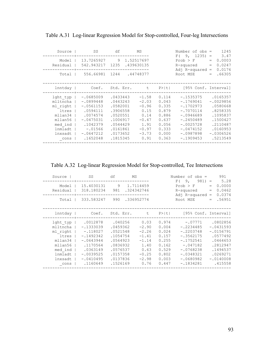| Source<br>Model<br>Residual<br>Total                                                                                | SS<br>13.7265927 9 1.52517697<br>542.943217 1235 .439630135<br>556.66981 1244 .44748377                                              | df                                                                                                                   | MS                                                                                             |                                                                                        | Number of $obs =$<br>$F(9, 1235) =$<br>$Prob$ > $F$<br>R-squared<br>Adj $R$ -squared =<br>Root MSE                                                 | $=$<br>$\, =$<br>$=$ | 1245<br>3.47<br>0.0003<br>0.0247<br>0.0176<br>.66305                                                                       |
|---------------------------------------------------------------------------------------------------------------------|--------------------------------------------------------------------------------------------------------------------------------------|----------------------------------------------------------------------------------------------------------------------|------------------------------------------------------------------------------------------------|----------------------------------------------------------------------------------------|----------------------------------------------------------------------------------------------------------------------------------------------------|----------------------|----------------------------------------------------------------------------------------------------------------------------|
| lnntday                                                                                                             |                                                                                                                                      |                                                                                                                      |                                                                                                |                                                                                        | Coef. Std. Err. t P> t  [95% Conf. Interval]                                                                                                       |                      |                                                                                                                            |
| $l$ ght typ $ $<br>mlltncha  <br>ml right  <br>ltres<br>mllan34<br>mllan56<br>med ind<br>lnmladt<br>lnxsadt<br>cons | $-.0685009$<br>$-.0899448$<br>$-.0561153$<br>.0594111<br>.0074574<br>$-.0475031$<br>.1042379<br>$-.01566$<br>$-.0647212$<br>.1652048 | .0433443<br>.0443243<br>.0582001<br>.3906558<br>.0520551<br>.1006917<br>.0544429<br>.0161861<br>.0173652<br>.1815345 | $-1.58$<br>$-2.03$<br>$-0.96$<br>0.15<br>0.14<br>$-0.47$<br>1.91<br>$-0.97$<br>$-3.73$<br>0.91 | 0.114<br>0.043<br>0.335<br>0.879<br>0.886<br>0.637<br>0.056<br>0.333<br>0.000<br>0.363 | $-.1535375$<br>$-.1769041$<br>$-.1702973$<br>$-.7070114$<br>$-.0946689$<br>$-.2450489$<br>$-.0025728$<br>$-.0474152$<br>$-.0987898$<br>$-.1909453$ |                      | .0165357<br>$-.0029856$<br>.0580668<br>.8258335<br>.1095837<br>.1500427<br>.2110487<br>.0160953<br>$-.0306526$<br>.5213549 |

Table A.31 Log-linear Regression Model for Stop-controlled, Four-leg Intersections

Table A.32 Log-linear Regression Model for Stop-controlled, Tee Intersections

| Source                                                                                                               | SS                                                                                                                                    | df                                                                                                       | MS      |                                                                                                |                                                                                        | Number of $obs =$                                                                                                                               |            | 991                                                                                                                          |
|----------------------------------------------------------------------------------------------------------------------|---------------------------------------------------------------------------------------------------------------------------------------|----------------------------------------------------------------------------------------------------------|---------|------------------------------------------------------------------------------------------------|----------------------------------------------------------------------------------------|-------------------------------------------------------------------------------------------------------------------------------------------------|------------|------------------------------------------------------------------------------------------------------------------------------|
| Model<br>Residual                                                                                                    | 15.4030131 9 1.7114459<br>318.180234 981                                                                                              |                                                                                                          |         | .324342746                                                                                     |                                                                                        | $F(9, 981) = 5.28$<br>Prob > F<br>R-squared<br>Adj $R$ -squared =                                                                               | $=$<br>$=$ | 0.0000<br>0.0462<br>0.0374                                                                                                   |
| Total                                                                                                                | 333.583247 990 .336952774                                                                                                             |                                                                                                          |         |                                                                                                |                                                                                        | Root MSE                                                                                                                                        | $=$        | .56951                                                                                                                       |
| lnntday                                                                                                              | Coef.                                                                                                                                 |                                                                                                          |         | Std. Err. t                                                                                    | P >  t                                                                                 | [95% Conf. Interval]                                                                                                                            |            |                                                                                                                              |
| lght typ  <br>mlltncha  <br>ml right  <br>ltres<br>mllan34<br>mllan56<br>$med$ ind $ $<br>lnmladt<br>lnxsadt<br>cons | .0012878<br>$-.1333039$<br>$-.118027$<br>$-.1492342$<br>$-.0643944$<br>.1170564<br>.0363149<br>$-.0039525$<br>$-.0410495$<br>.1160649 | .0459362<br>.0521548<br>.1054754<br>.0564923<br>.0836932<br>.0576537<br>.0157358<br>.0137836<br>.1526169 | .040256 | 0.03<br>$-2.90$<br>$-2.26$<br>$-1.41$<br>$-1.14$<br>1.40<br>0.63<br>$-0.25$<br>$-2.98$<br>0.76 | 0.974<br>0.004<br>0.024<br>0.157<br>0.255<br>0.162<br>0.529<br>0.802<br>0.003<br>0.447 | $-.07771$<br>$-.2234485$<br>$-.2203748$<br>$-.3562175$<br>$-.1752541$<br>$-.047182$<br>$-.0768238$<br>$-.0348321$<br>$-.0680982$<br>$-.1834281$ |            | .0802856<br>$-.0431593$<br>$-.0156791$<br>.0577492<br>.0464653<br>.2812947<br>.1494537<br>.0269271<br>$-.0140008$<br>.415558 |
|                                                                                                                      |                                                                                                                                       |                                                                                                          |         |                                                                                                |                                                                                        |                                                                                                                                                 |            |                                                                                                                              |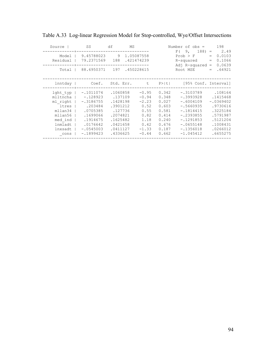| Source                                                                                                         | SS                                                                                                                                | df<br>MS                                                                                                           |                                                                                             |                                                                                        | Number of $obs =$<br>F(9,<br>$188) =$                                                                                                              | 198<br>2.49                                                                                                            |
|----------------------------------------------------------------------------------------------------------------|-----------------------------------------------------------------------------------------------------------------------------------|--------------------------------------------------------------------------------------------------------------------|---------------------------------------------------------------------------------------------|----------------------------------------------------------------------------------------|----------------------------------------------------------------------------------------------------------------------------------------------------|------------------------------------------------------------------------------------------------------------------------|
| Model  <br>Residual                                                                                            | 9.45788023 9 1.05087558<br>79.2371569 188 .421474239                                                                              |                                                                                                                    |                                                                                             |                                                                                        | $Prob$ > $F$<br>R-squared<br>$Ad1$ R-squared =                                                                                                     | 0.0103<br>$=$<br>0.1066<br>$=$<br>0.0639                                                                               |
| Total                                                                                                          | 88.6950371 197 .450228615                                                                                                         |                                                                                                                    |                                                                                             |                                                                                        | Root MSE                                                                                                                                           | .64921<br>$=$                                                                                                          |
| lnntday                                                                                                        |                                                                                                                                   |                                                                                                                    |                                                                                             |                                                                                        | Coef. Std. Err. t P> t  [95% Conf. Interval]                                                                                                       |                                                                                                                        |
| lght typ  <br>mlltncha  <br>ml right  <br>ltres<br>mllan34<br>mllan56<br>med ind<br>lnmladt<br>lnxsadt<br>cons | $-.1011074$<br>$-.128923$<br>$-.3186755$<br>.203484<br>.0705385<br>.1699066<br>.1914675<br>.0176642<br>$-.0545003$<br>$-.1899423$ | .1060858<br>.137109<br>.1428198<br>.3901212<br>.127736<br>.2074821<br>.1625482<br>.0421658<br>.0411127<br>.4336625 | $-0.95$<br>$-0.94$<br>$-2.23$<br>0.52<br>0.55<br>0.82<br>1.18<br>0.42<br>$-1.33$<br>$-0.44$ | 0.342<br>0.348<br>0.027<br>0.603<br>0.581<br>0.414<br>0.240<br>0.676<br>0.187<br>0.662 | $-.3103789$<br>$-.3993928$<br>$-.6004109$<br>$-.5660935$<br>$-.1814415$<br>$-.2393855$<br>$-.1291853$<br>$-.0655148$<br>$-.1356018$<br>$-1.045412$ | .108164<br>.1415468<br>$-.0369402$<br>.9730616<br>.3225184<br>.5791987<br>.5121204<br>.1008431<br>.0266012<br>.6655275 |

|  | Table A.33 Log-linear Regression Model for Stop-controlled, Wye/Offset Intersections |  |
|--|--------------------------------------------------------------------------------------|--|
|  |                                                                                      |  |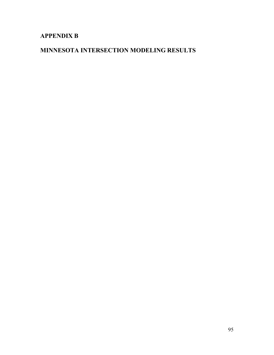# **APPENDIX B**

## **MINNESOTA INTERSECTION MODELING RESULTS**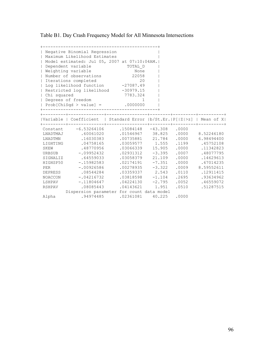Table B1. Day Crash Frequency Model for All Minnesota Intersections

| $\perp$<br>$\mathbf{I}$<br>$\overline{1}$<br>$\mathbf{L}$<br>  Chi squared | Negative Binomial Regression<br>Maximum Likelihood Estimates<br>Model estimated: Jul 05, 2007 at 07:10:04AM.<br>Dependent variable<br>Weighting variable<br>Number of observations<br>Iterations completed<br>  Log likelihood function -27087.49<br>  Restricted log likelihood -30979.15<br>  Degrees of freedom<br>$  Prob[Chisqd > value] =$ .0000000<br>______________________________ | TOTAL D<br>None<br>22058<br>20<br>7783.324<br>$\overline{1}$ |                                                                                                                                                                                     |                                                             |                                                                                                                                                                                                                                               |
|----------------------------------------------------------------------------|---------------------------------------------------------------------------------------------------------------------------------------------------------------------------------------------------------------------------------------------------------------------------------------------------------------------------------------------------------------------------------------------|--------------------------------------------------------------|-------------------------------------------------------------------------------------------------------------------------------------------------------------------------------------|-------------------------------------------------------------|-----------------------------------------------------------------------------------------------------------------------------------------------------------------------------------------------------------------------------------------------|
|                                                                            | Variable   Coefficient   Standard Error  b/St.Er.   P[ Z >z]   Mean of X                                                                                                                                                                                                                                                                                                                    |                                                              |                                                                                                                                                                                     |                                                             |                                                                                                                                                                                                                                               |
| SKEW<br>PER<br>DEPRESS<br>LSHPAV<br>RSHPAV                                 | Constant -6.53264106 .15084148 -43.308 .0000<br>LNADTMAJ .60061020<br>LNADTMN .16030383<br>LIGHTING .04758165<br>.48770956<br>URBSUB -.09952432<br>SIGNALIZ .64559033<br>HIGHSP50 -.15982583<br>$-.00926586$<br>.08544284<br>NOACCON -.04216732<br>$-.11804647$<br>.08085443<br>Dispersion parameter for count data model                                                                   | .04143621                                                    | .03066339 15.905<br>$.02931312 - 3.395$<br>.03058379 21.109<br>$.02174191 - 7.351$<br>$.00278935 -3.322$<br>$.03359337$ 2.543<br>$.03818598 - 1.104$<br>$.04224130 -2.795$<br>1.951 | .0000<br>.0007<br>.0000<br>.0000<br>.0110<br>.2695<br>.0510 | .01546967 38.825 .0000 8.52246180<br>.00735881 21.784 .0000 6.98494400<br>$.03059577$ 1.555 .1199 .45752108<br>.11342823<br>.48077795<br>.14629613<br>.67014235<br>.0009 8.59552611<br>.12911415<br>.93634962<br>.0052 .46559072<br>.51287515 |
| Alpha                                                                      | .94974485                                                                                                                                                                                                                                                                                                                                                                                   | .02361081 40.225 .0000                                       |                                                                                                                                                                                     |                                                             |                                                                                                                                                                                                                                               |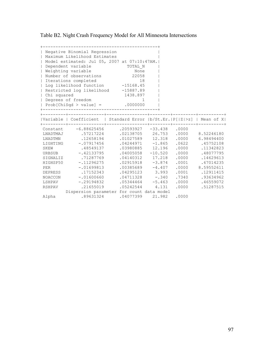Table B2. Night Crash Frequency Model for All Minnesota Intersections

| $\perp$<br>$\mathbf{I}$<br>$\overline{1}$<br>$\mathbf{L}$<br>  Chi squared | Negative Binomial Regression<br>Maximum Likelihood Estimates<br>Model estimated: Jul 05, 2007 at 07:10:47AM.<br>Dependent variable<br>Weighting variable<br>Number of observations<br>Iterations completed<br>  Log likelihood function -15168.45<br>  Restricted log likelihood -15887.89<br>  Degrees of freedom<br>$  Prob[ChiSqd > value] = .0000000$<br>________________________________ | TOTAL N<br>None<br>22058<br>18<br>1438.897<br>-1. |                                                                                                                                                                              |                                                    |                                                                                                                                                                                                                                                                             |
|----------------------------------------------------------------------------|-----------------------------------------------------------------------------------------------------------------------------------------------------------------------------------------------------------------------------------------------------------------------------------------------------------------------------------------------------------------------------------------------|---------------------------------------------------|------------------------------------------------------------------------------------------------------------------------------------------------------------------------------|----------------------------------------------------|-----------------------------------------------------------------------------------------------------------------------------------------------------------------------------------------------------------------------------------------------------------------------------|
|                                                                            | Variable   Coefficient   Standard Error  b/St.Er.   P[ Z >z]   Mean of X                                                                                                                                                                                                                                                                                                                      |                                                   |                                                                                                                                                                              |                                                    |                                                                                                                                                                                                                                                                             |
| SKEW<br>PER<br>DEPRESS<br>LSHPAV<br>RSHPAV                                 | Constant -6.88625456 .20593927 -33.438 .0000<br>LNADTMAJ .57217224<br>LNADTMN .12658194<br>LIGHTING -. 07917456<br>.48549137<br>URBSUB -.42133795<br>SIGNALIZ .71287769<br>HIGHSP50 -.11296275<br>$-.01699813$<br>.17152343<br>NOACCON -.01600660<br>$-.29194832$<br>.21655019<br>Dispersion parameter for count data model                                                                   |                                                   | .03980885 12.196<br>$.04005058 - 10.520$<br>$.04140312$ 17.218<br>$.02915918 - 3.874$<br>$.04295123$ 3.993<br>$.04711328 - .340$<br>$.05344464 - 5.463$<br>$.05242544$ 4.131 | .0000<br>.0000<br>.0001<br>.0001<br>.7340<br>.0000 | .02138705 26.753 .0000 8.52246180<br>.01027589 12.318 .0000 6.98494400<br>$.04244971 - 1.865 .0622 .45752108$<br>.11342823<br>.0000 .48077795<br>.14629613<br>.67014235<br>$.00385689 -4.407$ .0000 8.59552611<br>.12911415<br>.93634962<br>$.0000$ . 46559072<br>.51287515 |
| Alpha                                                                      | .89631324                                                                                                                                                                                                                                                                                                                                                                                     |                                                   | $.04077399$ 21.982                                                                                                                                                           | .0000                                              |                                                                                                                                                                                                                                                                             |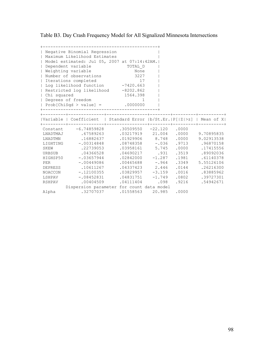Table B3. Day Crash Frequency Model for All Signalized Minnesota Intersections

| $\perp$      | Negative Binomial Regression<br>Maximum Likelihood Estimates           |                           |      |                                     |                 |
|--------------|------------------------------------------------------------------------|---------------------------|------|-------------------------------------|-----------------|
|              | Model estimated: Jul 05, 2007 at 07:14:42AM.                           |                           |      |                                     |                 |
|              | Dependent variable<br>TOTAL D                                          |                           |      |                                     |                 |
|              | Weighting variable                                                     |                           |      |                                     |                 |
| $\perp$      | Number of observations                                                 | None<br>3227              |      |                                     |                 |
| $\mathbf{L}$ | Iterations completed                                                   | 17                        |      |                                     |                 |
|              | Localities Compreted<br>Log likelihood function -7420.663              |                           |      |                                     |                 |
|              | Restricted log likelihood -8202.862                                    |                           |      |                                     |                 |
| Chi squared  |                                                                        | 1564.398                  |      |                                     |                 |
|              | Degrees of freedom                                                     | 1                         |      |                                     |                 |
|              | $  Prob[Chisqd > value] =$ .0000000                                    |                           |      |                                     |                 |
|              | _____________________________                                          |                           |      |                                     |                 |
|              | Variable   Coefficient   Standard Error  b/St.Er. P[ Z >z]   Mean of X |                           |      |                                     |                 |
|              | Constant -6.74859828                                                   | $.30509550 -22.120 .0000$ |      |                                     |                 |
|              | LNADTMAJ .67589263                                                     |                           |      | 03217919 21.004 .0000 9.70895835    |                 |
| LNADTMN      | .16882637                                                              |                           |      | $.01929906$ 8.748 .0000 9.02913538  |                 |
|              | LIGHTING -. 00314848                                                   |                           |      | $.08748358 - .036$ .9713 .96870158  |                 |
| SKEW         | .22739053                                                              | .03958161 5.745 .0000     |      |                                     | .17415556       |
|              | URBSUB .04366528                                                       | $.04690217$ .931          |      | .3519                               | .89092036       |
|              | HIGHSP50 -.03657944                                                    | $.02842000 - 1.287$       |      | .1981                               | .61140378       |
| PER          | $-.00449086$                                                           |                           |      | $.00465688 - .964$ .3349 5.55126106 |                 |
|              | DEPRESS .10611267                                                      |                           |      | .04337423 2.446 .0144 .26216300     |                 |
| NOACCON      | $-.12100355$                                                           | $.03829957 -3.159$        |      |                                     | .0016 .83885962 |
|              | LSHPAV -. 08452831                                                     | $.04831751 - 1.749$       |      |                                     | .0802 .39727301 |
| RSHPAV       | .00404509                                                              | .04111404                 | .098 |                                     | .9216 .54942671 |
|              | Dispersion parameter for count data model                              |                           |      |                                     |                 |
| Alpha        | .32707037                                                              | .01558563 20.985 .0000    |      |                                     |                 |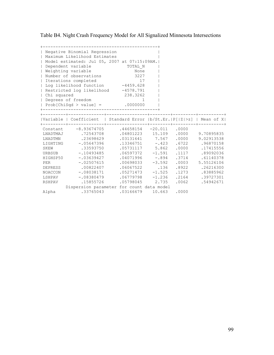Table B4. Night Crash Frequency Model for All Signalized Minnesota Intersections

| $\perp$         | Negative Binomial Regression<br>Maximum Likelihood Estimates           |                           |       |                             |                                    |
|-----------------|------------------------------------------------------------------------|---------------------------|-------|-----------------------------|------------------------------------|
|                 | Model estimated: Jul 05, 2007 at 07:15:09AM.                           |                           |       |                             |                                    |
|                 | Dependent variable<br>TOTAL N                                          |                           |       |                             |                                    |
|                 | Weighting variable                                                     | None                      |       |                             |                                    |
| $\perp$         | Number of observations                                                 | 3227                      |       |                             |                                    |
| $\mathbf{L}$    | Iterations completed                                                   | 17                        |       |                             |                                    |
|                 | Localities Compressor<br>Log likelihood function -4459.628             |                           |       |                             |                                    |
|                 | Restricted log likelihood -4578.791                                    |                           |       |                             |                                    |
| Chi squared     |                                                                        | 238.3262                  |       |                             |                                    |
|                 | Degrees of freedom                                                     | 1                         |       |                             |                                    |
|                 | $  Prob[Chisqd > value] =$ .0000000                                    |                           |       |                             |                                    |
|                 | ------------------------------------                                   |                           |       |                             |                                    |
| ----------+---- | Variable   Coefficient   Standard Error  b/St.Er. P[ Z >z]   Mean of X |                           |       |                             |                                    |
|                 | Constant -8.93674705                                                   | $.44658154 -20.011$ .0000 |       |                             |                                    |
|                 | LNADTMAJ .72543708                                                     |                           |       |                             | 04801223 15.109 .0000 9.70895835   |
| LNADTMN         | .23698629                                                              |                           |       |                             | $.03131641$ 7.567 .0000 9.02913538 |
|                 | LIGHTING -. 05647396                                                   |                           |       |                             | $.13346751 - .423 .6722 .96870158$ |
| SKEW            | .33593750                                                              |                           |       | $.05731117$ $5.862$ $.0000$ | .17415556                          |
|                 | URBSUB -.10493485                                                      | $.06597372 -1.591$        |       | .1117                       | .89092036                          |
|                 | HIGHSP50 -.03639427                                                    | $.04071996 - .894$        |       |                             | .3714 .61140378                    |
| PER             | $-.02507615$                                                           | $.00698033 -3.592$        |       |                             | $.0003$ $5.55126106$               |
|                 | DEPRESS .00822407                                                      |                           |       |                             | .06067522 .136 .8922 .26216300     |
|                 | NOACCON -.08038171                                                     | $.05271473 - 1.525$       |       |                             | .1273 .83885962                    |
|                 | LSHPAV -.08380479                                                      | $.06779798 - 1.236$       |       |                             | .2164 .39727301                    |
| RSHPAV          | .15855726                                                              | .05798045                 | 2.735 |                             | $.0062$ $.54942671$                |
|                 | Dispersion parameter for count data model                              |                           |       |                             |                                    |
| Alpha           | .33765043                                                              | .03166679 10.663 .0000    |       |                             |                                    |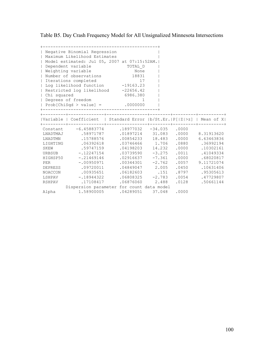Table B5. Day Crash Frequency Model for All Unsignalized Minnesota Intersections

| $\perp$      | Negative Binomial Regression<br>Maximum Likelihood Estimates           |                           |       |       |                                     |  |
|--------------|------------------------------------------------------------------------|---------------------------|-------|-------|-------------------------------------|--|
|              | Model estimated: Jul 05, 2007 at 07:15:52AM.                           |                           |       |       |                                     |  |
|              | Dependent variable<br>TOTAL D                                          |                           |       |       |                                     |  |
|              | Weighting variable                                                     | None                      |       |       |                                     |  |
| $\perp$      | Number of observations 18831                                           |                           |       |       |                                     |  |
| $\mathbb{L}$ | Iterations completed                                                   | 17                        |       |       |                                     |  |
| $\mathbf{L}$ | Leiacrons compreced<br>Log likelihood function -19163.23               |                           |       |       |                                     |  |
|              | Restricted log likelihood -22656.42                                    |                           |       |       |                                     |  |
| Chi squared  |                                                                        | 6986.380                  |       |       |                                     |  |
|              | Degrees of freedom                                                     | 1                         |       |       |                                     |  |
|              | $  Prob[Chisqd > value] =$ .0000000                                    |                           |       |       |                                     |  |
|              | -------------------------------------                                  |                           |       |       |                                     |  |
|              | Variable   Coefficient   Standard Error  b/St.Er. P[ Z >z]   Mean of X |                           |       |       |                                     |  |
|              | Constant $-6.45883774$                                                 | $.18977032 -34.035 .0000$ |       |       |                                     |  |
|              | LNADTMAJ .58971787                                                     |                           |       |       | 01897214 31.083 .0000 8.31913620    |  |
| LNADTMN      | .15788576                                                              |                           |       |       | $.00854233$ 18.483 .0000 6.63463836 |  |
|              | LIGHTING .06392618                                                     |                           |       |       | 03746466 1.706 0880 .36992194       |  |
| SKEW         | .59747159                                                              | $.04198203$ 14.232        |       | .0000 | .10302161                           |  |
|              | URBSUB -.12247154                                                      | $.03739590 -3.275$        |       | .0011 | .41049334                           |  |
|              | HIGHSP50 -.21469146                                                    | $.02916637 -7.361$        |       |       | $.0000$ .68020817                   |  |
| PER          | $-.00950971$                                                           | $.00344301 -2.762$        |       |       | .0057 9.11721074                    |  |
| DEPRESS      | .09720011                                                              |                           |       |       | .04849047 2.005 .0450 .10631406     |  |
| NOACCON      | .00935651                                                              | .06182603 .151            |       |       | .8797 .95305613                     |  |
|              | LSHPAV -.18944322                                                      | $.06808325 -2.783$        |       |       | .0054 .47729807                     |  |
| RSHPAV       | .17108417                                                              | .06876060                 | 2.488 | .0128 | .50661144                           |  |
|              | Dispersion parameter for count data model                              |                           |       |       |                                     |  |
| Alpha        | 1.58900005 .04289051 37.048                                            |                           |       | .0000 |                                     |  |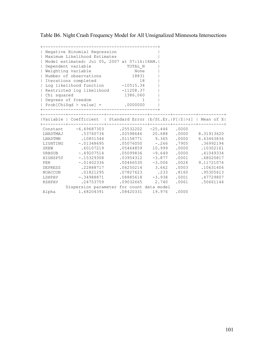Table B6. Night Crash Frequency Model for All Unsignalized Minnesota Intersections

|              | Negative Binomial Regression<br>Maximum Likelihood Estimates           |                            |       |                                    |
|--------------|------------------------------------------------------------------------|----------------------------|-------|------------------------------------|
|              | Model estimated: Jul 05, 2007 at 07:16:18AM.                           |                            |       |                                    |
|              | Dependent variable                                                     | TOTAL N                    |       |                                    |
|              | Weighting variable                                                     | None                       |       |                                    |
| $\perp$      | Number of observations 18831                                           |                            |       |                                    |
| $\mathbf{L}$ | Iterations completed                                                   | 18                         |       |                                    |
|              | 10<br>Log likelihood function -10515.34                                |                            |       |                                    |
|              | Restricted log likelihood -11208.37                                    |                            |       |                                    |
| Chi squared  |                                                                        | 1386.060                   |       |                                    |
|              | Degrees of freedom                                                     | 1                          |       |                                    |
|              | $  Prob[Chisqd > value] =$ .0000000                                    |                            |       |                                    |
|              | ____________________________                                           |                            |       |                                    |
|              | Variable   Coefficient   Standard Error  b/St.Er. P[ Z >z]   Mean of X |                            |       |                                    |
|              | Constant -6.49687303                                                   | $.25532202 - 25.446$ .0000 |       |                                    |
|              | LNADTMAJ .53760734                                                     |                            |       | 02598646 20.688 .0000 8.31913620   |
| LNADTMN      | .10851344                                                              |                            |       | $.01158771$ 9.365 .0000 6.63463836 |
|              | LIGHTING -. 01348695                                                   |                            |       | $.05076050 - .266$ .7905 .36992194 |
| SKEW         | .60107219                                                              | .05464859 10.999           | .0000 | .10302161                          |
|              | URBSUB -.49207514                                                      | $.05099836 -9.649$         | .0000 | .41049334                          |
|              | HIGHSP50 -.15329308                                                    | $.03954312 -3.877$         |       | $.0001$ .68020817                  |
| PER          | $-.01402336$                                                           | $.00466530 -3.006$         |       | $.0026$ 9.11721074                 |
|              | DEPRESS .22888717                                                      | $.06250214$ 3.662          |       | .0003 .10631406                    |
| NOACCON      | .01821295                                                              | .07827623 .233             |       | .8160 .95305613                    |
|              | LSHPAV -.34988871                                                      | $.08885618 - 3.938$        |       | $.0001$ .47729807                  |
| RSHPAV       | .24753759                                                              | $.09032665$ 2.740          |       | .0061 .50661144                    |
|              | Dispersion parameter for count data model                              |                            |       |                                    |
| Alpha        | 1.68204391 .08420331 19.976                                            |                            | .0000 |                                    |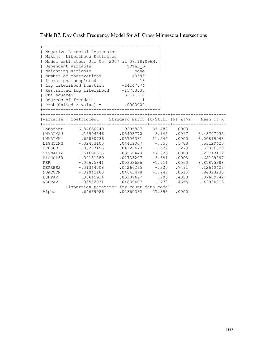Table B7. Day Crash Frequency Model for All Cross Minnesota Intersections

| $\mathbf{I}$ | Negative Binomial Regression<br>Maximum Likelihood Estimates           |                            |         |       |                                     |  |
|--------------|------------------------------------------------------------------------|----------------------------|---------|-------|-------------------------------------|--|
|              | Model estimated: Jul 05, 2007 at 07:18:09AM.                           |                            |         |       |                                     |  |
|              | Dependent variable                                                     | TOTAL D                    |         |       |                                     |  |
|              | Weighting variable                                                     | None                       |         |       |                                     |  |
| $\perp$      | Number of observations 10593                                           |                            |         |       |                                     |  |
| $\mathbb{L}$ | Iterations completed                                                   | 18                         |         |       |                                     |  |
|              | 10<br>Log likelihood function -14147.74                                |                            |         |       |                                     |  |
|              | Restricted log likelihood -15753.35                                    |                            |         |       |                                     |  |
| Chi squared  |                                                                        | 3211.219                   |         |       |                                     |  |
|              | Degrees of freedom                                                     | $\overline{1}$             |         |       |                                     |  |
|              | $  Prob[Chisqd > value] =$ .0000000                                    |                            |         |       |                                     |  |
|              | -------------------------------------                                  |                            |         |       |                                     |  |
|              | Variable   Coefficient   Standard Error  b/St.Er. P[ Z >z]   Mean of X |                            |         |       |                                     |  |
|              | Constant -6.84660749                                                   | $.19295887 - 35.482$ .0000 |         |       |                                     |  |
|              | LNADTMAJ .16994546                                                     |                            |         |       | 05403770 3.145 0017 8.48707935      |  |
| LNADTMN      | .65880736                                                              |                            |         |       | $.05706381$ 11.545 .0000 8.00819948 |  |
|              | LIGHTING -. 02453100                                                   |                            |         |       | $.04419007$ -.555 .5788 .53129425   |  |
| URBSUB       | $-.06277456$                                                           | $.04123673 - 1.522$        |         | .1279 | .53856320                           |  |
| SIGNALIZ     | .61660836                                                              | .03559440 17.323           |         | .0000 | .22713112                           |  |
|              | HIGHSP50 -. 09131889                                                   | $.02733207 -3.341$         |         |       | .0008 .68129897                     |  |
| PER          | $-.00675841$                                                           | $.00353626 -1.911$         |         |       | .0560 8.81875288                    |  |
|              | DEPRESS -.01364508                                                     |                            |         |       | $.04266265 - .320$ .7491 .12640423  |  |
| NOACCON      | $-.09042185$                                                           | $.04643478 - 1.947$        |         |       | .0515 .94043236                     |  |
|              | LSHPAV .03645914                                                       | .05189697.703              |         |       | .4823 .37609742                     |  |
| RSHPAV       | $-.03532071$                                                           | .04839407                  | $-.730$ |       | .4655 .42934013                     |  |
|              | Dispersion parameter for count data model                              |                            |         |       |                                     |  |
| Alpha        |                                                                        | .64669086 .02360382 27.398 |         | .0000 |                                     |  |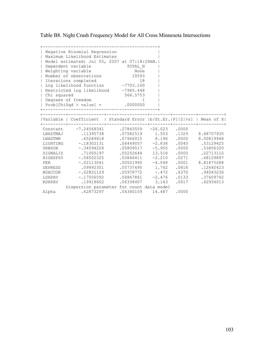Table B8. Night Crash Frequency Model for All Cross Minnesota Intersections

|             | Negative Binomial Regression<br>  Maximum Likelihood Estimates         |                            |       |                                         |
|-------------|------------------------------------------------------------------------|----------------------------|-------|-----------------------------------------|
|             | Model estimated: Jul 05, 2007 at 07:18:29AM.                           |                            |       |                                         |
| $\perp$     | Dependent variable<br>TOTAL N                                          |                            |       |                                         |
|             | Weighting variable                                                     | None                       |       |                                         |
|             | Number of observations 10593                                           |                            |       |                                         |
|             | Iterations completed                                                   | 18                         |       |                                         |
|             | 10 10<br>Log likelihood function -7703.160                             |                            |       |                                         |
|             | Restricted log likelihood -7985.448                                    |                            |       |                                         |
| Chi squared |                                                                        | 564.5753                   |       |                                         |
|             | Degrees of freedom                                                     | $\overline{1}$             |       |                                         |
|             | $  Prob[Chisqd > value] =$ .0000000                                    |                            |       |                                         |
|             | ------------------------------------                                   |                            |       |                                         |
|             |                                                                        |                            |       |                                         |
|             | Variable   Coefficient   Standard Error  b/St.Er. P[ Z >z]   Mean of X |                            |       |                                         |
|             | Constant -7.24568341                                                   | $.27843559 - 26.023$ .0000 |       |                                         |
|             | LNADTMAJ .11395738                                                     |                            |       | .07582519   1.503   .1329   8.48707935  |
| LNADTMN     | .65289618                                                              |                            |       | $.07966015$ 8.196 .0000 8.00819948      |
|             | LIGHTING -.18302131                                                    |                            |       | $.06449057 - 2.838$ $.0045$ $.53129425$ |
| URBSUB      | $-.34594228$                                                           | $.05809517 - 5.955$        |       | .0000 .53856320                         |
|             | SIGNALIZ .71005197                                                     | .05252644 13.518           | .0000 | .22713112                               |
|             | HIGHSP50 -.08502325                                                    | $.03846411 - 2.210$        |       | .0271 .68129897                         |
| PER         | $-.02113041$                                                           | $.00521960 -4.048$         |       | $.0001$ 8.81875288                      |
|             | DEPRESS .09992351                                                      |                            |       | .05737490   1.742   0816   .12640423    |
|             | NOACCON -.02821129                                                     | $.05978772 - .472$         |       | .6370 .94043236                         |
|             | LSHPAV -.17006592                                                      | $.06867861 - 2.476$        |       | .0133 .37609742                         |
| RSHPAV      | .19918602                                                              | .06338407 3.143            |       | $.0017$ .42934013                       |
|             | Dispersion parameter for count data model                              |                            |       |                                         |
| Alpha       | .62873297 .04340109 14.487                                             |                            | .0000 |                                         |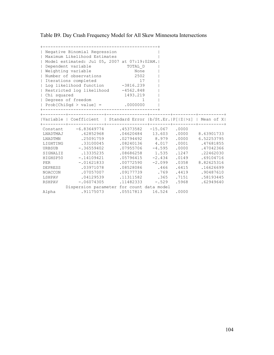Table B9. Day Crash Frequency Model for All Skew Minnesota Intersections

|             | Negative Binomial Regression                                           |                                                  |         |       |                      |
|-------------|------------------------------------------------------------------------|--------------------------------------------------|---------|-------|----------------------|
|             | Maximum Likelihood Estimates                                           |                                                  |         |       |                      |
|             | Model estimated: Jul 05, 2007 at 07:19:02AM.                           |                                                  |         |       |                      |
| $\perp$     | Dependent variable<br>TOTAL D                                          |                                                  |         |       |                      |
|             | Weighting variable                                                     | None                                             |         |       |                      |
|             | Number of observations                                                 | 2502                                             |         |       |                      |
|             | Iterations completed                                                   | 17                                               |         |       |                      |
|             |                                                                        |                                                  |         |       |                      |
|             | Restricted log likelihood -4562.848                                    |                                                  |         |       |                      |
| Chi squared |                                                                        | 1493.219                                         |         |       |                      |
|             | Degrees of freedom                                                     | $\overline{1}$                                   |         |       |                      |
|             | $  Prob[Chisqd > value] =$ .0000000                                    |                                                  |         |       |                      |
|             |                                                                        |                                                  |         |       |                      |
|             | Variable   Coefficient   Standard Error  b/St.Er. P[ Z >z]   Mean of X |                                                  |         |       |                      |
|             |                                                                        |                                                  |         |       |                      |
|             | Constant -6.83649774                                                   | $.45373582 -15.067 .0000$                        |         |       |                      |
|             | LNADTMAJ .62852968                                                     | 04620484 13.603 0000 8.63901733                  |         |       |                      |
| LNADTMN     | .25091759                                                              | $.02794492$ 8.979 .0000 6.52253795               |         |       |                      |
|             | LIGHTING .33100045                                                     | .08240136  4.017  .0001  .47681855               |         |       |                      |
| URBSUB      | $-1.36559402$                                                          | $.07955706 -4.595$                               |         |       | .0000 .47042366      |
| SIGNALIZ    | .13335235                                                              | .08686258 1.535                                  |         | .1247 | .22462030            |
|             | HIGHSP50 -.14109421                                                    | $.05796415 -2.434$                               |         |       | .0149 .69104716      |
| PER         | $-.01621833$                                                           | $.00772590 -2.099$                               |         |       | .0358 8.82625316     |
|             | DEPRESS .03971078                                                      | .08528086 .466 .6415 .16626699                   |         |       |                      |
| NOACCON     | .07057007                                                              | .09177739                                        |         |       | .769 .4419 .90487610 |
|             | LSHPAV .04129539                                                       | .11311582 .365                                   |         |       | .7151 .58193445      |
| RSHPAV      | $-.06074305$                                                           | .11482333                                        | $-.529$ |       | .5968 .62949640      |
|             | Dispersion parameter for count data model                              |                                                  |         |       |                      |
| Alpha       |                                                                        | 0000.   16.524   0000.   0.5517813.   0.5517813. |         |       |                      |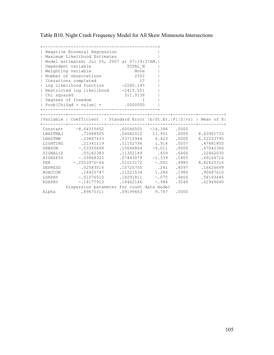Table B10. Night Crash Frequency Model for All Skew Minnesota Intersections

| $\perp$      | Negative Binomial Regression<br>Maximum Likelihood Estimates           |                           |         |       |                                          |
|--------------|------------------------------------------------------------------------|---------------------------|---------|-------|------------------------------------------|
|              | Model estimated: Jul 05, 2007 at 07:19:37AM.                           |                           |         |       |                                          |
| $\perp$      | Dependent variable                                                     | TOTAL N                   |         |       |                                          |
| $\mathbf{L}$ | Weighting variable                                                     |                           |         |       |                                          |
| $\perp$      | Number of observations                                                 | None<br>2502              |         |       |                                          |
| $\mathbb{L}$ | Iterations completed                                                   | 17                        |         |       |                                          |
| $\mathbf{L}$ | 17<br>Log likelihood function -2260.145                                |                           |         |       |                                          |
|              | Restricted log likelihood -2415.651                                    |                           |         |       |                                          |
| Chi squared  |                                                                        | 311.0136                  |         |       |                                          |
|              | Degrees of freedom                                                     | $\overline{1}$            |         |       |                                          |
|              | $  Prob[Chisqd > value] =$ .0000000                                    |                           |         |       |                                          |
|              | ------------------------------------                                   |                           |         |       |                                          |
|              | Variable   Coefficient   Standard Error  b/St.Er. P[ Z >z]   Mean of X |                           |         |       |                                          |
|              | Constant -8.64315652                                                   | $.60046505 -14.394 .0000$ |         |       |                                          |
|              | LNADTMAJ .72688505                                                     |                           |         |       | .06082010 11.951 .0000 8.63901733        |
| LNADTMN      | .23867633                                                              |                           |         |       | $.03715944$ 6.423 .0000 6.52253795       |
|              | LIGHTING .21341119                                                     |                           |         |       | .11152736 1.914 .0557 .47681855          |
| URBSUB       | $-1.53355608$                                                          |                           |         |       | $.10646864$ $-5.011$ $.0000$ $.47042366$ |
| SIGNALIZ     | .05182383                                                              | .11302149 .459            |         | .6466 | .22462030                                |
|              | HIGHSP50 -.09968322                                                    | $.07443079 - 1.339$       |         |       | .1805 .69104716                          |
|              | PER -.255397D-04                                                       |                           |         |       | $.01023172 - .002$ .9980 8.82625316      |
|              | DEPRESS .02583016                                                      |                           |         |       | .10725705 .241 .8097 .16626699           |
| NOACCON      | .14425747                                                              | .11221534                 |         |       | 1.286 .1986 .90487610                    |
|              | LSHPAV -. 01076510                                                     | .14291811                 |         |       | $-.075-.9400-.58193445$                  |
| RSHPAV       | $-.14177913$                                                           | .14402146                 | $-.984$ |       | .3249 .62949640                          |
|              | Dispersion parameter for count data model                              |                           |         |       |                                          |
| Alpha        | .89670311 .09199663 9.747 .0000                                        |                           |         |       |                                          |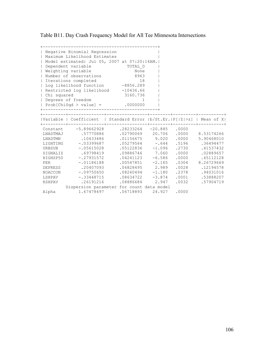Table B11. Day Crash Frequency Model for All Tee Minnesota Intersections

|               | Negative Binomial Regression<br>Maximum Likelihood Estimates           |                             |        |       |       |                                    |
|---------------|------------------------------------------------------------------------|-----------------------------|--------|-------|-------|------------------------------------|
|               | Model estimated: Jul 05, 2007 at 07:20:14AM.                           |                             |        |       |       |                                    |
|               | Dependent variable<br>TOTAL D                                          |                             |        |       |       |                                    |
|               | Weighting variable                                                     | None                        |        |       |       |                                    |
|               | Number of observations                                                 | 8963                        |        |       |       |                                    |
| $\mathbf{L}$  | Iterations completed                                                   | 18                          |        |       |       |                                    |
|               | Lord Likelihood function -8856.289                                     |                             |        |       |       |                                    |
|               | Restricted log likelihood -10436.66                                    |                             |        |       |       |                                    |
| Chi squared   |                                                                        | 3160.736                    |        |       |       |                                    |
|               | Degrees of freedom                                                     | 1                           |        |       |       |                                    |
|               | $  Prob[Chisqd > value] =$ .0000000                                    |                             |        |       |       |                                    |
|               | --------------------------                                             |                             |        |       |       |                                    |
| ---------+--- | Variable   Coefficient   Standard Error  b/St.Er. P[ Z >z]   Mean of X |                             |        |       |       |                                    |
|               | Constant -5.89662928                                                   | $.28233264$ $-20.885$ .0000 |        |       |       |                                    |
|               | LNADTMAJ .57770886                                                     |                             |        |       |       | 02790069 20.706 .0000 8.53174266   |
| LNADTMN       | .10433486                                                              |                             |        |       |       | $.01156675$ 9.020 .0000 5.90468010 |
|               | LIGHTING -. 03399687                                                   |                             |        |       |       | $.05279564 - .644$ .5196 .36494477 |
| URBSUB        | $-.05615028$                                                           | $.05122836 -1.096$          |        |       | .2730 | .41537432                          |
| SIGNALIZ      | .69798419                                                              | .09886746 7.060             |        |       | .0000 | .02889657                          |
|               | HIGHSP50 -.27931572                                                    | $.04241123 - 6.586$         |        |       | .0000 | .65112128                          |
| PER           | $-.01186188$                                                           | $.00547851 - 2.165$         |        |       |       | .0304 8.26729669                   |
|               | DEPRESS 20407093                                                       | .06828495 2.989             |        |       |       | .0028 .12194578                    |
| NOACCON       | -.09750650                                                             | $.08260494 - 1.180$         |        |       |       | .2378 .94031016                    |
|               | LSHPAV -.33448715                                                      | $.08634722 - 3.874$         |        |       |       | .0001 .53888207                    |
| RSHPAV        | .26191216                                                              | .08886684                   |        | 2.947 |       | .0032 .57904719                    |
|               | Dispersion parameter for count data model                              |                             |        |       |       |                                    |
| Alpha         | 1.67478497                                                             | .06718893                   | 24.927 |       | .0000 |                                    |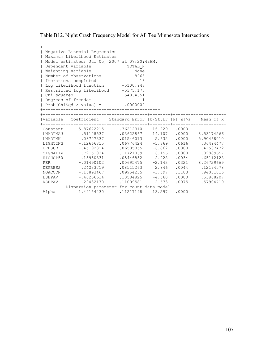Table B12. Night Crash Frequency Model for All Tee Minnesota Intersections

| $\mathbf{I}$                | Negative Binomial Regression<br>Maximum Likelihood Estimates           |                           |        |       |       |                                          |
|-----------------------------|------------------------------------------------------------------------|---------------------------|--------|-------|-------|------------------------------------------|
|                             | Model estimated: Jul 05, 2007 at 07:20:42AM.                           |                           |        |       |       |                                          |
|                             | Dependent variable<br>TOTAL N                                          |                           |        |       |       |                                          |
|                             | Weighting variable                                                     | None                      |        |       |       |                                          |
| $\perp$                     | Number of observations                                                 | 8963                      |        |       |       |                                          |
| $\mathbf{L}$                | Iterations completed                                                   |                           | 18     |       |       |                                          |
|                             | Lordinum Completed<br>Log likelihood function -5100.943                |                           |        |       |       |                                          |
|                             | Restricted log likelihood -5375.175                                    |                           |        |       |       |                                          |
| Chi squared                 |                                                                        | 548.4651                  |        |       |       |                                          |
|                             | Degrees of freedom                                                     |                           | 1      |       |       |                                          |
|                             | $  Prob[Chisqd > value] =$ .0000000                                    |                           |        |       |       |                                          |
|                             | ____________________________                                           |                           |        |       |       |                                          |
| . _ _ _ _ _ _ _ _ + _ _ _ . | Variable   Coefficient   Standard Error  b/St.Er. P[ Z >z]   Mean of X |                           |        |       |       |                                          |
|                             | Constant -5.87672215                                                   | $.36212310 -16.229 .0000$ |        |       |       |                                          |
|                             | LNADTMAJ .51108537                                                     |                           |        |       |       | .03622867 14.107 .0000 8.53174266        |
| LNADTMN                     | .08707337                                                              |                           |        |       |       | $.01546013$ $5.632$ $.0000$ $5.90468010$ |
|                             | LIGHTING -. 12666815                                                   |                           |        |       |       | $.06776424$ -1.869 .0616 .36494477       |
| URBSUB                      | $-.45192824$                                                           | $.06585855 - 6.862$       |        |       | .0000 | .41537432                                |
|                             | SIGNALIZ .72151034                                                     | .11721069 6.156           |        |       | .0000 | .02889657                                |
|                             | HIGHSP50 -.15950331                                                    | $.05446852 -2.928$        |        |       |       | .0034 .65112128                          |
| PER                         | $-.01490102$                                                           | $.00695475 -2.143$        |        |       |       | .0321 8.26729669                         |
|                             | DEPRESS .24233719                                                      |                           |        |       |       | .08515263 2.846 .0044 .12194578          |
| NOACCON                     | -.15893467                                                             | $.09954235 -1.597$        |        |       |       | .1103 .94031016                          |
|                             | LSHPAV -.48266614                                                      | $.10584825 -4.560$        |        |       |       | .0000 .53888207                          |
| RSHPAV                      | .29432170                                                              | .11009581                 |        | 2.673 | .0075 | .57904719                                |
|                             | Dispersion parameter for count data model                              |                           |        |       |       |                                          |
| Alpha                       | 1.49154430 .11217198                                                   |                           | 13.297 |       | .0000 |                                          |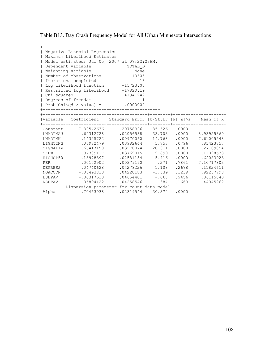Table B13. Day Crash Frequency Model for All Urban Minnesota Intersections

|                 | Negative Binomial Regression<br>  Maximum Likelihood Estimates         |                            |          |       |                                     |
|-----------------|------------------------------------------------------------------------|----------------------------|----------|-------|-------------------------------------|
|                 | Model estimated: Jul 05, 2007 at 07:22:23AM.                           |                            |          |       |                                     |
| $\perp$         | Dependent variable                                                     | TOTAL D                    |          |       |                                     |
|                 | Weighting variable                                                     |                            |          |       |                                     |
|                 | Number of observations 10605                                           | None                       |          |       |                                     |
|                 | Iterations completed                                                   | 18                         |          |       |                                     |
|                 | Isotacions compressor<br>  Log likelihood function   -15723.07         |                            |          |       |                                     |
|                 | Restricted log likelihood -17820.19                                    |                            |          |       |                                     |
| Chi squared     |                                                                        | 4194.242                   |          |       |                                     |
|                 | Degrees of freedom                                                     | $\mathbf{1}$               |          |       |                                     |
|                 | $  Prob[Chisqd > value] =$ .0000000                                    |                            |          |       |                                     |
|                 | ------------------------------------                                   |                            |          |       |                                     |
|                 |                                                                        |                            |          |       |                                     |
| ----------+---- | Variable   Coefficient   Standard Error  b/St.Er. P[ Z >z]   Mean of X |                            |          |       |                                     |
|                 | Constant -7.39542636                                                   | $.20758396 - 35.626$ .0000 |          |       |                                     |
|                 | LNADTMAJ .69312728                                                     |                            |          |       | 02056588 33.703 .0000 8.93925369    |
| LNADTMN         | .14325722                                                              |                            |          |       | $.00970060$ 14.768 .0000 7.61005548 |
|                 | LIGHTING .06982479                                                     |                            |          |       | .03982644 1.753 .0796 .81423857     |
|                 | SIGNALIZ .66417158                                                     | .03270074 20.311           |          | .0000 | .27109854                           |
|                 | SKEW .37309117                                                         | 03769015 9.899             |          | .0000 | .11098538                           |
|                 | HIGHSP50 -.13978397                                                    | $.02581154 - 5.416$        |          | .0000 | .62083923                           |
| <b>PER</b>      | .00102902                                                              |                            |          |       | .00379190 .271 .7861 7.10717803     |
|                 | DEPRESS .04740628                                                      |                            |          |       | .04278226 1.108 .2678 .11824611     |
|                 | NOACCON -.06493810                                                     | $.04220183 -1.539$         |          |       | .1239 .92267798                     |
|                 | LSHPAV -.00317613                                                      | $.04654401 - .068$         |          |       | .9456 .36115040                     |
| RSHPAV          | $-.05894422$                                                           | .04258546                  | $-1.384$ |       | .1663 .44045262                     |
|                 | Dispersion parameter for count data model                              |                            |          |       |                                     |
| Alpha           | .70453938                                                              | .02319544 30.374 .0000     |          |       |                                     |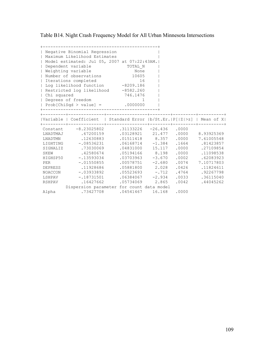Table B14. Night Crash Frequency Model for All Urban Minnesota Intersections

| $\mathbf{I}$ | Negative Binomial Regression<br>Maximum Likelihood Estimates           |                            |       |       |                                                                     |
|--------------|------------------------------------------------------------------------|----------------------------|-------|-------|---------------------------------------------------------------------|
|              | Model estimated: Jul 05, 2007 at 07:22:43AM.                           |                            |       |       |                                                                     |
|              | Dependent variable                                                     | TOTAL N                    |       |       |                                                                     |
|              | Weighting variable                                                     | None                       |       |       |                                                                     |
| $\perp$      | Number of observations 10605                                           |                            |       |       |                                                                     |
| $\mathbb{L}$ | Iterations completed                                                   | 16                         |       |       |                                                                     |
| $\mathbf{L}$ | 16<br>Log likelihood function -8209.186                                |                            |       |       |                                                                     |
|              | Restricted log likelihood -8582.260                                    |                            |       |       |                                                                     |
| Chi squared  |                                                                        | 746.1476                   |       |       |                                                                     |
|              | Degrees of freedom                                                     | $\overline{1}$             |       |       |                                                                     |
|              | $  Prob[Chisqd > value] =$ .0000000                                    |                            |       |       |                                                                     |
|              | ------------------------------------                                   |                            |       |       |                                                                     |
|              | Variable   Coefficient   Standard Error  b/St.Er. P[ Z >z]   Mean of X |                            |       |       |                                                                     |
|              | Constant -8.23025802                                                   | $.31133226 -26.436 .0000$  |       |       |                                                                     |
|              | LNADTMAJ .67200159                                                     |                            |       |       | .03128921 21.477 .0000 8.93925369                                   |
| LNADTMN      | .12630883                                                              |                            |       |       | $.01511418 \qquad \quad 8.357 \qquad .0000 \qquad \quad 7.61005548$ |
|              | LIGHTING -. 08536231                                                   |                            |       |       | .06168714 -1.384 .1664 .81423857                                    |
|              | SIGNALIZ .73030069                                                     | .04831000 15.117           |       |       | .0000 .27109854                                                     |
| SKEW         | .42580674                                                              | 05194166 8.198             |       | .0000 | .11098538                                                           |
|              | HIGHSP50 -.13593034                                                    | $.03703963 -3.670$         |       |       | .0002 .62083923                                                     |
| PER          | $-.01550855$                                                           | $.00578751 - 2.680$        |       |       | .0074 7.10717803                                                    |
|              | DEPRESS .11928686                                                      |                            |       |       | .05881800  2.028  .0426  .11824611                                  |
|              | NOACCON -.03933892                                                     | $.05523693 - .712$         |       |       | .4764 .92267798                                                     |
|              | LSHPAV -.18731501                                                      | $.06384067 -2.934$         |       |       | .0033 .36115040                                                     |
| RSHPAV       | .16427662                                                              | .05734069                  | 2.865 |       | $.0042$ $.44045262$                                                 |
|              | Dispersion parameter for count data model                              |                            |       |       |                                                                     |
| Alpha        |                                                                        | .73427708 .04541467 16.168 |       | .0000 |                                                                     |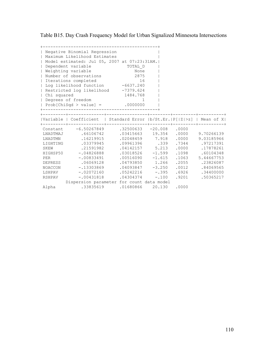Table B15. Day Crash Frequency Model for Urban Signalized Minnesota Intersections

| $\perp$<br>$\perp$<br>$\mathbf{L}$<br>  Chi squared<br>$\mathbf{L}$      | Negative Binomial Regression<br>Maximum Likelihood Estimates<br>Model estimated: Jul 05, 2007 at 07:23:31AM.<br>Dependent variable<br>Weighting variable<br>Number of observations<br>Iterations completed<br>  Log likelihood function -6637.240<br>  Restricted log likelihood -7379.624<br>Degrees of freedom<br>$  Prob[ChiSqd > value] = .0000000$ | TOTAL D<br>None<br>2875<br>16<br>1484.768<br>1                                                                                                                                                                          |                                  |                                                                                                                                                                                       |
|--------------------------------------------------------------------------|---------------------------------------------------------------------------------------------------------------------------------------------------------------------------------------------------------------------------------------------------------------------------------------------------------------------------------------------------------|-------------------------------------------------------------------------------------------------------------------------------------------------------------------------------------------------------------------------|----------------------------------|---------------------------------------------------------------------------------------------------------------------------------------------------------------------------------------|
|                                                                          | Variable   Coefficient   Standard Error  b/St.Er. P[ Z >z]   Mean of X                                                                                                                                                                                                                                                                                  |                                                                                                                                                                                                                         |                                  |                                                                                                                                                                                       |
| LNADTMAJ<br>LNADTMN<br>SKEW<br><b>PER</b><br>DEPRESS<br>LSHPAV<br>RSHPAV | Constant -6.50267849<br>.66106742<br>.16219915<br>LIGHTING .03379945<br>21591982<br>HIGHSP50 -.04826888<br>$-.00833491$<br>.06069128<br>NOACCON -.13303869<br>$-.02072160$<br>$-.00431818$<br>Dispersion parameter for count data model                                                                                                                 | $.32500633 - 20.008$ .0000<br>.02048459 7.918<br>.09961396 .339<br>$.04142157$ 5.213<br>$.03018526 -1.599$<br>$.00516090 -1.615$<br>$.04793850$ 1.266<br>$.04093847 -3.250$<br>$.05242216 - .395$<br>$.04304374 - .100$ | .0000<br>.0000<br>.1063<br>.9201 | .03415663 19.354 .0000 9.70266139<br>9.03185966<br>.7344.97217391<br>.17878261<br>.1098 .60104348<br>5.44667753<br>.2055 .23826087<br>.0012 .84069565<br>.6926 .34400000<br>.50365217 |
| Alpha                                                                    | .33835619                                                                                                                                                                                                                                                                                                                                               | 01680866 20.130                                                                                                                                                                                                         | .0000                            |                                                                                                                                                                                       |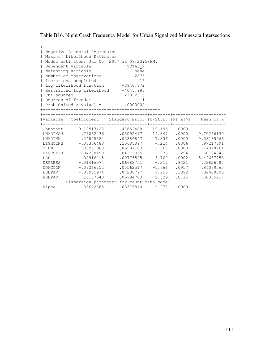Table B16. Night Crash Frequency Model for Urban Signalized Minnesota Intersections

| $\mathbf{L}$<br>  Chi squared                | Negative Binomial Regression<br>  Maximum Likelihood Estimates<br>Model estimated: Jul 05, 2007 at 07:23:58AM.<br>  Dependent variable<br>  Weighting variable<br>  Number of observations<br>  Iterations completed<br>  Log likelihood function -3940.872<br>Restricted log likelihood -4045.988<br>  Degrees of freedom<br>$  Prob[Chisqd > value] =$ .0000000 | TOTAL N<br>None<br>2875<br>16<br>210.2315<br>1                             |                                                                                                                                                      |                         |                                                                                                                                                                                    |
|----------------------------------------------|-------------------------------------------------------------------------------------------------------------------------------------------------------------------------------------------------------------------------------------------------------------------------------------------------------------------------------------------------------------------|----------------------------------------------------------------------------|------------------------------------------------------------------------------------------------------------------------------------------------------|-------------------------|------------------------------------------------------------------------------------------------------------------------------------------------------------------------------------|
|                                              | Variable   Coefficient   Standard Error  b/St.Er. P[ Z >z]   Mean of X                                                                                                                                                                                                                                                                                            |                                                                            |                                                                                                                                                      |                         |                                                                                                                                                                                    |
| LNADTMAJ<br>LNADTMN<br>SKEW<br>PER<br>RSHPAV | Constant -9.18517422<br>.73062436<br>.24845524<br>LIGHTING -. 03356483<br>.33931968<br>HIGHSP50 -. 04208159<br>$-.02916415$<br>DEPRESS -. 01416974<br>NOACCON -.09266252<br>LSHPAV -.06965974<br>.15157643<br>Dispersion parameter for count data model                                                                                                           | $.47852489 -19.195 .0000$<br>$.05987103$ 5.668 .0000<br>$.07288797 - .956$ | $.05092417$ 14.347 .0000<br>03386847 7.336<br>$.15685097 - .214$<br>$.04315055 - .975$<br>$.00775545 -3.760$<br>$.06682751 - .212$<br>05994703 2.529 | .0000<br>.0002<br>.0115 | 9.70266139<br>9.03185966<br>.8306 .97217391<br>.17878261<br>.3294 .60104348<br>5.44667753<br>.8321 .23826087<br>$.05562517 -1.666$ .0957 .84069565<br>.3392 .34400000<br>.50365217 |
| Alpha                                        | .33672865                                                                                                                                                                                                                                                                                                                                                         | .03376810                                                                  | 9.972                                                                                                                                                | .0000                   |                                                                                                                                                                                    |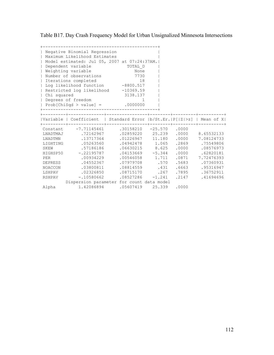Table B17. Day Crash Frequency Model for Urban Unsignalized Minnesota Intersections

| Chi squared<br>$\perp$                                                                   | Negative Binomial Regression<br>Maximum Likelihood Estimates<br>Model estimated: Jul 05, 2007 at 07:24:37AM.<br>Dependent variable<br>Weighting variable<br>Number of observations<br>Iterations completed<br>Log likelihood function -8800.517<br>  Restricted log likelihood -10369.59<br>Degrees of freedom<br>$  Prob[Chisqd > value] = .0000000$<br>__________________________ | TOTAL D<br>None<br>7730<br>18<br>3138.137<br>$\mathbf{1}$                                                                                                                                                  |                            |                                                                                    |                                                                                                                                         |
|------------------------------------------------------------------------------------------|-------------------------------------------------------------------------------------------------------------------------------------------------------------------------------------------------------------------------------------------------------------------------------------------------------------------------------------------------------------------------------------|------------------------------------------------------------------------------------------------------------------------------------------------------------------------------------------------------------|----------------------------|------------------------------------------------------------------------------------|-----------------------------------------------------------------------------------------------------------------------------------------|
|                                                                                          | Variable   Coefficient   Standard Error  b/St.Er. P[ Z >z]   Mean of X                                                                                                                                                                                                                                                                                                              |                                                                                                                                                                                                            |                            |                                                                                    |                                                                                                                                         |
| LNADTMAJ<br>LNADTMN<br>SKEW<br>HIGHSP50<br>PER<br>DEPRESS<br>NOACCON<br>LSHPAV<br>RSHPAV | Constant -7.71145461<br>.72162967<br>.13717364<br>LIGHTING .05263560<br>.57186186<br>$-.22195787$<br>.00934229<br>.04552367<br>.03800811<br>.02326850<br>$-.10580662$<br>Dispersion parameter for count data model                                                                                                                                                                  | $.30158210 - 25.570$ .0000<br>.02859220 25.239<br>.01226967<br>$.04942478$ 1.065<br>$.06630215$ 8.625<br>$.04153669 - 5.344$<br>$.00546058$ 1.711<br>.07979708<br>.08814559 .431<br>.08715170<br>.08527286 | 11.180<br>.267<br>$-1.241$ | .0000<br>.0000<br>.2869<br>.0000<br>.0000<br>.0871<br>.570 .5683<br>.7895<br>.2147 | 8.65532133<br>7.08124733<br>.75549806<br>.08576973<br>.62820181<br>7.72476393<br>.07360931<br>.6663 .95316947<br>.36752911<br>.41694696 |
| Alpha                                                                                    | 1.42086894                                                                                                                                                                                                                                                                                                                                                                          | .05607419 25.339                                                                                                                                                                                           |                            | .0000                                                                              |                                                                                                                                         |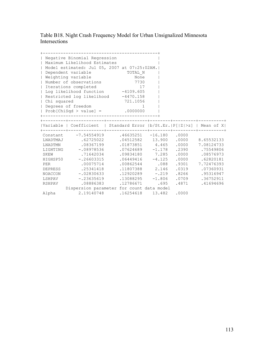Table B18. Night Crash Frequency Model for Urban Unsignalized Minnesota Intersections

| Chi squared<br>$\mathbf{L}$ | Negative Binomial Regression<br>Maximum Likelihood Estimates<br>Model estimated: Jul 05, 2007 at 07:25:02AM.<br>Dependent variable<br>Weighting variable<br>Number of observations<br>Iterations completed<br>Log likelihood function -4109.605<br>Restricted log likelihood -4470.158<br>Degrees of freedom<br>$  Prob[Chisqd > value] = .0000000$<br>------------------------ | TOTAL N<br>None<br>7730<br>17<br>721.1056<br>1 |          |       |                 |
|-----------------------------|---------------------------------------------------------------------------------------------------------------------------------------------------------------------------------------------------------------------------------------------------------------------------------------------------------------------------------------------------------------------------------|------------------------------------------------|----------|-------|-----------------|
|                             | Variable   Coefficient   Standard Error  b/St.Er. P[ Z >z]   Mean of X                                                                                                                                                                                                                                                                                                          |                                                |          |       |                 |
|                             |                                                                                                                                                                                                                                                                                                                                                                                 |                                                |          |       |                 |
|                             | Constant -7.54554919                                                                                                                                                                                                                                                                                                                                                            | $.46635251 - 16.180$ .0000                     |          |       |                 |
| LNADTMAJ                    | .62725022                                                                                                                                                                                                                                                                                                                                                                       | $.04512582$ 13.900                             |          | .0000 | 8.65532133      |
| LNADTMN                     | .08367199                                                                                                                                                                                                                                                                                                                                                                       | 01873851 4.465                                 |          | .0000 | 7.08124733      |
|                             | LIGHTING -. 08978536                                                                                                                                                                                                                                                                                                                                                            | $.07624689 - 1.178$                            |          | .2390 | .75549806       |
| SKEW                        | .71642034                                                                                                                                                                                                                                                                                                                                                                       | .09834180 7.285                                |          | .0000 | .08576973       |
|                             | HIGHSP50 -.26603315                                                                                                                                                                                                                                                                                                                                                             | $.06449416 - 4.125$                            |          | .0000 | .62820181       |
| PER                         | .00075714                                                                                                                                                                                                                                                                                                                                                                       | .00862544.088                                  |          | .9301 | 7.72476393      |
|                             | DEPRESS .25341418                                                                                                                                                                                                                                                                                                                                                               | .11807388 2.146                                |          | .0319 | .07360931       |
|                             | NOACCON -.02830633                                                                                                                                                                                                                                                                                                                                                              | $.12920289 - .219$                             |          |       | .8266 .95316947 |
| LSHPAV                      | $-.23635619$                                                                                                                                                                                                                                                                                                                                                                    | .13088295                                      | $-1.806$ | .0709 | .36752911       |
| RSHPAV                      | .08886383                                                                                                                                                                                                                                                                                                                                                                       | .12786671                                      | .695     | .4871 | .41694696       |
|                             | Dispersion parameter for count data model                                                                                                                                                                                                                                                                                                                                       |                                                |          |       |                 |
| Alpha                       | 2.19140748                                                                                                                                                                                                                                                                                                                                                                      | .16254618                                      | 13.482   | .0000 |                 |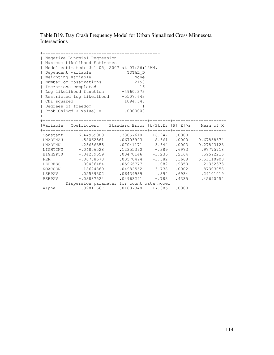Table B19. Day Crash Frequency Model for Urban Signalized Cross Minnesota Intersections

| $\mathbf{L}$<br>$\overline{1}$<br>  Chi squared | Negative Binomial Regression<br>Maximum Likelihood Estimates<br>Model estimated: Jul 05, 2007 at 07:26:12AM.<br>Dependent variable<br>Weighting variable<br>Number of observations<br>  Iterations completed<br>  Log likelihood function -4960.373<br>  Restricted log likelihood -5507.643<br>  Degrees of freedom<br>Prob[ChiSqd > value] = $.0000000$ | TOTAL D<br>None<br>2158<br>16<br>1094.540                                                                                                                                              | $1 \quad \cdots$ |                                                                                                                                                                        |
|-------------------------------------------------|-----------------------------------------------------------------------------------------------------------------------------------------------------------------------------------------------------------------------------------------------------------------------------------------------------------------------------------------------------------|----------------------------------------------------------------------------------------------------------------------------------------------------------------------------------------|------------------|------------------------------------------------------------------------------------------------------------------------------------------------------------------------|
|                                                 | Variable   Coefficient   Standard Error  b/St.Er. P[ Z >z]   Mean of X                                                                                                                                                                                                                                                                                    |                                                                                                                                                                                        |                  |                                                                                                                                                                        |
| <b>PER</b>                                      | Constant -6.44969909 .38057610 -16.947 .0000<br>LNADTMAJ .58062561<br>LNADTMN .25656355<br>LIGHTING -. 04806528<br>HIGHSP50 -. 04289559<br>$-.00788670$<br>DEPRESS .00486484<br>NOACCON -.18624869<br>LSHPAV .02539302<br>RSHPAV -.03887524<br>Dispersion parameter for count data model                                                                  | $.07041171$ 3.644<br>$.03470146 -1.236$ .2164 .59592215<br>$.00570494$ $-1.382$ $.1668$ $5.51110903$<br>$.05966777$ .082<br>$.04982562 -3.738$<br>.06439989 .394<br>$.04963291 - .783$ |                  | .06703993 8.661 .0000 9.67838374<br>.0003 9.27893123<br>$.12355390 - .389 .6973 .97775718$<br>.9350 .21362373<br>.0002 .87303058<br>.6934 .29101019<br>.4335 .45690454 |
| Alpha                                           | $.32811667$ $.01887348$ $17.385$ $.0000$                                                                                                                                                                                                                                                                                                                  |                                                                                                                                                                                        |                  |                                                                                                                                                                        |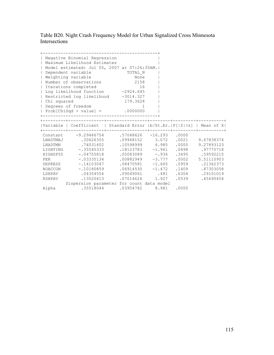Table B20. Night Crash Frequency Model for Urban Signalized Cross Minnesota Intersections

|              | Negative Binomial Regression<br>  Maximum Likelihood Estimates         |                     |                   |                                          |
|--------------|------------------------------------------------------------------------|---------------------|-------------------|------------------------------------------|
|              | Model estimated: Jul 05, 2007 at 07:26:35AM.                           |                     |                   |                                          |
| $\mathbf{I}$ | Dependent variable                                                     | TOTAL N             |                   |                                          |
| $\perp$      | Weighting variable                                                     | $N$ one             |                   |                                          |
|              | Number of observations                                                 | 2158                |                   |                                          |
|              | Iterations completed                                                   | 16                  |                   |                                          |
|              | Log likelihood function -2924.645                                      |                     |                   |                                          |
|              | Restricted log likelihood -3014.327                                    |                     |                   |                                          |
| Chi squared  |                                                                        | 179.3628            |                   |                                          |
|              | Degrees of freedom                                                     | $\overline{1}$      |                   |                                          |
|              | Prob[ChiSqd > value] = $.0000000$                                      |                     |                   |                                          |
|              |                                                                        |                     |                   |                                          |
|              |                                                                        |                     |                   |                                          |
|              | Variable   Coefficient   Standard Error  b/St.Er. P[ Z >z]   Mean of X |                     |                   |                                          |
|              | Constant -9.29486754 .57048626 -16.293 .0000                           |                     |                   |                                          |
|              | LNADTMAJ .30626355                                                     |                     |                   | .09968152 3.072 .0021 9.67838374         |
|              | LNADTMN .74031602                                                      | 10598999 6.985      |                   | .0000 9.27893123                         |
|              | LIGHTING -.35545333                                                    |                     |                   | $.18123783$ $-1.961$ $.0498$ $.97775718$ |
|              | HIGHSP50 -. 04755818                                                   |                     |                   | $.05083089$ -.936 .3495 .59592215        |
|              | PER -. 03335134                                                        | $.00882949 - 3.777$ |                   | $.0002$ 5.51110903                       |
|              | DEPRESS -.14103047                                                     | $.08470581 - 1.665$ |                   | .0959 .21362373                          |
|              | NOACCON -.10180859                                                     |                     |                   | $.06914530 -1.472$ .1409 .87303058       |
|              | LSHPAV .04354556                                                       |                     |                   | .09049061 .481 .6304 .29101019           |
|              | RSHPAV .13520413                                                       |                     | $.07014626$ 1.927 | .0539 .45690454                          |
|              |                                                                        |                     |                   |                                          |
|              | Dispersion parameter for count data model                              |                     |                   |                                          |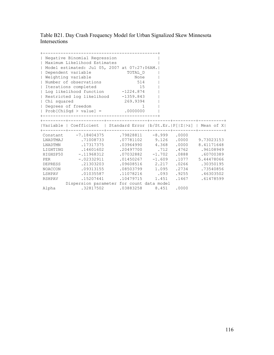Table B21. Day Crash Frequency Model for Urban Signalized Skew Minnesota Intersections

|                          | Negative Binomial Regression<br>  Maximum Likelihood Estimates          |                   |  |                                       |
|--------------------------|-------------------------------------------------------------------------|-------------------|--|---------------------------------------|
|                          | Model estimated: Jul 05, 2007 at 07:27:06AM.                            |                   |  |                                       |
| $\mathbf{I}$             | Dependent variable                                                      | TOTAL D           |  |                                       |
| $\overline{1}$           | Weighting variable                                                      | None              |  |                                       |
| $\overline{\phantom{a}}$ | Number of observations                                                  | 514               |  |                                       |
|                          | Iterations completed                                                    | 15                |  |                                       |
|                          | Log likelihood function -1224.874                                       |                   |  |                                       |
|                          | Restricted log likelihood -1359.843                                     |                   |  |                                       |
| Chi squared              |                                                                         | 269.9394          |  |                                       |
|                          | Degrees of freedom                                                      |                   |  |                                       |
|                          | Prob[ChiSqd > value] = $.0000000$                                       |                   |  |                                       |
|                          |                                                                         |                   |  |                                       |
|                          | Variable   Coefficient   Standard Error  b/St.Er.  P[ Z >z]   Mean of X |                   |  |                                       |
|                          | 0000. Constant -7.18404375 .79828811 -8.999                             |                   |  |                                       |
|                          | LNADTMAJ .71008733                                                      |                   |  | $.07781102$ 9.126 .0000 9.73023153    |
|                          | LNADTMN .17317375                                                       |                   |  | .03964990  4.368  .0000  8.41171648   |
|                          | LIGHTING .14601602                                                      |                   |  | .20497700 .712 .4762 .96108949        |
|                          | HIGHSP50 -.11968312                                                     |                   |  | $.07032882 -1.702$ .0888 .60700389    |
| <b>PER</b>               | $-.02332911$                                                            |                   |  | $.01450267$ -1.609 .1077 5.44478066   |
|                          | DEPRESS .21303203                                                       | $.09608516$ 2.217 |  | .0266 .30350195                       |
|                          | NOACCON .09313155                                                       |                   |  | .08503799   1.095   .2734   .73540856 |
|                          | LSHPAV .01035587                                                        | .11078216 .093    |  | .9255 .46303502                       |
|                          | RSHPAV .15207441                                                        | .10479715 1.451   |  | .1467 .61478599                       |
|                          | Dispersion parameter for count data model                               |                   |  |                                       |
|                          |                                                                         |                   |  |                                       |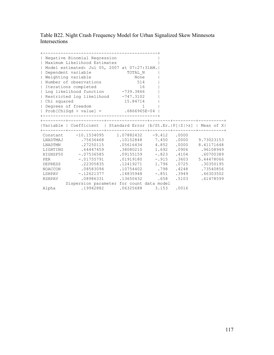Table B22. Night Crash Frequency Model for Urban Signalized Skew Minnesota Intersections

|                          | Negative Binomial Regression<br>  Maximum Likelihood Estimates           |                 |  |                                     |
|--------------------------|--------------------------------------------------------------------------|-----------------|--|-------------------------------------|
|                          | Model estimated: Jul 05, 2007 at 07:27:31AM.                             |                 |  |                                     |
| $\mathbf{I}$             | Dependent variable                                                       |                 |  |                                     |
| $\overline{1}$           | Weighting variable                                                       | TOTAL_N<br>None |  |                                     |
| $\overline{\phantom{a}}$ | Number of observations                                                   | 514             |  |                                     |
|                          | Iterations completed                                                     | 16              |  |                                     |
|                          | Log likelihood function -739.3866                                        |                 |  |                                     |
|                          | Restricted log likelihood -747.3102                                      |                 |  |                                     |
| Chi squared              |                                                                          | 15.84714        |  |                                     |
|                          | Degrees of freedom                                                       | $\mathbf{1}$    |  |                                     |
|                          | Prob[ChiSqd > value] = $.6866965E-04$                                    |                 |  |                                     |
|                          |                                                                          |                 |  |                                     |
|                          |                                                                          |                 |  |                                     |
|                          | Variable   Coefficient   Standard Error  b/St.Er.   P[ Z >z]   Mean of X |                 |  |                                     |
|                          | Constant -10.1534095 1.07882432 -9.412 .0000                             |                 |  |                                     |
|                          | LNADTMAJ .75636468 .10152848 7.450 .0000 9.73023153                      |                 |  |                                     |
|                          | LNADTMN .27250115                                                        |                 |  | .05616434  4.852  .0000  8.41171648 |
|                          | LIGHTING .64447459                                                       |                 |  | $.38080210$ 1.692 .0906 .96108949   |
|                          | HIGHSP50 -.07536585                                                      |                 |  | $.09155159$ -.823 .4104 .60700389   |
| <b>PER</b>               | $-.01755791$                                                             |                 |  | $.01919180$ -.915 .3603 5.44478066  |
|                          | DEPRESS 22305835                                                         |                 |  | .12419271  1.796  .0725  .30350195  |
|                          | 107540856 1248 .08583094 .10754402 .798 .4248 .73540856                  |                 |  |                                     |
|                          | LSHPAV -.12621377 .14835948 -.851 .3949 .46303502                        |                 |  |                                     |
|                          | RSHPAV .08986331                                                         | .13650432 .658  |  | .5103 .61478599                     |
|                          | Dispersion parameter for count data model                                |                 |  |                                     |
|                          |                                                                          |                 |  |                                     |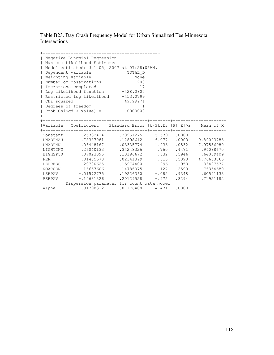Table B23. Day Crash Frequency Model for Urban Signalized Tee Minnesota Intersections

|                          | Negative Binomial Regression<br>  Maximum Likelihood Estimates           |                                |  |                                  |
|--------------------------|--------------------------------------------------------------------------|--------------------------------|--|----------------------------------|
|                          | Model estimated: Jul 05, 2007 at 07:28:05AM.                             |                                |  |                                  |
| $\mathbf{I}$             | Dependent variable                                                       |                                |  |                                  |
| $\overline{1}$           | Weighting variable                                                       | TOTAL_D<br>None                |  |                                  |
| $\overline{\phantom{a}}$ | Number of observations                                                   | 203                            |  |                                  |
|                          | Iterations completed                                                     | 17                             |  |                                  |
|                          | Log likelihood function -428.0800                                        |                                |  |                                  |
|                          | Restricted log likelihood -453.0799                                      |                                |  |                                  |
| Chi squared              |                                                                          | 49.99974                       |  |                                  |
|                          | Degrees of freedom                                                       |                                |  |                                  |
|                          | Prob[ChiSqd > value] = $.0000000$                                        |                                |  |                                  |
|                          |                                                                          |                                |  |                                  |
|                          |                                                                          |                                |  |                                  |
|                          | Variable   Coefficient   Standard Error  b/St.Er.   P[ Z >z]   Mean of X |                                |  |                                  |
|                          | Constant -7.25332434 1.30951275 -5.539 .0000                             |                                |  |                                  |
|                          | LNADTMAJ .78387081 .12898612 6.077 .0000 9.89093783                      |                                |  |                                  |
|                          | LNADTMN .06448167                                                        |                                |  | .03335774 1.933 .0532 7.97556980 |
|                          | LIGHTING .26040133                                                       |                                |  | .34248326 .760 .4471 .94088670   |
|                          | HIGHSP50 .07023095                                                       | .13196672 .532 .5946 .64039409 |  |                                  |
| <b>PER</b>               | .01435673                                                                |                                |  | .02341399 .613 .5398 4.76653865  |
|                          | DEPRESS -.20700625                                                       |                                |  | .15974400 -1.296 .1950 .33497537 |
|                          | NOACCON -16657606 14786075 -1.127 2599 .76354680                         |                                |  |                                  |
|                          | LSHPAV -.01572775 .19226360 -.082 .9348 .60591133                        |                                |  |                                  |
|                          | RSHPAV -.19631326                                                        | $.20129528 - .975$             |  | .3294 .71921182                  |
|                          | Dispersion parameter for count data model                                |                                |  |                                  |
|                          |                                                                          |                                |  |                                  |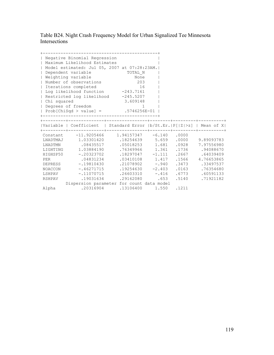Table B24. Night Crash Frequency Model for Urban Signalized Tee Minnesota Intersections

| $\mathbf{I}$<br>$\mathbf{I}$<br>$\overline{\phantom{a}}$<br>  Chi squared | Negative Binomial Regression<br>  Maximum Likelihood Estimates<br>Model estimated: Jul 05, 2007 at 07:28:23AM.<br>Dependent variable<br>  Weighting variable<br>Number of observations<br>  Iterations completed<br>  Log likelihood function -243.7161<br>Restricted log likelihood -245.5207<br>  Degrees of freedom<br>Prob[ChiSqd > value] = $.5746256E-01$                           | TOTAL_N<br>None<br>203<br>16<br>3.609148                                                                                                               | $1 \quad \cdots$ |                |
|---------------------------------------------------------------------------|-------------------------------------------------------------------------------------------------------------------------------------------------------------------------------------------------------------------------------------------------------------------------------------------------------------------------------------------------------------------------------------------|--------------------------------------------------------------------------------------------------------------------------------------------------------|------------------|----------------|
|                                                                           | Variable   Coefficient   Standard Error  b/St.Er.   P[ Z >z]   Mean of X                                                                                                                                                                                                                                                                                                                  |                                                                                                                                                        |                  |                |
| <b>PER</b>                                                                | Constant -11.9205466 1.94157347 -6.140 .0000<br>LNADTMAJ 1.03301420 .18254639 5.659 .0000 9.89093783<br>LNADTMN .08435517<br>LIGHTING 1.03884190<br>HIGHSP50 -.20323702 .18297047 -1.111 .2667 .64039409<br>.04831234<br>DEPRESS -.19810430<br>NOACCON -46271715 .19254630 -2.403 .0163 .76354680<br>LSHPAV -.11070715 .26603310 -.416 .6773 .60591133<br>RSHPAV .19031634 .29162080 .653 | .05018253   1.681   .0928   7.97556980<br>.76349966  1.361  .1736  .94088670<br>.03410108  1.417  .1566  4.76653865<br>.21078902 -.940 .3473 .33497537 |                  | .5140.71921182 |
|                                                                           | Dispersion parameter for count data model                                                                                                                                                                                                                                                                                                                                                 |                                                                                                                                                        |                  |                |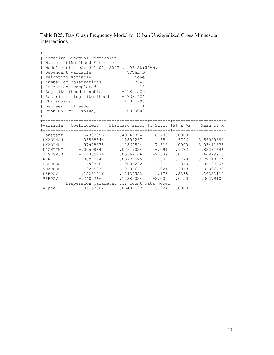Table B25. Day Crash Frequency Model for Urban Unsignalized Cross Minnesota Intersections

| Chi squared | Negative Binomial Regression<br>  Maximum Likelihood Estimates<br>  Model estimated: Jul 05, 2007 at 07:28:55AM. <br>  Dependent variable<br>  Weighting variable<br>  Number of observations<br>  Iterations completed<br>  Log likelihood function -4181.529<br>  Restricted log likelihood -4732.424<br>  Degrees of freedom<br>$  Prob[ChiSqd > value] =$ .0000000                              | TOTAL_D<br>None<br>3547<br>18<br>1101.790                                                                                  |  |                                                                                                 |
|-------------|-----------------------------------------------------------------------------------------------------------------------------------------------------------------------------------------------------------------------------------------------------------------------------------------------------------------------------------------------------------------------------------------------------|----------------------------------------------------------------------------------------------------------------------------|--|-------------------------------------------------------------------------------------------------|
|             | Variable   Coefficient   Standard Error  b/St.Er.   P[ Z >z]   Mean of X                                                                                                                                                                                                                                                                                                                            |                                                                                                                            |  |                                                                                                 |
| PER         | Constant -7.54302056 .40148894 -18.788 .0000<br>LNADTMAJ -.06538544 .11802237 -.554 .5796 8.53089692<br>LNADTMN .97978375<br>10698841 10698841 107649024 -.091 19272 .83281646<br>HIGHSP50 -.14389276<br>.00972247<br>DEPRESS -.15908581<br>NOACCON -13255378 12982661 -1.021 .3073 .96306738<br>LSHPAV .15231216 .12930552 1.178<br>RSHPAV -.24822667<br>Dispersion parameter for count data model | .12860594 7.618<br>$.05667146 -2.539$ $.0111$ $.64899915$<br>$.00721525$ 1.347<br>$.12081232 -1.317$<br>$.12381024 -2.005$ |  | $.0000$ 8.05411635<br>.1778 8.22710724<br>.1879 .05497604<br>.2388 .26332112<br>.0450 .30279109 |
|             | Alpha 1.05153302 .06481192 16.224 .0000                                                                                                                                                                                                                                                                                                                                                             |                                                                                                                            |  |                                                                                                 |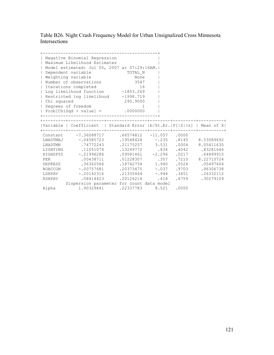Table B26. Night Crash Frequency Model for Urban Unsignalized Cross Minnesota Intersections

| Chi squared | Negative Binomial Regression<br>  Maximum Likelihood Estimates<br>  Model estimated: Jul 05, 2007 at 07:29:16AM. <br>  Dependent variable<br>  Weighting variable<br>  Number of observations<br>  Iterations completed<br>  Log likelihood function -1853.269<br>Restricted log likelihood -1998.719<br>  Degrees of freedom<br>$  Prob[ChiSqd > value] =$ .0000000                                | TOTAL_N<br>None<br>3547<br>16<br>290.9000<br>$\sim$ 1                                                         |  |                                                                                                 |
|-------------|-----------------------------------------------------------------------------------------------------------------------------------------------------------------------------------------------------------------------------------------------------------------------------------------------------------------------------------------------------------------------------------------------------|---------------------------------------------------------------------------------------------------------------|--|-------------------------------------------------------------------------------------------------|
|             | Variable   Coefficient   Standard Error  b/St.Er.   P[ Z >z]   Mean of X                                                                                                                                                                                                                                                                                                                            |                                                                                                               |  |                                                                                                 |
| PER         | Constant -7.36088717 .66574812 -11.057 .0000<br>LNADTMAJ -.04585723 .19548428 -.235 .8145 8.53089692<br>LNADTMN .74772243<br>83281646 .11051074 .13249772 .834 .4042 .83281646<br>HIGHSP50 -.21996286<br>.00438711<br>DEPRESS .36362566<br>NOACCON - 00757681 .20373475 - 037 .9703 .96306738<br>LSHPAV -.20142316 .21335464 -.944<br>RSHPAV .08414423<br>Dispersion parameter for count data model | .21175257 3.531<br>$.09581461 -2.296$ .0217 .64899915<br>$.01228307$ .357<br>18742754 1.940<br>.20126214 .418 |  | $.0004$ 8.05411635<br>.7210 8.22710724<br>.0524 .05497604<br>.3451 .26332112<br>.6759 .30279109 |
|             | Alpha 1.90329841 .22337783 8.521 .0000                                                                                                                                                                                                                                                                                                                                                              |                                                                                                               |  |                                                                                                 |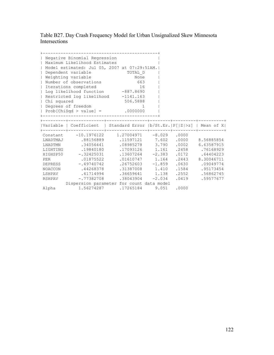Table B27. Day Crash Frequency Model for Urban Unsignalized Skew Minnesota Intersections

|              | Negative Binomial Regression<br>Maximum Likelihood Estimates |                                                                         |  |                  |
|--------------|--------------------------------------------------------------|-------------------------------------------------------------------------|--|------------------|
|              |                                                              | Model estimated: Jul 05, 2007 at 07:29:51AM.                            |  |                  |
| $\mathbf{L}$ | Dependent variable                                           | TOTAL D                                                                 |  |                  |
| $\perp$      | Weighting variable                                           | None                                                                    |  |                  |
|              | Number of observations                                       | 663                                                                     |  |                  |
|              | Iterations completed                                         | 16                                                                      |  |                  |
|              | Log likelihood function -887.8690                            |                                                                         |  |                  |
|              | Restricted log likelihood -1141.163                          |                                                                         |  |                  |
| Chi squared  |                                                              | 506.5888                                                                |  |                  |
|              | Degrees of freedom                                           | -1                                                                      |  |                  |
|              | Prob[ChiSqd > value] = $.0000000$                            |                                                                         |  |                  |
|              |                                                              |                                                                         |  |                  |
|              |                                                              |                                                                         |  |                  |
|              |                                                              | Variable   Coefficient   Standard Error  b/St.Er.  P[ Z >z]   Mean of X |  |                  |
|              |                                                              | Constant -10.1976122 1.27004971 -8.029 .0000                            |  |                  |
|              |                                                              | LNADTMAJ .88156889 .11597121 7.602 .0000 8.56885854                     |  |                  |
|              | LNADTMN .34056441                                            | .08985278 3.790                                                         |  | .0002 6.63587915 |
|              | LIGHTING .19840180                                           | .17093126  1.161  .2458  .76168929                                      |  |                  |
|              |                                                              | HIGHSP50 -.32425031 .13607264 -2.383 .0172 .64404223                    |  |                  |
| PER          | .01875522                                                    | .01610747   1.164   .2443   8.30046711                                  |  |                  |
|              | DEPRESS -.49740742                                           | $.26752603 -1.859$                                                      |  | .0630 .09049774  |
|              | NOACCON .44268378                                            | .31387008 1.410 .1584 .95173454                                         |  |                  |
|              | LSHPAV .41714994                                             | .36659641 1.138                                                         |  | .2552 .56862745  |
|              |                                                              |                                                                         |  | .0419 .59577677  |
|              | RSHPAV -.77382708                                            | $.38043904$ $-2.034$                                                    |  |                  |
|              |                                                              | Dispersion parameter for count data model                               |  |                  |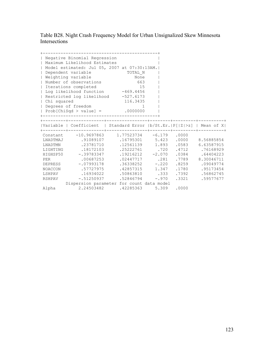Table B28. Night Crash Frequency Model for Urban Unsignalized Skew Minnesota Intersections

| $\perp$<br>$\mathbf{L}$<br>$\perp$<br>  Chi squared | Negative Binomial Regression<br>Maximum Likelihood Estimates<br>Dependent variable<br>Weighting variable<br>Number of observations<br>  Iterations completed<br>  Log likelihood function -469.4456<br>  Restricted log likelihood -527.6173<br>  Degrees of freedom | Model estimated: Jul 05, 2007 at 07:30:13AM.<br>TOTAL N<br>None<br>663<br>15<br>116.3435<br>$\sim$ 1.000 $\sim$ 1.000 $\sim$                                                                                                                                                                                                                                                                                            |  |                                                                                               |
|-----------------------------------------------------|----------------------------------------------------------------------------------------------------------------------------------------------------------------------------------------------------------------------------------------------------------------------|-------------------------------------------------------------------------------------------------------------------------------------------------------------------------------------------------------------------------------------------------------------------------------------------------------------------------------------------------------------------------------------------------------------------------|--|-----------------------------------------------------------------------------------------------|
|                                                     | Prob[ChiSqd > value] = $.0000000$                                                                                                                                                                                                                                    |                                                                                                                                                                                                                                                                                                                                                                                                                         |  |                                                                                               |
|                                                     |                                                                                                                                                                                                                                                                      |                                                                                                                                                                                                                                                                                                                                                                                                                         |  |                                                                                               |
|                                                     |                                                                                                                                                                                                                                                                      | Variable   Coefficient   Standard Error  b/St.Er.   P[ Z >z]   Mean of X                                                                                                                                                                                                                                                                                                                                                |  |                                                                                               |
| PER                                                 | LNADTMN .23781710<br>LIGHTING .18172103<br>.00687253<br>DEPRESS -. 07993178<br>NOACCON .57727975                                                                                                                                                                     | Constant -10.9697863 1.77523734 -6.179 .0000<br>LNADTMAJ .91089107 .16795301 5.423 .0000 8.56885854<br>12561139 1.893<br>.25222761 .720 .4712 .76168929<br>HIGHSP50 - 39783347 .19216212 -2.070 .0384 .64404223<br>$.02447717$ .281<br>$.36338252 - .220$<br>.42857315   1.347   .1780   .95173454<br>LSHPAV .16934022 .50863810 .333<br>RSHPAV -.51250937 .52846794 -.970<br>Dispersion parameter for count data model |  | .0583 6.63587915<br>.7789 8.30046711<br>.8259 .09049774<br>.7392 .56862745<br>.3321 .59577677 |
|                                                     |                                                                                                                                                                                                                                                                      |                                                                                                                                                                                                                                                                                                                                                                                                                         |  |                                                                                               |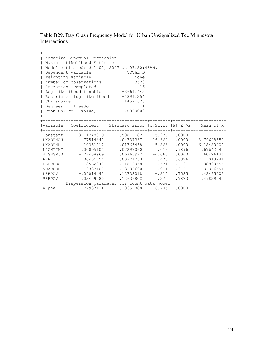Table B29. Day Crash Frequency Model for Urban Unsignalized Tee Minnesota Intersections

| $\mathbf{I}$<br>$\overline{1}$          | Negative Binomial Regression<br>  Maximum Likelihood Estimates<br>Model estimated: Jul 05, 2007 at 07:30:48AM.<br>Dependent variable<br>Weighting variable | TOTAL_D<br>None                                               |  |                                    |
|-----------------------------------------|------------------------------------------------------------------------------------------------------------------------------------------------------------|---------------------------------------------------------------|--|------------------------------------|
| $\overline{\phantom{a}}$                | Number of observations                                                                                                                                     | 3520                                                          |  |                                    |
|                                         | Iterations completed                                                                                                                                       | 16                                                            |  |                                    |
|                                         | Log likelihood function -3664.442                                                                                                                          |                                                               |  |                                    |
|                                         | Restricted log likelihood -4394.254                                                                                                                        |                                                               |  |                                    |
| Chi squared                             |                                                                                                                                                            | 1459.625                                                      |  |                                    |
|                                         | Degrees of freedom<br>Prob[ChiSqd > value] = $.0000000$                                                                                                    | $\sim$ 1                                                      |  |                                    |
|                                         |                                                                                                                                                            |                                                               |  |                                    |
|                                         |                                                                                                                                                            |                                                               |  |                                    |
|                                         | Variable   Coefficient   Standard Error  b/St.Er. P[ Z >z]   Mean of X                                                                                     |                                                               |  |                                    |
|                                         | Constant -8.11748929 .50811182 -15.976 .0000                                                                                                               |                                                               |  |                                    |
|                                         | LNADTMAJ .77514647                                                                                                                                         |                                                               |  | .04737337 16.362 .0000 8.79698559  |
|                                         | LNADTMN .10351712                                                                                                                                          |                                                               |  | .01765468 5.863 .0000 6.18480207   |
|                                         | LIGHTING .00095101                                                                                                                                         |                                                               |  | .07297060 .013 .9896 .67642045     |
|                                         | HIGHSP50 -.27458969                                                                                                                                        | 60426136. 06763977 -4.060.<br>00974253 .478 .6326 7.11013241. |  |                                    |
| <b>PER</b>                              | .00465754                                                                                                                                                  |                                                               |  |                                    |
|                                         | DEPRESS .18562348                                                                                                                                          |                                                               |  | .11812058  1.571  .1161  .08920455 |
|                                         | NOACCON .13333108                                                                                                                                          | .13190690 1.011 .3121 .94346591                               |  |                                    |
|                                         | 12732018 - .04014493 - .12732018 - .315 - .7525 .43465909                                                                                                  |                                                               |  |                                    |
|                                         | RSHPAV .03409080                                                                                                                                           | $.12636802$ .270                                              |  | .7873 .49829545                    |
|                                         | Dispersion parameter for count data model                                                                                                                  |                                                               |  |                                    |
| Alpha 1.77937114 .10651888 16.705 .0000 |                                                                                                                                                            |                                                               |  |                                    |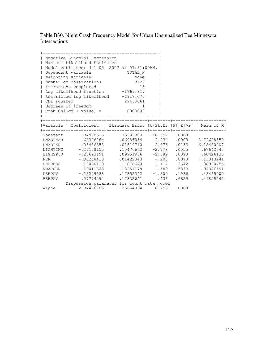Table B30. Night Crash Frequency Model for Urban Unsignalized Tee Minnesota Intersections

| Chi squared | Negative Binomial Regression<br>  Maximum Likelihood Estimates<br>  Model estimated: Jul 05, 2007 at 07:31:09AM. <br>  Dependent variable<br>  Weighting variable<br>  Number of observations<br>  Iterations completed<br>  Log likelihood function -1769.817<br>Restricted log likelihood -1917.070<br>  Degrees of freedom<br>$  Prob[ChiSqd > value] = .0000000$                                                                    | TOTAL_N<br>None<br>3520<br>16<br>294.5061<br>$\sim$ 1                        |  |                                                                                               |
|-------------|-----------------------------------------------------------------------------------------------------------------------------------------------------------------------------------------------------------------------------------------------------------------------------------------------------------------------------------------------------------------------------------------------------------------------------------------|------------------------------------------------------------------------------|--|-----------------------------------------------------------------------------------------------|
|             | Variable   Coefficient   Standard Error  b/St.Er.   P[ Z >z]   Mean of X                                                                                                                                                                                                                                                                                                                                                                |                                                                              |  |                                                                                               |
| PER         | Constant -7.84980525 .73383303 -10.697 .0000<br>LNADTMAJ .69396264 .06986064 9.934 .0000 8.79698559<br>LNADTMN .06486353<br>LIGHTING -.29108155 .10476662 -2.778 .0055 .67642045<br>HIGHSP50 -.25693191 .09951956 -2.582 .0098 .60426136<br>$-.00288410$<br>DEPRESS .19070119<br>NOACCON - 10011623 18251178 - 549 5833 94346591<br>LSHPAV -.23209588 .17855342 -1.300<br>RSHPAV .07774294<br>Dispersion parameter for count data model | $.02619710$ 2.476<br>$.01422343 - .203$<br>.17078640 1.117<br>.17832641 .436 |  | .0133 6.18480207<br>.8393 7.11013241<br>.2642 .08920455<br>.1936 .43465909<br>.6629 .49829545 |
|             | Alpha   2.34476706   26664834   8.793   0000                                                                                                                                                                                                                                                                                                                                                                                            |                                                                              |  |                                                                                               |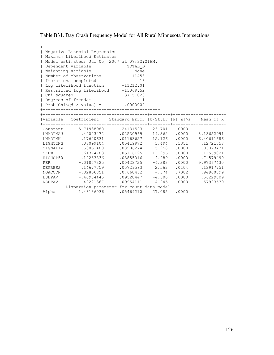Table B31. Day Crash Frequency Model for All Rural Minnesota Intersections

| $\perp$      | Negative Binomial Regression<br>Maximum Likelihood Estimates           |                           |          |                                     |                  |
|--------------|------------------------------------------------------------------------|---------------------------|----------|-------------------------------------|------------------|
|              | Model estimated: Jul 05, 2007 at 07:32:21AM.                           |                           |          |                                     |                  |
|              | Dependent variable                                                     | TOTAL D                   |          |                                     |                  |
|              | Weighting variable                                                     | None                      |          |                                     |                  |
| $\perp$      | Number of observations                                                 | 11453                     |          |                                     |                  |
| $\mathbf{L}$ | Iterations completed                                                   | 18                        |          |                                     |                  |
|              | Lordinum completed<br>Log likelihood function -11212.01                |                           |          |                                     |                  |
|              | Restricted log likelihood -13069.52                                    |                           |          |                                     |                  |
| Chi squared  |                                                                        | 3715.023                  |          |                                     |                  |
|              | Degrees of freedom                                                     | $\overline{1}$            |          |                                     |                  |
|              | $  Prob[Chisqd > value] =$ .0000000                                    |                           |          |                                     |                  |
|              | ____________________________                                           |                           |          |                                     |                  |
|              | Variable   Coefficient   Standard Error  b/St.Er. P[ Z >z]   Mean of X |                           |          |                                     |                  |
| Constant     | $-5.71938980$                                                          | $.24131593 -23.701 .0000$ |          |                                     |                  |
|              | LNADTMAJ 49003472                                                      |                           |          | .02530969 19.362 .0000 8.13652991   |                  |
| LNADTMN      | .17600631                                                              |                           |          | $.01163627$ 15.126 .0000 6.40611686 |                  |
|              | LIGHTING .08099104                                                     |                           |          | .05419972 1.494 .1351 .12721558     |                  |
|              | SIGNALIZ .53061480                                                     | .08906274 5.958           |          | .0000                               | .03073431        |
| <b>SKEW</b>  | .61374783                                                              | $.05116125$ 11.996        |          | .0000                               | .11569021        |
|              | HIGHSP50 -.19233836                                                    | $.03855016 -4.989$        |          | .0000                               | .71579499        |
| PER          | $-.01857325$                                                           | $.00423725 -4.383$        |          |                                     | .0000 9.97367430 |
|              | DEPRESS .14677759                                                      |                           |          | .05729583 2.562 .0104 .13917751     |                  |
| NOACCON      | $-102866851$                                                           | $.07660452 - .374$        |          |                                     | .7082 .94900899  |
|              | LSHPAV -.40934445                                                      | .09520447                 | $-4.300$ |                                     | .0000 .56229809  |
| RSHPAV       | .49221367                                                              | $.09954111$ 4.945         |          | .0000                               | .57993539        |
|              | Dispersion parameter for count data model                              |                           |          |                                     |                  |
| Alpha        | 1.48136036 .05469210 27.085                                            |                           |          | .0000                               |                  |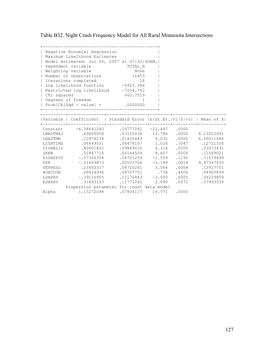Table B32. Night Crash Frequency Model for All Rural Minnesota Intersections

| $\perp$      | Negative Binomial Regression<br>Maximum Likelihood Estimates           |         |                |                           |       |                                    |
|--------------|------------------------------------------------------------------------|---------|----------------|---------------------------|-------|------------------------------------|
|              | Model estimated: Jul 05, 2007 at 07:32:40AM.                           |         |                |                           |       |                                    |
|              | Dependent variable                                                     | TOTAL N |                |                           |       |                                    |
|              | Weighting variable                                                     |         | None           |                           |       |                                    |
| $\perp$      | Number of observations 11453                                           |         |                |                           |       |                                    |
| $\mathbb{L}$ | Iterations completed                                                   |         | 18             |                           |       |                                    |
| $\mathbf{L}$ | 18<br>Log likelihood function -6923.386                                |         |                |                           |       |                                    |
|              | Restricted log likelihood -7254.762                                    |         |                |                           |       |                                    |
| Chi squared  |                                                                        |         | 662.7519       |                           |       |                                    |
|              | Degrees of freedom                                                     |         | $\overline{1}$ |                           |       |                                    |
|              | $  Prob[Chisqd > value] =$ .0000000                                    |         |                |                           |       |                                    |
|              | ------------------------------------                                   |         |                |                           |       |                                    |
|              | Variable   Coefficient   Standard Error  b/St.Er. P[ Z >z]   Mean of X |         |                |                           |       |                                    |
|              | Constant -6.38641240                                                   |         |                | $.29777282 -21.447 .0000$ |       |                                    |
|              | LNADTMAJ .49806004                                                     |         |                |                           |       | 03155036 15.786 .0000 8.13652991   |
| LNADTMN      | .12874238                                                              |         |                |                           |       | $.01425443$ 9.032 .0000 6.40611686 |
|              | LIGHTING .06649521                                                     |         |                |                           |       | .06478107 1.026 .3047 .12721558    |
|              | SIGNALIZ .40601802                                                     |         |                | $.09869032$ 4.114         |       | $.0000$ $.03073431$                |
| SKEW         | .52887716                                                              |         |                | $.06144509$ 8.607         | .0000 | .11569021                          |
|              | HIGHSP50 -.07360354                                                    |         |                | $.04721259 -1.559$        |       | .1190 .71579499                    |
| PER          | $-.01669873$                                                           |         |                | $.00523706 -3.189$        |       | .0014 9.97367430                   |
|              | DEPRESS .23950317                                                      |         |                |                           |       | .06720261 3.564 .0004 .13917751    |
| NOACCON      | .06424996                                                              |         |                | .08707751 .738            |       | .4606 .94900899                    |
|              | LSHPAV -.39116905                                                      |         |                | $.11176443 - 3.500$       |       | .0005 .56229809                    |
| RSHPAV       | .31663153                                                              |         |                | .11772242 2.690           |       | .0072 .57993539                    |
|              | Dispersion parameter for count data model                              |         |                |                           |       |                                    |
| Alpha        | 1.15272098                                                             |         |                | $.07804117$ 14.771        | .0000 |                                    |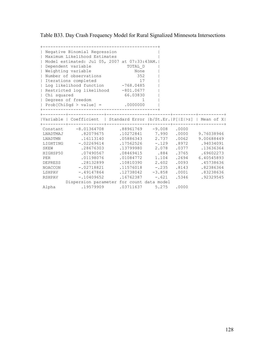Table B33. Day Crash Frequency Model for Rural Signalized Minnesota Intersections

| Chi squared<br>$\mathbf{I}$                                        | Negative Binomial Regression<br>Maximum Likelihood Estimates<br>Model estimated: Jul 05, 2007 at 07:33:43AM.<br>Dependent variable<br>Weighting variable<br>Number of observations<br>Iterations completed<br>Log likelihood function -768.0485<br>  Restricted log likelihood -801.0677<br>Degrees of freedom<br>$  Prob[Chisqd > value] = .0000000$ | TOTAL D<br>None<br>352<br>17<br>66.03830<br>$\mathbf{1}$                                                                                                                 |                                                                             |                                                                               |                                                                                                                                         |
|--------------------------------------------------------------------|-------------------------------------------------------------------------------------------------------------------------------------------------------------------------------------------------------------------------------------------------------------------------------------------------------------------------------------------------------|--------------------------------------------------------------------------------------------------------------------------------------------------------------------------|-----------------------------------------------------------------------------|-------------------------------------------------------------------------------|-----------------------------------------------------------------------------------------------------------------------------------------|
|                                                                    | Variable   Coefficient   Standard Error  b/St.Er. P[ Z >z]   Mean of X                                                                                                                                                                                                                                                                                |                                                                                                                                                                          |                                                                             |                                                                               |                                                                                                                                         |
| LNADTMAJ<br>LNADTMN<br>SKEW<br>HIGHSP50<br>PER<br>LSHPAV<br>RSHPAV | Constant -8.01364708<br>.82079675<br>.16113140<br>LIGHTING -. 02269614<br>.28676303<br>.07490567<br>.01198076<br>DEPRESS .28132899<br>NOACCON -.02718821<br>$-.49147864$<br>$-.10409652$<br>Dispersion parameter for count data model                                                                                                                 | $.88961769 - 9.008$ .000<br>.10272841 7.990<br>.05886343<br>.17562526<br>.13799980<br>.08469415<br>.01084772<br>.10810390<br>$.11576018$ -.235<br>.12738042<br>.16762387 | 2.737<br>$-.129$<br>2.078<br>.884<br>1.104<br>2.602<br>$-3.858$<br>$-0.621$ | .0000<br>.0062<br>.8972<br>.0377<br>.3765<br>.2694<br>.0093<br>.0001<br>.5346 | 9.76038946<br>9.00688449<br>.94034091<br>.13636364<br>.69602273<br>6.40545893<br>.45738636<br>.8143 .82386364<br>.83238636<br>.92329545 |
| Alpha                                                              | .19579909                                                                                                                                                                                                                                                                                                                                             | .03711637                                                                                                                                                                | 5.275                                                                       | .0000                                                                         |                                                                                                                                         |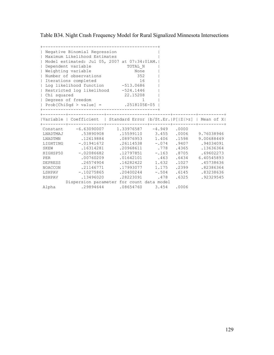Table B34. Night Crash Frequency Model for Rural Signalized Minnesota Intersections

| $\perp$<br>  Chi squared<br>$\perp$                               | Negative Binomial Regression<br>Maximum Likelihood Estimates<br>Model estimated: Jul 05, 2007 at 07:34:01AM.<br>Dependent variable<br>Weighting variable<br>Number of observations<br>Iterations completed<br>Log likelihood function -513.0686<br>  Restricted log likelihood -524.1446<br>Degrees of freedom<br>  Prob[ChiSqd > value] = 2518105E-05  <br>------------------------------- | TOTAL N<br>None<br>352<br>16<br>22.15208<br>1                                                                                                                 |                                                               |                                                             |                                                                                                                                         |
|-------------------------------------------------------------------|---------------------------------------------------------------------------------------------------------------------------------------------------------------------------------------------------------------------------------------------------------------------------------------------------------------------------------------------------------------------------------------------|---------------------------------------------------------------------------------------------------------------------------------------------------------------|---------------------------------------------------------------|-------------------------------------------------------------|-----------------------------------------------------------------------------------------------------------------------------------------|
|                                                                   | Variable   Coefficient   Standard Error  b/St.Er. P[ Z >z]   Mean of X                                                                                                                                                                                                                                                                                                                      |                                                                                                                                                               |                                                               |                                                             |                                                                                                                                         |
| LNADTMAJ<br>LNADTMN<br>SKEW<br>PER<br>DEPRESS<br>LSHPAV<br>RSHPAV | Constant $-6.63090007$ 1.33976587 $-4.949$ .0000<br>.53890908<br>.12619884<br>LIGHTING -. 01941672<br>.16314281<br>HIGHSP50 -.02086682<br>.00760209<br>.26574904<br>NOACCON 21146771<br>$-.10275865$<br>.13496020<br>Dispersion parameter for count data model                                                                                                                              | $.15599110$ 3.455<br>.08976953<br>.26114538 -.074 .9407<br>.20968611 .778 .4365<br>.12797851<br>.01642101<br>.16282422<br>.17993077<br>.20400244<br>.28223091 | 1.406<br>$-.163$<br>.463<br>1.632<br>1.175<br>$-.504$<br>.478 | .0006<br>.1598<br>.8705<br>.6434<br>.1027<br>.6145<br>.6325 | 9.76038946<br>9.00688449<br>.94034091<br>.13636364<br>.69602273<br>6.40545893<br>.45738636<br>.2399 .82386364<br>.83238636<br>.92329545 |
| Alpha                                                             | .29894644                                                                                                                                                                                                                                                                                                                                                                                   | .08654760                                                                                                                                                     | 3.454                                                         | .0006                                                       |                                                                                                                                         |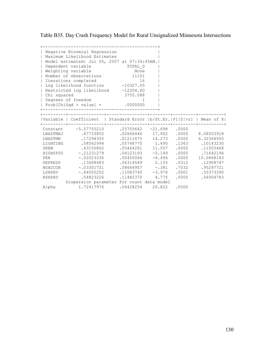Table B35. Day Crash Frequency Model for Rural Unsignalized Minnesota Intersections

| $\mathbf{I}$<br>$\perp$<br>  Chi squared                                            | Negative Binomial Regression<br>Maximum Likelihood Estimates<br>Model estimated: Jul 05, 2007 at 07:34:45AM.<br>  Dependent variable<br>  Weighting variable<br>Number of observations<br>Iterations completed<br>  Log likelihood function -10327.05<br>  Restricted log likelihood -12204.60<br>Degrees of freedom<br>$  Prob[Chisqd > value] =$ .0000000 | TOTAL D<br>None<br>11101<br>16<br>3755.088<br>-1                                                                                                                                                           |                                         |                                                                               |                                                                                                                                         |
|-------------------------------------------------------------------------------------|-------------------------------------------------------------------------------------------------------------------------------------------------------------------------------------------------------------------------------------------------------------------------------------------------------------------------------------------------------------|------------------------------------------------------------------------------------------------------------------------------------------------------------------------------------------------------------|-----------------------------------------|-------------------------------------------------------------------------------|-----------------------------------------------------------------------------------------------------------------------------------------|
|                                                                                     | Variable   Coefficient   Standard Error  b/St.Er. P[ Z >z]   Mean of X                                                                                                                                                                                                                                                                                      |                                                                                                                                                                                                            |                                         |                                                                               |                                                                                                                                         |
| LNADTMAJ<br>LNADTMN<br><b>SKEW</b><br>PER<br>DEPRESS<br>NOACCON<br>LSHPAV<br>RSHPAV | Constant -5.57755210<br>.47733852<br>.17294355<br>LIGHTING .08562994<br>63150862<br>HIGHSP50 -.21231279<br>$-.02023336$<br>.13608483<br>$-.03301721$<br>$-.44065252$<br>.54823226<br>Dispersion parameter for count data model                                                                                                                              | $.25705642 -21.698$ .0000<br>.02666446 17.902<br>.01211675<br>.05748770 1.490<br>$.05464261$ 11.557<br>$.04123193 - 5.149$<br>.00450066<br>.06314549 2.155<br>$.08664957 - .381$<br>.11083740<br>.11482370 | 14.273<br>$-4.496$<br>$-3.976$<br>4.775 | .0000<br>.0000<br>.1363<br>.0000<br>.0000<br>.0312<br>.7032<br>.0001<br>.0000 | 8.08503918<br>6.32364950<br>.10143230<br>.0000 .11503468<br>.71642194<br>10.0868183<br>.12908747<br>.95297721<br>.55373390<br>.56904783 |
| Alpha                                                                               | 1.72417976                                                                                                                                                                                                                                                                                                                                                  | $.06428254$ 26.822                                                                                                                                                                                         |                                         | .0000                                                                         |                                                                                                                                         |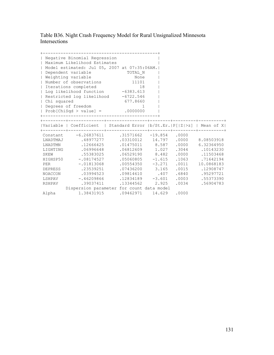Table B36. Night Crash Frequency Model for Rural Unsignalized Minnesota Intersections

| Chi squared<br>$\mathbf{I}$ | Negative Binomial Regression<br>Maximum Likelihood Estimates<br>Model estimated: Jul 05, 2007 at 07:35:06AM.<br>Dependent variable<br>Weighting variable<br>Number of observations<br>Iterations completed<br>  Log likelihood function -6383.613<br>  Restricted log likelihood -6722.546<br>Degrees of freedom<br>$  Prob[Chisqd > value] = .0000000$<br>_________________________ | TOTAL N<br>None<br>11101<br>18<br>677.8660<br>1 |          |       |                 |
|-----------------------------|--------------------------------------------------------------------------------------------------------------------------------------------------------------------------------------------------------------------------------------------------------------------------------------------------------------------------------------------------------------------------------------|-------------------------------------------------|----------|-------|-----------------|
|                             |                                                                                                                                                                                                                                                                                                                                                                                      |                                                 |          |       |                 |
|                             | Variable   Coefficient   Standard Error  b/St.Er. P[ Z >z]   Mean of X                                                                                                                                                                                                                                                                                                               |                                                 |          |       |                 |
|                             | Constant -6.26837611                                                                                                                                                                                                                                                                                                                                                                 | $.31571662 -19.854$ .0000                       |          |       |                 |
| LNADTMAJ                    | .48977277                                                                                                                                                                                                                                                                                                                                                                            | .03310012 14.797                                |          | .0000 | 8.08503918      |
| LNADTMN                     | .12666425                                                                                                                                                                                                                                                                                                                                                                            | $.01475011$ 8.587                               |          | .0000 | 6.32364950      |
|                             | LIGHTING .06996648                                                                                                                                                                                                                                                                                                                                                                   | $.06812609$ 1.027                               |          | .3044 | .10143230       |
| SKEW                        | , 55383025                                                                                                                                                                                                                                                                                                                                                                           | $.06529190$ 8.482                               |          |       | .0000.11503468  |
|                             | HIGHSP50 -.08174527                                                                                                                                                                                                                                                                                                                                                                  | $.05060805 -1.615$                              |          | .1063 | .71642194       |
| PER                         | $-.01813068$                                                                                                                                                                                                                                                                                                                                                                         | $.00554350 -3.271$                              |          | .0011 | 10.0868183      |
| DEPRESS                     | .23539251                                                                                                                                                                                                                                                                                                                                                                            | $.07436200$ 3.165                               |          |       | .0015 .12908747 |
|                             | NOACCON .03994523                                                                                                                                                                                                                                                                                                                                                                    | .09814610 .407                                  |          |       | .6840.95297721  |
| LSHPAV                      | $-.46209866$                                                                                                                                                                                                                                                                                                                                                                         | .12834189                                       | $-3.601$ | .0003 | .55373390       |
| RSHPAV                      | .39037411                                                                                                                                                                                                                                                                                                                                                                            | .13344562                                       | 2.925    | .0034 | .56904783       |
|                             | Dispersion parameter for count data model                                                                                                                                                                                                                                                                                                                                            |                                                 |          |       |                 |
| Alpha                       | 1.38431915                                                                                                                                                                                                                                                                                                                                                                           | $.09462971$ 14.629                              |          | .0000 |                 |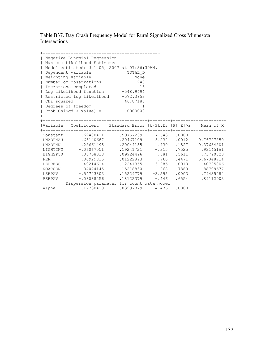Table B37. Day Crash Frequency Model for Rural Signalized Cross Minnesota Intersections

|             | Negative Binomial Regression<br>  Maximum Likelihood Estimates          |                                         |  |                                         |
|-------------|-------------------------------------------------------------------------|-----------------------------------------|--|-----------------------------------------|
|             | Model estimated: Jul 05, 2007 at 07:36:30AM.                            |                                         |  |                                         |
|             | Dependent variable                                                      | TOTAL D                                 |  |                                         |
|             | Weighting variable                                                      | None                                    |  |                                         |
|             | Number of observations                                                  | 248                                     |  |                                         |
|             | Iterations completed                                                    | 16                                      |  |                                         |
|             | Log likelihood function -548.9494                                       |                                         |  |                                         |
|             | Restricted log likelihood -572.3853                                     |                                         |  |                                         |
| Chi squared |                                                                         | 46.87185                                |  |                                         |
|             | Degrees of freedom                                                      | $\overline{1}$                          |  |                                         |
|             | $  Prob[ChiSqd > value] =$ .0000000                                     |                                         |  |                                         |
|             |                                                                         |                                         |  |                                         |
|             |                                                                         |                                         |  |                                         |
|             | Variable   Coefficient   Standard Error  b/St.Er.  P[ Z >z]   Mean of X |                                         |  |                                         |
|             | Constant -7.62480421 .99757239 -7.643 .0000                             |                                         |  |                                         |
|             | LNADTMAJ .66140687 .20467109 3.232 .0012 9.76727850                     |                                         |  |                                         |
|             | LNADTMN .28661495                                                       | .20044155 1.430 .1527 9.37634801        |  |                                         |
|             | LIGHTING -. 06067051                                                    | $.19241721$ -.315    .7525    .93145161 |  |                                         |
|             | HIGHSP50 .05768318                                                      | .09924496 .581 .5611 .73790323          |  |                                         |
| PER         | .00929815                                                               |                                         |  | $.01222893$ $.760$ $.4471$ $6.67048714$ |
|             | DEPRESS .40214614                                                       |                                         |  | .12241355 3.285 .0010 .40725806         |
|             | NOACCON .04074145                                                       | .15218830 .268 .7889 .88709677          |  |                                         |
|             | 19435484. COO3 - .54743803 .15229779 - 3.595 .0003 .79435484            |                                         |  |                                         |
|             | RSHPAV -.08088256                                                       | $.18122379 - .446$                      |  | .6554 .89112903                         |
|             |                                                                         |                                         |  |                                         |
|             | Dispersion parameter for count data model                               |                                         |  |                                         |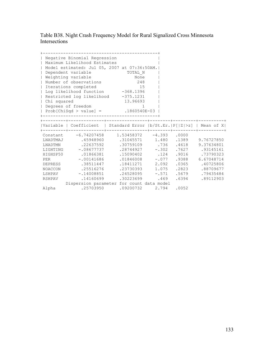Table B38. Night Crash Frequency Model for Rural Signalized Cross Minnesota Intersections

| Chi squared | Negative Binomial Regression<br>  Maximum Likelihood Estimates<br>  Model estimated: Jul 05, 2007 at 07:36:50AM. <br>  Dependent variable<br>  Weighting variable<br>  Number of observations<br>  Iterations completed<br>  Log likelihood function -368.1396<br>Restricted log likelihood -375.1231<br>  Degrees of freedom<br>  Prob[ChiSqd > value] = $.1860540E-03$                              | TOTAL N<br>None<br>248<br>15<br>13.96693<br>$\mathbf{1}$                                                          |       |                                                                                         |
|-------------|-------------------------------------------------------------------------------------------------------------------------------------------------------------------------------------------------------------------------------------------------------------------------------------------------------------------------------------------------------------------------------------------------------|-------------------------------------------------------------------------------------------------------------------|-------|-----------------------------------------------------------------------------------------|
|             | Variable   Coefficient   Standard Error   b/St.Er.   P[ Z >z]   Mean of X                                                                                                                                                                                                                                                                                                                             |                                                                                                                   |       |                                                                                         |
| <b>PER</b>  | Constant -6.74207458 1.53458372 -4.393 .0000<br>LNADTMAJ .45948960 .31045571 1.480 .1389 9.76727850<br>LNADTMN .22637592<br>LIGHTING -. 08677737<br>HIGHSP50 .01866381 .15090402 .124 .9016 .73790323<br>$-.00141686$<br>DEPRESS .38511447<br>NOACCON .25516276 .23730393 1.075 .2823 .88709677<br>LSHPAV -.14008851 .24528095 -.571<br>RSHPAV .14160699<br>Dispersion parameter for count data model | .30759109 .736 .4618<br>$.28744927 - .302$ . 7627 . 93145161<br>$.01846008 - .077$<br>.18411271<br>.30223699 .469 | 2.092 | 9.37634801<br>.9388 6.67048714<br>.0365 .40725806<br>.5679 .79435484<br>.6394 .89112903 |
| Alpha       | $.25703950$ .09200732 2.794 .0052                                                                                                                                                                                                                                                                                                                                                                     |                                                                                                                   |       |                                                                                         |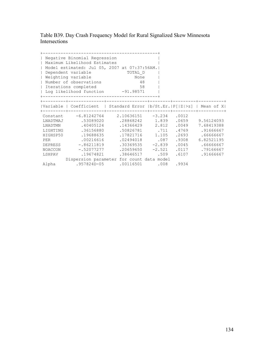Table B39. Day Crash Frequency Model for Rural Signalized Skew Minnesota Intersections

|          | Negative Binomial Regression                                           |                    |                             |       |                 |
|----------|------------------------------------------------------------------------|--------------------|-----------------------------|-------|-----------------|
|          | Maximum Likelihood Estimates                                           |                    |                             |       |                 |
|          | Model estimated: Jul 05, 2007 at 07:37:56AM.                           |                    |                             |       |                 |
|          | Dependent variable                                                     | TOTAL D            |                             |       |                 |
|          | Weighting variable                                                     | None               |                             |       |                 |
|          | Number of observations                                                 | 48                 |                             |       |                 |
|          | Iterations completed                                                   | 58                 |                             |       |                 |
|          | Log likelihood function -91.98571                                      |                    |                             |       |                 |
|          |                                                                        |                    |                             |       |                 |
|          |                                                                        |                    |                             |       |                 |
|          | Variable   Coefficient   Standard Error  b/St.Er. P[ Z >z]   Mean of X |                    |                             |       |                 |
|          |                                                                        |                    | -------+--------+--------+- |       |                 |
|          | Constant -6.81242764 2.10636151 -3.234 .0012                           |                    |                             |       |                 |
|          | LNADTMAJ 53089020 .28868242 1.839                                      |                    |                             | .0659 | 9.56124093      |
| LNADTMN  | .40405124                                                              | .14366429          | 2.812                       | .0049 | 7.68419388      |
| LIGHTING | .36156880                                                              | .50826781 .711     |                             | .4769 | .91666667       |
| HIGHSP50 | 19688635                                                               | .17821716          | 1.105                       | .2693 | .66666667       |
| PER      | .00216616                                                              | $.02494018$ .087   |                             | .9308 | 6.82521195      |
|          | DEPRESS -.86211819                                                     | $.30369535 -2.839$ |                             | .0045 | .66666667       |
| NOACCON  | $-.52077277$                                                           | $.20659650 -2.521$ |                             |       | .0117 .79166667 |
| LSHPAV   | .19674821                                                              | .38646517 .509     |                             | .6107 | .91666667       |
|          | Dispersion parameter for count data model                              |                    |                             |       |                 |
| Alpha    | $.957824D-05$                                                          | $.00116501$ .008   |                             | .9934 |                 |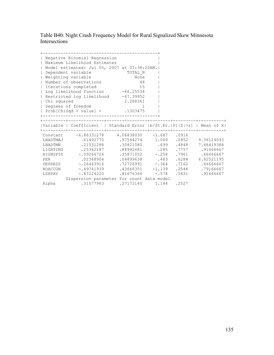Table B40. Night Crash Frequency Model for Rural Signalized Skew Minnesota Intersections

|                             | Negative Binomial Regression<br>Maximum Likelihood Estimates |                                                                        |  |                                 |
|-----------------------------|--------------------------------------------------------------|------------------------------------------------------------------------|--|---------------------------------|
|                             |                                                              | Model estimated: Jul 05, 2007 at 07:38:20AM.                           |  |                                 |
| $\mathbf{I}$                | Dependent variable                                           | TOTAL_N                                                                |  |                                 |
|                             | Weighting variable                                           | None                                                                   |  |                                 |
|                             | Number of observations                                       | 48                                                                     |  |                                 |
|                             | Iterations completed                                         | 15                                                                     |  |                                 |
|                             |                                                              | Log likelihood function -66.25534                                      |  |                                 |
|                             |                                                              | Restricted log likelihood -67.39952                                    |  |                                 |
| Chi squared                 |                                                              | 2.288361                                                               |  |                                 |
|                             | Degrees of freedom                                           | 1                                                                      |  |                                 |
|                             |                                                              | $  Prob[Chisqd > value] = .1303475$                                    |  |                                 |
|                             |                                                              |                                                                        |  |                                 |
|                             |                                                              |                                                                        |  |                                 |
|                             | ---------+--------                                           | Variable   Coefficient   Standard Error  b/St.Er. P[ Z >z]   Mean of X |  |                                 |
|                             |                                                              | Constant -6.86331278 4.06838030 -1.687 .0916                           |  |                                 |
|                             |                                                              | LNADTMAJ .61492770 .57544274 1.069 .2852 9.56124093                    |  |                                 |
|                             | LNADTMN .21531288                                            | .30821080 .699                                                         |  | .4848 7.68419388                |
|                             | LIGHTING .25362187                                           |                                                                        |  | .88992681 .285 .7757 .91666667  |
|                             | HIGHSP50 -.09266726                                          |                                                                        |  | .35871052 -.258 .7961 .66666667 |
| PER <b>Exercise Service</b> | .02368904                                                    |                                                                        |  | .04899638 .483 .6288 6.82521195 |
|                             |                                                              | DEPRESS - 26443916 - 72726991 - 364 - 7162 - 66666667                  |  |                                 |
|                             |                                                              | NOACCON - 49741939 - 43666351 - 1.139 - 2546 - 79166667                |  |                                 |
|                             | LSHPAV -.47224220                                            | $.81676366 - .578$                                                     |  | .5631 .91666667                 |
|                             |                                                              | Dispersion parameter for count data model                              |  |                                 |
|                             |                                                              |                                                                        |  |                                 |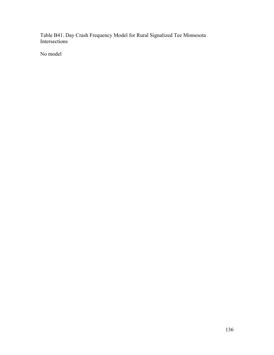Table B41. Day Crash Frequency Model for Rural Signalized Tee Minnesota Intersections

No model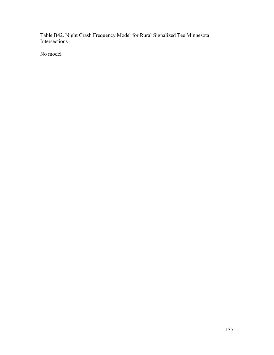Table B42. Night Crash Frequency Model for Rural Signalized Tee Minnesota Intersections

No model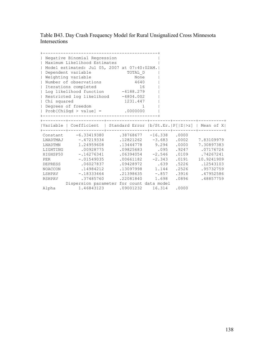Table B43. Day Crash Frequency Model for Rural Unsignalized Cross Minnesota Intersections

| Chi squared | Negative Binomial Regression<br>  Maximum Likelihood Estimates<br>  Model estimated: Jul 05, 2007 at 07:40:02AM. <br>  Dependent variable<br>  Weighting variable<br>  Number of observations<br>  Iterations completed<br>  Log likelihood function -4188.279<br>Restricted log likelihood -4804.002<br>  Degrees of freedom<br>$  Prob[ChiSqd > value] =$ .0000000 | TOTAL_D<br>None<br>None<br>4640<br>16<br>1231.447<br>$\sim$ $\sim$ $\sim$ $\sim$ $\sim$ $\sim$ $\sim$                                                                                                |       |                |                                                                                   |
|-------------|----------------------------------------------------------------------------------------------------------------------------------------------------------------------------------------------------------------------------------------------------------------------------------------------------------------------------------------------------------------------|------------------------------------------------------------------------------------------------------------------------------------------------------------------------------------------------------|-------|----------------|-----------------------------------------------------------------------------------|
|             | Variable   Coefficient   Standard Error  b/St.Er.  P[ Z >z]   Mean of X                                                                                                                                                                                                                                                                                              |                                                                                                                                                                                                      |       |                |                                                                                   |
| <b>PER</b>  | Constant -6.33419380 .38768677 -16.338 .0000<br>LNADTMAJ -.47219334 .12821262 -3.683 .0002 7.83109979<br>LNADTMN 1.24959608<br>LIGHTING .00928775<br>HIGHSP50 -. 16276341<br>$-.01549035$<br>DEPRESS .06027837<br>NOACCON .14984212<br>LSHPAV -.18333464 .21398635 -.857<br>RSHPAV .37485760<br>Dispersion parameter for count data model                            | .13444778 9.294<br>$.09825683$ $.095$ $.9247$ $.07176724$<br>$.06394054$ $-2.546$ $.0109$ $.74267241$<br>$.00661182 - 2.343$<br>.09428972 .639<br>.13097998   1.144   .2526   .95732759<br>.22081840 | 1.698 | .0000<br>.0191 | 7.30897383<br>10.9241909<br>.5226 .12543103<br>.3916 .47952586<br>.0896 .48857759 |
|             | Alpha 1.46843123 .09001232 16.314 .0000                                                                                                                                                                                                                                                                                                                              |                                                                                                                                                                                                      |       |                |                                                                                   |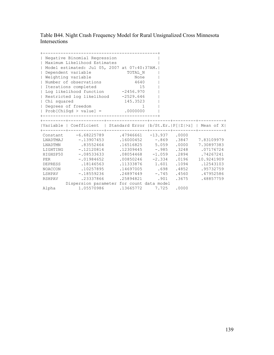Table B44. Night Crash Frequency Model for Rural Unsignalized Cross Minnesota Intersections

|                          | Negative Binomial Regression<br>  Maximum Likelihood Estimates         |                                                         |  |                                     |
|--------------------------|------------------------------------------------------------------------|---------------------------------------------------------|--|-------------------------------------|
|                          | Model estimated: Jul 05, 2007 at 07:40:37AM.                           |                                                         |  |                                     |
| $\mathbf{I}$             | Dependent variable                                                     |                                                         |  |                                     |
| $\mathbf{I}$             | Weighting variable                                                     | TOTAL_N<br>None                                         |  |                                     |
| $\overline{\phantom{a}}$ | Number of observations 4640                                            |                                                         |  |                                     |
|                          | Iterations completed                                                   | 15                                                      |  |                                     |
|                          | Log likelihood function -2456.970                                      |                                                         |  |                                     |
|                          | Restricted log likelihood -2529.646                                    |                                                         |  |                                     |
| Chi squared              |                                                                        | 145.3523                                                |  |                                     |
|                          | Degrees of freedom                                                     | $\sim$ $\sim$ $\sim$ $\sim$ $\sim$ $\sim$ $\sim$ $\sim$ |  |                                     |
|                          | Prob[ChiSqd > value] = $.0000000$                                      |                                                         |  |                                     |
|                          |                                                                        |                                                         |  |                                     |
|                          |                                                                        |                                                         |  |                                     |
|                          | Variable   Coefficient   Standard Error  b/St.Er. P[ Z >z]   Mean of X |                                                         |  |                                     |
|                          | Constant -6.68225789 .47946661 -13.937 .0000                           |                                                         |  |                                     |
|                          | LNADTMAJ -13907453 .16000452 -.869 .3847 7.83109979                    |                                                         |  |                                     |
|                          | LNADTMN .83552464                                                      |                                                         |  | .16516825 5.059 .0000 7.30897383    |
|                          | LIGHTING -.12120814 .12309445 -.985 .3248 .07176724                    |                                                         |  |                                     |
|                          | HIGHSP50 -. 08533633                                                   |                                                         |  | $.08054468$ -1.059 .2894 .74267241  |
| <b>PER</b>               | $-.01984652$                                                           |                                                         |  | $.00850246$ -2.334 .0196 10.9241909 |
|                          | DEPRESS .18146563                                                      |                                                         |  | .11333876 1.601 .1094 .12543103     |
|                          |                                                                        |                                                         |  |                                     |
|                          | NOACCON 10257895 .14697005 .698 .4852 .95732759                        |                                                         |  |                                     |
|                          | LSHPAV -18559236 .24897449 -.745 .4560 .47952586                       |                                                         |  |                                     |
|                          | RSHPAV .23337866 .25894821 .901                                        |                                                         |  | .3675 .48857759                     |
|                          | Dispersion parameter for count data model                              |                                                         |  |                                     |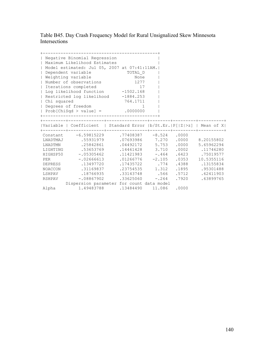Table B45. Day Crash Frequency Model for Rural Unsignalized Skew Minnesota Intersections

| Chi squared | Negative Binomial Regression<br>  Maximum Likelihood Estimates<br>  Model estimated: Jul 05, 2007 at 07:41:11AM. <br>  Dependent variable<br>  Weighting variable<br>  Number of observations<br>  Iterations completed<br>  Log likelihood function -1502.168<br>Restricted log likelihood -1884.253<br>  Degrees of freedom<br>$  Prob[ChiSqd > value] =$ .0000000                                                | TOTAL_D<br>None<br>1277<br>17<br>764.1711<br>$\sim$ 1 $\sim$ 1                                                      |       |                                                                      |
|-------------|---------------------------------------------------------------------------------------------------------------------------------------------------------------------------------------------------------------------------------------------------------------------------------------------------------------------------------------------------------------------------------------------------------------------|---------------------------------------------------------------------------------------------------------------------|-------|----------------------------------------------------------------------|
|             | Variable   Coefficient   Standard Error  b/St.Er.   P[ Z >z]   Mean of X                                                                                                                                                                                                                                                                                                                                            |                                                                                                                     |       |                                                                      |
| PER         | Constant -6.59815229 .77408387 -8.524 .0000<br>LNADTMAJ .55931979 .07693986 7.270 .0000 8.20155802<br>LNADTMN .25842861<br>LIGHTING .53653769 .14461428 3.710 .0002 .11746280<br>HIGHSP50 -.05305462 .11421983 -.464 .6423 .75019577<br>$-.02666613$<br>DEPRESS .13497720<br>NOACCON .31169837<br>LSHPAV .18766935 .33143748 .566 .5712 .62411903<br>RSHPAV -.08867902<br>Dispersion parameter for count data model | $.04492172$ 5.753<br>$.01266776 - 2.105$<br>.17435722 .774<br>.23754535 1.312 .1895 .95301488<br>$.33625060 - .264$ | .0000 | 5.65962294<br>.0353 10.5355116<br>.4388 .13155834<br>.7920 .63899765 |
|             | Alpha 1.49483788 .13484490 11.086 .0000                                                                                                                                                                                                                                                                                                                                                                             |                                                                                                                     |       |                                                                      |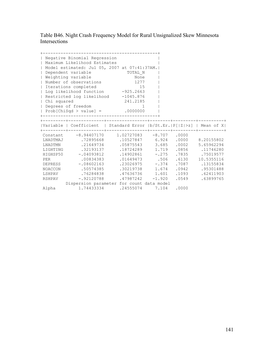Table B46. Night Crash Frequency Model for Rural Unsignalized Skew Minnesota Intersections

| $\mathbf{I}$             | Negative Binomial Regression<br>Maximum Likelihood Estimates            |                                                  |  |                 |
|--------------------------|-------------------------------------------------------------------------|--------------------------------------------------|--|-----------------|
|                          | Model estimated: Jul 05, 2007 at 07:41:37AM.                            |                                                  |  |                 |
| $\mathbf{I}$             | Dependent variable                                                      | TOTAL N                                          |  |                 |
| $\mathbf{I}$             | Weighting variable                                                      | None                                             |  |                 |
| $\overline{\phantom{a}}$ | Number of observations                                                  | 1277                                             |  |                 |
|                          | Iterations completed                                                    | 15                                               |  |                 |
|                          | Log likelihood function -925.2663                                       |                                                  |  |                 |
|                          | Restricted log likelihood -1045.876                                     |                                                  |  |                 |
| Chi squared              |                                                                         | 241.2185                                         |  |                 |
|                          | Degrees of freedom                                                      | $\overline{1}$                                   |  |                 |
|                          | Prob[ChiSqd > value] = $.0000000$                                       |                                                  |  |                 |
|                          |                                                                         |                                                  |  |                 |
|                          |                                                                         |                                                  |  |                 |
|                          | Variable   Coefficient   Standard Error  b/St.Er.  P[ Z >z]   Mean of X |                                                  |  |                 |
|                          | Constant -8.94407170 1.02727083 -8.707 .0000                            |                                                  |  |                 |
|                          | LNADTMAJ .72895668 .10527847 6.924 .0000 8.20155802                     |                                                  |  |                 |
|                          | LNADTMN .21649734                                                       | $.05875543$ 3.685 .0002 5.65962294               |  |                 |
|                          | LIGHTING .32193137                                                      | $.18724289$ 1.719 .0856 .11746280                |  |                 |
|                          | HIGHSP50 -.04093812 .14902861 -.275 .7835 .75019577                     |                                                  |  |                 |
| PER                      | .00834383                                                               | .01649473 .506 .6130                             |  | 10.5355116      |
|                          | DEPRESS -. 08602163                                                     | .23026975 -.374 .7087 .13155834                  |  |                 |
|                          | 1.674.0942.0942.0942.095301488.moACCON 50574385.                        |                                                  |  |                 |
|                          |                                                                         | LSHPAV .76284838 .47636736 1.601 .1093 .62411903 |  |                 |
|                          |                                                                         |                                                  |  |                 |
|                          | RSHPAV -.92120788                                                       | $.47987242 - 1.920$                              |  | .0549 .63899765 |
|                          | Dispersion parameter for count data model                               |                                                  |  |                 |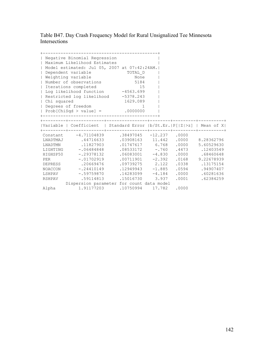Table B47. Day Crash Frequency Model for Rural Unsignalized Tee Minnesota Intersections

|             | Negative Binomial Regression<br>  Maximum Likelihood Estimates<br>  Model estimated: Jul 05, 2007 at 07:42:24AM. <br>  Dependent variable<br>  Weighting variable<br>  Number of observations<br>  Iterations completed<br>  Log likelihood function -4563.699 | TOTAL_D<br>None<br>5184<br>15       |  |                                          |
|-------------|----------------------------------------------------------------------------------------------------------------------------------------------------------------------------------------------------------------------------------------------------------------|-------------------------------------|--|------------------------------------------|
|             | Restricted log likelihood -5378.243                                                                                                                                                                                                                            |                                     |  |                                          |
| Chi squared |                                                                                                                                                                                                                                                                | 1629.089                            |  |                                          |
|             | Degrees of freedom                                                                                                                                                                                                                                             | -1                                  |  |                                          |
|             | $  Prob[ChiSqd > value] =$ .0000000                                                                                                                                                                                                                            |                                     |  |                                          |
|             |                                                                                                                                                                                                                                                                |                                     |  |                                          |
|             | Variable   Coefficient   Standard Error  b/St.Er.  P[ Z >z]   Mean of X                                                                                                                                                                                        |                                     |  |                                          |
|             | Constant -4.71104839 .38497045 -12.237 .0000                                                                                                                                                                                                                   |                                     |  |                                          |
|             | LNADTMAJ .44716633                                                                                                                                                                                                                                             |                                     |  | .03908163  11.442  .0000  8.28362796     |
|             | LNADTMN .11827903                                                                                                                                                                                                                                              | $.01747617$ 6.768 .0000             |  | 5.60529630                               |
|             | LIGHTING -. 06484848                                                                                                                                                                                                                                           |                                     |  | $.08533172$ -.760 .4473 .12403549        |
|             | HIGHSP50 -.29378132                                                                                                                                                                                                                                            |                                     |  | $.06083001$ $-4.830$ $.0000$ $.68460648$ |
| <b>PER</b>  | $-.01702919$                                                                                                                                                                                                                                                   |                                     |  | $.00711901 -2.392$ $.0168$ 9.22678939    |
|             | DEPRESS .20669476                                                                                                                                                                                                                                              | $.09739275$ 2.122                   |  | .0338 .13175154                          |
|             | NOACCON -.24410149                                                                                                                                                                                                                                             | $.12949943 - 1.885$ .0594 .94907407 |  |                                          |
|             | LSHPAV -.59759870                                                                                                                                                                                                                                              | $.14283099 - 4.184$                 |  | $.0000$ .60281636                        |
|             | RSHPAV .59114813                                                                                                                                                                                                                                               | .15016730 3.937                     |  | .0001 .62384259                          |
|             | Dispersion parameter for count data model                                                                                                                                                                                                                      |                                     |  |                                          |
|             | Alpha 1.91177203 10750994 17.782 0000                                                                                                                                                                                                                          |                                     |  |                                          |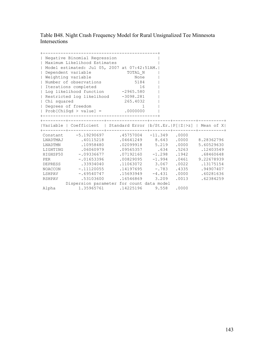Table B48. Night Crash Frequency Model for Rural Unsignalized Tee Minnesota Intersections

|             | Negative Binomial Regression<br>  Maximum Likelihood Estimates         |                                                                               |  |                                         |
|-------------|------------------------------------------------------------------------|-------------------------------------------------------------------------------|--|-----------------------------------------|
|             | Model estimated: Jul 05, 2007 at 07:42:51AM.                           |                                                                               |  |                                         |
|             | Dependent variable                                                     | TOTAL N                                                                       |  |                                         |
|             | Weighting variable                                                     | None                                                                          |  |                                         |
|             | Number of observations                                                 | 5184                                                                          |  |                                         |
|             | Iterations completed                                                   | 16                                                                            |  |                                         |
|             | Log likelihood function -2965.580                                      |                                                                               |  |                                         |
|             | Restricted log likelihood -3098.281                                    |                                                                               |  |                                         |
| Chi squared |                                                                        | 265.4032                                                                      |  |                                         |
|             | Degrees of freedom                                                     | -1                                                                            |  |                                         |
|             | $  Prob[ChiSqd > value] =$ .0000000                                    |                                                                               |  |                                         |
|             |                                                                        |                                                                               |  |                                         |
|             |                                                                        |                                                                               |  |                                         |
|             | Variable   Coefficient   Standard Error  b/St.Er. P[ Z >z]   Mean of X |                                                                               |  |                                         |
|             |                                                                        |                                                                               |  |                                         |
|             | Constant -5.19290697 .45757004 -11.349 .0000<br>LNADTMAJ .40115218     |                                                                               |  | .04641249   8.643   0000   8.28362796   |
|             | LNADTMN .10958480                                                      | $.02099918$ 5.219 .0000                                                       |  | 5.60529630                              |
|             | LIGHTING .06060979                                                     |                                                                               |  |                                         |
|             | HIGHSP50 -.09336677                                                    | $.09565357$ $.634$ $.5263$ $.12403549$<br>$.07192160 -1.298 -.1942$ .68460648 |  |                                         |
| <b>PER</b>  | $-.01653396$                                                           |                                                                               |  | $.00829095$ $-1.994$ $.0461$ 9.22678939 |
|             | DEPRESS .33934040                                                      | $.11063072$ 3.067                                                             |  | .0022 .13175154                         |
|             | NOACCON - 11120055 .14197695 - .783 .4335 .94907407                    |                                                                               |  |                                         |
|             | LSHPAV -.69540747 .15693949 -4.431                                     |                                                                               |  | $.0000-.60281636$                       |
|             | RSHPAV .53103600                                                       | 16546869 3.209                                                                |  | .0013 .62384259                         |
|             | Dispersion parameter for count data model                              |                                                                               |  |                                         |
|             |                                                                        |                                                                               |  |                                         |
|             | Alpha 1.35965761 .14225196 9.558 .0000                                 |                                                                               |  |                                         |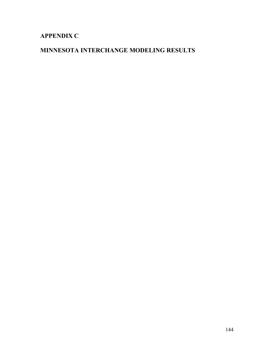# **APPENDIX C**

# **MINNESOTA INTERCHANGE MODELING RESULTS**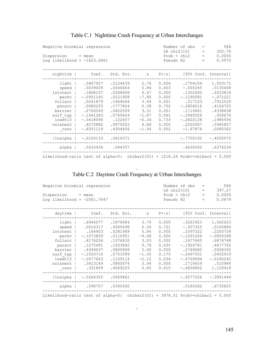| Negative binomial regression                                                    |                               |          |         |       | Number of obs<br>LR chi2(10) | $=$<br>$=$ | 586<br>350.76                  |
|---------------------------------------------------------------------------------|-------------------------------|----------|---------|-------|------------------------------|------------|--------------------------------|
| Dispersion = mean                                                               |                               |          |         |       | Prob > chi2                  | $=$        | 0.0000                         |
| Log likelihood = $-1623.5861$                                                   |                               |          |         |       | Pseudo R2                    | $=$        | 0.0975                         |
|                                                                                 |                               |          |         |       |                              |            |                                |
| nighttim                                                                        | Coef. Std. Err. z             |          |         |       |                              |            | $P >  z $ [95% Conf. Interval] |
|                                                                                 | light   .5867927              | .2124439 | 2.76    | 0.006 | .1704104                     |            | 1.003175                       |
|                                                                                 | speed   .0039009              | .0046664 | 0.84    | 0.403 | $-.005245$                   |            | .0130468                       |
|                                                                                 | lntotent   .1868157           | .0288608 | 6.47    | 0.000 | .1302495                     |            | .2433818                       |
|                                                                                 | perhy   -.0951145             | .0121908 | $-7.80$ | 0.000 | $-.1190081$                  |            | $-.071221$                     |
|                                                                                 | fullacc   .5041879            | .1464644 | 3.44    | 0.001 | .217123                      |            | .7912529                       |
|                                                                                 | paracc   .0680255             | .1777824 | 0.38    | 0.702 | $-.2804216$                  |            | .4164725                       |
|                                                                                 | barrier   .2726549            | .0822509 | 3.31    | 0.001 | .1114461                     |            | .4338638                       |
| surf typ                                                                        | $-.1441283$                   | .0769424 | $-1.87$ | 0.061 | $-.2949326$                  |            | .006676                        |
| $lnwdt13$                                                                       | $-.0418096$                   | .122657  | $-0.34$ | 0.733 | $-.2822128$                  |            | .1985936                       |
| nolanes5                                                                        | .4270882                      | .0875003 | 4.88    | 0.000 | .2555907                     |            | .5985857                       |
| $_{\rm cons}$                                                                   | $-.8351119$                   | .4304406 | $-1.94$ | 0.052 | $-1.67876$                   |            | .0085362                       |
|                                                                                 | /lnalpha   -.6100133 .0816371 |          |         |       | $-.7700192$                  |            | $-.4500075$                    |
|                                                                                 | alpha   .5433436 .044357      |          |         |       |                              |            | .4630042 .6376234              |
| Likelihood-ratio test of alpha=0: chibar2(01) = $1218.24$ Prob>=chibar2 = 0.000 |                               |          |         |       |                              |            |                                |

## Table C.1 Nighttime Crash Frequency at Urban Interchanges

#### . Table C.2 Daytime Crash Frequency at Urban Interchanges

| Negative binomial regression<br>$Disperson = mean$<br>Log likelihood = $-2061.7647$ |                                                                                                                                                                                                                                         |                                                                                                                      |                                                                                       |                                                                                                 | Number of obs<br>LR chi2(10)<br>Prob > chi2<br>Pseudo R2                                                                                          | $=$<br>$=$<br><b>Service</b><br>$=$ | 586<br>397.27<br>0.0000<br>0.0879                                                                                                     |
|-------------------------------------------------------------------------------------|-----------------------------------------------------------------------------------------------------------------------------------------------------------------------------------------------------------------------------------------|----------------------------------------------------------------------------------------------------------------------|---------------------------------------------------------------------------------------|-------------------------------------------------------------------------------------------------|---------------------------------------------------------------------------------------------------------------------------------------------------|-------------------------------------|---------------------------------------------------------------------------------------------------------------------------------------|
|                                                                                     | daytime   $Coef. Std. Err.$ $z \quad P> z $ [95% Conf. Interval]                                                                                                                                                                        |                                                                                                                      |                                                                                       |                                                                                                 |                                                                                                                                                   |                                     |                                                                                                                                       |
| $lnwdt13$  <br>$\_cons$                                                             | light   .6944077 .1878684 3.70<br>speed   .0016317<br>lntotent   .164903<br>perhy   -.1073809<br>fullacc   .4176206<br>paracc   .1275491<br>barrier   .4349037<br>surf typ $ -1020716$<br>$-.2477663$<br>nolanes5   .3413149<br>.331869 | .0045698<br>.0281489<br>.0110951<br>.1376832<br>.1633842<br>.0805808<br>.0753399<br>.1169114<br>.0865674<br>.4069203 | 0.36<br>5.86<br>$-9.68$<br>3.03<br>0.78<br>5.40<br>$-1.35$<br>$-2.12$<br>3.94<br>0.82 | 0.000<br>0.721<br>0.000<br>0.000<br>0.002<br>0.435<br>0.000<br>0.175<br>0.034<br>0.000<br>0.415 | .3261923<br>$-.007325$<br>.1097322<br>$-.1291269$<br>.1477665<br>$-.1926781$<br>.2769682<br>$-.2497351$<br>$-.4769084$<br>.1716459<br>$-.4656802$ |                                     | 1.062623<br>.0105884<br>.2200739<br>$-.0856348$<br>.6874748<br>.4477762<br>.5928392<br>.0455919<br>$-.0186242$<br>.510984<br>1.129418 |
|                                                                                     | /lnalpha   -.5264352 .0669861<br>________                                                                                                                                                                                               |                                                                                                                      |                                                                                       |                                                                                                 |                                                                                                                                                   |                                     | $-.6577256 - .3951449$                                                                                                                |
|                                                                                     | alpha   .590707 .0395692                                                                                                                                                                                                                |                                                                                                                      |                                                                                       |                                                                                                 |                                                                                                                                                   |                                     | .5180282 .6735825                                                                                                                     |
| Likelihood-ratio test of alpha=0: chibar2(01) = 3978.51 Prob>=chibar2 = $0.000$     |                                                                                                                                                                                                                                         |                                                                                                                      |                                                                                       |                                                                                                 |                                                                                                                                                   |                                     |                                                                                                                                       |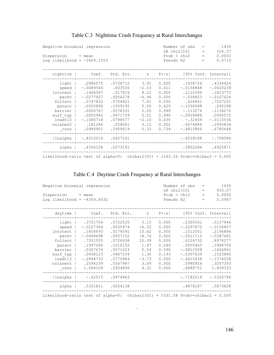| Negative binomial regression<br>$Disperson = mean$<br>Log likelihood = $-3429.1553$ |                                                                                                                                                                                                      |                                                                                                                               |                                                                                               |                                                                                                 | Number of obs<br>LR chi2(10)<br>Prob > chi2<br>Pseudo R2                                                                                         | $=$<br>$=$<br>$=$<br>$=$ | 1435<br>524.37<br>0.0000<br>0.0710                                                                                                       |
|-------------------------------------------------------------------------------------|------------------------------------------------------------------------------------------------------------------------------------------------------------------------------------------------------|-------------------------------------------------------------------------------------------------------------------------------|-----------------------------------------------------------------------------------------------|-------------------------------------------------------------------------------------------------|--------------------------------------------------------------------------------------------------------------------------------------------------|--------------------------|------------------------------------------------------------------------------------------------------------------------------------------|
| nighttim                                                                            | Coef.                                                                                                                                                                                                | Std. Err.                                                                                                                     | $\mathbb Z$ and $\mathbb Z$                                                                   |                                                                                                 |                                                                                                                                                  |                          | $P >  z $ [95% Conf. Interval]                                                                                                           |
| surf typ  <br>$lnwdt13$  <br>nolanes5  <br>$_{\rm cons}$                            | light   .2886575<br>speed   -.0089544<br>lntotent   .1464587<br>perhy   -.0277927<br>fullacc   .5747832<br>paracc   .0525896<br>barrier   .0000767<br>.0005942<br>$-.1680718$<br>.181286<br>.0984901 | .0738712<br>.003536<br>.017816<br>.0056278<br>.0754821<br>.1059195<br>.0578331<br>.0471759<br>.0798577<br>.058061<br>.2959619 | 3.91<br>$-2.53$<br>8.22<br>$-4.94$<br>7.61<br>0.50<br>0.00<br>0.01<br>$-2.10$<br>3.12<br>0.33 | 0.000<br>0.011<br>0.000<br>0.000<br>0.000<br>0.620<br>0.999<br>0.990<br>0.035<br>0.002<br>0.739 | .1438726<br>$-.0158848$<br>.1115399<br>$-.038823$<br>.426841<br>$-.1550088$<br>$-.113274$<br>$-.0918688$<br>$-.32459$<br>.0674886<br>$-.4815846$ |                          | .4334424<br>$-.0020239$<br>.1813775<br>$-.0167624$<br>.7227255<br>.260188<br>.1134275<br>.0930572<br>$-.0115536$<br>.2950834<br>.6785648 |
|                                                                                     | /lnalpha   -.8310014 .0627141                                                                                                                                                                        |                                                                                                                               |                                                                                               |                                                                                                 | $-.9539188$                                                                                                                                      |                          | $-.708084$                                                                                                                               |
| Likelihood-ratio test of alpha=0: chibar2(01) = $1163.26$ Prob>=chibar2 = 0.000     | alpha   .4356128 .0273191                                                                                                                                                                            |                                                                                                                               |                                                                                               |                                                                                                 |                                                                                                                                                  |                          | .3852284 .4925871                                                                                                                        |

## Table C.3 Nighttime Crash Frequency at Rural Interchanges

## Table C.4 Daytime Crash Frequency at Rural Interchanges

| Negative binomial regression<br>$Disperson = mean$<br>Log likelihood = $-4359.6032$ |                                                                                                                                                                                                  |                                                                                                                                         |                                                                                         | Number of obs<br>$=$<br>LR chi2(10)<br>$\qquad \qquad =$<br>Prob > chi2<br>$=$<br>Pseudo R2<br>$=$ |                                                                                                                                     |  | 1435<br>933.07<br>0.0000<br>0.0967                                                                                                                 |
|-------------------------------------------------------------------------------------|--------------------------------------------------------------------------------------------------------------------------------------------------------------------------------------------------|-----------------------------------------------------------------------------------------------------------------------------------------|-----------------------------------------------------------------------------------------|----------------------------------------------------------------------------------------------------|-------------------------------------------------------------------------------------------------------------------------------------|--|----------------------------------------------------------------------------------------------------------------------------------------------------|
|                                                                                     | daytime   $Coef. Std. Err.$ $z \quad P> z $ [95% Conf. Interval]                                                                                                                                 |                                                                                                                                         |                                                                                         |                                                                                                    |                                                                                                                                     |  |                                                                                                                                                    |
| perhv  <br>surf typ<br>$lnwdt13$  <br>nolanes5  <br>$_{\rm cons}$                   | light   .3721704<br>speed $ -0227364 $<br>lntotent   .1854693<br>$-.0499698$<br>fullacc   .7551505<br>paracc   .1997086<br>barrier   .0307676<br>.0608123<br>$-.2894733$<br>.2094159<br>1,264104 | $.0722535$ 5.15<br>.0035974<br>.0174591<br>.0057152<br>.0726938<br>.1016152<br>.0571023<br>.0467234<br>.0775884<br>.0567987<br>.2934896 | $-6.32$<br>10.62<br>$-8.74$<br>10.39<br>1.97<br>0.54<br>1.30<br>$-3.73$<br>3.69<br>4.31 | 0.000<br>0.000<br>0.000<br>0.000<br>0.000<br>0.049<br>0.590<br>0.193<br>0.000<br>0.000<br>0.000    | $-.0297872$<br>.1512501<br>$-.0611715$<br>.6126732<br>.0005465<br>$-.0811508$<br>$-.0307639$<br>$-.4415438$<br>.0980926<br>.6888751 |  | .2305561 .5137846<br>$-.0156857$<br>.2196884<br>$-.0387681$<br>.8976277<br>.3988706<br>.1426861<br>.1523886<br>$-.1374028$<br>.3207393<br>1.839333 |
|                                                                                     | /lnalpha   -.62515 .0474863                                                                                                                                                                      |                                                                                                                                         |                                                                                         |                                                                                                    |                                                                                                                                     |  | $-.7182214 - .5320786$                                                                                                                             |
|                                                                                     | alpha   .5351811 .0254138                                                                                                                                                                        |                                                                                                                                         |                                                                                         |                                                                                                    |                                                                                                                                     |  | .4876187 .5873828                                                                                                                                  |
| Likelihood-ratio test of alpha=0: chibar2(01) = 5331.08 Prob>=chibar2 = $0.000$     |                                                                                                                                                                                                  |                                                                                                                                         |                                                                                         |                                                                                                    |                                                                                                                                     |  |                                                                                                                                                    |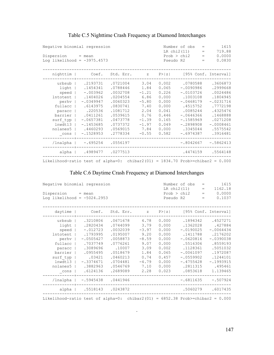| Negative binomial regression<br>$Disperson = mean$<br>Log likelihood = $-3975.4573$                                          |                                                                                                                                                           |                                                                                                                                              |                                                                                                             | 1615<br>Number of obs<br>$\qquad \qquad =$<br>LR chi2(11)<br>719.88<br>$=$<br>Prob > chi2<br>0.0000<br>$=$<br>0.0830<br>Pseudo R2<br>$=$ |                                                                                                                                                                   |                                                                                                                                                    |  |  |
|------------------------------------------------------------------------------------------------------------------------------|-----------------------------------------------------------------------------------------------------------------------------------------------------------|----------------------------------------------------------------------------------------------------------------------------------------------|-------------------------------------------------------------------------------------------------------------|------------------------------------------------------------------------------------------------------------------------------------------|-------------------------------------------------------------------------------------------------------------------------------------------------------------------|----------------------------------------------------------------------------------------------------------------------------------------------------|--|--|
| nighttim                                                                                                                     | Coef.                                                                                                                                                     |                                                                                                                                              |                                                                                                             |                                                                                                                                          | Std. Err. z P> z  [95% Conf. Interval]                                                                                                                            |                                                                                                                                                    |  |  |
| urbsub<br>light<br>speed  <br>lntotent<br>perhv<br>fullacc  <br>paracc<br>barrier<br>surf typ<br>lnwdt13<br>nolanes5<br>cons | .2193731<br>.1454341<br>$-.003962$<br>.1404026<br>$-.0349947$<br>.6143975<br>.220536<br>.0411261<br>$-.0657381$<br>$-.1453685$<br>.4460293<br>$-.1528953$ | .0721004<br>.0788446<br>.0032708<br>.0204554<br>.0060323<br>.0830741<br>.1081712<br>.0539615<br>.0473778<br>.0737372<br>.0569015<br>.2778334 | 3.04<br>1.84<br>$-1.21$<br>6.86<br>$-5.80$<br>7.40<br>2.04<br>0.76<br>$-1.39$<br>$-1.97$<br>7.84<br>$-0.55$ | 0.002<br>0.065<br>0.226<br>0.000<br>0.000<br>0.000<br>0.041<br>0.446<br>0.165<br>0.049<br>0.000<br>0.582                                 | .0780588<br>$-.0090986$<br>$-.0103726$<br>.1003108<br>$-.0468179$<br>.4515752<br>.0085244<br>$-.0646366$<br>$-.1585969$<br>$-.2898908$<br>.3345044<br>$-.6974387$ | .3606873<br>.2999668<br>.0024486<br>.1804945<br>$-.0231716$<br>.7772198<br>.4325476<br>.1468888<br>.0271208<br>$-.0008461$<br>.5575542<br>.3916481 |  |  |
| /lnalpha                                                                                                                     | $-.695254$ .0556197                                                                                                                                       |                                                                                                                                              |                                                                                                             |                                                                                                                                          | $-.8042667 - .5862413$                                                                                                                                            |                                                                                                                                                    |  |  |
|                                                                                                                              | alpha   .4989477 .0277513                                                                                                                                 |                                                                                                                                              |                                                                                                             |                                                                                                                                          |                                                                                                                                                                   | .4474159 .5564148                                                                                                                                  |  |  |
| Likelihood-ratio test of alpha=0: chibar2(01) = $1834.70$ Prob>=chibar2 = 0.000                                              |                                                                                                                                                           |                                                                                                                                              |                                                                                                             |                                                                                                                                          |                                                                                                                                                                   |                                                                                                                                                    |  |  |

## Table C.5 Nighttime Crash Frequency at Diamond Interchanges

## Table C.6 Daytime Crash Frequency at Diamond Interchanges

| Negative binomial regression<br>$Disperson = mean$<br>Log likelihood = $-5024.2953$                                                      |                                                                                                                                                    |                                                                                                                                            |                                                                                                       | Number of obs<br>$=$<br>LR $chi2(11)$<br>$\qquad \qquad =$<br>Prob > chi2<br>$\qquad \qquad =$<br>Pseudo R2<br>$=$ |                                                                                                                                                             |  | 1615<br>1162.18<br>0.0000<br>0.1037                                                                                                                 |
|------------------------------------------------------------------------------------------------------------------------------------------|----------------------------------------------------------------------------------------------------------------------------------------------------|--------------------------------------------------------------------------------------------------------------------------------------------|-------------------------------------------------------------------------------------------------------|--------------------------------------------------------------------------------------------------------------------|-------------------------------------------------------------------------------------------------------------------------------------------------------------|--|-----------------------------------------------------------------------------------------------------------------------------------------------------|
| daytime                                                                                                                                  | Coef.                                                                                                                                              | Std. Err.                                                                                                                                  | $Z \sim$                                                                                              | P >  z                                                                                                             |                                                                                                                                                             |  | [95% Conf. Interval]                                                                                                                                |
| urbsub<br>light<br>speed<br>Intotent  <br>perhv<br>fullacc<br>paracc<br>barrier<br>surf typ<br>lnwdt13<br>nolanes5<br>$\mathsf{\_}$ cons | .3210806<br>.2820434<br>$-.012723$<br>.1793995<br>$-.0505427$<br>.7037749<br>.3089696<br>.0955495<br>.03421<br>$-.3374671$<br>.3882963<br>.6124136 | .0671678<br>.0744099<br>.0032039<br>.0195007<br>.0058873<br>.0776261<br>.10007<br>.0518679<br>.0460213<br>.0704481<br>.0546769<br>.2689089 | 4.78<br>3.79<br>$-3.97$<br>9.20<br>$-8.59$<br>9.07<br>3.09<br>1.84<br>0.74<br>$-4.79$<br>7.10<br>2.28 | 0.000<br>0.000<br>0.000<br>0.000<br>0.000<br>0.000<br>0.002<br>0.065<br>0.457<br>0.000<br>0.000<br>0.023           | .1894342<br>.1362028<br>$-.0190025$<br>.1411788<br>$-.0620816$<br>.5516306<br>.1128361<br>$-.0061097$<br>$-.0559902$<br>$-.4755428$<br>.2811315<br>.0853618 |  | .4527271<br>.427884<br>$-.0064434$<br>.2176202<br>$-.0390038$<br>.8559193<br>.5051032<br>.1972087<br>.1244101<br>$-.1993915$<br>.495461<br>1.139465 |
| /lnalpha                                                                                                                                 | $-.5945438$                                                                                                                                        | .0441946                                                                                                                                   |                                                                                                       |                                                                                                                    | $-.6811635$                                                                                                                                                 |  | $-.507924$                                                                                                                                          |
| Likelihood-ratio test of alpha=0: chibar2(01) = $6852.38$ Prob>=chibar2 = 0.000                                                          | alpha   .5518143 .0243872                                                                                                                          |                                                                                                                                            |                                                                                                       |                                                                                                                    | .5060279                                                                                                                                                    |  | .6017435                                                                                                                                            |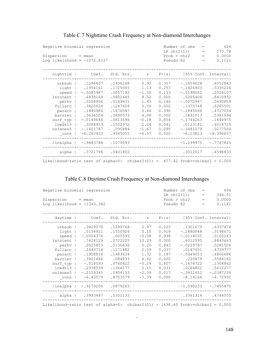| Negative binomial regression                                                   | 406<br>Number of obs<br>$=$<br>270.78<br>LR chi2(11)<br>$=$ |           |         |        |             |                                             |
|--------------------------------------------------------------------------------|-------------------------------------------------------------|-----------|---------|--------|-------------|---------------------------------------------|
| $Disperson = mean$                                                             |                                                             |           |         |        | Prob > chi2 | 0.0000<br>$=$                               |
|                                                                                | Log likelihood = $-1072.8337$                               |           |         |        | Pseudo R2   | 0.1121<br>$\hspace{1.0cm} = \hspace{1.0cm}$ |
|                                                                                |                                                             |           |         |        |             |                                             |
| nighttim                                                                       | Coef.                                                       | Std. Err. | $Z = 1$ | P >  z |             | [95% Conf. Interval]                        |
| urbsub                                                                         | .1296607                                                    | .1406268  | 0.92    | 0.357  | $-.1459628$ | .4052843                                    |
| light                                                                          | .1954161                                                    | .1725065  | 1.13    | 0.257  | $-.1426903$ | .5335226                                    |
| speed                                                                          | $-.0085987$                                                 | .0057192  | $-1.50$ | 0.133  | $-.0198082$ | .0026107                                    |
| Intotent                                                                       | .6838169                                                    | .0802445  | 8.52    | 0.000  | .5265406    | .8410932                                    |
| perhv                                                                          | .0208956                                                    | .0143831  | 1.45    | 0.146  | $-.0072947$ | .0490859                                    |
| fullacc                                                                        | .3820624                                                    | .1247409  | 3.06    | 0.002  | .1375748    | .6265501                                    |
| paracc                                                                         | .1440984                                                    | .1676587  | 0.86    | 0.390  | $-.1845066$ | .4727034                                    |
| barrier                                                                        | .3636504                                                    | .0890573  | 4.08    | 0.000  | .1891013    | .5381994                                    |
| surf typ                                                                       | $-.0149644$                                                 | .0813596  | $-0.18$ | 0.854  | $-.1744263$ | .1444975                                    |
| lnwdt13                                                                        | .3068953                                                    | .1502972  | 2.04    | 0.041  | .0123181    | .6014725                                    |
| nolanes5                                                                       | $-.1601787$                                                 | .095884   | $-1.67$ | 0.095  | $-.3481079$ | .0277504                                    |
| $\mathsf{\_}$ cons                                                             | $-6.267433$                                                 | .9545055  | $-6.57$ | 0.000  | $-8.13823$  | $-4.396637$                                 |
| /lnalpha                                                                       | $-.9883788$                                                 | .1079593  |         |        | $-1.199975$ | $-.7767825$                                 |
|                                                                                | alpha   .3721796 .0401802                                   |           |         |        |             | .3012017 .4598833                           |
| Likelihood-ratio test of alpha=0: chibar2(01) = $477.42$ Prob>=chibar2 = 0.000 |                                                             |           |         |        |             |                                             |

## Table C.7 Nighttime Crash Frequency at Non-diamond Interchanges

## Table C.8 Daytime Crash Frequency at Non-diamond Interchanges

| Negative binomial regression<br>$Disperson = mean$<br>Log likelihood = $-1343.382$ |                   |           |         |        | Number of obs<br>LR chi2(11)<br>Prob > chi2<br>Pseudo R2 | $=$<br>$\hspace{1.6cm} = \hspace{1.6cm}$<br>$\hspace{1.0cm} = \hspace{1.0cm}$<br>$\hspace{1.0cm} = \hspace{1.0cm}$ | 406<br>346.51<br>0.0000<br>0.1142 |
|------------------------------------------------------------------------------------|-------------------|-----------|---------|--------|----------------------------------------------------------|--------------------------------------------------------------------------------------------------------------------|-----------------------------------|
|                                                                                    |                   |           |         |        |                                                          |                                                                                                                    |                                   |
| daytime                                                                            | Coef.             | Std. Err. | Z       | P >  z |                                                          |                                                                                                                    | [95% Conf. Interval]              |
| urbsub                                                                             | .3829578          | .1289768  | 2.97    | 0.003  | .1301679                                                 |                                                                                                                    | .6357476                          |
| light                                                                              | .0158911          | .1550926  | 0.10    | 0.918  | $-.2880848$                                              |                                                                                                                    | .3198671                          |
| speed                                                                              | $-.0004376$       | .005595   | $-0.08$ | 0.938  | $-.0114035$                                              |                                                                                                                    | .0105283                          |
| Intotent                                                                           | .7428129          | .0722225  | 10.29   | 0.000  | .6012595                                                 |                                                                                                                    | .8843663                          |
| perhy                                                                              | .0025853          | .0130436  | 0.20    | 0.843  | $-.0229797$                                              |                                                                                                                    | .0281504                          |
| fullacc                                                                            | .2443714          | .1171482  | 2.09    | 0.037  | .0147651                                                 |                                                                                                                    | .4739777                          |
| paracc                                                                             | .1958816          | .1483634  | 1.32    | 0.187  | $-.0949053$                                              |                                                                                                                    | .4866686                          |
| barrier                                                                            | .3921486          | .084833   | 4.62    | 0.000  | .225879                                                  |                                                                                                                    | .5584182                          |
| surf typ                                                                           | $-.018593$        | .0760622  | $-0.24$ | 0.807  | $-.1676722$                                              |                                                                                                                    | .1304862                          |
| lnwdt13                                                                            | .2938539          | .1364177  | 2.15    | 0.031  | .0264802                                                 |                                                                                                                    | .5612277                          |
| nolanes5                                                                           | $-.2159345$       | .0904153  | $-2.39$ | 0.017  | $-.3931452$                                              |                                                                                                                    | $-.0387239$                       |
| cons                                                                               | $-6.43579$        | .8703579  | $-7.39$ | 0.000  | $-8.14166$                                               |                                                                                                                    | $-4.72992$                        |
| /lnalpha                                                                           | $-.9179204$       | .0879265  |         |        | $-1.090253$                                              |                                                                                                                    | $-.7455875$                       |
| alpha                                                                              | .3993487 .0351133 |           |         |        | .3361314                                                 |                                                                                                                    | .4744555                          |
| Likelihood-ratio test of alpha=0: chibar2(01) = $1438.60$ Prob>=chibar2 = 0.000    |                   |           |         |        |                                                          |                                                                                                                    |                                   |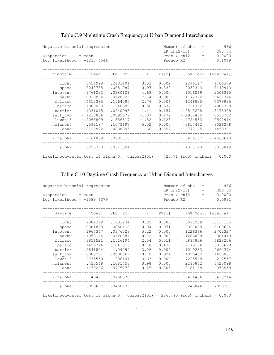| Negative binomial regression                                                   |                               | 466<br>Number of obs<br>$=$<br>288.84<br>LR chi2(10)<br>$=$ |         |                                 |                                |                      |  |
|--------------------------------------------------------------------------------|-------------------------------|-------------------------------------------------------------|---------|---------------------------------|--------------------------------|----------------------|--|
| $Disperson = mean$                                                             |                               |                                                             |         | 0.0000<br>Prob > chi2<br>$\, =$ |                                |                      |  |
|                                                                                | Log likelihood = $-1233.4546$ |                                                             |         |                                 | Pseudo R2<br>$\qquad \qquad =$ | 0.1048               |  |
|                                                                                |                               |                                                             |         |                                 |                                |                      |  |
| nighttim                                                                       | Coef.                         | Std. Err.                                                   | $Z =$   | P >  z                          |                                | [95% Conf. Interval] |  |
| light                                                                          | .6456998                      | .2133101                                                    | 3.03    | 0.002                           | .2276197                       | 1.06378              |  |
| speed                                                                          | .0049785                      | .0051087                                                    | 0.97    | 0.330                           | $-.0050343$                    | .0149913             |  |
| <b>lntotent</b>                                                                | .1761292                      | .0380121                                                    | 4.63    | 0.000                           | .1016269                       | .2506315             |  |
| perhv                                                                          | $-.0919834$                   | .0128823                                                    | $-7.14$ | 0.000                           | $-.1172322$                    | $-.0667346$          |  |
| fullacc                                                                        | .4313385                      | .1564595                                                    | 2.76    | 0.006                           | .1246835                       | .7379935             |  |
| paracc                                                                         | .1088033                      | .1948686                                                    | 0.56    | 0.577                           | $-.2731322$                    | .4907388             |  |
| barrier                                                                        | .1331015                      | .0940993                                                    | 1.41    | 0.157                           | $-.0513298$                    | .3175328             |  |
| surf typ                                                                       | $-.1218866$                   | .0892679                                                    | $-1.37$ | 0.172                           | $-.2968485$                    | .0530752             |  |
| lnwdt13                                                                        | $-.2065809$                   | .1356517                                                    | $-1.52$ | 0.128                           | $-.4724533$                    | .0592914             |  |
| nolanes5                                                                       | .592187                       | .1073697                                                    | 5.52    | 0.000                           | .3817462                       | .8026278             |  |
| cons                                                                           | $-.8120932$                   | .4888005                                                    | $-1.66$ | 0.097                           | $-1.770125$                    | .1459381             |  |
| /lnalpha                                                                       | $-.64899$                     | .0982818                                                    |         |                                 | $-.8416187$                    | $-.4563613$          |  |
| alpha                                                                          | .5225733 .0513594             |                                                             |         |                                 | .4310123                       | .6335849             |  |
| Likelihood-ratio test of alpha=0: chibar2(01) = $725.71$ Prob>=chibar2 = 0.000 |                               |                                                             |         |                                 |                                |                      |  |

## Table C.9 Nighttime Crash Frequency at Urban Diamond Interchanges

## Table C.10 Daytime Crash Frequency at Urban Diamond Interchanges

| Negative binomial regression<br>Dispersion = mean<br>Log likelihood = $-1589.6379$ |                                                                                                                                                                                                         | Number of obs<br>LR chi2(10)<br>Prob > chi2<br>Pseudo R2                                                           |                                                                                               |                                                                                        | 466<br>326.35<br>0.0000<br>0.0931                                                                                                                           |  |                                                                                                                                      |
|------------------------------------------------------------------------------------|---------------------------------------------------------------------------------------------------------------------------------------------------------------------------------------------------------|--------------------------------------------------------------------------------------------------------------------|-----------------------------------------------------------------------------------------------|----------------------------------------------------------------------------------------|-------------------------------------------------------------------------------------------------------------------------------------------------------------|--|--------------------------------------------------------------------------------------------------------------------------------------|
| daytime                                                                            | $Coef.$ Std. Err. $z$ P> $ z $                                                                                                                                                                          |                                                                                                                    |                                                                                               |                                                                                        |                                                                                                                                                             |  | [95% Conf. Interval]                                                                                                                 |
| perhv  <br>surf typ<br>$lnwdt13$  <br>nolanes5  <br>$_{\rm cons}$                  | 1933234. 7382279. light<br>speed   .0001808<br>lntotent   .1964347<br>$-.1050144$<br>fullacc   .3856521<br>paracc   .1429716<br>barrier   .2841804<br>$-.0085291$<br>$-.4735559$<br>.430548<br>.1179226 | .0050418<br>.0376528<br>.0120387<br>.1516194<br>.1841316<br>.09299<br>.0888369<br>.1306141<br>.1081458<br>.4775779 | 3.82<br>0.04<br>5.22<br>$-8.72$<br>2.54<br>0.78<br>3.06<br>$-0.10$<br>$-3.63$<br>3.98<br>0.25 | 0.971<br>0.000<br>0.000<br>0.011<br>0.437<br>0.002<br>0.924<br>0.000<br>0.000<br>0.805 | $0.000$ . 3593209<br>$-.0097009$<br>.1226366<br>$-.1286099$<br>.0884836<br>$-.2179196$<br>.1019233<br>$-.1826462$<br>$-.7295548$<br>.2185862<br>$-.8181128$ |  | 1.117135<br>.0100624<br>.2702327<br>$-.081419$<br>.6828206<br>.5038628<br>.4664374<br>.1655881<br>$-.217557$<br>.6425098<br>1.053958 |
|                                                                                    | /lnalpha   -.49451 .0768578                                                                                                                                                                             |                                                                                                                    |                                                                                               |                                                                                        | $-.6451486$                                                                                                                                                 |  | $-.3438714$                                                                                                                          |
|                                                                                    | alpha   .6098697 .0468733                                                                                                                                                                               |                                                                                                                    |                                                                                               |                                                                                        |                                                                                                                                                             |  | .5245846 .7090201                                                                                                                    |
| Likelihood-ratio test of alpha=0: chibar2(01) = 2863.90 Prob>=chibar2 = $0.000$    |                                                                                                                                                                                                         |                                                                                                                    |                                                                                               |                                                                                        |                                                                                                                                                             |  |                                                                                                                                      |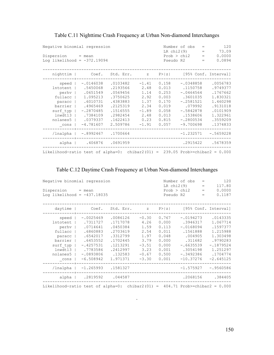| Negative binomial regression<br>$Disperson = mean$<br>Log likelihood = $-372.19094$                                        |                                                                                                                               |                                                                                                                      |                                                                                       |                                                                                        | Number of obs<br>LR $chi2(9)$<br>Prob > chi2<br>Pseudo R2                                                                             | 120<br>$=$<br>73.09<br>$=$<br>0.0000<br>$=$<br>0.0894<br>$=$                                                         |
|----------------------------------------------------------------------------------------------------------------------------|-------------------------------------------------------------------------------------------------------------------------------|----------------------------------------------------------------------------------------------------------------------|---------------------------------------------------------------------------------------|----------------------------------------------------------------------------------------|---------------------------------------------------------------------------------------------------------------------------------------|----------------------------------------------------------------------------------------------------------------------|
| nighttim                                                                                                                   | Coef.                                                                                                                         | Std. Err.                                                                                                            | $Z =$                                                                                 | P >  z                                                                                 |                                                                                                                                       | [95% Conf. Interval]                                                                                                 |
| speed<br><b>lntotent</b><br>perhv<br>fullacc<br>paracc<br>barrier<br>surf typ<br>lnwdt13<br>nolanes5<br>$\mathsf{\_}$ cons | $-.0146038$<br>.5450068<br>.0651549<br>1.095213<br>.6010731<br>.4965469<br>$-.2870485$<br>.7384109<br>.0379337<br>$-4.781607$ | .0103482<br>.2193566<br>.0569456<br>.3750625<br>.4383883<br>.2125319<br>.1516555<br>.2982454<br>.1622413<br>2.509786 | $-1.41$<br>2.48<br>1.14<br>2.92<br>1.37<br>2.34<br>$-1.89$<br>2.48<br>0.23<br>$-1.91$ | 0.158<br>0.013<br>0.253<br>0.003<br>0.170<br>0.019<br>0.058<br>0.013<br>0.815<br>0.057 | $-.0348858$<br>.1150758<br>$-.0464564$<br>.3601035<br>$-.2581521$<br>.079992<br>$-.5842878$<br>.1538606<br>$-.2800534$<br>$-9.700698$ | .0056783<br>.9749377<br>.1767662<br>1.830321<br>1.460298<br>.9131018<br>.0101909<br>1.322961<br>.3559209<br>.1374833 |
| /lnalpha                                                                                                                   | $-.8992467$                                                                                                                   | .1700664                                                                                                             |                                                                                       |                                                                                        | $-1.232571$                                                                                                                           | $-.5659228$                                                                                                          |
| alpha                                                                                                                      | .406876                                                                                                                       | .0691959                                                                                                             |                                                                                       |                                                                                        | .2915422                                                                                                                              | .5678359                                                                                                             |
| Likelihood-ratio test of alpha=0: chibar2(01) = 239.05 Prob>=chibar2 = $0.000$                                             |                                                                                                                               |                                                                                                                      |                                                                                       |                                                                                        |                                                                                                                                       |                                                                                                                      |

## Table C.11 Nighttime Crash Frequency at Urban Non-diamond Interchanges

## Table C.12 Daytime Crash Frequency at Urban Non-diamond Interchanges

|                                                                                | Negative binomial regression |           |         |           |              | 120<br>Number of obs<br>$=$ |                      |  |  |  |
|--------------------------------------------------------------------------------|------------------------------|-----------|---------|-----------|--------------|-----------------------------|----------------------|--|--|--|
|                                                                                |                              |           |         |           | LR $chi2(9)$ | $=$                         | 117.80               |  |  |  |
| Dispersion                                                                     | $=$ mean                     |           |         |           | Prob > chi2  | $\qquad \qquad =$           | 0.0000               |  |  |  |
| Log likelihood = $-437.18035$                                                  |                              |           |         | Pseudo R2 |              | $=$                         | 0.1187               |  |  |  |
| daytime                                                                        | Coef.                        | Std. Err. | Z       | P >  z    |              |                             | [95% Conf. Interval] |  |  |  |
| speed                                                                          | $-.0025469$                  | .0086126  | $-0.30$ | 0.767     | $-.0194273$  |                             | .0143335             |  |  |  |
| <b>lntotent</b>                                                                | .7311727                     | .1717078  | 4.26    | 0.000     | .3946317     |                             | 1.067714             |  |  |  |
| perhv                                                                          | .0714641                     | .0450384  | 1.59    | 0.113     | $-.0168094$  |                             | .1597377             |  |  |  |
| fullacc                                                                        | .6860883                     | .2703619  | 2.54    | 0.011     | .1561888     |                             | 1.215988             |  |  |  |
| paracc                                                                         | .6542017                     | .3312799  | 1.97    | 0.048     | .004905      |                             | 1.303498             |  |  |  |
| barrier                                                                        | .6453552                     | .1702445  | 3.79    | 0.000     | .311682      |                             | .9790283             |  |  |  |
| surf typ                                                                       | $-.4257531$                  | .1213291  | $-3.51$ | 0.000     | $-.6635539$  |                             | $-.1879524$          |  |  |  |
| lnwdt13                                                                        | .7783586                     | .2412997  | 3.23    | 0.001     | .3054198     |                             | 1.251297             |  |  |  |
| nolanes5                                                                       | $-.0893806$                  | .132583   | $-0.67$ | 0.500     | $-.3492386$  |                             | .1704774             |  |  |  |
| cons                                                                           | $-6.508942$                  | 1.971371  | $-3.30$ | 0.001     | $-10.37276$  |                             | $-2.645125$          |  |  |  |
| /lnalpha                                                                       | $-1.265993$                  | .1581327  |         |           | $-1.575927$  |                             | $-.9560586$          |  |  |  |
| $alpha$                                                                        | .2819592                     | .044587   |         |           | .2068156     |                             | .384405              |  |  |  |
| Likelihood-ratio test of alpha=0: chibar2(01) = $404.71$ Prob>=chibar2 = 0.000 |                              |           |         |           |              |                             |                      |  |  |  |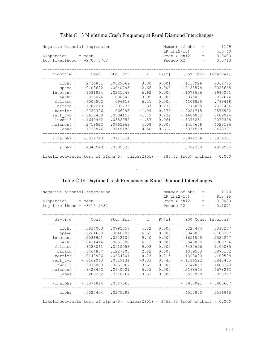| Negative binomial regression<br>Dispersion<br>Log likelihood = $-2705.8768$                                      | $=$ mean                                                                                                                                       |                                                                                                                               |                                                                                                     |                                                                                                 | Number of obs<br>LR chi2(10)<br>Prob > chi2<br>Pseudo R2                                                                                              | $=$<br>$=$<br>$=$<br>$=$ | 1149<br>415.40<br>0.0000<br>0.0713                                                                                                   |
|------------------------------------------------------------------------------------------------------------------|------------------------------------------------------------------------------------------------------------------------------------------------|-------------------------------------------------------------------------------------------------------------------------------|-----------------------------------------------------------------------------------------------------|-------------------------------------------------------------------------------------------------|-------------------------------------------------------------------------------------------------------------------------------------------------------|--------------------------|--------------------------------------------------------------------------------------------------------------------------------------|
| nighttim                                                                                                         | Coef.                                                                                                                                          | Std. Err.                                                                                                                     | $\mathbb Z$                                                                                         | P >  z                                                                                          |                                                                                                                                                       |                          | [95% Conf. Interval]                                                                                                                 |
| light<br>speed<br>lntotent<br>perhv<br>fullacc<br>paracc<br>barrier  <br>surf typ<br>lnwdt13<br>nolanes5<br>cons | .2736851<br>$-.0108622$<br>.1531824<br>$-.025076$<br>.6000502<br>.1782219<br>$-.0722396$<br>$-.0638489$<br>$-.1649462$<br>.2719922<br>.1720876 | .0829569<br>.0040795<br>.0231243<br>.006343<br>.096618<br>.1303735<br>.066293<br>.0534455<br>.0882052<br>.0665963<br>.3445188 | 3.30<br>$-2.66$<br>6.62<br>$-3.95$<br>6.21<br>1.37<br>$-1.09$<br>$-1.19$<br>$-1.87$<br>4.08<br>0.50 | 0.001<br>0.008<br>0.000<br>0.000<br>0.000<br>0.172<br>0.276<br>0.232<br>0.061<br>0.000<br>0.617 | .1110926<br>$-.0188578$<br>.1078596<br>$-.0375081$<br>.4106825<br>$-.0773055$<br>$-.2021715$<br>$-.1686002$<br>$-.3378251$<br>.1414658<br>$-.5031569$ |                          | .4362775<br>$-.0028665$<br>.1985051<br>$-.012644$<br>.789418<br>.4337494<br>.0576922<br>.0409024<br>.0079328<br>.4025186<br>.8473321 |
| /lnalpha                                                                                                         | $-.832743$                                                                                                                                     | .0711814                                                                                                                      |                                                                                                     |                                                                                                 | $-.972256$                                                                                                                                            |                          | $-.6932301$                                                                                                                          |
| alpha                                                                                                            | .4348548                                                                                                                                       | .0309536                                                                                                                      |                                                                                                     |                                                                                                 | .3782288                                                                                                                                              |                          | .4999585                                                                                                                             |
| Likelihood-ratio test of alpha=0: chibar2(01) = $880.52$ Prob>=chibar2 = 0.000                                   |                                                                                                                                                |                                                                                                                               |                                                                                                     |                                                                                                 |                                                                                                                                                       |                          |                                                                                                                                      |

## Table C.13 Nighttime Crash Frequency at Rural Diamond Interchanges

## Table C.14 Daytime Crash Frequency at Rural Diamond Interchanges

| Negative binomial regression<br>Dispersion = mean<br>Log likelihood = $-3413.2482$                            |                                                                                                                                                                    |                                                                                                                                         |                                                                                             | Number of obs<br>$=$<br>LR chi2(10)<br>$=$<br>Prob > chi2<br>$=$<br>Pseudo R2<br>$=$   |                                                                                                                                                        |  | 1149<br>818.95<br>0.0000<br>0.1071                                                                                                      |
|---------------------------------------------------------------------------------------------------------------|--------------------------------------------------------------------------------------------------------------------------------------------------------------------|-----------------------------------------------------------------------------------------------------------------------------------------|---------------------------------------------------------------------------------------------|----------------------------------------------------------------------------------------|--------------------------------------------------------------------------------------------------------------------------------------------------------|--|-----------------------------------------------------------------------------------------------------------------------------------------|
| daytime                                                                                                       |                                                                                                                                                                    | Coef. Std. Err. z P> z                                                                                                                  |                                                                                             |                                                                                        |                                                                                                                                                        |  | [95% Conf. Interval]                                                                                                                    |
| speed  <br>perhv  <br>fullacc  <br>paracc  <br>barrier  <br>surf typ<br>$lnwdt13$  <br>nolanes5  <br>$\_cons$ | light   .3834003<br>$-.0264689$<br>lntotent   .2086921<br>$-.0424414$<br>.8223061<br>.3464857<br>$-.0148906$<br>$-.0169043$<br>$-.3073003$<br>.3423453<br>1.206262 | $.0795557$ 4.82<br>.0040002<br>.0222109<br>.0063088<br>.0910953<br>.1227203<br>.0634801<br>.0519131<br>.0851967<br>.0640221<br>.3318764 | $-6.62$<br>9.40<br>$-6.73$<br>9.03<br>2.82<br>$-0.23$<br>$-0.33$<br>$-3.61$<br>5.35<br>3.63 | 0.000<br>0.000<br>0.000<br>0.000<br>0.005<br>0.815<br>0.745<br>0.000<br>0.000<br>0.000 | $0.000$ .227474<br>$-.0343091$<br>.1651595<br>$-.0548065$<br>.6437626<br>.1059583<br>$-.1393093$<br>$-.1186522$<br>$-.4742827$<br>.2168644<br>.5557959 |  | .5393267<br>$-.0186287$<br>.2522247<br>$-.0300764$<br>1.00085<br>.5870132<br>.109528<br>.0848435<br>$-.1403179$<br>.4678262<br>1.856727 |
|                                                                                                               | /lnalpha   -.6876814 .0547565                                                                                                                                      |                                                                                                                                         |                                                                                             |                                                                                        |                                                                                                                                                        |  | $-.7950021 - .5803607$                                                                                                                  |
|                                                                                                               | alpha   .5027404 .0275283                                                                                                                                          |                                                                                                                                         |                                                                                             |                                                                                        |                                                                                                                                                        |  | .4515803 .5596965                                                                                                                       |
| Likelihood-ratio test of alpha=0: chibar2(01) = $3752.65$ Prob>=chibar2 = 0.000                               |                                                                                                                                                                    |                                                                                                                                         |                                                                                             |                                                                                        |                                                                                                                                                        |  |                                                                                                                                         |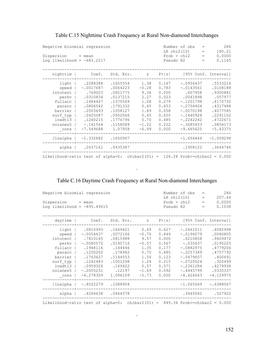| Negative binomial regression<br>Dispersion = mean<br>Log likelihood = $-683.2217$                                      |                                                                                                                                         |                                                                                                                                 |                                                                                               |                                                                                                 | Number of obs<br>LR chi2(10)<br>Prob > chi2<br>Pseudo R2                                                                                                   | $=$<br>$=$<br>$=$<br>$=$ | 286<br>180.21<br>0.0000<br>0.1165                                                                                                 |
|------------------------------------------------------------------------------------------------------------------------|-----------------------------------------------------------------------------------------------------------------------------------------|---------------------------------------------------------------------------------------------------------------------------------|-----------------------------------------------------------------------------------------------|-------------------------------------------------------------------------------------------------|------------------------------------------------------------------------------------------------------------------------------------------------------------|--------------------------|-----------------------------------------------------------------------------------------------------------------------------------|
| nighttim                                                                                                               |                                                                                                                                         | Coef. Std. Err. z                                                                                                               |                                                                                               | P >  z                                                                                          |                                                                                                                                                            |                          | [95% Conf. Interval]                                                                                                              |
| light  <br>speed  <br>Intotent  <br>perhv<br>fullacc<br>paracc<br>barrier  <br>surf typ<br>lnwdt13<br>nolanes5<br>cons | .2288388<br>$-.0017687$<br>.769023<br>.0310834<br>.1484467<br>.0806542<br>.2003693<br>.0425087<br>.1240215<br>$-.141564$<br>$-7.549688$ | .1655554<br>.0064223<br>.0821775<br>.0137215<br>.1370569<br>.1791332<br>.1058127<br>.0952066<br>.1776796<br>.1158089<br>1.07958 | 1.38<br>$-0.28$<br>9.36<br>2.27<br>1.08<br>0.45<br>1.89<br>0.45<br>0.70<br>$-1.22$<br>$-6.99$ | 0.167<br>0.783<br>0.000<br>0.023<br>0.279<br>0.653<br>0.058<br>0.655<br>0.485<br>0.222<br>0.000 | $-.0956437$<br>$-.0143561$<br>.607958<br>.0041898<br>$-.1201798$<br>$-.2704404$<br>$-.0070198$<br>$-.1440928$<br>$-.2242242$<br>$-.3685453$<br>$-9.665625$ |                          | .5533214<br>.0108188<br>.9300881<br>.057977<br>.4170732<br>.4317488<br>.4077585<br>.2291102<br>.4722671<br>.0854173<br>$-5.43375$ |
| /lnalpha                                                                                                               | $-1.332882$ .1650967                                                                                                                    |                                                                                                                                 |                                                                                               |                                                                                                 | $-1.656466$                                                                                                                                                |                          | $-1.009298$                                                                                                                       |
| alpha                                                                                                                  | .2637161 .0435387                                                                                                                       |                                                                                                                                 |                                                                                               |                                                                                                 |                                                                                                                                                            |                          | .1908122 .3644746                                                                                                                 |
| Likelihood-ratio test of alpha=0: chibar2(01) = $126.28$ Prob>=chibar2 = 0.000                                         |                                                                                                                                         |                                                                                                                                 |                                                                                               |                                                                                                 |                                                                                                                                                            |                          |                                                                                                                                   |

## Table C.15 Nighttime Crash Frequency at Rural Non-diamond Interchanges

## Table C.16 Daytime Crash Frequency at Rural Non-diamond Interchanges

.

|                                                                                | Negative binomial regression                                                                                                                                                                                      |                                                                                                                             |                                                                                                  |                                                                                                 | 286<br>Number of obs<br>$=$<br>LR chi2(10)<br>207.44<br>$=$                                                                                                   |  |                                                                                                                                   |  |  |
|--------------------------------------------------------------------------------|-------------------------------------------------------------------------------------------------------------------------------------------------------------------------------------------------------------------|-----------------------------------------------------------------------------------------------------------------------------|--------------------------------------------------------------------------------------------------|-------------------------------------------------------------------------------------------------|---------------------------------------------------------------------------------------------------------------------------------------------------------------|--|-----------------------------------------------------------------------------------------------------------------------------------|--|--|
| $Disperson = mean$<br>Log likelihood = $-895.49615$                            |                                                                                                                                                                                                                   |                                                                                                                             |                                                                                                  | Prob > chi2<br>$=$<br>Pseudo R2<br>$=$                                                          |                                                                                                                                                               |  |                                                                                                                                   |  |  |
| $daytime$                                                                      |                                                                                                                                                                                                                   | Coef. Std. Err. z P> z  [95% Conf. Interval]                                                                                |                                                                                                  |                                                                                                 |                                                                                                                                                               |  |                                                                                                                                   |  |  |
| speed  <br>perhv  <br>nolanes5  <br>$\_cons$                                   | light   .0810993<br>$-.0054637$<br>lntotent   .7810165<br>$-.0080572$<br>fullacc   .1948116<br>paracc   .1250202<br>barrier   .1763627<br>surf typ   .1242483<br>lnwdt13   .0959326<br>$-.2055231$<br>$-6.278309$ | .1669421<br>.0072166<br>.0815988<br>.0140716<br>.144446<br>.178962<br>.1144553<br>.1001298<br>.169422<br>.12197<br>1,096109 | 0.49<br>$-0.76$<br>9.57<br>$-0.57$<br>1.35<br>0.70<br>1.54<br>1.24<br>0.57<br>$-1.69$<br>$-5.73$ | 0.627<br>0.449<br>0.000<br>0.567<br>0.177<br>0.485<br>0.123<br>0.215<br>0.571<br>0.092<br>0.000 | $-.2461011$<br>$-.0196079$<br>.6210858<br>$-.035637$<br>$-.0882975$<br>$-.2257389$<br>$-.0479657$<br>$-.0720024$<br>$-.2361284$<br>$-.4445799$<br>$-8.426643$ |  | .4082998<br>.0086805<br>.9409472<br>.0195225<br>.4779206<br>.4757792<br>.400691<br>.320499<br>.4279936<br>.0335337<br>$-4.129975$ |  |  |
|                                                                                | /lnalpha   -.8522279 .1088904                                                                                                                                                                                     |                                                                                                                             |                                                                                                  |                                                                                                 |                                                                                                                                                               |  | $-1.065649 - .6388067$                                                                                                            |  |  |
|                                                                                | alpha   .4264638 .0464378                                                                                                                                                                                         |                                                                                                                             |                                                                                                  |                                                                                                 |                                                                                                                                                               |  | .3445042 .527922                                                                                                                  |  |  |
| Likelihood-ratio test of alpha=0: chibar2(01) = $849.34$ Prob>=chibar2 = 0.000 |                                                                                                                                                                                                                   |                                                                                                                             |                                                                                                  |                                                                                                 |                                                                                                                                                               |  |                                                                                                                                   |  |  |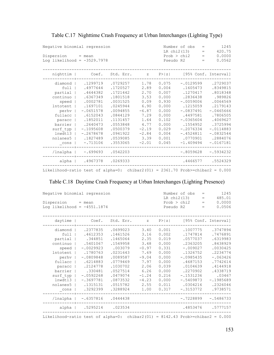|                                                                                 | Negative binomial regression |           |          |        |             | $\qquad \qquad =$<br>$\qquad \qquad =$ | 1245<br>420.75 |
|---------------------------------------------------------------------------------|------------------------------|-----------|----------|--------|-------------|----------------------------------------|----------------|
| Dispersion = mean                                                               |                              |           |          |        | Prob > chi2 | $\qquad \qquad =$                      | 0.0000         |
| Log likelihood = $-3529.7978$                                                   |                              |           |          |        | Pseudo R2   | $=$                                    | 0.0562         |
|                                                                                 |                              |           |          |        |             |                                        |                |
| nighttim                                                                        | Coef.                        | Std. Err. | $Z \sim$ | P >  z |             | [95% Conf. Interval]                   |                |
| diamond                                                                         | .1299719                     | .0729257  | 1.78     | 0.075  | $-.0129599$ | .2729037                               |                |
| full                                                                            | .4977644                     | .1720527  | 2.89     | 0.004  | .1605473    | .8349815                               |                |
| partial                                                                         | .4644382                     | .1721442  | 2.70     | 0.007  | .1270417    | .8018348                               |                |
| continuo                                                                        | .6367349                     | .1801518  | 3.53     | 0.000  | .2836438    |                                        | .989826        |
| speed                                                                           | .0002781                     | .0031525  | 0.09     | 0.930  | $-.0059006$ | .0064569                               |                |
| <b>lntotent</b>                                                                 | .1697101                     | .0245944  | 6.90     | 0.000  | .1215059    | .2179143                               |                |
| perhy                                                                           | $-.0651578$                  | .0094855  | $-6.87$  | 0.000  | $-.0837491$ | $-.0465666$                            |                |
| fullacc                                                                         | .6152043                     | .0844129  | 7.29     | 0.000  | .4497581    | .7806505                               |                |
| paracc                                                                          | .1852011                     | .1131457  | 1.64     | 0.102  | $-.0365604$ | .4069627                               |                |
| barrier                                                                         | .2640473                     | .0553848  | 4.77     | 0.000  | .1554952    | .3725994                               |                |
| surf typ                                                                        | $-.1095608$                  | .0500379  | $-2.19$  | 0.029  | $-.2076334$ | $-.0114883$                            |                |
| lnwdt13                                                                         | $-.2678678$                  | .0941922  | $-2.84$  | 0.004  | $-.4524811$ | $-.0832544$                            |                |
| nolanes5                                                                        | .1827489                     | .0539085  | 3.39     | 0.001  | .0770901    | .2884076                               |                |
| cons                                                                            | $-.713106$                   | .3553065  | $-2.01$  | 0.045  | $-1.409494$ | $-.0167181$                            |                |
| /lnalpha                                                                        | $-.699693$                   | .0542203  |          |        | $-.8059628$ | $-.5934232$                            |                |
| alpha                                                                           | .4967378                     | .0269333  |          |        | .4466577    | .5524329                               |                |
| Likelihood-ratio test of alpha=0: chibar2(01) = $2361.70$ Prob>=chibar2 = 0.000 |                              |           |          |        |             |                                        |                |

## Table C.17 Nighttime Crash Frequency at Urban Interchanges (Lighting Type)

#### Table C.18 Daytime Crash Frequency at Urban Interchanges (Lighting Presence)

|                                                                                 | Negative binomial regression |                      |           |  | 1245<br>Number of obs<br>$=$<br>LR chi2(13)<br>485.01<br>$=$ |        |             |     |                      |
|---------------------------------------------------------------------------------|------------------------------|----------------------|-----------|--|--------------------------------------------------------------|--------|-------------|-----|----------------------|
| $Disperson = mean$                                                              |                              |                      |           |  |                                                              |        | Prob > chi2 | $=$ | 0.0000               |
| Log likelihood = $-4551.1874$                                                   |                              |                      |           |  |                                                              |        | Pseudo R2   | $=$ | 0.0506               |
|                                                                                 |                              |                      |           |  |                                                              |        |             |     |                      |
| daytime                                                                         |                              | Coef.                | Std. Err. |  | $Z = 1$                                                      | P >  z |             |     | [95% Conf. Interval] |
| diamond                                                                         |                              | .2377835             | .0699023  |  | 3.40                                                         | 0.001  | .1007775    |     | .3747894             |
| full                                                                            |                              | .4612353             | .1461526  |  | 3.16                                                         | 0.002  | .1747814    |     | .7476891             |
| partial                                                                         |                              | .344851              | .1465064  |  | 2.35                                                         | 0.019  | .0577037    |     | .6319983             |
| continuo                                                                        |                              | .5401067             | .1549958  |  | 3.48                                                         | 0.000  | .2363205    |     | .8438929             |
| speed                                                                           |                              | $-.0029923$          | .003079   |  | $-0.97$                                                      | 0.331  | $-.009027$  |     | .0030425             |
| <b>lntotent</b>                                                                 |                              | .1780763             | .0231643  |  | 7.69                                                         | 0.000  | .1326752    |     | .2234774             |
| perhv                                                                           |                              | $-.0809848$          | .0089587  |  | $-9.04$                                                      | 0.000  | $-.0985435$ |     | $-.063426$           |
| fullacc                                                                         |                              | .6214883             | .0779469  |  | 7.97                                                         | 0.000  | .4687153    |     | .7742614             |
| paracc                                                                          |                              | .2124778             | .1030702  |  | 2.06                                                         | 0.039  | .0104639    |     | .4144918             |
| barrier                                                                         |                              | .330481              | .0527514  |  | 6.26                                                         | 0.000  | .2270902    |     | .4338719             |
| surf typ                                                                        |                              | $-.0592268$          | .0479074  |  | $-1.24$                                                      | 0.216  | $-.1531236$ |     | .03467               |
| lnwdt13                                                                         |                              | $-.3697781$          | .0873532  |  | $-4.23$                                                      | 0.000  | $-.5409873$ |     | $-.1985689$          |
| nolanes5                                                                        |                              | .1315131             | .0515782  |  | 2.55                                                         | 0.011  | .0304216    |     | .2326046             |
| cons                                                                            |                              | .3292399             | .3288924  |  | 1.00                                                         | 0.317  | $-.3153772$ |     | .9738571             |
| /lnalpha                                                                        |                              | $-.6357816$ .0444438 |           |  |                                                              |        | $-.7228899$ |     | $-.5486733$          |
| alpha                                                                           |                              | .5295214             | .023534   |  |                                                              |        | .4853476    |     | .5777157             |
| Likelihood-ratio test of alpha=0: chibar2(01) = $8142.43$ Prob>=chibar2 = 0.000 |                              |                      |           |  |                                                              |        |             |     |                      |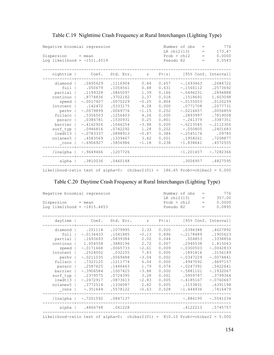| Negative binomial regression<br>Dispersion<br>Log likelihood = $-1511.4519$                                                                              | $=$ mean                                                                                                                                                                          |                                                                                                                                                                      | Number of obs<br>LR chi2(13)<br>Prob > chi2<br>Pseudo R2                                                                    | 776<br>$\qquad \qquad =$<br>173.47<br>$=$<br>0.0000<br>$\qquad \qquad =$<br>0.0543<br>$=$                                  |                                                                                                                                                                                                  |                                                                                                                                                                       |  |
|----------------------------------------------------------------------------------------------------------------------------------------------------------|-----------------------------------------------------------------------------------------------------------------------------------------------------------------------------------|----------------------------------------------------------------------------------------------------------------------------------------------------------------------|-----------------------------------------------------------------------------------------------------------------------------|----------------------------------------------------------------------------------------------------------------------------|--------------------------------------------------------------------------------------------------------------------------------------------------------------------------------------------------|-----------------------------------------------------------------------------------------------------------------------------------------------------------------------|--|
| nighttim                                                                                                                                                 | Coef.                                                                                                                                                                             | Std. Err.                                                                                                                                                            | $Z = 1$                                                                                                                     |                                                                                                                            |                                                                                                                                                                                                  | $P >  z $ [95% Conf. Interval]                                                                                                                                        |  |
| diamond<br>full<br>partial<br>continuo<br>speed<br><b>lntotent</b><br>perhv<br>fullacc<br>paracc<br>barrier  <br>surf typ<br>lnwdt13<br>nolanes5<br>cons | .0495629<br>.050679<br>.1199328<br>.8774836<br>$-.0017407$<br>.142472<br>$-.0079899$<br>.5356503<br>.0386781<br>$-.4162926$<br>.0946816<br>$-.0783337$<br>.4583569<br>$-.6906927$ | .1116904<br>.1054561<br>.0865097<br>.3702182<br>.0070229<br>.0333175<br>.0069776<br>.1256403<br>.1530931<br>.1046254<br>.0742292<br>.0898913<br>.1339467<br>.5856986 | 0.44<br>0.48<br>1.39<br>2.37<br>$-0.25$<br>4.28<br>$-1.15$<br>4.26<br>0.25<br>$-3.98$<br>1.28<br>$-0.87$<br>3.42<br>$-1.18$ | 0.657<br>0.631<br>0.166<br>0.018<br>0.804<br>0.000<br>0.252<br>0.000<br>0.801<br>0.000<br>0.202<br>0.384<br>0.001<br>0.238 | $-.1693463$<br>$-.1560112$<br>$-.0496231$<br>.1518691<br>$-.0155053$<br>.0771708<br>$-.0216657$<br>.2893997<br>$-.261379$<br>$-.6213545$<br>$-.050805$<br>$-.2545174$<br>.1958261<br>$-1.838641$ | .2684722<br>.2573692<br>.2894888<br>1.603098<br>.0120239<br>.2077731<br>.0056859<br>.7819008<br>.3387351<br>$-.2112306$<br>.2401683<br>.09785<br>.7208877<br>.4572555 |  |
| /lnalpha                                                                                                                                                 | $-.9649466$                                                                                                                                                                       | .1207726                                                                                                                                                             |                                                                                                                             |                                                                                                                            | $-1,201657$                                                                                                                                                                                      | $-.7282366$                                                                                                                                                           |  |
| alpha                                                                                                                                                    | .3810036                                                                                                                                                                          | .0460148                                                                                                                                                             |                                                                                                                             |                                                                                                                            | .3006957                                                                                                                                                                                         | .4827595                                                                                                                                                              |  |
| Likelihood-ratio test of alpha=0: chibar2(01) = 186.65 Prob>=chibar2 = $0.000$                                                                           |                                                                                                                                                                                   |                                                                                                                                                                      |                                                                                                                             |                                                                                                                            |                                                                                                                                                                                                  |                                                                                                                                                                       |  |

## Table C.19 Nighttime Crash Frequency at Rural Interchanges (Lighting Type)

## Table C.20 Daytime Crash Frequency at Rural Interchanges (Lighting Type)

|                                                                                | Negative binomial regression<br>Dispersion = mean |                                              |         |       |             | 776<br>Number of obs<br>$\qquad \qquad =$<br>LR chi2(13)<br>357.00<br>$=$<br>Prob > chi2<br>0.0000<br>$=$ |             |  |  |
|--------------------------------------------------------------------------------|---------------------------------------------------|----------------------------------------------|---------|-------|-------------|-----------------------------------------------------------------------------------------------------------|-------------|--|--|
| Log likelihood = $-1815.4653$                                                  |                                                   |                                              |         |       | Pseudo R2   | $=$                                                                                                       | 0.0895      |  |  |
| daytime                                                                        |                                                   | Coef. Std. Err. z P> z  [95% Conf. Interval] |         |       |             |                                                                                                           |             |  |  |
| diamond                                                                        | .251114                                           | .1079995                                     | 2.33    | 0.020 | .0394388    |                                                                                                           | .4627892    |  |  |
| full                                                                           | $-.0136433$                                       | .1041885                                     | $-0.13$ | 0.896 | $-.2178489$ |                                                                                                           | .1905623    |  |  |
| partial                                                                        | .1693693                                          | .0839384                                     | 2.02    | 0.044 | .004853     |                                                                                                           | .3338856    |  |  |
|                                                                                | continuo   1.054558                               | .3880196                                     | 2.72    | 0.007 | .2940538    |                                                                                                           | 1.815063    |  |  |
| speed                                                                          | $-.0171668$                                       | .0065733                                     | $-2.61$ | 0.009 | $-.0300503$ |                                                                                                           | $-.0042833$ |  |  |
| Intotent                                                                       | .2524002                                          | .032255                                      | 7.83    | 0.000 | .1891816    |                                                                                                           | .3156189    |  |  |
| perhv                                                                          | $-.0211035$                                       | .0069488                                     | $-3.04$ | 0.002 | $-.0347229$ |                                                                                                           | $-.0074841$ |  |  |
| fullacc                                                                        | 1.7322125                                         | .1211774                                     | 6.04    | 0.000 | .4947092    |                                                                                                           | .9697157    |  |  |
| paracc                                                                         | .2587625                                          | .1446463                                     | 1.79    | 0.074 | $-.0247391$ |                                                                                                           | .5422641    |  |  |
| barrier                                                                        | $-.3906584$                                       | .1007425                                     | $-3.88$ | 0.000 | $-.5881101$ |                                                                                                           | $-.1932067$ |  |  |
| surf typ                                                                       | .2379575                                          | .0724395                                     | 3.28    | 0.001 | .0959787    |                                                                                                           | .3799364    |  |  |
| $lnwdt13$                                                                      | $-.2472917$                                       | .0873613                                     | $-2.83$ | 0.005 | $-.4185167$ |                                                                                                           | $-.0760667$ |  |  |
| nolanes5                                                                       | 1.3772514                                         | .1336087                                     | 2.82    | 0.005 | .1153831    |                                                                                                           | .6391198    |  |  |
| cons                                                                           | $-.351644$                                        | .5578122                                     | $-0.63$ | 0.528 | $-1.444936$ |                                                                                                           | .7416479    |  |  |
| /lnalpha                                                                       | $-.7201592$ .0847137                              |                                              |         |       | $-.886195$  |                                                                                                           | $-.5541234$ |  |  |
| alpha                                                                          | .4866748 .041228                                  |                                              |         |       | .4122213    |                                                                                                           | .5745757    |  |  |
| Likelihood-ratio test of alpha=0: chibar2(01) = $810.10$ Prob>=chibar2 = 0.000 |                                                   |                                              |         |       |             |                                                                                                           |             |  |  |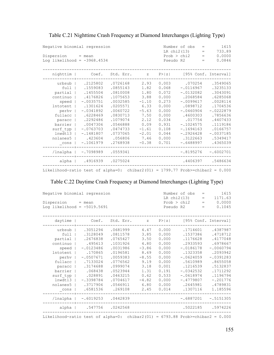| Negative binomial regression<br>Dispersion<br>Loq likelihood = $-3968.4534$                                                                    | $=$ mean                                                                                                                                                                           |                                                                                                                                                                     |                                                                                                                             | Number of obs<br>LR chi2(13)<br>Prob > chi2<br>Pseudo R2                                                                   | 1615<br>$\qquad \qquad =$<br>733.89<br>$=$<br>0.0000<br>$\hspace{1.0cm} = \hspace{1.0cm}$<br>0.0846<br>$=$                                                                                 |                                                                                                                                                                            |
|------------------------------------------------------------------------------------------------------------------------------------------------|------------------------------------------------------------------------------------------------------------------------------------------------------------------------------------|---------------------------------------------------------------------------------------------------------------------------------------------------------------------|-----------------------------------------------------------------------------------------------------------------------------|----------------------------------------------------------------------------------------------------------------------------|--------------------------------------------------------------------------------------------------------------------------------------------------------------------------------------------|----------------------------------------------------------------------------------------------------------------------------------------------------------------------------|
| nighttim                                                                                                                                       | Coef.                                                                                                                                                                              | Std. Err.                                                                                                                                                           | $Z$ and $Z$                                                                                                                 | P >  z                                                                                                                     |                                                                                                                                                                                            | [95% Conf. Interval]                                                                                                                                                       |
| urbsub<br>full<br>partial<br>continuo<br>speed<br>Intotent<br>perhv<br>fullacc<br>paracc<br>barrier<br>surf typ<br>lnwdt13<br>nolanes5<br>cons | .2125802<br>.1559083<br>.1455504<br>.4176826<br>$-.0035751$<br>.1301624<br>$-.0341892$<br>.6228469<br>.2292486<br>.0047306<br>$-.0763703$<br>$-.1481807$<br>.423604<br>$-.1061979$ | .0726168<br>.0855143<br>.0810008<br>.1075653<br>.0032585<br>.0205571<br>.0060722<br>.0830713<br>.1079074<br>.0546888<br>.0474733<br>.0737065<br>.056806<br>.2768938 | 2.93<br>1.82<br>1.80<br>3.88<br>$-1.10$<br>6.33<br>$-5.63$<br>7.50<br>2.12<br>0.09<br>$-1.61$<br>$-2.01$<br>7.46<br>$-0.38$ | 0.003<br>0.068<br>0.072<br>0.000<br>0.273<br>0.000<br>0.000<br>0.000<br>0.034<br>0.931<br>0.108<br>0.044<br>0.000<br>0.701 | .070254<br>$-.0116967$<br>$-.0132082$<br>.2068584<br>$-.0099617$<br>.0898712<br>$-.0460904$<br>.4600303<br>.017754<br>$-.1024575$<br>$-.1694163$<br>$-.2926428$<br>.3122663<br>$-.6488997$ | .3549065<br>.3235133<br>.3043091<br>.6285068<br>.0028114<br>.1704536<br>$-.0222879$<br>.7856636<br>.4407433<br>.1119186<br>.0166757<br>$-.0037185$<br>.5349417<br>.4365039 |
| /lnalpha                                                                                                                                       | $-.7098989$                                                                                                                                                                        | .0559341                                                                                                                                                            |                                                                                                                             |                                                                                                                            | $-.8195276$                                                                                                                                                                                | $-.6002701$                                                                                                                                                                |
| alpha                                                                                                                                          | .4916939                                                                                                                                                                           | .0275024                                                                                                                                                            |                                                                                                                             |                                                                                                                            | .4406397                                                                                                                                                                                   | .5486634                                                                                                                                                                   |
| Likelihood-ratio test of alpha=0: chibar2(01) = $1799.77$ Prob>=chibar2 = 0.000                                                                |                                                                                                                                                                                    |                                                                                                                                                                     |                                                                                                                             |                                                                                                                            |                                                                                                                                                                                            |                                                                                                                                                                            |

## Table C.21 Nighttime Crash Frequency at Diamond Interchanges (Lighting Type)

#### Table C.22 Daytime Crash Frequency at Diamond Interchanges (Lighting Type)

|                                                                                 | Negative binomial regression |                      |         |        |             | 1615<br>Number of obs<br>$=$<br>LR chi2(13)<br>1171.63<br>$=$ |                      |  |  |
|---------------------------------------------------------------------------------|------------------------------|----------------------|---------|--------|-------------|---------------------------------------------------------------|----------------------|--|--|
| Dispersion = mean                                                               |                              |                      |         |        | Prob > chi2 | $\qquad \qquad =$                                             | 0.0000               |  |  |
| Log likelihood = $-5019.5691$                                                   |                              |                      |         |        | Pseudo R2   | $\qquad \qquad =$                                             | 0.1045               |  |  |
|                                                                                 |                              |                      |         |        |             |                                                               |                      |  |  |
| daytime                                                                         | Coef.                        | Std. Err.            | Z       | P >  z |             |                                                               | [95% Conf. Interval] |  |  |
| urbsub                                                                          | .3051294                     | .0681999             | 4.47    | 0.000  | .1714601    |                                                               | .4387987             |  |  |
| full                                                                            | .3128049                     | .0811578             | 3.85    | 0.000  | .1537386    |                                                               | .4718712             |  |  |
| partial                                                                         | .2676838                     | .0765427             | 3.50    | 0.000  | .1176628    |                                                               | .4177048             |  |  |
| continuo                                                                        | .495613                      | .1031926             | 4.80    | 0.000  | .2933593    |                                                               | .6978667             |  |  |
| speed                                                                           | $-.0123486$                  | .0031986             | $-3.86$ | 0.000  | $-.0186178$ |                                                               | $-.0060794$          |  |  |
| <b>lntotent</b>                                                                 | .170865                      | .0196581             | 8.69    | 0.000  | .1323358    |                                                               | .2093942             |  |  |
| perhv                                                                           | $-.0507671$                  | .0059383             | $-8.55$ | 0.000  | $-.0624059$ |                                                               | $-.0391283$          |  |  |
| fullacc                                                                         | .7133024                     | .0776562             | 9.19    | 0.000  | .5610989    |                                                               | .8655058             |  |  |
| paracc                                                                          | .3174688                     | .0999074             | 3.18    | 0.001  | .1216539    |                                                               | .5132837             |  |  |
| barrier                                                                         | .068438                      | .0523944             | 1.31    | 0.191  | $-.0342532$ |                                                               | .1711292             |  |  |
| surf typ                                                                        | .028891                      | .0463215             | 0.62    | 0.533  | $-.0618974$ |                                                               | .1196794             |  |  |
| lnwdt13                                                                         | $-.3398784$                  | .0704617             | $-4.82$ | 0.000  | $-.4779807$ |                                                               | $-.201776$           |  |  |
| nolanes5                                                                        | .3717906                     | .0546911             | 6.80    | 0.000  | .2645981    |                                                               | .4789831             |  |  |
| cons                                                                            | .6581536                     | .269108              | 2.45    | 0.014  | .1307116    |                                                               | 1.185596             |  |  |
| /lnalpha                                                                        |                              | $-.6019253$ .0442839 |         |        | $-.6887201$ |                                                               | $-.5151305$          |  |  |
| alpha                                                                           | .547756                      | .0242568             |         |        | .5022185    |                                                               | .5974226             |  |  |
| Likelihood-ratio test of alpha=0: chibar2(01) = $6793.88$ Prob>=chibar2 = 0.000 |                              |                      |         |        |             |                                                               |                      |  |  |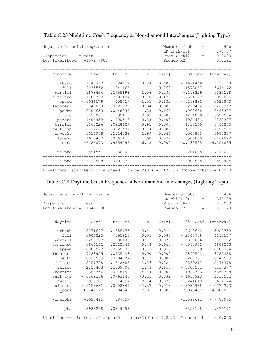| Negative binomial regression<br>$Disperson = mean$<br>Log likelihood = $-1072.7903$                                                               |                                                                                                                                                                                          |                                                                                                                                                                             |                                                                                                                          | Pseudo R2                                                                                                                  | Number of obs<br>LR chi2(13)<br>Prob > chi2                                                                                                                                                     | $=$<br>$=$<br>$=$<br>$=$ | 406<br>270.87<br>0.0000<br>0.1121                                                                                                                                       |
|---------------------------------------------------------------------------------------------------------------------------------------------------|------------------------------------------------------------------------------------------------------------------------------------------------------------------------------------------|-----------------------------------------------------------------------------------------------------------------------------------------------------------------------------|--------------------------------------------------------------------------------------------------------------------------|----------------------------------------------------------------------------------------------------------------------------|-------------------------------------------------------------------------------------------------------------------------------------------------------------------------------------------------|--------------------------|-------------------------------------------------------------------------------------------------------------------------------------------------------------------------|
| nighttim                                                                                                                                          |                                                                                                                                                                                          | Coef. Std. Err.                                                                                                                                                             |                                                                                                                          |                                                                                                                            |                                                                                                                                                                                                 |                          | z P> z  [95% Conf. Interval]                                                                                                                                            |
| urbsub<br>full<br>partial<br>continuo  <br>speed  <br>Intotent  <br>fullacc<br>paracc<br>barrier  <br>surf typ  <br>lnwdt13<br>nolanes5  <br>cons | .2035552<br>.1878414<br>.1700752<br>$-.0086179$<br>.6849858<br>perhy   .0204653<br>$\frac{1}{1}$ .3790001<br>.1406452<br>.363226<br>$-.0117255$<br>.3016958<br>$-.1619467$<br>$-6.26873$ | .1248347.1484617<br>.1841166<br>.1765698<br>.2191404<br>.005717<br>.0821675<br>.0148336<br>.1295413<br>.1700513<br>.0928127<br>.0821484<br>.1514532<br>.0961415<br>.9754592 | 0.84<br>1.11<br>1.06<br>0.78<br>$-1.51$<br>8.34<br>1.38<br>2.93<br>0.83<br>3.91<br>$-0.14$<br>1.99<br>$-1.68$<br>$-6.43$ | 0.400<br>0.269<br>0.287<br>0.438<br>0.132<br>0.000<br>0.168<br>0.003<br>0.408<br>0.000<br>0.886<br>0.046<br>0.092<br>0.000 | $-.1661449$<br>$-.1573067$<br>$-.158229$<br>$-.2594322$<br>$-.0198231$<br>.5239404<br>$-.008608$<br>.1251039<br>$-.1926493$<br>.1813165<br>$-.1727334$<br>.004853<br>$-.3503805$<br>$-8.180595$ |                          | .4158143<br>.5644172<br>.5339118<br>.5995825<br>.0025873<br>.8460312<br>.0495387<br>.6328964<br>.4739397<br>.5451355<br>.1492824<br>.5985387<br>.0264872<br>$-4.356865$ |
| /lnalpha                                                                                                                                          | $-.9891551$ .1080902                                                                                                                                                                     |                                                                                                                                                                             |                                                                                                                          |                                                                                                                            | $-1.201008$                                                                                                                                                                                     |                          | $-.7773021$                                                                                                                                                             |
| alpha                                                                                                                                             |                                                                                                                                                                                          | .3718908 .0401978                                                                                                                                                           |                                                                                                                          |                                                                                                                            | .3008908                                                                                                                                                                                        |                          | .4596444                                                                                                                                                                |
| Likelihood-ratio test of alpha=0: chibar2(01) = $470.86$ Prob>=chibar2 = 0.000                                                                    |                                                                                                                                                                                          |                                                                                                                                                                             |                                                                                                                          |                                                                                                                            |                                                                                                                                                                                                 |                          |                                                                                                                                                                         |

Table C.23 Nighttime Crash Frequency at Non-diamond Interchanges (Lighting Type)

#### Table C.24 Daytime Crash Frequency at Non-diamond Interchanges (Lighting Type)

| Negative binomial regression                                                    |             |           |         | Number of obs<br>LR chi2(13) | 406<br>$\qquad \qquad =$<br>348.08<br>$\qquad \qquad =$ |                                |
|---------------------------------------------------------------------------------|-------------|-----------|---------|------------------------------|---------------------------------------------------------|--------------------------------|
| $Disperson = mean$                                                              |             |           |         |                              | Prob > chi2                                             | 0.0000<br>$\,=\,$              |
| Log likelihood = $-1342.6007$                                                   |             |           |         |                              | Pseudo R2                                               | 0.1148<br>$=$                  |
|                                                                                 |             |           |         |                              |                                                         |                                |
| daytime                                                                         | Coef.       | Std. Err. | $Z = 1$ |                              |                                                         | $P >  z $ [95% Conf. Interval] |
| urbsub                                                                          | .3271697    | .1356175  | 2.41    | 0.016                        | .0613642                                                | .5929752                       |
| full                                                                            | .0906225    | .165918   | 0.55    | 0.585                        | $-.2345708$                                             | .4158157                       |
| partial                                                                         | $-.0255347$ | .1588141  | $-0.16$ | 0.872                        | $-.3368046$                                             | .2857352                       |
| continuo                                                                        | .0864141    | .2012844  | 0.43    | 0.668                        | $-.3080961$                                             | .4809243                       |
| speed                                                                           | $-.0005987$ | .0055803  | $-0.11$ | 0.915                        | $-.0115359$                                             | .0103384                       |
| <b>lntotent</b>                                                                 | .7283955    | .0735428  | 9.90    | 0.000                        | .5842543                                                | .8725368                       |
| perhy                                                                           | $-.0016569$ | .0134777  | $-0.12$ | 0.902                        | $-.0280727$                                             | .0247589                       |
| fullacc                                                                         | .2757798    | .1218686  | 2.26    | 0.024                        | .0369217                                                | .5146378                       |
| paracc                                                                          | .2158403    | .1509708  | 1.43    | 0.153                        | $-.0800571$                                             | .5117377                       |
| barrier                                                                         | .363756     | .0878199  | 4.14    | 0.000                        | .1916323                                                | .5358798                       |
| surf typ                                                                        | $-.0162186$ | .0763145  | $-0.21$ | 0.832                        | $-.1657923$                                             | .1333551                       |
| lnwdt13                                                                         | .2938381    | .1374394  | 2.14    | 0.033                        | .0244618                                                | .5632144                       |
| nolanes5                                                                        | $-.2153681$ | .0908847  | $-2.37$ | 0.018                        | $-.3934988$                                             | $-.0372373$                    |
| cons                                                                            | $-6.242172$ | .884343   | $-7.06$ | 0.000                        | $-7.975452$                                             | $-4.508891$                    |
| /lnalpha                                                                        | $-0.920495$ | .087857   |         |                              | $-1.092691$                                             | $-.7482985$                    |
| alpha                                                                           | .3983218    | .0349953  |         |                              | .3353128                                                | .473171                        |
| Likelihood-ratio test of alpha=0: chibar2(01) = $1420.72$ Prob>=chibar2 = 0.000 |             |           |         |                              |                                                         |                                |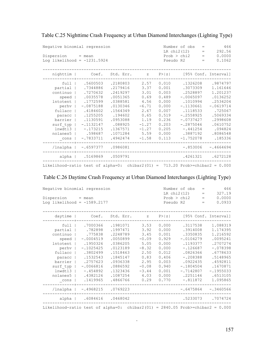| Table C.25 Nighttime Crash Frequency at Urban Diamond Interchanges (Lighting Type) |  |  |  |
|------------------------------------------------------------------------------------|--|--|--|
|                                                                                    |  |  |  |

| Negative binomial regression<br>Dispersion<br>Log likelihood = $-1231.5924$                                                                          | $=$ mean                                                                                                                                                           |                                                                                                                                                        |                                                                                                                  |                                                                                                                   | Number of obs<br>LR chi2(12)<br>Prob > chi2<br>Pseudo R2                                                                                                                     | $=$<br>$=$<br>$\qquad \qquad =$<br>$=$ | 466<br>292.56<br>0.0000<br>0.1062                                                                                                                        |
|------------------------------------------------------------------------------------------------------------------------------------------------------|--------------------------------------------------------------------------------------------------------------------------------------------------------------------|--------------------------------------------------------------------------------------------------------------------------------------------------------|------------------------------------------------------------------------------------------------------------------|-------------------------------------------------------------------------------------------------------------------|------------------------------------------------------------------------------------------------------------------------------------------------------------------------------|----------------------------------------|----------------------------------------------------------------------------------------------------------------------------------------------------------|
| nighttim                                                                                                                                             | Coef.                                                                                                                                                              | Std. Err.                                                                                                                                              | Z                                                                                                                | P >  z                                                                                                            |                                                                                                                                                                              |                                        | [95% Conf. Interval]                                                                                                                                     |
| full<br>partial<br>continuo<br>speed<br><b>lntotent</b><br>perhy<br>fullacc<br>paracc<br>barrier<br>surf typ<br>lnwdt13<br>nolanes5<br>$_{\rm cons}$ | .5600503<br>.7344886<br>.7270632<br>.0035578<br>.1772599<br>$-.0875188$<br>.4184602<br>.1255205<br>.1130591<br>$-.1132147$<br>$-.173215$<br>.598687<br>$-.7833711$ | .2180803<br>.2179416<br>.2419297<br>.0051365<br>.0388581<br>.0130346<br>.1564349<br>.194602<br>.0953088<br>.088925<br>.1367571<br>.1071284<br>.4942474 | 2.57<br>3.37<br>3.01<br>0.69<br>4.56<br>$-6.71$<br>2.67<br>0.65<br>1.19<br>$-1.27$<br>$-1.27$<br>5.59<br>$-1.58$ | 0.010<br>0.001<br>0.003<br>0.489<br>0.000<br>0.000<br>0.007<br>0.519<br>0.236<br>0.203<br>0.205<br>0.000<br>0.113 | .1326208<br>.3073309<br>.2528897<br>$-.0065097$<br>.1010994<br>$-.1130661$<br>.1118533<br>$-.2558925$<br>$-.0737427$<br>$-.2875046$<br>$-.441254$<br>.3887192<br>$-1.752078$ |                                        | .9874797<br>1.161646<br>1.201237<br>.0136252<br>.2534204<br>$-.0619714$<br>.725067<br>.5069334<br>.2998608<br>.0610752<br>.094824<br>.8086548<br>.185336 |
| /lnalpha                                                                                                                                             | $-.6597377$                                                                                                                                                        | .0986081                                                                                                                                               |                                                                                                                  |                                                                                                                   | $-.853006$                                                                                                                                                                   |                                        | $-.4664694$                                                                                                                                              |
| alpha<br>Likelihood-ratio test of alpha=0: chibar2(01) = 713.20 Prob>=chibar2 = $0.000$                                                              | .5169869                                                                                                                                                           | .0509791                                                                                                                                               |                                                                                                                  |                                                                                                                   | .4261321                                                                                                                                                                     |                                        | .6272128                                                                                                                                                 |

## Table C.26 Daytime Crash Frequency at Urban Diamond Interchanges (Lighting Type)

| Negative binomial regression<br>$Disperson = mean$<br>Log likelihood = $-1589.2177$                                                                               |                                                                                                                                                          |                                                                                                                  |                                                                                                                   |             | $=$<br>$\hspace{1.6cm} = \hspace{1.6cm}$<br>$=$<br>$=$             | 466<br>327.19<br>0.0000<br>0.0933                                                                                                                                                                                          |
|-------------------------------------------------------------------------------------------------------------------------------------------------------------------|----------------------------------------------------------------------------------------------------------------------------------------------------------|------------------------------------------------------------------------------------------------------------------|-------------------------------------------------------------------------------------------------------------------|-------------|--------------------------------------------------------------------|----------------------------------------------------------------------------------------------------------------------------------------------------------------------------------------------------------------------------|
| Coef.                                                                                                                                                             | Std. Err.                                                                                                                                                |                                                                                                                  |                                                                                                                   |             |                                                                    |                                                                                                                                                                                                                            |
| .7000366<br>.782898<br>.775838<br>$-.0004519$<br>.1950326<br>$-.1025425$<br>.3802499<br>.1532543<br>.2757623<br>$-.0066816$<br>$-.454892$<br>.4382126<br>.1419965 | .1981071<br>.1997471<br>.2248789<br>.0050899<br>.0386205<br>.0123189<br>.1518463<br>.1845147<br>.0936338<br>.0886592<br>.1323436<br>.1087254<br>.4866766 | 3.53<br>3.92<br>3.45<br>$-0.09$<br>5.05<br>$-8.32$<br>2.50<br>0.83<br>2.95<br>$-0.08$<br>$-3.44$<br>4.03<br>0.29 | 0.000<br>0.000<br>0.001<br>0.929<br>0.000<br>0.000<br>0.012<br>0.406<br>0.003<br>0.940<br>0.001<br>0.000<br>0.770 |             |                                                                    | 1.088319<br>1.174395<br>1.216592<br>.0095241<br>.2707274<br>$-.078398$<br>.6778633<br>.5148965<br>.4592811<br>.1670871<br>$-.1955033$<br>.6513105<br>1.095865                                                              |
| $-.4968215$                                                                                                                                                       | .0769223                                                                                                                                                 |                                                                                                                  |                                                                                                                   |             |                                                                    | $-.3460566$                                                                                                                                                                                                                |
| .6084616                                                                                                                                                          | .0468042                                                                                                                                                 |                                                                                                                  |                                                                                                                   |             |                                                                    | .7074724                                                                                                                                                                                                                   |
|                                                                                                                                                                   |                                                                                                                                                          |                                                                                                                  |                                                                                                                   | $Z$ and $Z$ | Number of obs<br>LR chi2(12)<br>Prob > chi2<br>Pseudo R2<br>P >  z | [95% Conf. Interval]<br>.3117538<br>.3914008<br>.3350835<br>$-.0104279$<br>.1193377<br>$-.126687$<br>.0826366<br>$-.208388$<br>.0922435<br>$-.1804504$<br>$-.7142807$<br>.2251146<br>$-.811872$<br>$-.6475864$<br>.5233073 |

Likelihood-ratio test of alpha=0: chibar2(01) = 2840.05 Prob>=chibar2 = 0.000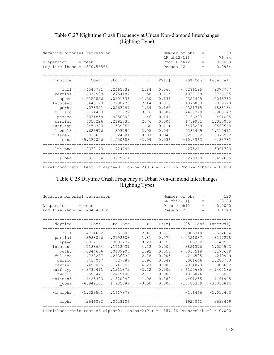## Table C.27 Nighttime Crash Frequency at Urban Non-diamond Interchanges (Lighting Type)

| Negative binomial regression<br>$Disperson = mean$<br>Log likelihood = $-370.56565$                                            |                                                                                                                                                       |                                                                                                                                            |                                                                                                          | Number of obs<br>$=$<br>LR chi2(11)<br>76.34<br>$=$<br>Prob > chi2<br>0.0000<br>$=$<br>0.0934<br>Pseudo R2<br>$\hspace{1.0cm} = \hspace{1.0cm}$ |                                                                                                                                                                     |  |                                                                                                                                               |
|--------------------------------------------------------------------------------------------------------------------------------|-------------------------------------------------------------------------------------------------------------------------------------------------------|--------------------------------------------------------------------------------------------------------------------------------------------|----------------------------------------------------------------------------------------------------------|-------------------------------------------------------------------------------------------------------------------------------------------------|---------------------------------------------------------------------------------------------------------------------------------------------------------------------|--|-----------------------------------------------------------------------------------------------------------------------------------------------|
| nighttim                                                                                                                       |                                                                                                                                                       | Coef. Std. Err. z P> z  [95% Conf. Interval]                                                                                               |                                                                                                          |                                                                                                                                                 |                                                                                                                                                                     |  |                                                                                                                                               |
| full<br>partial<br>speed  <br>Intotent  <br>perhv  <br>fullacc<br>paracc<br>barrier<br>surf typ<br>lnwdt13<br>nolanes5<br>cons | .4545781<br>.4337998<br>$-.0152856$<br>.5448123<br>.078321<br>1.174483<br>.6371858<br>.6055226<br>$-.2456323$<br>.623976<br>$-.010661$<br>$-5.337056$ | .2465339<br>.2754187<br>.0101833<br>.2230273<br>.0563747<br>.371772<br>.4356302<br>.2191533<br>.1539256<br>.303799<br>.1624301<br>2.550683 | 1.84<br>1.58<br>$-1.50$<br>2.44<br>1.39<br>3.16<br>1.46<br>2.76<br>$-1.60$<br>2.05<br>$-0.07$<br>$-2.09$ | 0.065<br>0.115<br>0.133<br>0.015<br>0.165<br>0.002<br>0.144<br>0.006<br>0.111<br>0.040<br>0.948<br>0.036                                        | $-.0286195$<br>$-.1060109$<br>$-.0352445$<br>.1076868<br>$-.0321715$<br>.4458229<br>$-.2166337$<br>.1759901<br>$-.5473209$<br>.0285409<br>$-.3290182$<br>$-10.3363$ |  | .9377757<br>.9736105<br>.0046732<br>.9819378<br>.1888134<br>1.903142<br>1.491005<br>1.035055<br>.0560563<br>1.219411<br>.3076962<br>$-.33781$ |
| /lnalpha                                                                                                                       |                                                                                                                                                       | $-.9372173$ .1724746                                                                                                                       |                                                                                                          |                                                                                                                                                 | $-1.275261$                                                                                                                                                         |  | $-.5991733$                                                                                                                                   |
|                                                                                                                                | alpha   .3917164 .0675611                                                                                                                             |                                                                                                                                            |                                                                                                          |                                                                                                                                                 |                                                                                                                                                                     |  | .279358 .5492655                                                                                                                              |
| Likelihood-ratio test of alpha=0: chibar2(01) = 222.16 Prob>=chibar2 = $0.000$                                                 |                                                                                                                                                       |                                                                                                                                            |                                                                                                          |                                                                                                                                                 |                                                                                                                                                                     |  |                                                                                                                                               |

#### Table C.28 Daytime Crash Frequency at Urban Non-diamond Interchanges (Lighting Type)

| Negative binomial regression                                                                                                                    |                                                                                                                                                         |                                                                                                                                             |                                                                                                          | Number of obs<br>LR chi2(11)                                                                             | $=$<br>$\qquad \qquad =$                                                                                                                                    | 120<br>123.30 |                                                                                                                                                   |
|-------------------------------------------------------------------------------------------------------------------------------------------------|---------------------------------------------------------------------------------------------------------------------------------------------------------|---------------------------------------------------------------------------------------------------------------------------------------------|----------------------------------------------------------------------------------------------------------|----------------------------------------------------------------------------------------------------------|-------------------------------------------------------------------------------------------------------------------------------------------------------------|---------------|---------------------------------------------------------------------------------------------------------------------------------------------------|
| $Disperson = mean$<br>Log likelihood = $-434.43032$                                                                                             |                                                                                                                                                         | Pseudo R2                                                                                                                                   | Prob > chi2                                                                                              | $=$<br>$=$                                                                                               | 0.0000<br>0.1243                                                                                                                                            |               |                                                                                                                                                   |
| $daytime$                                                                                                                                       | Coef.                                                                                                                                                   | Std. Err.                                                                                                                                   | $\mathbb Z$                                                                                              | P >  z                                                                                                   |                                                                                                                                                             |               | [95% Conf. Interval]                                                                                                                              |
| full  <br>partial  <br>speed  <br>Intotent  <br>perhv  <br>fullacc  <br>paracc<br>barrier  <br>surf typ<br>lnwdt13<br>nolanes5<br>$_{\rm cons}$ | .4734692<br>.3988096<br>$-.0022131$<br>.7188654<br>.0844686<br>.733237<br>.6437047<br>.7450055<br>$-.3780411$<br>.6597441<br>$-.1425303$<br>$-6.942101$ | .1953083<br>.2198603<br>.0083227<br>.1718031<br>.0439908<br>.2636334<br>.327587<br>.1742896<br>.1211872<br>.2419108<br>.1320049<br>1.985387 | 2.42<br>1.81<br>$-0.27$<br>4.18<br>1.92<br>2.78<br>1.96<br>4.27<br>$-3.12$<br>2.73<br>$-1.08$<br>$-3.50$ | 0.015<br>0.070<br>0.790<br>0.000<br>0.055<br>0.005<br>0.049<br>0.000<br>0.002<br>0.006<br>0.280<br>0.000 | .0906719<br>$-.0321087$<br>$-.0185252$<br>.3821376<br>$-.0017518$<br>.216525<br>.001646<br>.4034043<br>$-.6155635$<br>.1856076<br>$-.401255$<br>$-10.83339$ |               | .8562664<br>.8297278<br>.0140991<br>1.055593<br>.170689<br>1.249949<br>1.285763<br>1.086607<br>$-.1405186$<br>1.133881<br>.1161945<br>$-3.050814$ |
| /lnalpha                                                                                                                                        | $-1.329501$                                                                                                                                             | .1617878                                                                                                                                    |                                                                                                          |                                                                                                          | $-1.6466$                                                                                                                                                   |               | $-1.012403$                                                                                                                                       |
|                                                                                                                                                 | alpha   .2646092 .0428106                                                                                                                               |                                                                                                                                             |                                                                                                          |                                                                                                          | .1927041                                                                                                                                                    |               | .3633449                                                                                                                                          |
| Likelihood-ratio test of alpha=0: chibar2(01) = $357.46$ Prob>=chibar2 = 0.000                                                                  |                                                                                                                                                         |                                                                                                                                             |                                                                                                          |                                                                                                          |                                                                                                                                                             |               |                                                                                                                                                   |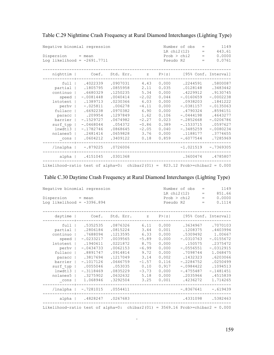| Negative binomial regression<br>Dispersion<br>Log likelihood = $-2691.7711$                                                                          | $=$ mean                                                                                                                                                              |                                                                                                                                                        |                                                                                                                     | Pseudo R2                                                                                                         | Number of obs<br>LR chi2(12)<br>Prob > chi2                                                                                                                                   | 1149<br>$=$<br>443.61<br>$\qquad \qquad =$<br>0.0000<br>$\qquad \qquad =$<br>0.0761<br>$=$                                                                           |
|------------------------------------------------------------------------------------------------------------------------------------------------------|-----------------------------------------------------------------------------------------------------------------------------------------------------------------------|--------------------------------------------------------------------------------------------------------------------------------------------------------|---------------------------------------------------------------------------------------------------------------------|-------------------------------------------------------------------------------------------------------------------|-------------------------------------------------------------------------------------------------------------------------------------------------------------------------------|----------------------------------------------------------------------------------------------------------------------------------------------------------------------|
| nighttim                                                                                                                                             | Coef.                                                                                                                                                                 | Std. Err.                                                                                                                                              | Z                                                                                                                   | P >  z                                                                                                            |                                                                                                                                                                               | [95% Conf. Interval]                                                                                                                                                 |
| full<br>partial<br>continuo<br>speed<br><b>lntotent</b><br>perhy<br>fullacc<br>paracc<br>barrier<br>surf typ<br>lnwdt13<br>nolanes5<br>$_{\rm cons}$ | .4022339<br>.1805795<br>.6680329<br>$-.0081448$<br>.1389713<br>$-.025811$<br>.6692238<br>.209954<br>$-.1529727$<br>$-.0468044$<br>$-.1782746$<br>.2481416<br>.0604212 | .0907031<br>.0855958<br>.1250235<br>.0040414<br>.0230366<br>.006278<br>.0970382<br>.1297849<br>.0674982<br>.054372<br>.0868645<br>.0659828<br>.3409122 | 4.43<br>2.11<br>5.34<br>$-2.02$<br>6.03<br>$-4.11$<br>6.90<br>1.62<br>$-2.27$<br>$-0.86$<br>$-2.05$<br>3.76<br>0.18 | 0.000<br>0.035<br>0.000<br>0.044<br>0.000<br>0.000<br>0.000<br>0.106<br>0.023<br>0.389<br>0.040<br>0.000<br>0.859 | .2244591<br>.0128148<br>.4229912<br>$-.0160659$<br>.0938203<br>$-.0381157$<br>.4790324<br>$-.0444198$<br>$-.2852668$<br>$-.1533715$<br>$-.3485259$<br>.1188177<br>$-.6077544$ | .5800087<br>.3483442<br>.9130745<br>$-.0002238$<br>.1841222<br>$-.0135063$<br>.8594151<br>.4643277<br>$-.0206786$<br>.0597627<br>$-.0080234$<br>.3774655<br>.7285969 |
| /lnalpha                                                                                                                                             | $-.879225$                                                                                                                                                            | .0726006                                                                                                                                               |                                                                                                                     |                                                                                                                   | $-1.021519$                                                                                                                                                                   | $-.7369305$                                                                                                                                                          |
| alpha                                                                                                                                                | .4151045                                                                                                                                                              | .0301368                                                                                                                                               |                                                                                                                     |                                                                                                                   | .3600474                                                                                                                                                                      | .4785807                                                                                                                                                             |
| Likelihood-ratio test of alpha=0: chibar2(01) = $823.12$ Prob>=chibar2 = 0.000                                                                       |                                                                                                                                                                       |                                                                                                                                                        |                                                                                                                     |                                                                                                                   |                                                                                                                                                                               |                                                                                                                                                                      |

Table C.29 Nighttime Crash Frequency at Rural Diamond Interchanges (Lighting Type)

#### Table C.30 Daytime Crash Frequency at Rural Diamond Interchanges (Lighting Type)

| Negative binomial regression<br>$Disperson = mean$<br>Log likelihood = $-3396.894$                                                 |                                                                                                                                                                                         |                                                                                                                                                         |                                                                                                                  |                                                                                                                   | Number of obs<br>LR chi2(12)<br>Prob > chi2<br>Pseudo R2                                                                                                               | $=$<br>$=$<br>$=$<br>$=$ | 1149<br>851.66<br>0.0000<br>0.1114                                                                                                                               |
|------------------------------------------------------------------------------------------------------------------------------------|-----------------------------------------------------------------------------------------------------------------------------------------------------------------------------------------|---------------------------------------------------------------------------------------------------------------------------------------------------------|------------------------------------------------------------------------------------------------------------------|-------------------------------------------------------------------------------------------------------------------|------------------------------------------------------------------------------------------------------------------------------------------------------------------------|--------------------------|------------------------------------------------------------------------------------------------------------------------------------------------------------------|
| $daytime$                                                                                                                          |                                                                                                                                                                                         | Coef. Std. Err. z P> z  [95% Conf. Interval]                                                                                                            |                                                                                                                  |                                                                                                                   |                                                                                                                                                                        |                          |                                                                                                                                                                  |
| full<br>partial<br>continuo  <br>speed  <br>Intotent  <br>perhv  <br>barrier<br>surf typ  <br>lnwdt13<br>nolanes5<br>$_{\rm cons}$ | .5352535<br>.2806184<br>.7688094<br>$-.0233217$<br>.1940611<br>$-.0434733$<br>fullacc   .8891747<br>paracc   .3817694<br>$-.1017126$<br>.0055046<br>$-.3118469$<br>.3275902<br>1.068946 | .0876326<br>.0815224<br>.1213595<br>.0039565<br>.0221872<br>.0062153<br>.0914814<br>.1217049<br>.0646759<br>.053035<br>.0835229<br>.0632632<br>.3292504 | 6.11<br>3.44<br>6.33<br>$-5.89$<br>8.75<br>$-6.99$<br>9.72<br>3.14<br>$-1.57$<br>0.10<br>$-3.73$<br>5.18<br>3.25 | 0.000<br>0.001<br>0.000<br>0.000<br>0.000<br>0.000<br>0.000<br>0.002<br>0.116<br>0.917<br>0.000<br>0.000<br>0.001 | .3634967<br>.1208375<br>.5309492<br>$-.0310763$<br>.150575<br>$-.0556551$<br>.7098744<br>.1432323<br>$-.2284752$<br>$-.0984422$<br>$-.4755487$<br>.2035966<br>.4236272 |                          | .7070103<br>.4403994<br>1.00667<br>$-.0155672$<br>.2375472<br>$-.0312915$<br>1.068475<br>.6203066<br>.0250499<br>.1094513<br>$-.1481451$<br>.4515839<br>1.714265 |
| /lnalpha                                                                                                                           | $-.7281015$ .0554411                                                                                                                                                                    |                                                                                                                                                         |                                                                                                                  |                                                                                                                   | $-.8367641$                                                                                                                                                            |                          | $-.619439$                                                                                                                                                       |
|                                                                                                                                    | alpha   .4828247 .0267683                                                                                                                                                               |                                                                                                                                                         |                                                                                                                  |                                                                                                                   | .4331098                                                                                                                                                               |                          | .5382463                                                                                                                                                         |

Likelihood-ratio test of alpha=0: chibar2(01) = 3569.16 Prob>=chibar2 = 0.000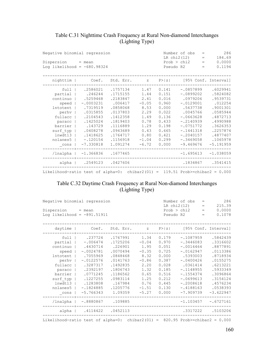## Table C.31 Nighttime Crash Frequency at Rural Non-diamond Interchanges (Lighting Type)

| Negative binomial regression<br>Dispersion<br>Log likelihood = $-680.98324$                                                                              | $=$ mean                                                                                                                                                       |                                                                                                                                                         | Pseudo R2                                                                                                     | Number of obs<br>LR chi2(12)<br>Prob > chi2                                                                       | $=$<br>$\qquad \qquad =$<br>$\qquad \qquad =$<br>$=$                                                                                                                                   | 286<br>184.69<br>0.0000<br>0.1194 |                                                                                                                                                            |
|----------------------------------------------------------------------------------------------------------------------------------------------------------|----------------------------------------------------------------------------------------------------------------------------------------------------------------|---------------------------------------------------------------------------------------------------------------------------------------------------------|---------------------------------------------------------------------------------------------------------------|-------------------------------------------------------------------------------------------------------------------|----------------------------------------------------------------------------------------------------------------------------------------------------------------------------------------|-----------------------------------|------------------------------------------------------------------------------------------------------------------------------------------------------------|
| nighttim                                                                                                                                                 | Coef.                                                                                                                                                          | Std. Err.                                                                                                                                               | $\mathbf{Z}$                                                                                                  | P >  z                                                                                                            |                                                                                                                                                                                        |                                   | [95% Conf. Interval]                                                                                                                                       |
| full<br>partial<br>continuo<br>speed<br><b>lntotent</b><br>perhv<br>fullacc<br>paracc<br>barrier<br>surf typ<br>1 <sub>nwdt</sub> 13<br>nolanes5<br>cons | .2586021<br>.246244<br>.5259468<br>$-.0003231$<br>.7319519<br>.0315855<br>.2104543<br>.1425024<br>.143729<br>.0408278<br>.1418625<br>$-.120154$<br>$-7.330818$ | .1757134<br>.1715155<br>.2183847<br>.006417<br>.0858068<br>.0137803<br>.1412358<br>.1819403<br>.1116889<br>.0943689<br>.1764717<br>.1156918<br>1.091274 | 1.47<br>1.44<br>2.41<br>$-0.05$<br>8.53<br>2.29<br>1.49<br>0.78<br>1.29<br>0.43<br>0.80<br>$-1.04$<br>$-6.72$ | 0.141<br>0.151<br>0.016<br>0.960<br>0.000<br>0.022<br>0.136<br>0.433<br>0.198<br>0.665<br>0.421<br>0.299<br>0.000 | $-.0857899$<br>$-.0899202$<br>.0979206<br>$-.0129001$<br>.5637738<br>.0045766<br>$-.0663628$<br>$-.2140939$<br>$-.0751772$<br>$-.1441318$<br>$-.2040157$<br>$-.3469058$<br>$-9.469676$ |                                   | .6029941<br>.5824082<br>.9539731<br>.012254<br>.9001301<br>.0585944<br>.4872713<br>.4990988<br>.3626353<br>.2257874<br>.4877407<br>.1065978<br>$-5.191959$ |
| /lnalpha                                                                                                                                                 | $-1.366836$                                                                                                                                                    | .1677465                                                                                                                                                |                                                                                                               |                                                                                                                   | $-1.695613$                                                                                                                                                                            |                                   | $-1.038059$                                                                                                                                                |
| alpha                                                                                                                                                    |                                                                                                                                                                | .2549123 .0427606                                                                                                                                       |                                                                                                               |                                                                                                                   | .1834867                                                                                                                                                                               |                                   | .3541415                                                                                                                                                   |
| Likelihood-ratio test of alpha=0: chibar2(01) = 119.51 Prob>=chibar2 = $0.000$                                                                           |                                                                                                                                                                |                                                                                                                                                         |                                                                                                               |                                                                                                                   |                                                                                                                                                                                        |                                   |                                                                                                                                                            |

#### Table C.32 Daytime Crash Frequency at Rural Non-diamond Interchanges (Lighting Type)

| Negative binomial regression                                                   |             | Number of obs<br>$\qquad \qquad =$<br>LR chi2(12)<br>215.39<br>$\qquad \qquad =$ |              |           |             |     |                      |
|--------------------------------------------------------------------------------|-------------|----------------------------------------------------------------------------------|--------------|-----------|-------------|-----|----------------------|
| $Disperson = mean$                                                             |             |                                                                                  |              |           | Prob > chi2 | $=$ | 0.0000               |
| Log likelihood = $-891.51911$                                                  |             |                                                                                  |              | Pseudo R2 |             | $=$ | 0.1078               |
| daytime                                                                        | Coef.       | Std. Err.                                                                        | $\mathbf{Z}$ | P >  z    |             |     | [95% Conf. Interval] |
|                                                                                |             |                                                                                  |              |           |             |     |                      |
| full                                                                           | .237724     | .1767991                                                                         | 1.34         | 0.179     | $-.1087959$ |     | .5842439             |
| partial                                                                        | $-.006474$  | .1725206                                                                         | $-0.04$      | 0.970     | $-.3446083$ |     | .3316602             |
| continuo                                                                       | .4430714    | .226901                                                                          | 1.95         | 0.051     | $-.0016464$ |     | .8877891             |
| speed                                                                          | $-.0024781$ | .0070494                                                                         | $-0.35$      | 0.725     | $-.0162947$ |     | .0113386             |
| lntotent                                                                       | .7055969    | .0848468                                                                         | 8.32         | 0.000     | .5393003    |     | .8718934             |
| perhy                                                                          | $-.0122576$ | .0141763                                                                         | $-0.86$      | 0.387     | $-.0400426$ |     | .0155275             |
| fullacc                                                                        | .3287317    | .1492835                                                                         | 2.20         | 0.028     | .0361414    |     | .6213221             |
| paracc                                                                         | .2392197    | .1806743                                                                         | 1.32         | 0.185     | $-.1148955$ |     | .5933349             |
| barrier                                                                        | .0771245    | .1186562                                                                         | 0.65         | 0.516     | $-.1554374$ |     | .3096864             |
| surf typ                                                                       | .1227255    | .0983114                                                                         | 1.25         | 0.212     | $-.0699613$ |     | .3154124             |
| lnwdt13                                                                        | .1283808    | .167984                                                                          | 0.76         | 0.445     | $-.2008618$ |     | .4576234             |
| nolanes5                                                                       | $-.1824885$ | .1205776                                                                         | $-1.51$      | 0.130     | $-.4188163$ |     | .0538393             |
| cons                                                                           | $-5.766343$ | 1.09359                                                                          | $-5.27$      | 0.000     | $-7.909739$ |     | $-3.622947$          |
| /lnalpha                                                                       | $-.8880867$ | .109885                                                                          |              |           | $-1.103457$ |     | $-.6727161$          |
| alpha                                                                          |             | .4114422 .0452113                                                                |              |           | .3317222    |     | .5103206             |
| Likelihood-ratio test of alpha=0: chibar2(01) = $820.95$ Prob>=chibar2 = 0.000 |             |                                                                                  |              |           |             |     |                      |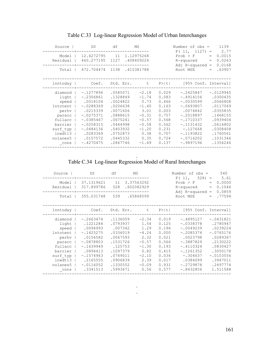| 12.4272795<br>1.12975268<br>Model<br>11<br>$Prob$ > $F$<br>$=$<br>460.277195<br>Residual<br>.408409224<br>1127<br>R-squared<br>$\hspace{1.6cm} = \hspace{1.6cm}$<br>0.0168<br>Adj R-squared<br>$\hspace{1.0cm} = \hspace{1.0cm}$<br>472.704474<br>1138<br>.415381788<br>Root MSE<br>Total<br>$=$<br>lnntoday<br>P>  t <br>[95% Conf. Interval]<br>Coef.<br>Std. Err.<br>$\mathsf{t}$<br>.0585071<br>0.029<br>$-.0129945$<br>diamond<br>$-.1277896$<br>$-2.18$<br>$-.2425847$<br>light<br>$-.2306861$<br>.1328849<br>0.083<br>$-.4914156$<br>.0300435<br>$-1.74$<br>.0066808<br>.0018104<br>.0024822<br>0.73<br>0.466<br>$-.0030599$<br>speed<br>$-1.40$<br>0.163<br>.0117069<br>$-.0288369$<br>.0206638<br>$-.0693807$<br><b>lntotent</b><br>0.003<br>.0215339<br>.0071606<br>3.01<br>.0074842<br>.0355835<br>perhv<br>$-.0275371$<br>0.757<br>$-.2018897$<br>.1468155<br>.0888615<br>$-0.31$<br>paracc<br>0.568<br>$-.1710337$<br>$-.0385467$<br>.0675241<br>$-0.57$<br>.0939404<br>fullacc<br>0.562<br>.0614802<br>$-.0258315$<br>.0444998<br>$-0.58$<br>$-.1131432$<br>barrier<br>.0308408<br>$-.0484136$<br>.0403932<br>0.231<br>$-.127668$<br>surf typ<br>$-1.20$<br>lnwdt13<br>0.707<br>.1760561<br>.0283369<br>.0752873<br>0.38<br>$-.1193822$<br>nolanes5<br>.0157572<br>.0445332<br>0.724<br>$-.0716202$<br>.1031346<br>0.35<br>$-.4270475$<br>0.137<br>$-.9897196$<br>.1356246<br>.2867746<br>$-1.49$<br>cons | Source | SS | df | МS | Number of $obs =$<br>F(11, 1127) | $\qquad \qquad =$ | 1139<br>2.77     |
|-------------------------------------------------------------------------------------------------------------------------------------------------------------------------------------------------------------------------------------------------------------------------------------------------------------------------------------------------------------------------------------------------------------------------------------------------------------------------------------------------------------------------------------------------------------------------------------------------------------------------------------------------------------------------------------------------------------------------------------------------------------------------------------------------------------------------------------------------------------------------------------------------------------------------------------------------------------------------------------------------------------------------------------------------------------------------------------------------------------------------------------------------------------------------------------------------------------------------------------------------------------------------------------------------------------------------------------------------------------------------------------------------------------------------|--------|----|----|----|----------------------------------|-------------------|------------------|
|                                                                                                                                                                                                                                                                                                                                                                                                                                                                                                                                                                                                                                                                                                                                                                                                                                                                                                                                                                                                                                                                                                                                                                                                                                                                                                                                                                                                                         |        |    |    |    |                                  |                   | 0.0015<br>0.0263 |
|                                                                                                                                                                                                                                                                                                                                                                                                                                                                                                                                                                                                                                                                                                                                                                                                                                                                                                                                                                                                                                                                                                                                                                                                                                                                                                                                                                                                                         |        |    |    |    |                                  |                   | .63907           |
|                                                                                                                                                                                                                                                                                                                                                                                                                                                                                                                                                                                                                                                                                                                                                                                                                                                                                                                                                                                                                                                                                                                                                                                                                                                                                                                                                                                                                         |        |    |    |    |                                  |                   |                  |
|                                                                                                                                                                                                                                                                                                                                                                                                                                                                                                                                                                                                                                                                                                                                                                                                                                                                                                                                                                                                                                                                                                                                                                                                                                                                                                                                                                                                                         |        |    |    |    |                                  |                   |                  |

## Table C.33 Log-linear Regression Model of Urban Interchanges

. Table C.34 Log-linear Regression Model of Rural Interchanges

| Source  <br>Model<br>Residual<br>Total                                                                                           | SS<br>37.1319621<br>317.899786<br>355.031748                                                                                                                   | df<br>11<br>528<br>539                                                                                                                     | MS<br>3.37563292<br>.602082929<br>.65868599                                                                    |                                                                                                          | Number of $obs =$<br>F(11,<br>528)<br>$Prob$ > $F$<br>R-squared<br>Adj R-squared<br>Root MSE                                                                              | 540<br>5.61<br>$\hspace*{0.4em} = \hspace*{0.4em}$<br>0.0000<br>$\qquad \qquad =$<br>0.1046<br>$\hspace{1.0cm} = \hspace{1.0cm}$<br>0.0859<br>$\hspace{1.0cm} = \hspace{1.0cm}$<br>.77594<br>$\hspace*{0.4em} = \hspace*{0.4em}$ |
|----------------------------------------------------------------------------------------------------------------------------------|----------------------------------------------------------------------------------------------------------------------------------------------------------------|--------------------------------------------------------------------------------------------------------------------------------------------|----------------------------------------------------------------------------------------------------------------|----------------------------------------------------------------------------------------------------------|---------------------------------------------------------------------------------------------------------------------------------------------------------------------------|----------------------------------------------------------------------------------------------------------------------------------------------------------------------------------------------------------------------------------|
| lnntoday                                                                                                                         | Coef.                                                                                                                                                          | Std. Err.                                                                                                                                  | t.                                                                                                             | P>  t                                                                                                    | [95% Conf. Interval]                                                                                                                                                      |                                                                                                                                                                                                                                  |
| diamond<br>light<br>speed<br><b>lntotent</b><br>perhv<br>paracc<br>fullacc<br>barrier<br>surf typ<br>lnwdt13<br>nolanes5<br>cons | $-.2663474$<br>.1221284<br>.0094993<br>$-.1425275$<br>.0156582<br>$-.0878803$<br>$-.1639949$<br>.0894413<br>$-.1574963$<br>.2165555<br>$-.0116052$<br>.3341513 | .1136009<br>.0793937<br>.007342<br>.0336019<br>.0067593<br>.1531726<br>.125753<br>.1097379<br>.0749011<br>.0906839<br>.1330552<br>.5993671 | $-2.34$<br>1.54<br>1.29<br>$-4.24$<br>2.32<br>$-0.57$<br>$-1.30$<br>0.82<br>$-2.10$<br>2.39<br>$-0.09$<br>0.56 | 0.019<br>0.125<br>0.196<br>0.000<br>0.021<br>0.566<br>0.193<br>0.415<br>0.036<br>0.017<br>0.931<br>0.577 | $-.4895127$<br>$-.0338378$<br>$-.0049239$<br>$-.2085374$<br>.0023798<br>$-.3887829$<br>$-.4110324$<br>$-.1261352$<br>$-.304637$<br>.0384099<br>$-.2729878$<br>$-.8432856$ | $-.0431821$<br>.2780947<br>.0239224<br>$-.0765176$<br>.0289367<br>.2130222<br>.0830427<br>.3050178<br>$-.0103556$<br>.3947011<br>.2497774<br>1.511588                                                                            |

. .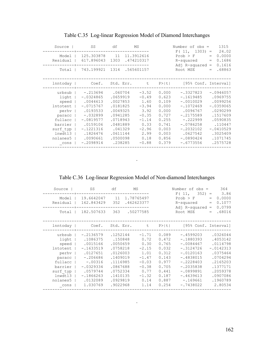| Source                                                                                                           | SS                                                                                                                                               | df                                                                                                       |                    | MS                                                                                                     |                                                                                                 | Number of $obs =$<br>$F(11, 1303) =$                                                                                                                       |                          | 1315<br>24.02                                                                                                                            |
|------------------------------------------------------------------------------------------------------------------|--------------------------------------------------------------------------------------------------------------------------------------------------|----------------------------------------------------------------------------------------------------------|--------------------|--------------------------------------------------------------------------------------------------------|-------------------------------------------------------------------------------------------------|------------------------------------------------------------------------------------------------------------------------------------------------------------|--------------------------|------------------------------------------------------------------------------------------------------------------------------------------|
| Model<br>Residual                                                                                                | 125.303878<br>617.896043                                                                                                                         | 11<br>1303                                                                                               |                    | 11.3912616<br>.474210317                                                                               |                                                                                                 | $Prob$ > $F$<br>R-squared<br>Adj $R$ -squared =                                                                                                            | $=$<br>$\qquad \qquad =$ | 0.0000<br>0.1686<br>0.1616                                                                                                               |
| Total                                                                                                            | 743.199921                                                                                                                                       | 1314                                                                                                     |                    | .565601157                                                                                             |                                                                                                 | Root MSE                                                                                                                                                   | $=$                      | .68863                                                                                                                                   |
| lnntoday                                                                                                         | Coef.                                                                                                                                            |                                                                                                          | Std. Err.          | t                                                                                                      | P>  t                                                                                           | [95% Conf. Interval]                                                                                                                                       |                          |                                                                                                                                          |
| urbsub<br>light<br>speed<br>lntotent<br>perhy<br>paracc<br>fullacc<br>barrier<br>surf typ<br>lnwdt13<br>nolanes5 | $-.213694$<br>$-.0324865$<br>.0044613<br>$-.0715767$<br>.0193533<br>$-.032899$<br>$-.0819577$<br>.0159106<br>$-.1221316$<br>.1826476<br>.0090661 | .0659919<br>.0027853<br>.0181825<br>.0049325<br>.0941285<br>.0718943<br>.0481889<br>.0611144<br>.0500098 | .060704<br>.041329 | $-3.52$<br>$-0.49$<br>1.60<br>$-3.94$<br>3.92<br>$-0.35$<br>$-1.14$<br>0.33<br>$-2.96$<br>2.99<br>0.18 | 0.000<br>0.623<br>0.109<br>0.000<br>0.000<br>0.727<br>0.255<br>0.741<br>0.003<br>0.003<br>0.856 | $-.3327823$<br>$-.1619485$<br>$-.0010029$<br>$-.1072469$<br>.0096767<br>$-.2175589$<br>$-.222999$<br>$-.0786258$<br>$-.2032102$<br>.0627542<br>$-.0890424$ |                          | $-.0946057$<br>.0969755<br>.0099256<br>$-.0359065$<br>.0290299<br>.1517609<br>.0590835<br>.110447<br>$-.0410529$<br>.3025409<br>.1071745 |
| cons                                                                                                             | $-.2098914$                                                                                                                                      |                                                                                                          | .238285            | $-0.88$                                                                                                | 0.379                                                                                           | $-.6773556$                                                                                                                                                |                          | .2575728                                                                                                                                 |

Table C.35 Log-linear Regression Model of Diamond Interchanges

Table C.36 Log-linear Regression Model of Non-diamond Interchanges

.

| Source  <br>Model<br>Residual<br>Total                                                                                               | SS<br>19.6642047<br>162.843429<br>182.507633                                                                                                                | df<br>11<br>352<br>363                                                                                                                      | MS<br>1.78765497<br>.462623377<br>.50277585                                                                    |                                                                                                          | Number of $obs =$<br>F(11,<br>$352$ ) =<br>Prob > F<br>R-squared<br>Adj $R$ -squared =<br>Root MSE                                                                              | 364<br>3.86<br>0.0000<br>$=$<br>0.1077<br>$=$<br>0.0799<br>.68016<br>$=$                                                                       |
|--------------------------------------------------------------------------------------------------------------------------------------|-------------------------------------------------------------------------------------------------------------------------------------------------------------|---------------------------------------------------------------------------------------------------------------------------------------------|----------------------------------------------------------------------------------------------------------------|----------------------------------------------------------------------------------------------------------|---------------------------------------------------------------------------------------------------------------------------------------------------------------------------------|------------------------------------------------------------------------------------------------------------------------------------------------|
| lnntoday                                                                                                                             | Coef. Std. Err.                                                                                                                                             |                                                                                                                                             |                                                                                                                |                                                                                                          | t P> t  [95% Conf. Interval]                                                                                                                                                    |                                                                                                                                                |
| urbsub  <br>light  <br>speed  <br>lntotent<br>perhv<br>paracc<br>fullacc<br>barrier<br>surf typ<br>$lnwdt13$  <br>nolanes5  <br>cons | $-.2136579$<br>.1086375<br>.0015166<br>$-.1633519$<br>.0127651<br>$-.206686$<br>$-.00316$<br>$-.0329334$<br>.0579744<br>$-.1866263$<br>.0132089<br>1.030769 | .1252144<br>.150848<br>.0050659<br>.0758218<br>.0126003<br>.1409019<br>.1116985<br>.0867688<br>.0752334<br>.1410135<br>.0929819<br>.9022968 | $-1.71$<br>0.72<br>0.30<br>$-2.15$<br>1.01<br>$-1.47$<br>$-0.03$<br>$-0.38$<br>0.77<br>$-1.32$<br>0.14<br>1.14 | 0.089<br>0.472<br>0.765<br>0.032<br>0.312<br>0.143<br>0.977<br>0.705<br>0.441<br>0.187<br>0.887<br>0.254 | $-.4599203$<br>$-.1880393$<br>$-.0084467$<br>$-.3124726$<br>$-.0120163$<br>$-.4838015$<br>$-.2228403$<br>$-.2035838$<br>$-.0899891$<br>$-.4639613$<br>$-.169661$<br>$-.7438022$ | .0326044<br>.4053142<br>.0114798<br>$-.0142313$<br>.0375464<br>.0704294<br>.2165203<br>.1377171<br>.2059378<br>.0907086<br>.1960789<br>2.80534 |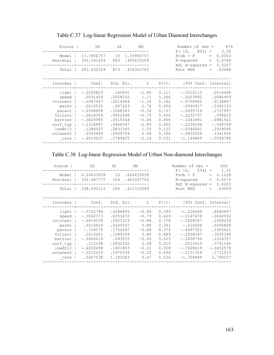| Source                                                                                                     | SS                                                                                                                                                    | df                                                                                                                             | MS                                                                                                        |                                                                                                 | Number of $obs =$                                                                                                                                              | 874                                                                                                                                  |
|------------------------------------------------------------------------------------------------------------|-------------------------------------------------------------------------------------------------------------------------------------------------------|--------------------------------------------------------------------------------------------------------------------------------|-----------------------------------------------------------------------------------------------------------|-------------------------------------------------------------------------------------------------|----------------------------------------------------------------------------------------------------------------------------------------------------------------|--------------------------------------------------------------------------------------------------------------------------------------|
| Model<br>Residual                                                                                          | 13.3906757<br>350.041654                                                                                                                              | 10<br>863                                                                                                                      | 1.33906757<br>.405610259                                                                                  |                                                                                                 | F(10,<br>$863) =$<br>Prob > F<br>R-squared<br>$Ad1$ R-squared =                                                                                                | 3.30<br>0.0003<br>$=$<br>0.0368<br>$\!=$<br>0.0257                                                                                   |
| Total                                                                                                      | 363.432329                                                                                                                                            | 873 .416302783                                                                                                                 |                                                                                                           |                                                                                                 | Root MSE                                                                                                                                                       | .63688<br>$=$                                                                                                                        |
| lnntoday                                                                                                   | Coef.                                                                                                                                                 | Std. Err.                                                                                                                      | t                                                                                                         | $P>$  t                                                                                         | [95% Conf. Interval]                                                                                                                                           |                                                                                                                                      |
| light  <br>speed<br>lntotent<br>perhv  <br>paracc<br>fullacc<br>barrier<br>surf typ<br>lnwdt13<br>nolanes5 | $-.2250823$<br>.0031459<br>$-.0287067$<br>.0210535<br>$-.0358858$<br>$-.0618309$<br>$-.0029985$<br>$-.1318887$<br>.1286007<br>.0343464<br>$-.6019637$ | .140891<br>.0028252<br>.0214944<br>.007623<br>.1068343<br>.0822548<br>.0515564<br>.0466347<br>.0831545<br>.0508729<br>.2789425 | $-1.60$<br>1.11<br>$-1.34$<br>2.76<br>$-0.34$<br>$-0.75$<br>$-0.06$<br>$-2.83$<br>1.55<br>0.68<br>$-2.16$ | 0.111<br>0.266<br>0.182<br>0.006<br>0.737<br>0.452<br>0.954<br>0.005<br>0.122<br>0.500<br>0.031 | $-.5016115$<br>$-.0023992$<br>$-.0708942$<br>.0060917<br>$-.2455714$<br>$-.2232737$<br>$-.1041891$<br>$-.2234194$<br>$-.0346081$<br>$-.0655028$<br>$-1.149449$ | .0514468<br>.0086909<br>.0134807<br>.0360153<br>.1737997<br>.099612<br>.0981921<br>$-.040358$<br>.2918095<br>.1341956<br>$-.0544786$ |
| cons                                                                                                       |                                                                                                                                                       |                                                                                                                                |                                                                                                           |                                                                                                 |                                                                                                                                                                |                                                                                                                                      |

Table C.37 Log-linear Regression Model of Urban Diamond Interchanges

Table C.38 Log-linear Regression Model of Urban Non-diamond Interchanges

| Source<br>Model<br>Residual                                                                                    | SS.<br>6.24433639 10<br>102.447777                                                                                                                  | df<br>254                                                                                                                       | MS<br>.624433639<br>.403337703                                                                            |                                                                                                 | Number of $obs =$<br>$F(10, 254) =$<br>Prob > F<br>R-squared<br>Adj $R$ -squared =                                                                            | 265<br>1.55<br>0.1228<br>$=$<br>0.0574<br>$=$<br>0.0203                                                                             |
|----------------------------------------------------------------------------------------------------------------|-----------------------------------------------------------------------------------------------------------------------------------------------------|---------------------------------------------------------------------------------------------------------------------------------|-----------------------------------------------------------------------------------------------------------|-------------------------------------------------------------------------------------------------|---------------------------------------------------------------------------------------------------------------------------------------------------------------|-------------------------------------------------------------------------------------------------------------------------------------|
| Total                                                                                                          | 108.692113 264 .411712549                                                                                                                           |                                                                                                                                 |                                                                                                           |                                                                                                 | Root MSE                                                                                                                                                      | .63509<br>$=$                                                                                                                       |
| lnntoday                                                                                                       | Coef.                                                                                                                                               |                                                                                                                                 | Std. Err. t                                                                                               | P >  t                                                                                          | [95% Conf. Interval]                                                                                                                                          |                                                                                                                                     |
| light<br>speed<br>lntotent<br>perhv<br>paracc<br>fullacc<br>barrier<br>surf typ<br>lnwdt13<br>nolanes5<br>cons | $-.3722796$<br>$-.0042373$<br>$-.0814159$<br>.0214624<br>$-.154575$<br>.0513421<br>$-.0606219$<br>.215198<br>$-.4020498$<br>$-.0210153$<br>.5407038 | .4348493<br>.0053472<br>.0921319<br>.0244337<br>.1752647<br>.1280509<br>.093055<br>.0832542<br>.1821883<br>.0975534<br>1.142283 | $-0.86$<br>$-0.79$<br>$-0.88$<br>0.88<br>$-0.88$<br>0.40<br>$-0.65$<br>2.58<br>$-2.21$<br>$-0.22$<br>0.47 | 0.393<br>0.429<br>0.378<br>0.381<br>0.379<br>0.689<br>0.515<br>0.010<br>0.028<br>0.830<br>0.636 | $-1.228649$<br>$-.0147678$<br>$-.2628557$<br>$-.026656$<br>$-.4997322$<br>$-.2008347$<br>$-.2438794$<br>.0512415<br>$-.7608419$<br>$-.2131318$<br>$-1.708849$ | .4840897<br>.0062932<br>.1000239<br>.0695808<br>.1905821<br>.3035188<br>.1226357<br>.3791546<br>$-.0432578$<br>.1711013<br>2.790257 |